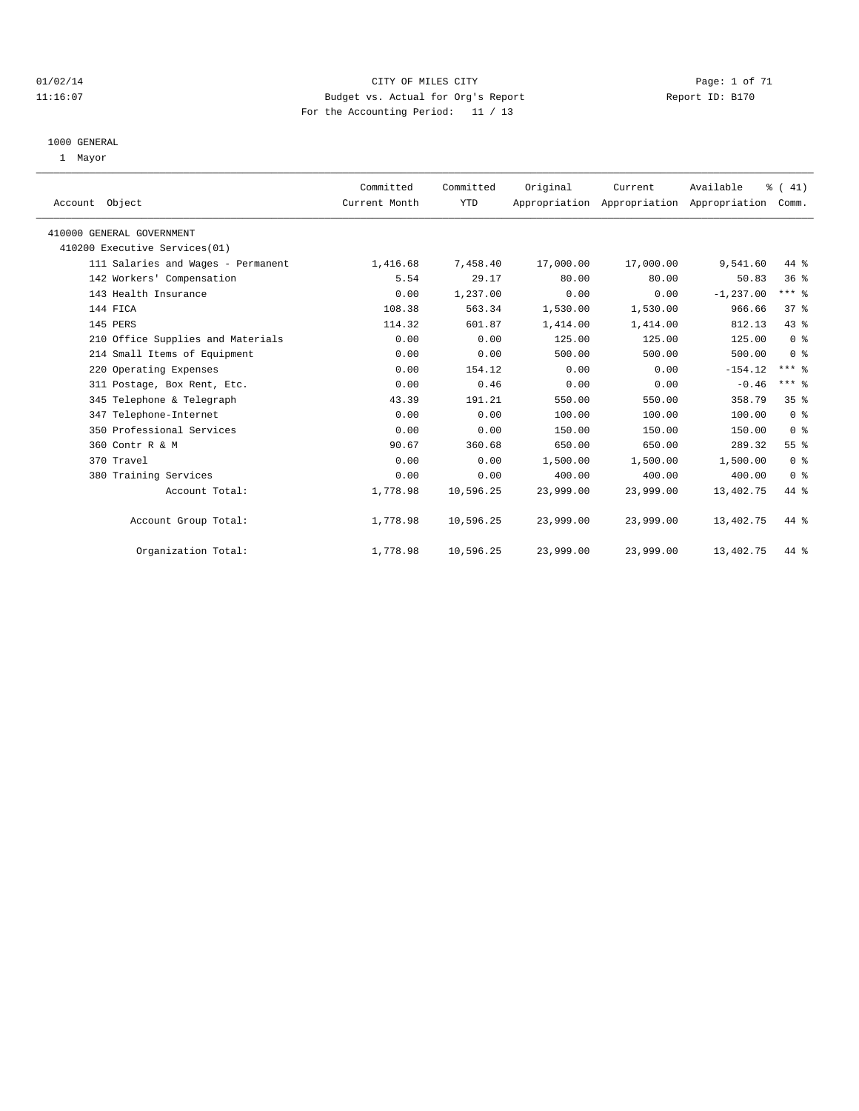#### 01/02/14 Page: 1 of 71 11:16:07 Budget vs. Actual for Org's Report Report ID: B170 For the Accounting Period: 11 / 13

#### 1000 GENERAL

1 Mayor

| Account Object                     | Committed<br>Current Month | Committed<br><b>YTD</b> | Original  | Current   | Available<br>Appropriation Appropriation Appropriation | % (41)<br>Comm. |  |
|------------------------------------|----------------------------|-------------------------|-----------|-----------|--------------------------------------------------------|-----------------|--|
| 410000 GENERAL GOVERNMENT          |                            |                         |           |           |                                                        |                 |  |
| 410200 Executive Services(01)      |                            |                         |           |           |                                                        |                 |  |
| 111 Salaries and Wages - Permanent | 1,416.68                   | 7,458.40                | 17,000.00 | 17,000.00 | 9,541.60                                               | 44 %            |  |
| 142 Workers' Compensation          | 5.54                       | 29.17                   | 80.00     | 80.00     | 50.83                                                  | 36 <sup>8</sup> |  |
| 143 Health Insurance               | 0.00                       | 1,237.00                | 0.00      | 0.00      | $-1, 237.00$                                           | $***$ $_{8}$    |  |
| 144 FICA                           | 108.38                     | 563.34                  | 1,530.00  | 1,530.00  | 966.66                                                 | $37*$           |  |
| 145 PERS                           | 114.32                     | 601.87                  | 1,414.00  | 1,414.00  | 812.13                                                 | 43.8            |  |
| 210 Office Supplies and Materials  | 0.00                       | 0.00                    | 125.00    | 125.00    | 125.00                                                 | 0 <sup>8</sup>  |  |
| 214 Small Items of Equipment       | 0.00                       | 0.00                    | 500.00    | 500.00    | 500.00                                                 | 0 <sup>8</sup>  |  |
| 220 Operating Expenses             | 0.00                       | 154.12                  | 0.00      | 0.00      | $-154.12$                                              | $***$ $%$       |  |
| 311 Postage, Box Rent, Etc.        | 0.00                       | 0.46                    | 0.00      | 0.00      | $-0.46$                                                | $***$ $%$       |  |
| 345 Telephone & Telegraph          | 43.39                      | 191.21                  | 550.00    | 550.00    | 358.79                                                 | 35%             |  |
| 347 Telephone-Internet             | 0.00                       | 0.00                    | 100.00    | 100.00    | 100.00                                                 | 0 <sup>8</sup>  |  |
| 350 Professional Services          | 0.00                       | 0.00                    | 150.00    | 150.00    | 150.00                                                 | 0 <sup>8</sup>  |  |
| 360 Contr R & M                    | 90.67                      | 360.68                  | 650.00    | 650.00    | 289.32                                                 | 55 <sup>8</sup> |  |
| 370 Travel                         | 0.00                       | 0.00                    | 1,500.00  | 1,500.00  | 1,500.00                                               | 0 <sup>8</sup>  |  |
| 380 Training Services              | 0.00                       | 0.00                    | 400.00    | 400.00    | 400.00                                                 | 0 <sup>8</sup>  |  |
| Account Total:                     | 1,778.98                   | 10,596.25               | 23,999.00 | 23,999.00 | 13,402.75                                              | 44 %            |  |
| Account Group Total:               | 1,778.98                   | 10,596.25               | 23,999.00 | 23,999.00 | 13,402.75                                              | 44 %            |  |
| Organization Total:                | 1,778.98                   | 10,596.25               | 23,999.00 | 23,999.00 | 13,402.75                                              | 44 %            |  |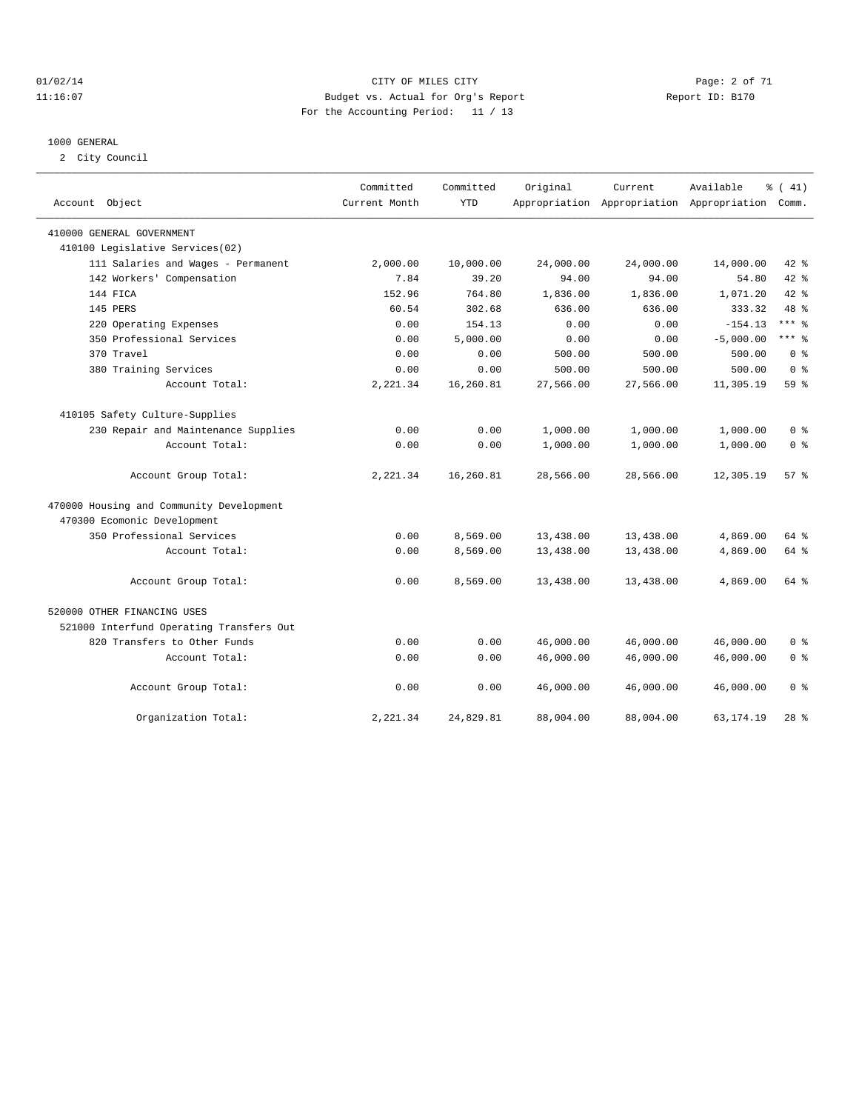#### 01/02/14 Page: 2 of 71 11:16:07 Budget vs. Actual for Org's Report Changer Report ID: B170 For the Accounting Period: 11 / 13

#### 1000 GENERAL

2 City Council

| Account Object                           | Committed<br>Current Month | Committed<br><b>YTD</b> | Original  | Current   | Available<br>Appropriation Appropriation Appropriation | % (41)<br>Comm. |
|------------------------------------------|----------------------------|-------------------------|-----------|-----------|--------------------------------------------------------|-----------------|
| 410000 GENERAL GOVERNMENT                |                            |                         |           |           |                                                        |                 |
| 410100 Legislative Services(02)          |                            |                         |           |           |                                                        |                 |
| 111 Salaries and Wages - Permanent       | 2,000.00                   | 10,000.00               | 24,000.00 | 24,000.00 | 14,000.00                                              | $42$ %          |
| 142 Workers' Compensation                | 7.84                       | 39.20                   | 94.00     | 94.00     | 54.80                                                  | 42 %            |
| 144 FICA                                 | 152.96                     | 764.80                  | 1,836.00  | 1,836.00  | 1,071.20                                               | 42.8            |
| 145 PERS                                 | 60.54                      | 302.68                  | 636.00    | 636.00    | 333.32                                                 | 48 %            |
| 220 Operating Expenses                   | 0.00                       | 154.13                  | 0.00      | 0.00      | $-154.13$                                              | $***$ $_{8}$    |
| 350 Professional Services                | 0.00                       | 5,000.00                | 0.00      | 0.00      | $-5,000.00$                                            | $***$ $=$       |
| 370 Travel                               | 0.00                       | 0.00                    | 500.00    | 500.00    | 500.00                                                 | 0 <sup>8</sup>  |
| 380 Training Services                    | 0.00                       | 0.00                    | 500.00    | 500.00    | 500.00                                                 | 0 <sup>8</sup>  |
| Account Total:                           | 2,221.34                   | 16,260.81               | 27,566.00 | 27,566.00 | 11,305.19                                              | 59 <sub>8</sub> |
| 410105 Safety Culture-Supplies           |                            |                         |           |           |                                                        |                 |
| 230 Repair and Maintenance Supplies      | 0.00                       | 0.00                    | 1,000.00  | 1,000.00  | 1,000.00                                               | 0 <sup>8</sup>  |
| Account Total:                           | 0.00                       | 0.00                    | 1,000.00  | 1,000.00  | 1,000.00                                               | 0 <sup>8</sup>  |
| Account Group Total:                     | 2,221.34                   | 16,260.81               | 28,566.00 | 28,566.00 | 12,305.19                                              | $57*$           |
| 470000 Housing and Community Development |                            |                         |           |           |                                                        |                 |
| 470300 Ecomonic Development              |                            |                         |           |           |                                                        |                 |
| 350 Professional Services                | 0.00                       | 8,569.00                | 13,438.00 | 13,438.00 | 4,869.00                                               | 64 %            |
| Account Total:                           | 0.00                       | 8,569.00                | 13,438.00 | 13,438.00 | 4,869.00                                               | 64 %            |
| Account Group Total:                     | 0.00                       | 8,569.00                | 13,438.00 | 13,438.00 | 4,869.00                                               | $64$ $%$        |
| 520000 OTHER FINANCING USES              |                            |                         |           |           |                                                        |                 |
| 521000 Interfund Operating Transfers Out |                            |                         |           |           |                                                        |                 |
| 820 Transfers to Other Funds             | 0.00                       | 0.00                    | 46,000.00 | 46,000.00 | 46,000.00                                              | 0 <sup>8</sup>  |
| Account Total:                           | 0.00                       | 0.00                    | 46,000.00 | 46,000.00 | 46,000.00                                              | 0 <sup>8</sup>  |
| Account Group Total:                     | 0.00                       | 0.00                    | 46,000.00 | 46,000.00 | 46,000.00                                              | 0 <sup>8</sup>  |
| Organization Total:                      | 2,221.34                   | 24,829.81               | 88,004.00 | 88,004.00 | 63, 174. 19                                            | $28*$           |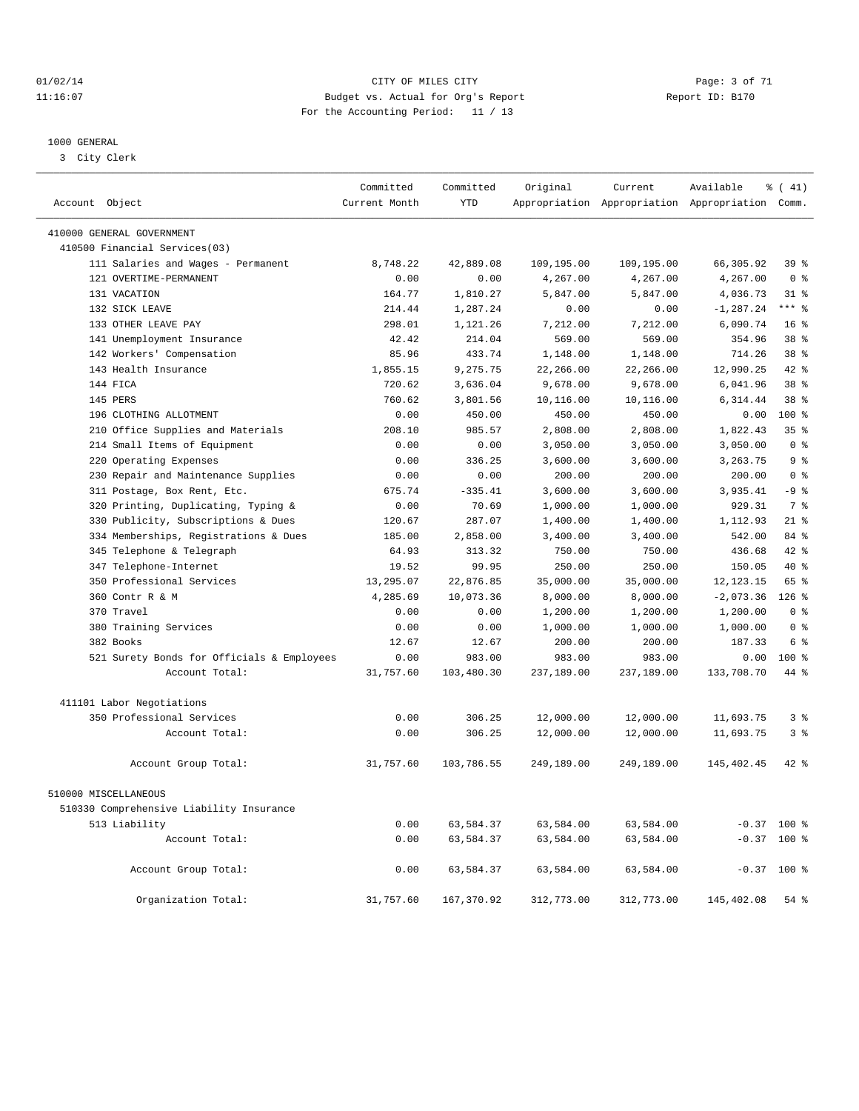#### 01/02/14 Page: 3 of 71 11:16:07 Budget vs. Actual for Org's Report Changer Report ID: B170 For the Accounting Period: 11 / 13

————————————————————————————————————————————————————————————————————————————————————————————————————————————————————————————————————

#### 1000 GENERAL

3 City Clerk

|                                                        | Committed     | Committed  | Original   | Current    | Available                                       | % (41)          |
|--------------------------------------------------------|---------------|------------|------------|------------|-------------------------------------------------|-----------------|
| Account Object                                         | Current Month | <b>YTD</b> |            |            | Appropriation Appropriation Appropriation Comm. |                 |
| 410000 GENERAL GOVERNMENT                              |               |            |            |            |                                                 |                 |
| 410500 Financial Services(03)                          |               |            |            |            |                                                 |                 |
| 111 Salaries and Wages - Permanent                     | 8,748.22      | 42,889.08  | 109,195.00 | 109,195.00 | 66,305.92                                       | 39 %            |
| 121 OVERTIME-PERMANENT                                 | 0.00          | 0.00       | 4,267.00   | 4,267.00   | 4,267.00                                        | 0 <sup>8</sup>  |
| 131 VACATION                                           | 164.77        | 1,810.27   | 5,847.00   | 5,847.00   | 4,036.73                                        | $31$ %          |
| 132 SICK LEAVE                                         | 214.44        | 1,287.24   | 0.00       | 0.00       | $-1, 287.24$                                    | $***$ 2         |
| 133 OTHER LEAVE PAY                                    | 298.01        | 1,121.26   | 7,212.00   | 7,212.00   | 6,090.74                                        | 16 <sup>8</sup> |
| 141 Unemployment Insurance                             | 42.42         | 214.04     | 569.00     | 569.00     | 354.96                                          | 38 <sup>8</sup> |
| 142 Workers' Compensation                              | 85.96         | 433.74     | 1,148.00   | 1,148.00   | 714.26                                          | 38 <sup>8</sup> |
| 143 Health Insurance                                   | 1,855.15      | 9,275.75   | 22,266.00  | 22,266.00  | 12,990.25                                       | $42*$           |
| 144 FICA                                               | 720.62        | 3,636.04   | 9,678.00   | 9,678.00   | 6,041.96                                        | 38 <sup>8</sup> |
| 145 PERS                                               | 760.62        | 3,801.56   | 10,116.00  | 10,116.00  | 6,314.44                                        | 38 %            |
| 196 CLOTHING ALLOTMENT                                 | 0.00          | 450.00     | 450.00     | 450.00     | 0.00                                            | 100 %           |
| 210 Office Supplies and Materials                      | 208.10        | 985.57     | 2,808.00   | 2,808.00   | 1,822.43                                        | 35%             |
| 214 Small Items of Equipment                           | 0.00          | 0.00       | 3,050.00   | 3,050.00   | 3,050.00                                        | 0 <sup>8</sup>  |
| 220 Operating Expenses                                 | 0.00          | 336.25     | 3,600.00   | 3,600.00   | 3, 263. 75                                      | 9 <sup>8</sup>  |
| 230 Repair and Maintenance Supplies                    | 0.00          | 0.00       | 200.00     | 200.00     | 200.00                                          | 0 <sup>8</sup>  |
| 311 Postage, Box Rent, Etc.                            | 675.74        | $-335.41$  | 3,600.00   | 3,600.00   | 3,935.41                                        | $-9$ %          |
| 320 Printing, Duplicating, Typing &                    | 0.00          | 70.69      | 1,000.00   | 1,000.00   | 929.31                                          | 7 %             |
| 330 Publicity, Subscriptions & Dues                    | 120.67        | 287.07     | 1,400.00   | 1,400.00   | 1,112.93                                        | $21$ %          |
| 334 Memberships, Registrations & Dues                  | 185.00        | 2,858.00   | 3,400.00   | 3,400.00   | 542.00                                          | 84 %            |
| 345 Telephone & Telegraph                              | 64.93         | 313.32     | 750.00     | 750.00     | 436.68                                          | 42 %            |
| 347 Telephone-Internet                                 | 19.52         | 99.95      | 250.00     | 250.00     | 150.05                                          | 40 %            |
| 350 Professional Services                              | 13,295.07     | 22,876.85  | 35,000.00  | 35,000.00  | 12, 123. 15                                     | 65 %            |
| 360 Contr R & M                                        | 4,285.69      | 10,073.36  | 8,000.00   | 8,000.00   | $-2,073.36$ 126 %                               |                 |
| 370 Travel                                             | 0.00          | 0.00       | 1,200.00   | 1,200.00   | 1,200.00                                        | 0 <sup>8</sup>  |
| 380 Training Services                                  | 0.00          | 0.00       | 1,000.00   | 1,000.00   | 1,000.00                                        | 0 <sup>8</sup>  |
| 382 Books                                              | 12.67         | 12.67      | 200.00     | 200.00     | 187.33                                          | 6 %             |
| 521 Surety Bonds for Officials & Employees             | 0.00          | 983.00     | 983.00     | 983.00     | 0.00                                            | 100 %           |
| Account Total:                                         | 31,757.60     | 103,480.30 | 237,189.00 | 237,189.00 | 133,708.70                                      | 44 %            |
|                                                        |               |            |            |            |                                                 |                 |
| 411101 Labor Negotiations<br>350 Professional Services |               |            |            |            |                                                 | 3 <sup>8</sup>  |
|                                                        | 0.00          | 306.25     | 12,000.00  | 12,000.00  | 11,693.75                                       |                 |
| Account Total:                                         | 0.00          | 306.25     | 12,000.00  | 12,000.00  | 11,693.75                                       | 3%              |
| Account Group Total:                                   | 31,757.60     | 103,786.55 | 249,189.00 | 249,189.00 | 145,402.45                                      | $42*$           |
| 510000 MISCELLANEOUS                                   |               |            |            |            |                                                 |                 |
| 510330 Comprehensive Liability Insurance               |               |            |            |            |                                                 |                 |
| 513 Liability                                          | 0.00          | 63,584.37  | 63,584.00  | 63,584.00  |                                                 | $-0.37$ 100 %   |
| Account Total:                                         | 0.00          | 63,584.37  | 63,584.00  | 63,584.00  | $-0.37$                                         | $100*$          |
| Account Group Total:                                   | 0.00          | 63,584.37  | 63,584.00  | 63,584.00  |                                                 | $-0.37$ 100 %   |
| Organization Total:                                    | 31,757.60     | 167,370.92 | 312,773.00 | 312,773.00 | 145,402.08                                      | 54 %            |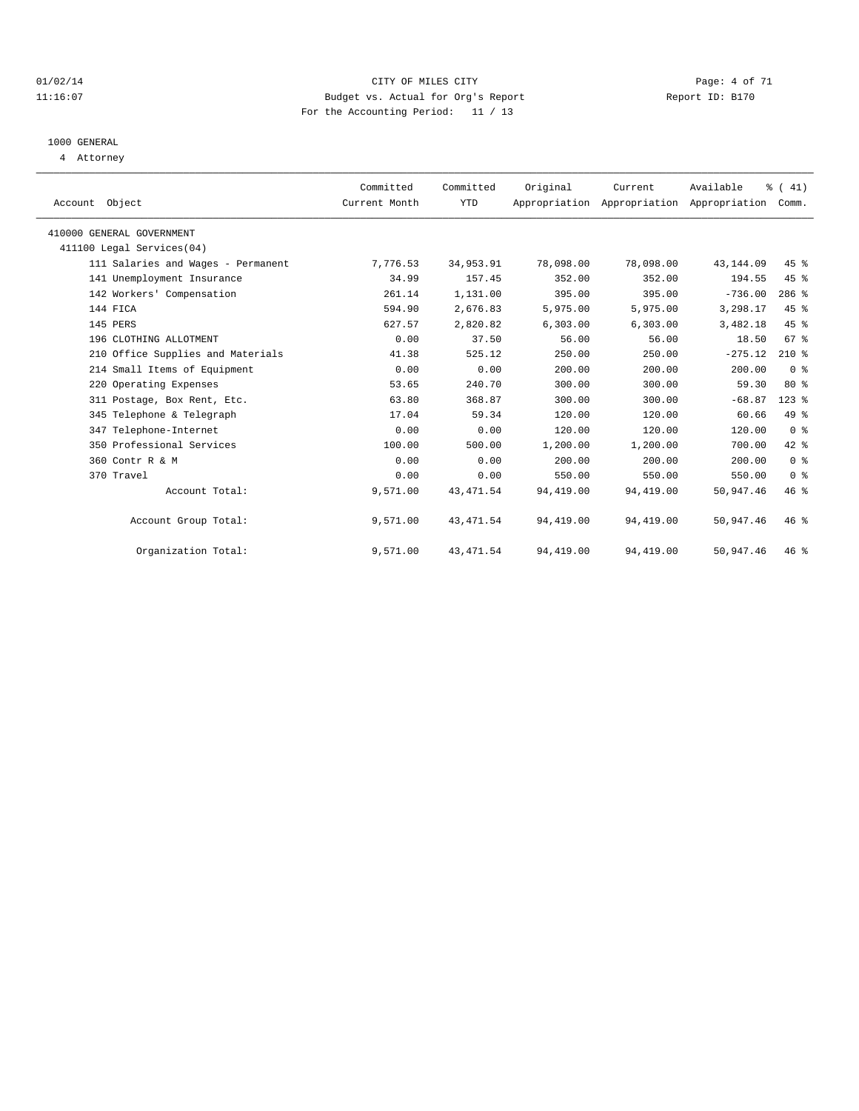#### 01/02/14 Page: 4 of 71 11:16:07 Budget vs. Actual for Org's Report Changer Report ID: B170 For the Accounting Period: 11 / 13

# 1000 GENERAL

4 Attorney

| Account Object                     | Committed<br>Current Month | Committed<br><b>YTD</b> | Original  | Current<br>Appropriation Appropriation Appropriation | Available  | $\frac{1}{6}$ ( 41)<br>Comm. |  |
|------------------------------------|----------------------------|-------------------------|-----------|------------------------------------------------------|------------|------------------------------|--|
|                                    |                            |                         |           |                                                      |            |                              |  |
| 410000 GENERAL GOVERNMENT          |                            |                         |           |                                                      |            |                              |  |
| 411100 Legal Services (04)         |                            |                         |           |                                                      |            |                              |  |
| 111 Salaries and Wages - Permanent | 7,776.53                   | 34,953.91               | 78,098.00 | 78,098.00                                            | 43, 144.09 | 45 %                         |  |
| 141 Unemployment Insurance         | 34.99                      | 157.45                  | 352.00    | 352.00                                               | 194.55     | 45 %                         |  |
| 142 Workers' Compensation          | 261.14                     | 1,131.00                | 395.00    | 395.00                                               | $-736.00$  | $286$ %                      |  |
| 144 FICA                           | 594.90                     | 2,676.83                | 5,975.00  | 5,975.00                                             | 3,298.17   | 45 %                         |  |
| 145 PERS                           | 627.57                     | 2,820.82                | 6, 303.00 | 6,303.00                                             | 3,482.18   | 45 %                         |  |
| 196 CLOTHING ALLOTMENT             | 0.00                       | 37.50                   | 56.00     | 56.00                                                | 18.50      | 67 %                         |  |
| 210 Office Supplies and Materials  | 41.38                      | 525.12                  | 250.00    | 250.00                                               | $-275.12$  | $210*$                       |  |
| 214 Small Items of Equipment       | 0.00                       | 0.00                    | 200.00    | 200.00                                               | 200.00     | 0 <sup>8</sup>               |  |
| 220 Operating Expenses             | 53.65                      | 240.70                  | 300.00    | 300.00                                               | 59.30      | $80*$                        |  |
| 311 Postage, Box Rent, Etc.        | 63.80                      | 368.87                  | 300.00    | 300.00                                               | $-68.87$   | $123$ %                      |  |
| 345 Telephone & Telegraph          | 17.04                      | 59.34                   | 120.00    | 120.00                                               | 60.66      | 49 %                         |  |
| 347 Telephone-Internet             | 0.00                       | 0.00                    | 120.00    | 120.00                                               | 120.00     | 0 <sup>8</sup>               |  |
| 350 Professional Services          | 100.00                     | 500.00                  | 1,200.00  | 1,200.00                                             | 700.00     | 42 %                         |  |
| 360 Contr R & M                    | 0.00                       | 0.00                    | 200.00    | 200.00                                               | 200.00     | 0 <sup>8</sup>               |  |
| 370 Travel                         | 0.00                       | 0.00                    | 550.00    | 550.00                                               | 550.00     | 0 <sup>8</sup>               |  |
| Account Total:                     | 9,571.00                   | 43, 471.54              | 94,419.00 | 94,419.00                                            | 50,947.46  | 46%                          |  |
| Account Group Total:               | 9,571.00                   | 43, 471.54              | 94,419.00 | 94,419.00                                            | 50,947.46  | $46*$                        |  |
| Organization Total:                | 9,571.00                   | 43, 471.54              | 94,419.00 | 94,419.00                                            | 50,947.46  | $46*$                        |  |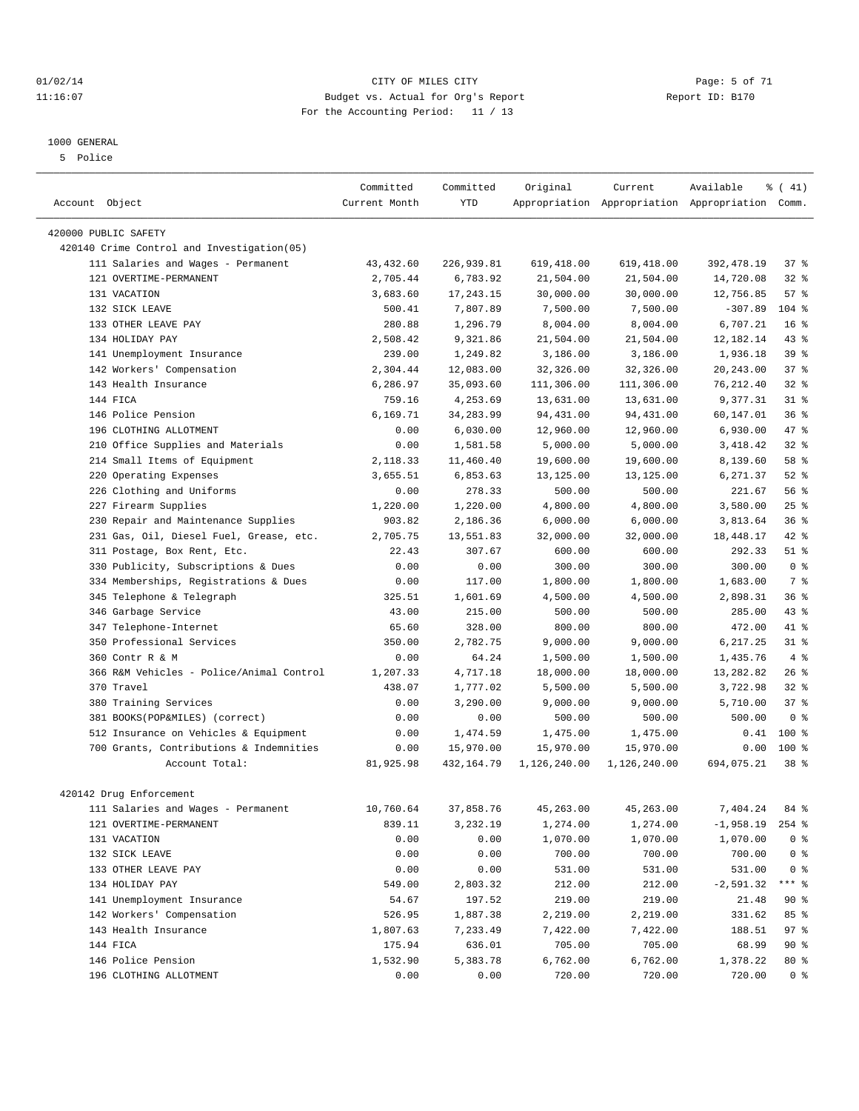#### 01/02/14 Page: 5 of 71 11:16:07 Budget vs. Actual for Org's Report Changer Report ID: B170 For the Accounting Period: 11 / 13

#### 1000 GENERAL

5 Police

|                                                              | Committed           | Committed             | Original              | Current      | Available                                       | % (41)            |
|--------------------------------------------------------------|---------------------|-----------------------|-----------------------|--------------|-------------------------------------------------|-------------------|
| Account Object                                               | Current Month       | <b>YTD</b>            |                       |              | Appropriation Appropriation Appropriation Comm. |                   |
|                                                              |                     |                       |                       |              |                                                 |                   |
| 420000 PUBLIC SAFETY                                         |                     |                       |                       |              |                                                 |                   |
| 420140 Crime Control and Investigation (05)                  |                     |                       |                       |              |                                                 |                   |
| 111 Salaries and Wages - Permanent                           | 43, 432.60          | 226,939.81            | 619,418.00            | 619,418.00   | 392, 478.19                                     | 37%               |
| 121 OVERTIME-PERMANENT                                       | 2,705.44            | 6,783.92              | 21,504.00             | 21,504.00    | 14,720.08                                       | $32$ $%$          |
| 131 VACATION                                                 | 3,683.60            | 17, 243. 15           | 30,000.00             | 30,000.00    | 12,756.85                                       | 57%               |
| 132 SICK LEAVE                                               | 500.41              | 7,807.89              | 7,500.00              | 7,500.00     | $-307.89$                                       | $104$ %           |
| 133 OTHER LEAVE PAY                                          | 280.88              | 1,296.79              | 8,004.00              | 8,004.00     | 6,707.21                                        | 16 <sup>8</sup>   |
| 134 HOLIDAY PAY                                              | 2,508.42            | 9,321.86              | 21,504.00             | 21,504.00    | 12,182.14                                       | $43$ $%$          |
| 141 Unemployment Insurance                                   | 239.00              | 1,249.82              | 3,186.00              | 3,186.00     | 1,936.18                                        | 39 %              |
| 142 Workers' Compensation                                    | 2,304.44            | 12,083.00             | 32,326.00             | 32,326.00    | 20, 243.00                                      | 37%               |
| 143 Health Insurance                                         | 6,286.97            | 35,093.60             | 111,306.00            | 111,306.00   | 76, 212.40                                      | $32*$             |
| 144 FICA                                                     | 759.16              | 4,253.69              | 13,631.00             | 13,631.00    | 9,377.31                                        | 31.8              |
| 146 Police Pension                                           | 6,169.71            | 34,283.99             | 94,431.00             | 94,431.00    | 60,147.01                                       | 36%               |
| 196 CLOTHING ALLOTMENT                                       | 0.00                | 6,030.00              | 12,960.00             | 12,960.00    | 6,930.00                                        | 47 %              |
| Office Supplies and Materials<br>210                         | 0.00                | 1,581.58              | 5,000.00              | 5,000.00     | 3, 418.42                                       | $32$ $%$          |
| 214 Small Items of Equipment                                 | 2,118.33            | 11,460.40             | 19,600.00             | 19,600.00    | 8,139.60                                        | 58 %              |
| 220 Operating Expenses                                       | 3,655.51            | 6,853.63              | 13,125.00             | 13,125.00    | 6,271.37                                        | $52$ $%$          |
| 226 Clothing and Uniforms                                    | 0.00                | 278.33                | 500.00                | 500.00       | 221.67                                          | 56%               |
| 227 Firearm Supplies                                         | 1,220.00            | 1,220.00              | 4,800.00              | 4,800.00     | 3,580.00                                        | 25%               |
| Repair and Maintenance Supplies<br>230                       | 903.82              | 2,186.36              | 6,000.00              | 6,000.00     | 3,813.64                                        | 36%               |
| 231 Gas, Oil, Diesel Fuel, Grease, etc.                      | 2,705.75            | 13,551.83             | 32,000.00             | 32,000.00    | 18,448.17                                       | $42*$             |
| 311 Postage, Box Rent, Etc.                                  | 22.43               | 307.67                | 600.00                | 600.00       | 292.33                                          | $51$ %            |
| 330 Publicity, Subscriptions & Dues                          | 0.00                | 0.00                  | 300.00                | 300.00       | 300.00                                          | 0 <sup>8</sup>    |
| 334 Memberships, Registrations & Dues                        | 0.00                | 117.00                | 1,800.00              | 1,800.00     | 1,683.00                                        | 7 %               |
| Telephone & Telegraph<br>345                                 | 325.51              | 1,601.69              | 4,500.00              | 4,500.00     | 2,898.31                                        | 36%               |
| 346 Garbage Service                                          | 43.00               | 215.00                | 500.00                | 500.00       | 285.00                                          | 43.8              |
| 347 Telephone-Internet                                       | 65.60               | 328.00                | 800.00                | 800.00       | 472.00                                          | 41 %              |
| 350 Professional Services                                    | 350.00              | 2,782.75              | 9,000.00              | 9,000.00     | 6,217.25                                        | 31.8              |
| 360 Contr R & M                                              | 0.00                | 64.24                 | 1,500.00              | 1,500.00     | 1,435.76                                        | 4%                |
| 366 R&M Vehicles - Police/Animal Control                     | 1,207.33            | 4,717.18              | 18,000.00             | 18,000.00    | 13,282.82                                       | $26$ %            |
| 370 Travel                                                   | 438.07              |                       | 5,500.00              | 5,500.00     |                                                 | $32$ $%$          |
| 380 Training Services                                        | 0.00                | 1,777.02<br>3,290.00  |                       |              | 3,722.98                                        | 37%               |
| 381 BOOKS(POP&MILES) (correct)                               |                     |                       | 9,000.00              | 9,000.00     | 5,710.00                                        | 0 <sup>8</sup>    |
|                                                              | 0.00                | 0.00                  | 500.00                | 500.00       | 500.00                                          |                   |
| 512 Insurance on Vehicles & Equipment                        | 0.00                | 1,474.59              | 1,475.00              | 1,475.00     | 0.41                                            | 100 %             |
| 700 Grants, Contributions & Indemnities                      | 0.00                | 15,970.00             | 15,970.00             | 15,970.00    | 0.00                                            | 100 %             |
| Account Total:                                               | 81,925.98           | 432,164.79            | 1,126,240.00          | 1,126,240.00 | 694,075.21                                      | 38 %              |
| 420142 Drug Enforcement                                      |                     |                       |                       |              |                                                 |                   |
|                                                              |                     |                       |                       |              |                                                 |                   |
| 111 Salaries and Wages - Permanent<br>121 OVERTIME-PERMANENT | 10,760.64<br>839.11 | 37,858.76<br>3,232.19 | 45,263.00<br>1,274.00 | 45,263.00    | 7,404.24                                        | 84 %<br>$254$ $%$ |
|                                                              |                     |                       |                       | 1,274.00     | $-1,958.19$                                     |                   |
| 131 VACATION                                                 | 0.00                | 0.00                  | 1,070.00              | 1,070.00     | 1,070.00                                        | 0 <sup>8</sup>    |
| 132 SICK LEAVE                                               | 0.00                | 0.00                  | 700.00                | 700.00       | 700.00                                          | 0 <sup>8</sup>    |
| 133 OTHER LEAVE PAY                                          | 0.00                | 0.00                  | 531.00                | 531.00       | 531.00                                          | 0 <sup>8</sup>    |
| 134 HOLIDAY PAY                                              | 549.00              | 2,803.32              | 212.00                | 212.00       | $-2,591.32$                                     | *** %             |
| 141 Unemployment Insurance                                   | 54.67               | 197.52                | 219.00                | 219.00       | 21.48                                           | 90%               |
| 142 Workers' Compensation                                    | 526.95              | 1,887.38              | 2,219.00              | 2,219.00     | 331.62                                          | 85 %              |
| 143 Health Insurance                                         | 1,807.63            | 7,233.49              | 7,422.00              | 7,422.00     | 188.51                                          | 97 %              |
| 144 FICA                                                     | 175.94              | 636.01                | 705.00                | 705.00       | 68.99                                           | 90 %              |
| 146 Police Pension                                           | 1,532.90            | 5,383.78              | 6,762.00              | 6,762.00     | 1,378.22                                        | 80 %              |
| 196 CLOTHING ALLOTMENT                                       | 0.00                | 0.00                  | 720.00                | 720.00       | 720.00                                          | 0 <sup>8</sup>    |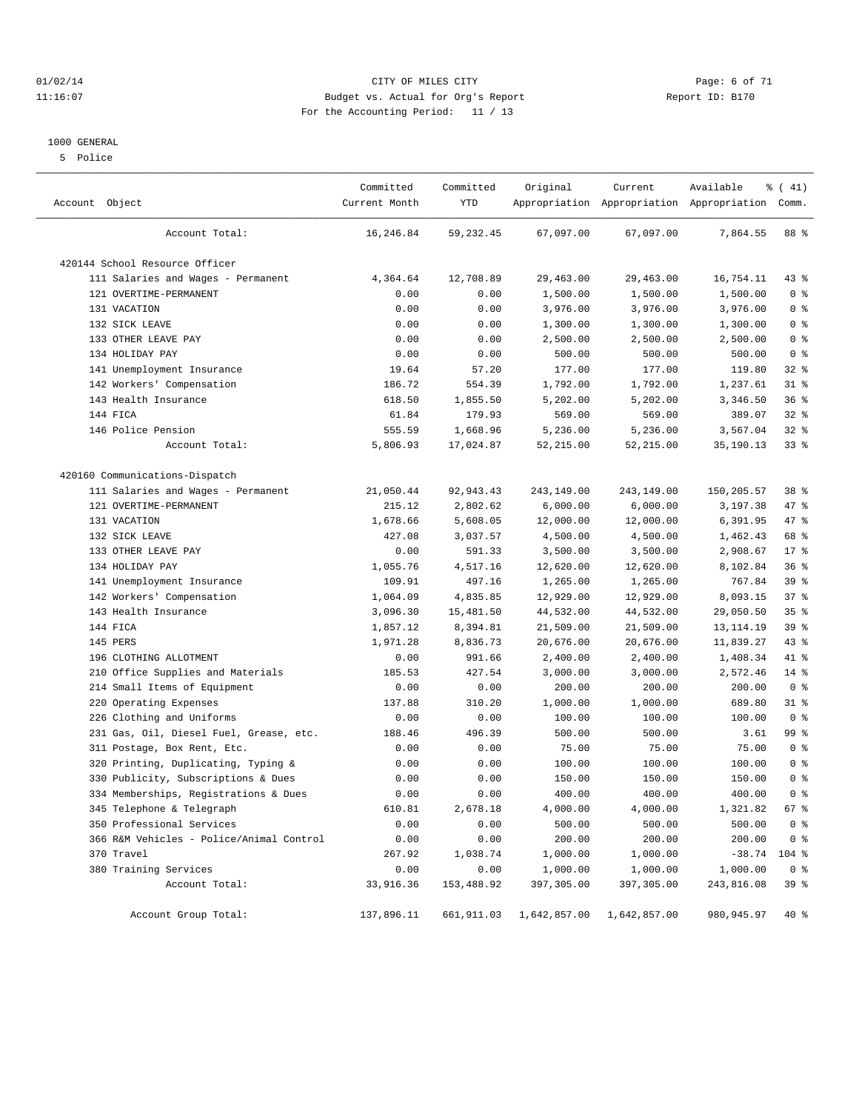#### 01/02/14 Page: 6 of 71 11:16:07 Budget vs. Actual for Org's Report Changer Report ID: B170 For the Accounting Period: 11 / 13

#### 1000 GENERAL

5 Police

| Account Object                           | Committed<br>Current Month | Committed<br>YTD | Original     | Current      | Available<br>Appropriation Appropriation Appropriation Comm. | % (41)         |
|------------------------------------------|----------------------------|------------------|--------------|--------------|--------------------------------------------------------------|----------------|
| Account Total:                           | 16,246.84                  | 59, 232.45       | 67,097.00    | 67,097.00    | 7,864.55                                                     | 88 %           |
| 420144 School Resource Officer           |                            |                  |              |              |                                                              |                |
| 111 Salaries and Wages - Permanent       | 4,364.64                   | 12,708.89        | 29,463.00    | 29,463.00    | 16,754.11                                                    | $43$ $%$       |
| 121 OVERTIME-PERMANENT                   | 0.00                       | 0.00             | 1,500.00     | 1,500.00     | 1,500.00                                                     | 0 <sup>8</sup> |
| 131 VACATION                             | 0.00                       | 0.00             | 3,976.00     | 3,976.00     | 3,976.00                                                     | 0 <sup>8</sup> |
| 132 SICK LEAVE                           | 0.00                       | 0.00             | 1,300.00     | 1,300.00     | 1,300.00                                                     | 0 <sup>8</sup> |
| 133 OTHER LEAVE PAY                      | 0.00                       | 0.00             | 2,500.00     | 2,500.00     | 2,500.00                                                     | 0 <sup>8</sup> |
| 134 HOLIDAY PAY                          | 0.00                       | 0.00             | 500.00       | 500.00       | 500.00                                                       | 0 <sup>8</sup> |
| 141 Unemployment Insurance               | 19.64                      | 57.20            | 177.00       | 177.00       | 119.80                                                       | 32%            |
| 142 Workers' Compensation                | 186.72                     | 554.39           | 1,792.00     | 1,792.00     | 1,237.61                                                     | $31$ %         |
| 143 Health Insurance                     | 618.50                     | 1,855.50         | 5,202.00     | 5,202.00     | 3,346.50                                                     | 36%            |
| 144 FICA                                 | 61.84                      | 179.93           | 569.00       | 569.00       | 389.07                                                       | $32$ $%$       |
| 146 Police Pension                       | 555.59                     | 1,668.96         | 5,236.00     | 5,236.00     | 3,567.04                                                     | 32%            |
| Account Total:                           | 5,806.93                   | 17,024.87        | 52,215.00    | 52, 215.00   | 35,190.13                                                    | 33%            |
| 420160 Communications-Dispatch           |                            |                  |              |              |                                                              |                |
| 111 Salaries and Wages - Permanent       | 21,050.44                  | 92, 943.43       | 243,149.00   | 243,149.00   | 150,205.57                                                   | 38 %           |
| 121 OVERTIME-PERMANENT                   | 215.12                     | 2,802.62         | 6,000.00     | 6,000.00     | 3,197.38                                                     | 47 %           |
| 131 VACATION                             | 1,678.66                   | 5,608.05         | 12,000.00    | 12,000.00    | 6,391.95                                                     | 47 %           |
| 132 SICK LEAVE                           | 427.08                     | 3,037.57         | 4,500.00     | 4,500.00     | 1,462.43                                                     | 68 %           |
| 133 OTHER LEAVE PAY                      | 0.00                       | 591.33           | 3,500.00     | 3,500.00     | 2,908.67                                                     | $17*$          |
| 134 HOLIDAY PAY                          | 1,055.76                   | 4,517.16         | 12,620.00    | 12,620.00    | 8,102.84                                                     | 36%            |
| 141 Unemployment Insurance               | 109.91                     | 497.16           | 1,265.00     | 1,265.00     | 767.84                                                       | 39 %           |
| 142 Workers' Compensation                | 1,064.09                   | 4,835.85         | 12,929.00    | 12,929.00    | 8,093.15                                                     | 37%            |
| 143 Health Insurance                     | 3,096.30                   | 15,481.50        | 44,532.00    | 44,532.00    | 29,050.50                                                    | 35%            |
| 144 FICA                                 | 1,857.12                   | 8,394.81         | 21,509.00    | 21,509.00    | 13, 114. 19                                                  | 39 %           |
| 145 PERS                                 | 1,971.28                   | 8,836.73         | 20,676.00    | 20,676.00    | 11,839.27                                                    | 43 %           |
| 196 CLOTHING ALLOTMENT                   | 0.00                       | 991.66           | 2,400.00     | 2,400.00     | 1,408.34                                                     | 41 %           |
| Office Supplies and Materials<br>210     | 185.53                     | 427.54           | 3,000.00     | 3,000.00     | 2,572.46                                                     | 14 %           |
| 214 Small Items of Equipment             | 0.00                       | 0.00             | 200.00       | 200.00       | 200.00                                                       | 0 <sup>8</sup> |
| 220 Operating Expenses                   | 137.88                     | 310.20           | 1,000.00     | 1,000.00     | 689.80                                                       | $31$ %         |
| 226 Clothing and Uniforms                | 0.00                       | 0.00             | 100.00       | 100.00       | 100.00                                                       | 0 <sup>8</sup> |
| 231 Gas, Oil, Diesel Fuel, Grease, etc.  | 188.46                     | 496.39           | 500.00       | 500.00       | 3.61                                                         | 99 %           |
| 311 Postage, Box Rent, Etc.              | 0.00                       | 0.00             | 75.00        | 75.00        | 75.00                                                        | 0 <sup>°</sup> |
| 320 Printing, Duplicating, Typing &      | 0.00                       | 0.00             | 100.00       | 100.00       | 100.00                                                       | 0 <sup>8</sup> |
| 330 Publicity, Subscriptions & Dues      | 0.00                       | 0.00             | 150.00       | 150.00       | 150.00                                                       | 0 <sup>°</sup> |
| 334 Memberships, Registrations & Dues    | 0.00                       | 0.00             | 400.00       | 400.00       | 400.00                                                       | 0 <sup>8</sup> |
| 345 Telephone & Telegraph                | 610.81                     | 2,678.18         | 4,000.00     | 4,000.00     | 1,321.82                                                     | 67 %           |
| 350 Professional Services                | 0.00                       | 0.00             | 500.00       | 500.00       | 500.00                                                       | 0 <sup>8</sup> |
| 366 R&M Vehicles - Police/Animal Control | 0.00                       | 0.00             | 200.00       | 200.00       | 200.00                                                       | 0 <sup>8</sup> |
| 370 Travel                               | 267.92                     | 1,038.74         | 1,000.00     | 1,000.00     | $-38.74$ 104 %                                               |                |
| 380 Training Services                    | 0.00                       | 0.00             | 1,000.00     | 1,000.00     | 1,000.00                                                     | 0 <sup>8</sup> |
| Account Total:                           | 33,916.36                  | 153,488.92       | 397,305.00   | 397,305.00   | 243,816.08                                                   | 39 %           |
| Account Group Total:                     | 137,896.11                 | 661,911.03       | 1,642,857.00 | 1,642,857.00 | 980, 945.97                                                  | 40 %           |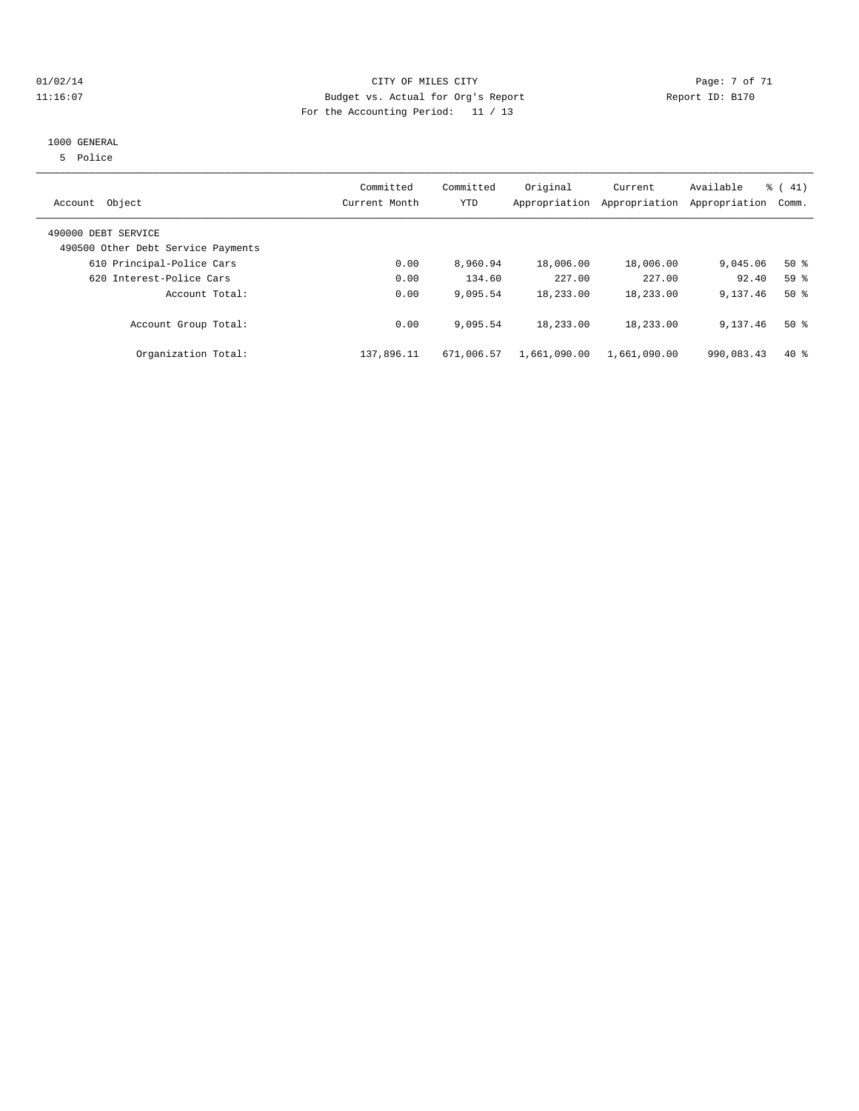#### 01/02/14 Page: 7 of 71 11:16:07 Budget vs. Actual for Org's Report Report ID: B170 For the Accounting Period: 11 / 13

#### 1000 GENERAL

5 Police

| Object<br>Account                                         | Committed<br>Current Month | Committed<br>YTD | Original     | Current<br>Appropriation Appropriation | Available<br>Appropriation | % (41)<br>Comm. |
|-----------------------------------------------------------|----------------------------|------------------|--------------|----------------------------------------|----------------------------|-----------------|
| 490000 DEBT SERVICE<br>490500 Other Debt Service Payments |                            |                  |              |                                        |                            |                 |
| 610 Principal-Police Cars                                 | 0.00                       | 8,960.94         | 18,006.00    | 18,006.00                              | 9,045.06                   | $50*$           |
| 620 Interest-Police Cars                                  | 0.00                       | 134.60           | 227.00       | 227.00                                 | 92.40                      | 59 <sup>8</sup> |
| Account Total:                                            | 0.00                       | 9,095.54         | 18,233.00    | 18,233.00                              | 9,137.46                   | $50*$           |
| Account Group Total:                                      | 0.00                       | 9,095.54         | 18,233.00    | 18,233.00                              | 9,137.46                   | $50*$           |
| Organization Total:                                       | 137,896.11                 | 671,006.57       | 1,661,090.00 | 1,661,090.00                           | 990,083.43                 | $40*$           |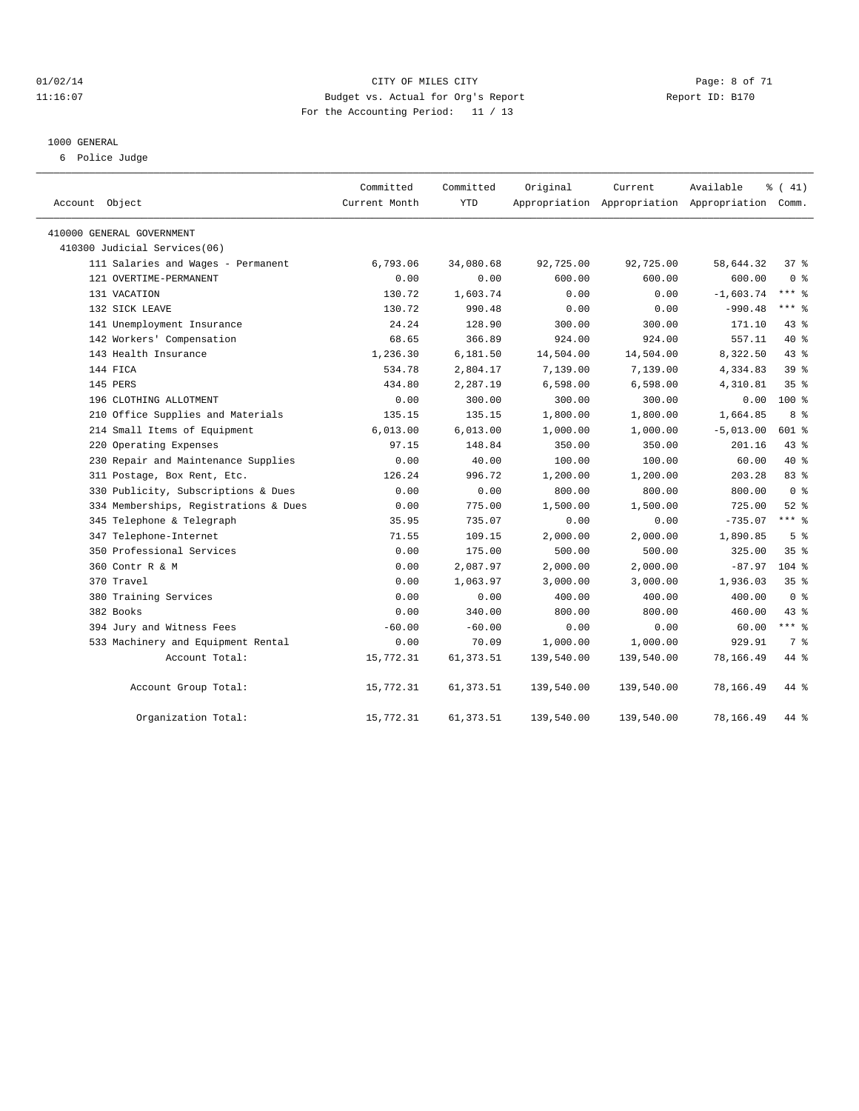#### 01/02/14 Page: 8 of 71 11:16:07 Budget vs. Actual for Org's Report Changer Report ID: B170 For the Accounting Period: 11 / 13

#### 1000 GENERAL

6 Police Judge

| Account Object                        | Committed<br>Current Month | Committed<br><b>YTD</b> | Original   | Current<br>Appropriation Appropriation Appropriation Comm. | Available   | % (41)          |
|---------------------------------------|----------------------------|-------------------------|------------|------------------------------------------------------------|-------------|-----------------|
| 410000 GENERAL GOVERNMENT             |                            |                         |            |                                                            |             |                 |
| 410300 Judicial Services(06)          |                            |                         |            |                                                            |             |                 |
| 111 Salaries and Wages - Permanent    | 6,793.06                   | 34,080.68               | 92,725.00  | 92,725.00                                                  | 58,644.32   | $37*$           |
| 121 OVERTIME-PERMANENT                | 0.00                       | 0.00                    | 600.00     | 600.00                                                     | 600.00      | 0 <sup>8</sup>  |
| 131 VACATION                          | 130.72                     | 1,603.74                | 0.00       | 0.00                                                       | $-1,603.74$ | $***$ $-$       |
| 132 SICK LEAVE                        | 130.72                     | 990.48                  | 0.00       | 0.00                                                       | $-990.48$   | $***$ 8         |
| 141 Unemployment Insurance            | 24.24                      | 128.90                  | 300.00     | 300.00                                                     | 171.10      | $43$ %          |
| 142 Workers' Compensation             | 68.65                      | 366.89                  | 924.00     | 924.00                                                     | 557.11      | $40*$           |
| 143 Health Insurance                  | 1,236.30                   | 6,181.50                | 14,504.00  | 14,504.00                                                  | 8,322.50    | 43.8            |
| 144 FICA                              | 534.78                     | 2,804.17                | 7,139.00   | 7,139.00                                                   | 4,334.83    | 39 <sup>8</sup> |
| 145 PERS                              | 434.80                     | 2,287.19                | 6,598.00   | 6,598.00                                                   | 4,310.81    | 35%             |
| 196 CLOTHING ALLOTMENT                | 0.00                       | 300.00                  | 300.00     | 300.00                                                     | 0.00        | $100*$          |
| 210 Office Supplies and Materials     | 135.15                     | 135.15                  | 1,800.00   | 1,800.00                                                   | 1,664.85    | 8 %             |
| 214 Small Items of Equipment          | 6,013.00                   | 6,013.00                | 1,000.00   | 1,000.00                                                   | $-5,013.00$ | 601 %           |
| 220 Operating Expenses                | 97.15                      | 148.84                  | 350.00     | 350.00                                                     | 201.16      | 43.8            |
| 230 Repair and Maintenance Supplies   | 0.00                       | 40.00                   | 100.00     | 100.00                                                     | 60.00       | 40 %            |
| 311 Postage, Box Rent, Etc.           | 126.24                     | 996.72                  | 1,200.00   | 1,200.00                                                   | 203.28      | 83%             |
| 330 Publicity, Subscriptions & Dues   | 0.00                       | 0.00                    | 800.00     | 800.00                                                     | 800.00      | 0 <sup>8</sup>  |
| 334 Memberships, Registrations & Dues | 0.00                       | 775.00                  | 1,500.00   | 1,500.00                                                   | 725.00      | $52$ $%$        |
| 345 Telephone & Telegraph             | 35.95                      | 735.07                  | 0.00       | 0.00                                                       | $-735.07$   | $***$ $=$       |
| 347 Telephone-Internet                | 71.55                      | 109.15                  | 2,000.00   | 2,000.00                                                   | 1,890.85    | 5 <sup>8</sup>  |
| 350 Professional Services             | 0.00                       | 175.00                  | 500.00     | 500.00                                                     | 325.00      | 35%             |
| 360 Contr R & M                       | 0.00                       | 2,087.97                | 2,000.00   | 2,000.00                                                   | $-87.97$    | $104$ %         |
| 370 Travel                            | 0.00                       | 1,063.97                | 3,000.00   | 3,000.00                                                   | 1,936.03    | 35%             |
| 380 Training Services                 | 0.00                       | 0.00                    | 400.00     | 400.00                                                     | 400.00      | 0 <sup>8</sup>  |
| 382 Books                             | 0.00                       | 340.00                  | 800.00     | 800.00                                                     | 460.00      | $43$ $%$        |
| 394 Jury and Witness Fees             | $-60.00$                   | $-60.00$                | 0.00       | 0.00                                                       | 60.00       | $***$ $=$       |
| 533 Machinery and Equipment Rental    | 0.00                       | 70.09                   | 1,000.00   | 1,000.00                                                   | 929.91      | 7 <sup>°</sup>  |
| Account Total:                        | 15,772.31                  | 61, 373.51              | 139,540.00 | 139,540.00                                                 | 78,166.49   | 44 %            |
| Account Group Total:                  | 15,772.31                  | 61, 373.51              | 139,540.00 | 139,540.00                                                 | 78,166.49   | 44 %            |
| Organization Total:                   | 15,772.31                  | 61, 373.51              | 139,540.00 | 139,540.00                                                 | 78,166.49   | 44 %            |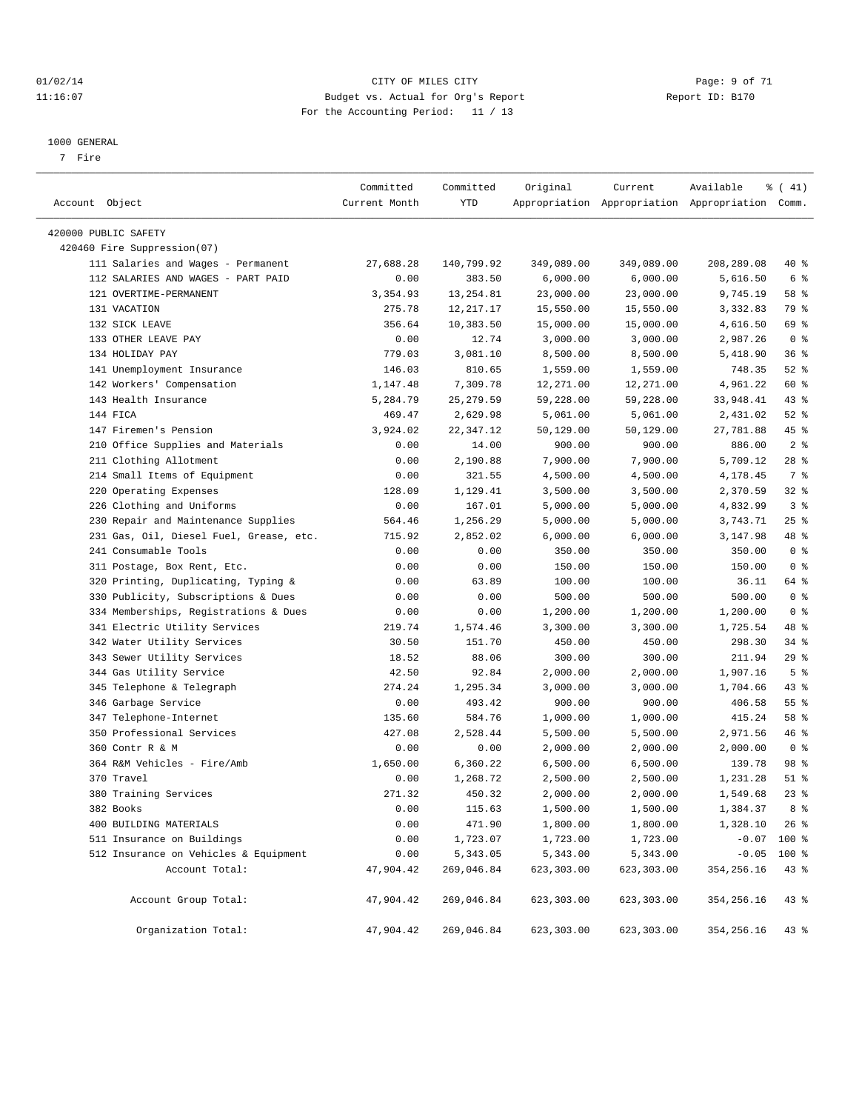#### 01/02/14 Page: 9 of 71 11:16:07 Budget vs. Actual for Org's Report Changer Report ID: B170 For the Accounting Period: 11 / 13

————————————————————————————————————————————————————————————————————————————————————————————————————————————————————————————————————

#### 1000 GENERAL

7 Fire

|                                         | Committed     | Committed  | Original   | Current    | Available                                       | $\frac{1}{6}$ ( 41) |
|-----------------------------------------|---------------|------------|------------|------------|-------------------------------------------------|---------------------|
| Account Object                          | Current Month | YTD        |            |            | Appropriation Appropriation Appropriation Comm. |                     |
| 420000 PUBLIC SAFETY                    |               |            |            |            |                                                 |                     |
| 420460 Fire Suppression(07)             |               |            |            |            |                                                 |                     |
| 111 Salaries and Wages - Permanent      | 27,688.28     | 140,799.92 | 349,089.00 | 349,089.00 | 208,289.08                                      | 40 %                |
| 112 SALARIES AND WAGES - PART PAID      | 0.00          | 383.50     | 6,000.00   | 6,000.00   | 5,616.50                                        | 6 %                 |
| 121 OVERTIME-PERMANENT                  | 3,354.93      | 13, 254.81 | 23,000.00  | 23,000.00  | 9,745.19                                        | 58 %                |
| 131 VACATION                            | 275.78        | 12, 217.17 | 15,550.00  | 15,550.00  | 3,332.83                                        | 79 %                |
| 132 SICK LEAVE                          | 356.64        | 10,383.50  | 15,000.00  | 15,000.00  | 4,616.50                                        | 69 %                |
| 133 OTHER LEAVE PAY                     | 0.00          | 12.74      | 3,000.00   | 3,000.00   | 2,987.26                                        | 0 <sup>8</sup>      |
| 134 HOLIDAY PAY                         | 779.03        | 3,081.10   | 8,500.00   | 8,500.00   | 5,418.90                                        | 36%                 |
| 141 Unemployment Insurance              | 146.03        | 810.65     | 1,559.00   | 1,559.00   | 748.35                                          | $52$ $%$            |
| 142 Workers' Compensation               | 1,147.48      | 7,309.78   | 12,271.00  | 12,271.00  | 4,961.22                                        | 60 %                |
| 143 Health Insurance                    | 5,284.79      | 25, 279.59 | 59,228.00  | 59,228.00  | 33,948.41                                       | 43 %                |
| 144 FICA                                | 469.47        | 2,629.98   | 5,061.00   | 5,061.00   | 2,431.02                                        | $52$ $%$            |
| 147 Firemen's Pension                   | 3,924.02      | 22,347.12  | 50,129.00  | 50,129.00  | 27,781.88                                       | 45 %                |
| 210 Office Supplies and Materials       | 0.00          | 14.00      | 900.00     | 900.00     | 886.00                                          | 2 <sup>8</sup>      |
| 211 Clothing Allotment                  | 0.00          | 2,190.88   | 7,900.00   | 7,900.00   | 5,709.12                                        | $28$ %              |
| 214 Small Items of Equipment            | 0.00          | 321.55     | 4,500.00   | 4,500.00   | 4,178.45                                        | 7 %                 |
| 220 Operating Expenses                  | 128.09        | 1,129.41   | 3,500.00   | 3,500.00   | 2,370.59                                        | $32$ $%$            |
| 226 Clothing and Uniforms               | 0.00          | 167.01     | 5,000.00   | 5,000.00   | 4,832.99                                        | 3%                  |
| 230 Repair and Maintenance Supplies     | 564.46        | 1,256.29   | 5,000.00   | 5,000.00   | 3,743.71                                        | $25$ %              |
| 231 Gas, Oil, Diesel Fuel, Grease, etc. | 715.92        | 2,852.02   | 6,000.00   | 6,000.00   | 3,147.98                                        | 48 %                |
| 241 Consumable Tools                    | 0.00          | 0.00       | 350.00     | 350.00     | 350.00                                          | 0 <sup>8</sup>      |
| 311 Postage, Box Rent, Etc.             | 0.00          | 0.00       | 150.00     | 150.00     | 150.00                                          | 0 <sup>8</sup>      |
| 320 Printing, Duplicating, Typing &     | 0.00          | 63.89      | 100.00     | 100.00     | 36.11                                           | 64 %                |
| 330 Publicity, Subscriptions & Dues     | 0.00          | 0.00       | 500.00     | 500.00     | 500.00                                          | 0 <sup>8</sup>      |
| 334 Memberships, Registrations & Dues   | 0.00          | 0.00       | 1,200.00   | 1,200.00   | 1,200.00                                        | 0 <sup>8</sup>      |
| 341 Electric Utility Services           | 219.74        | 1,574.46   | 3,300.00   | 3,300.00   | 1,725.54                                        | 48 %                |
| 342 Water Utility Services              | 30.50         | 151.70     | 450.00     | 450.00     | 298.30                                          | $34$ $%$            |
| 343 Sewer Utility Services              | 18.52         | 88.06      | 300.00     | 300.00     | 211.94                                          | 29%                 |
| 344 Gas Utility Service                 | 42.50         | 92.84      | 2,000.00   | 2,000.00   | 1,907.16                                        | 5 <sup>°</sup>      |
| 345 Telephone & Telegraph               | 274.24        | 1,295.34   | 3,000.00   | 3,000.00   | 1,704.66                                        | 43 %                |
| 346 Garbage Service                     | 0.00          | 493.42     | 900.00     | 900.00     | 406.58                                          | $55$ $%$            |
| 347 Telephone-Internet                  | 135.60        | 584.76     | 1,000.00   | 1,000.00   | 415.24                                          | 58 %                |
| 350 Professional Services               | 427.08        | 2,528.44   | 5,500.00   | 5,500.00   | 2,971.56                                        | 46%                 |
| 360 Contr R & M                         | 0.00          | 0.00       | 2,000.00   | 2,000.00   | 2,000.00                                        | 0 <sup>8</sup>      |
| 364 R&M Vehicles - Fire/Amb             | 1,650.00      | 6,360.22   | 6,500.00   | 6,500.00   | 139.78                                          | 98 %                |
| 370 Travel                              | 0.00          | 1,268.72   | 2,500.00   | 2,500.00   | 1,231.28                                        | $51$ %              |
| 380 Training Services                   | 271.32        | 450.32     | 2,000.00   | 2,000.00   | 1,549.68                                        | $23$ $%$            |
| 382 Books                               | 0.00          | 115.63     | 1,500.00   | 1,500.00   | 1,384.37                                        | 8 %                 |
| 400 BUILDING MATERIALS                  | 0.00          | 471.90     | 1,800.00   | 1,800.00   | 1,328.10                                        | $26$ %              |
| 511 Insurance on Buildings              | 0.00          | 1,723.07   | 1,723.00   | 1,723.00   | $-0.07$                                         | 100 %               |
| 512 Insurance on Vehicles & Equipment   | 0.00          | 5,343.05   | 5,343.00   | 5,343.00   | $-0.05$                                         | 100 %               |
| Account Total:                          | 47,904.42     | 269,046.84 | 623,303.00 | 623,303.00 | 354, 256.16                                     | 43 %                |
| Account Group Total:                    | 47,904.42     | 269,046.84 | 623,303.00 | 623,303.00 | 354,256.16                                      | 43 %                |
| Organization Total:                     | 47,904.42     | 269,046.84 | 623,303.00 | 623,303.00 | 354,256.16                                      | 43%                 |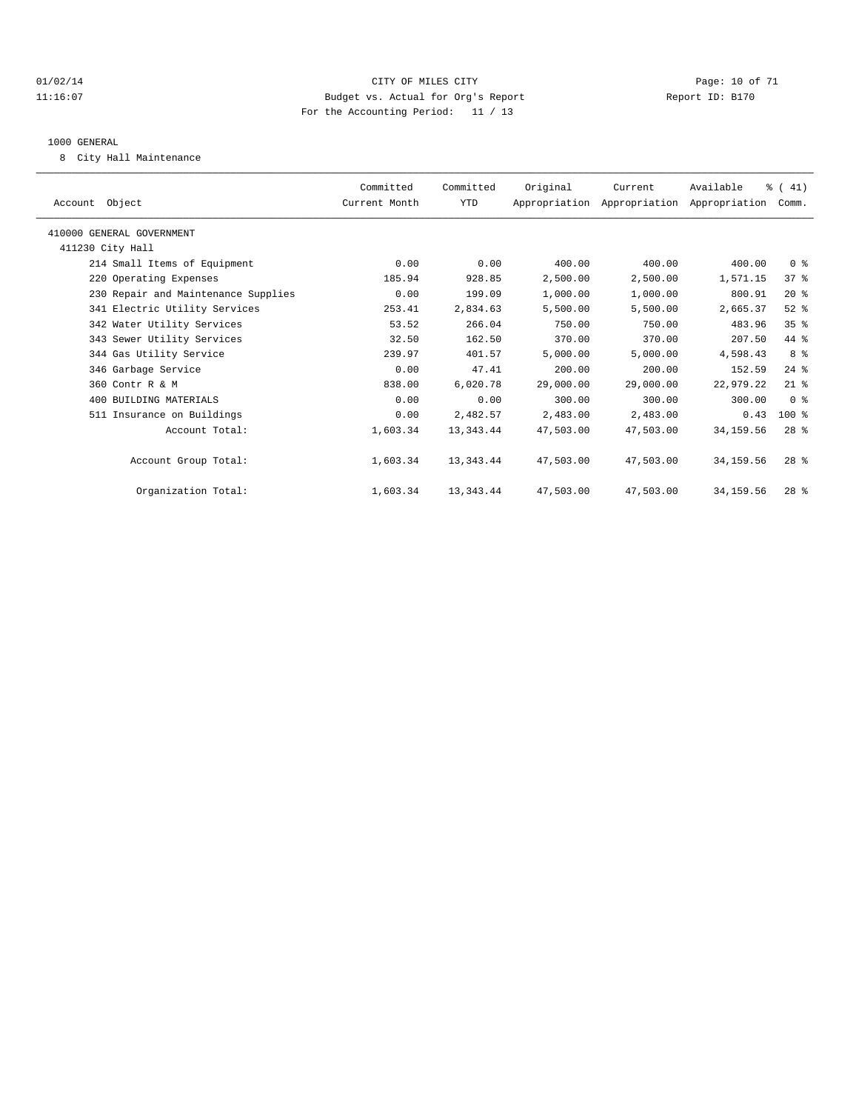#### $O1/02/14$  Page: 10 of 71 11:16:07 Budget vs. Actual for Org's Report Changer Report ID: B170 For the Accounting Period: 11 / 13

#### 1000 GENERAL

8 City Hall Maintenance

| Committed<br>Current Month | Committed<br>YTD | Original  | Current   | Available  |                 |                                                                        |
|----------------------------|------------------|-----------|-----------|------------|-----------------|------------------------------------------------------------------------|
|                            |                  |           |           |            |                 |                                                                        |
|                            |                  |           |           |            |                 |                                                                        |
| 0.00                       | 0.00             | 400.00    | 400.00    | 400.00     | 0 <sup>8</sup>  |                                                                        |
| 185.94                     | 928.85           | 2,500.00  | 2,500.00  | 1,571.15   | 37%             |                                                                        |
| 0.00                       | 199.09           | 1,000.00  | 1,000.00  | 800.91     | $20*$           |                                                                        |
| 253.41                     | 2,834.63         | 5,500.00  | 5,500.00  | 2,665.37   | $52$ $%$        |                                                                        |
| 53.52                      | 266.04           | 750.00    | 750.00    | 483.96     | $35$ $%$        |                                                                        |
| 32.50                      | 162.50           | 370.00    | 370.00    | 207.50     | 44 %            |                                                                        |
| 239.97                     | 401.57           | 5,000.00  | 5,000.00  | 4,598.43   | 8 %             |                                                                        |
| 0.00                       | 47.41            | 200.00    | 200.00    | 152.59     | $24$ $%$        |                                                                        |
| 838.00                     | 6,020.78         | 29,000.00 | 29,000.00 | 22,979.22  | $21$ %          |                                                                        |
| 0.00                       | 0.00             | 300.00    | 300.00    | 300.00     | 0 <sup>8</sup>  |                                                                        |
| 0.00                       | 2,482.57         | 2,483.00  | 2,483.00  | 0.43       | $100*$          |                                                                        |
| 1,603.34                   | 13, 343. 44      | 47,503.00 | 47,503.00 | 34, 159.56 | $28*$           |                                                                        |
| 1,603.34                   | 13, 343. 44      | 47,503.00 | 47,503.00 | 34, 159.56 | $28*$           |                                                                        |
| 1,603.34                   | 13,343.44        | 47,503.00 | 47,503.00 | 34, 159.56 | 28 <sup>8</sup> |                                                                        |
|                            |                  |           |           |            |                 | $\frac{1}{6}$ ( 41)<br>Appropriation Appropriation Appropriation Comm. |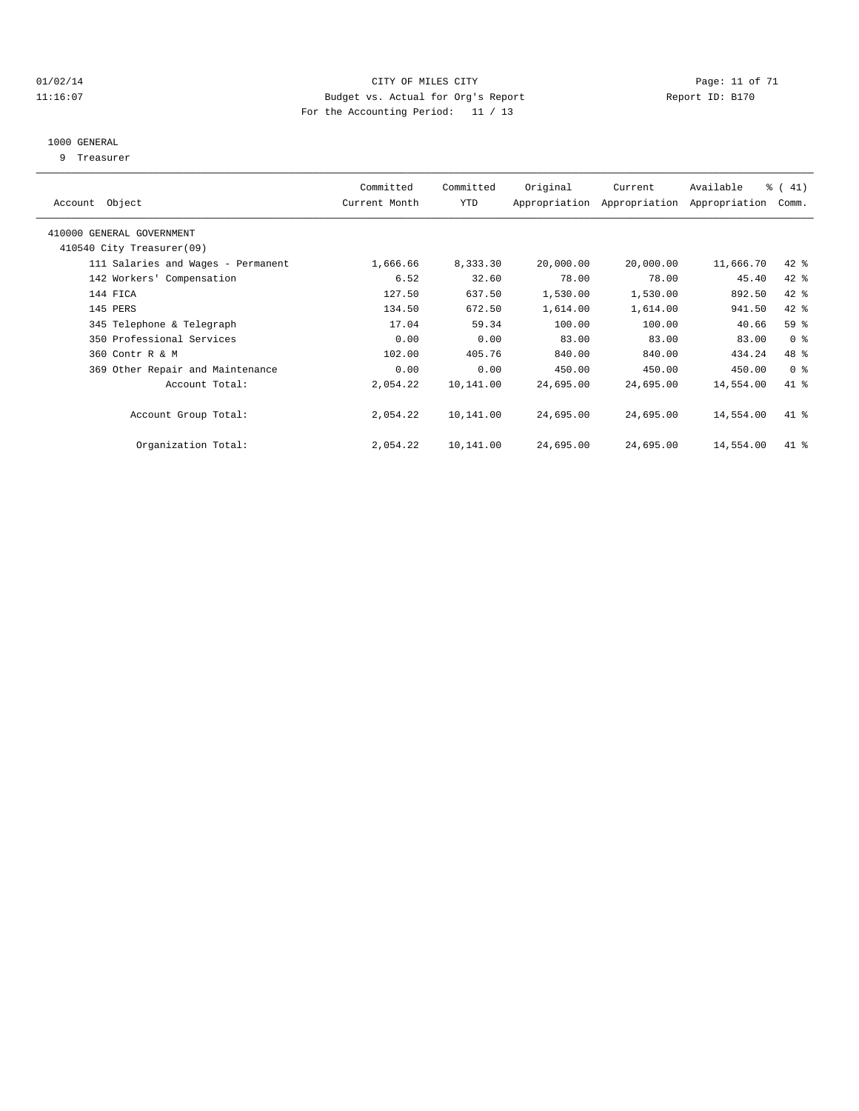#### $O1/02/14$  Page: 11 of 71 11:16:07 Budget vs. Actual for Org's Report Changer Report ID: B170 For the Accounting Period: 11 / 13

#### 1000 GENERAL

9 Treasurer

| Account Object                     | Committed<br>Current Month | Committed<br>YTD | Original  | Current<br>Appropriation Appropriation | Available<br>Appropriation | $\frac{1}{6}$ ( 41)<br>Comm. |  |
|------------------------------------|----------------------------|------------------|-----------|----------------------------------------|----------------------------|------------------------------|--|
|                                    |                            |                  |           |                                        |                            |                              |  |
| 410000 GENERAL GOVERNMENT          |                            |                  |           |                                        |                            |                              |  |
| 410540 City Treasurer(09)          |                            |                  |           |                                        |                            |                              |  |
| 111 Salaries and Wages - Permanent | 1,666.66                   | 8,333.30         | 20,000.00 | 20,000.00                              | 11,666.70                  | $42$ %                       |  |
| 142 Workers' Compensation          | 6.52                       | 32.60            | 78.00     | 78.00                                  | 45.40                      | 42 %                         |  |
| 144 FICA                           | 127.50                     | 637.50           | 1,530.00  | 1,530.00                               | 892.50                     | 42 %                         |  |
| 145 PERS                           | 134.50                     | 672.50           | 1,614.00  | 1,614.00                               | 941.50                     | 42 %                         |  |
| 345 Telephone & Telegraph          | 17.04                      | 59.34            | 100.00    | 100.00                                 | 40.66                      | 59 %                         |  |
| 350 Professional Services          | 0.00                       | 0.00             | 83.00     | 83.00                                  | 83.00                      | 0 <sup>8</sup>               |  |
| 360 Contr R & M                    | 102.00                     | 405.76           | 840.00    | 840.00                                 | 434.24                     | 48 %                         |  |
| 369 Other Repair and Maintenance   | 0.00                       | 0.00             | 450.00    | 450.00                                 | 450.00                     | 0 <sup>8</sup>               |  |
| Account Total:                     | 2,054.22                   | 10,141.00        | 24,695.00 | 24,695.00                              | 14,554.00                  | 41.8                         |  |
| Account Group Total:               | 2,054.22                   | 10,141.00        | 24,695.00 | 24,695.00                              | 14,554.00                  | 41 %                         |  |
| Organization Total:                | 2,054.22                   | 10,141.00        | 24,695.00 | 24,695.00                              | 14,554.00                  | 41 %                         |  |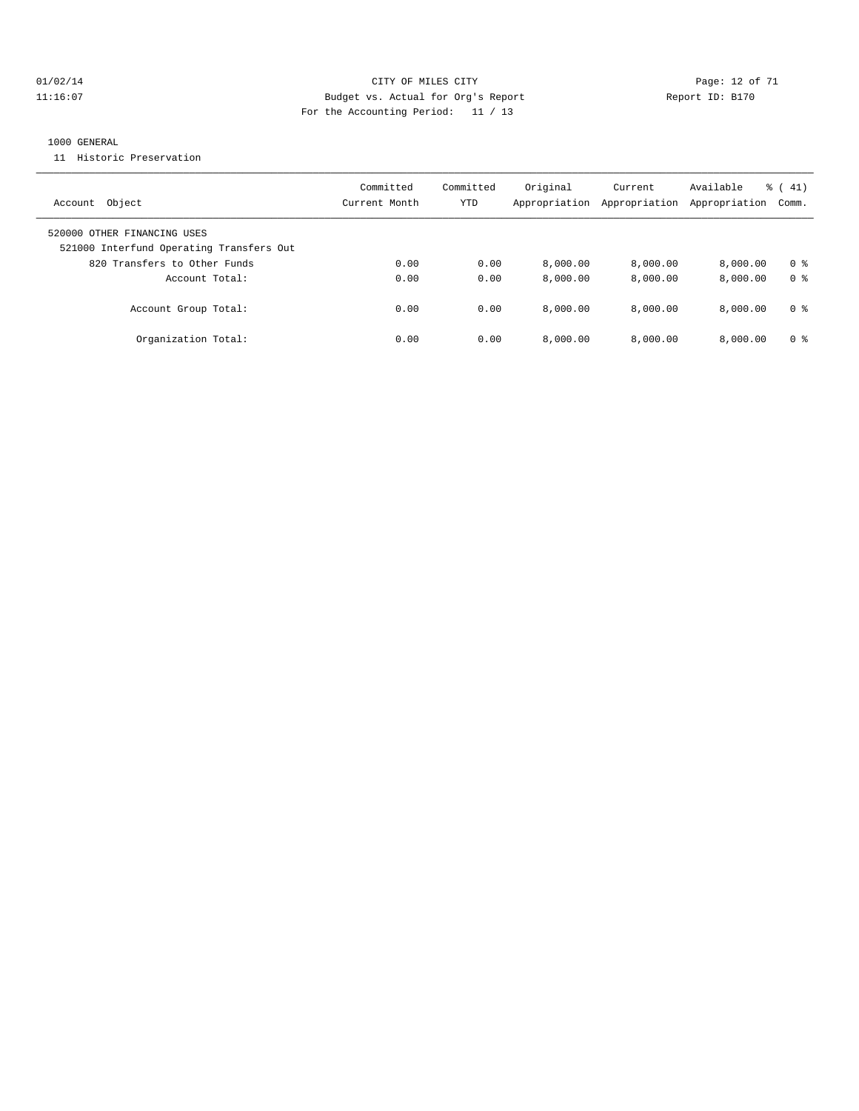#### $O1/02/14$  Page: 12 of 71 11:16:07 Budget vs. Actual for Org's Report Changer Report ID: B170 For the Accounting Period: 11 / 13

#### 1000 GENERAL

11 Historic Preservation

| Object<br>Account                                                       | Committed<br>Current Month | Committed<br>YTD | Original<br>Appropriation | Current<br>Appropriation | Available<br>Appropriation | $\frac{1}{6}$ ( 41)<br>Comm. |
|-------------------------------------------------------------------------|----------------------------|------------------|---------------------------|--------------------------|----------------------------|------------------------------|
| 520000 OTHER FINANCING USES<br>521000 Interfund Operating Transfers Out |                            |                  |                           |                          |                            |                              |
| 820 Transfers to Other Funds                                            | 0.00                       | 0.00             | 8,000.00                  | 8,000.00                 | 8.000.00                   | 0 <sup>8</sup>               |
| Account Total:                                                          | 0.00                       | 0.00             | 8,000.00                  | 8,000.00                 | 8.000.00                   | 0 <sup>8</sup>               |
| Account Group Total:                                                    | 0.00                       | 0.00             | 8,000.00                  | 8.000.00                 | 8.000.00                   | 0 %                          |
| Organization Total:                                                     | 0.00                       | 0.00             | 8,000.00                  | 8,000.00                 | 8.000.00                   | 0 <sup>8</sup>               |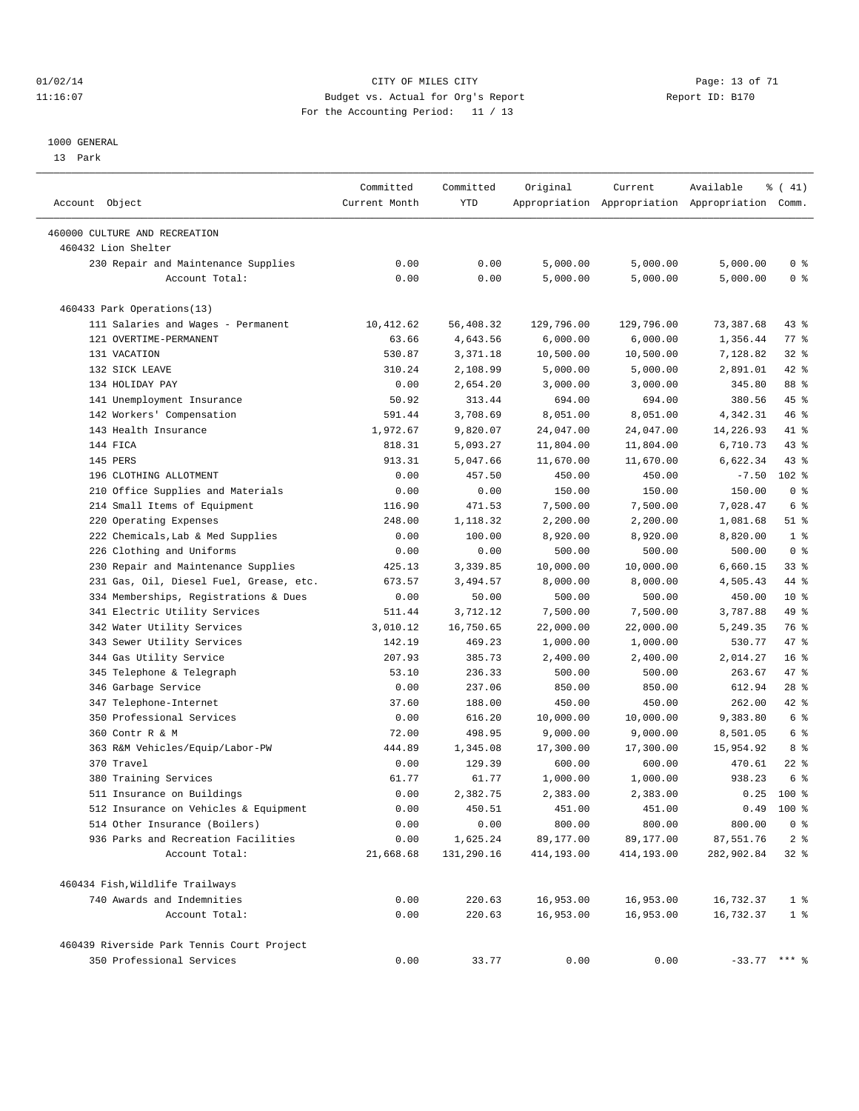#### $O1/02/14$  Page: 13 of 71 11:16:07 Budget vs. Actual for Org's Report Changer Report ID: B170 For the Accounting Period: 11 / 13

————————————————————————————————————————————————————————————————————————————————————————————————————————————————————————————————————

#### 1000 GENERAL

13 Park

|                                            | Committed     | Committed  | Original   | Current    | Available                                       | % (41)          |
|--------------------------------------------|---------------|------------|------------|------------|-------------------------------------------------|-----------------|
| Account Object                             | Current Month | YTD        |            |            | Appropriation Appropriation Appropriation Comm. |                 |
| 460000 CULTURE AND RECREATION              |               |            |            |            |                                                 |                 |
| 460432 Lion Shelter                        |               |            |            |            |                                                 |                 |
| 230 Repair and Maintenance Supplies        | 0.00          | 0.00       | 5,000.00   | 5,000.00   | 5,000.00                                        | 0 <sup>8</sup>  |
| Account Total:                             | 0.00          | 0.00       | 5,000.00   | 5,000.00   | 5,000.00                                        | 0 <sup>8</sup>  |
| 460433 Park Operations(13)                 |               |            |            |            |                                                 |                 |
| 111 Salaries and Wages - Permanent         | 10,412.62     | 56,408.32  | 129,796.00 | 129,796.00 | 73,387.68                                       | 43 %            |
| 121 OVERTIME-PERMANENT                     | 63.66         | 4,643.56   | 6,000.00   | 6,000.00   | 1,356.44                                        | $77$ $%$        |
| 131 VACATION                               | 530.87        | 3,371.18   | 10,500.00  | 10,500.00  | 7,128.82                                        | 328             |
| 132 SICK LEAVE                             | 310.24        | 2,108.99   | 5,000.00   | 5,000.00   | 2,891.01                                        | 42 %            |
| 134 HOLIDAY PAY                            | 0.00          | 2,654.20   | 3,000.00   | 3,000.00   | 345.80                                          | 88 %            |
| 141 Unemployment Insurance                 | 50.92         | 313.44     | 694.00     | 694.00     | 380.56                                          | 45 %            |
| 142 Workers' Compensation                  | 591.44        | 3,708.69   | 8,051.00   | 8,051.00   | 4,342.31                                        | 46 %            |
| 143 Health Insurance                       | 1,972.67      | 9,820.07   | 24,047.00  | 24,047.00  | 14,226.93                                       | 41 %            |
| 144 FICA                                   | 818.31        | 5,093.27   | 11,804.00  | 11,804.00  | 6,710.73                                        | 43 %            |
| 145 PERS                                   | 913.31        | 5,047.66   | 11,670.00  | 11,670.00  | 6,622.34                                        | $43$ %          |
| 196 CLOTHING ALLOTMENT                     | 0.00          | 457.50     | 450.00     | 450.00     | $-7.50$                                         | $102$ %         |
| 210 Office Supplies and Materials          | 0.00          | 0.00       | 150.00     | 150.00     | 150.00                                          | 0 <sup>8</sup>  |
| 214 Small Items of Equipment               | 116.90        | 471.53     | 7,500.00   | 7,500.00   | 7,028.47                                        | $6\degree$      |
| 220 Operating Expenses                     | 248.00        | 1,118.32   | 2,200.00   | 2,200.00   | 1,081.68                                        | $51$ %          |
| 222 Chemicals, Lab & Med Supplies          | 0.00          | 100.00     | 8,920.00   | 8,920.00   | 8,820.00                                        | 1 <sup>°</sup>  |
| 226 Clothing and Uniforms                  | 0.00          | 0.00       | 500.00     | 500.00     | 500.00                                          | 0 <sup>8</sup>  |
| 230 Repair and Maintenance Supplies        | 425.13        | 3,339.85   | 10,000.00  | 10,000.00  | 6,660.15                                        | 33%             |
| 231 Gas, Oil, Diesel Fuel, Grease, etc.    | 673.57        | 3,494.57   | 8,000.00   | 8,000.00   | 4,505.43                                        | 44 %            |
| 334 Memberships, Registrations & Dues      | 0.00          | 50.00      | 500.00     | 500.00     | 450.00                                          | $10*$           |
| 341 Electric Utility Services              | 511.44        | 3,712.12   | 7,500.00   | 7,500.00   | 3,787.88                                        | 49 %            |
| 342 Water Utility Services                 | 3,010.12      | 16,750.65  | 22,000.00  | 22,000.00  | 5,249.35                                        | 76 %            |
| 343 Sewer Utility Services                 | 142.19        | 469.23     | 1,000.00   | 1,000.00   | 530.77                                          | 47 %            |
| 344 Gas Utility Service                    | 207.93        | 385.73     | 2,400.00   | 2,400.00   | 2,014.27                                        | 16 <sup>8</sup> |
| 345 Telephone & Telegraph                  | 53.10         | 236.33     | 500.00     | 500.00     | 263.67                                          | 47 %            |
| 346 Garbage Service                        | 0.00          | 237.06     | 850.00     | 850.00     | 612.94                                          | 28 %            |
| 347 Telephone-Internet                     | 37.60         | 188.00     | 450.00     | 450.00     | 262.00                                          | 42 %            |
| 350 Professional Services                  | 0.00          | 616.20     | 10,000.00  | 10,000.00  | 9,383.80                                        | 6 <sup>°</sup>  |
| 360 Contr R & M                            | 72.00         | 498.95     | 9,000.00   | 9,000.00   | 8,501.05                                        | 6 %             |
| 363 R&M Vehicles/Equip/Labor-PW            | 444.89        | 1,345.08   | 17,300.00  | 17,300.00  | 15,954.92                                       | 8 %             |
| 370 Travel                                 | 0.00          | 129.39     | 600.00     | 600.00     | 470.61                                          | $22$ %          |
| 380 Training Services                      | 61.77         | 61.77      | 1,000.00   | 1,000.00   | 938.23                                          | 6 %             |
| 511 Insurance on Buildings                 | 0.00          | 2,382.75   | 2,383.00   | 2,383.00   |                                                 | $0.25$ 100 %    |
| 512 Insurance on Vehicles & Equipment      | 0.00          | 450.51     | 451.00     | 451.00     |                                                 | $0.49$ 100 %    |
| 514 Other Insurance (Boilers)              | 0.00          | 0.00       | 800.00     | 800.00     | 800.00                                          | 0 <sup>8</sup>  |
| 936 Parks and Recreation Facilities        | 0.00          | 1,625.24   | 89,177.00  | 89,177.00  | 87,551.76                                       | 2 <sub>8</sub>  |
| Account Total:                             | 21,668.68     | 131,290.16 | 414,193.00 | 414,193.00 | 282,902.84                                      | 32%             |
| 460434 Fish, Wildlife Trailways            |               |            |            |            |                                                 |                 |
| 740 Awards and Indemnities                 | 0.00          | 220.63     | 16,953.00  | 16,953.00  | 16,732.37                                       | 1 <sup>8</sup>  |
| Account Total:                             | 0.00          | 220.63     | 16,953.00  | 16,953.00  | 16,732.37                                       | 1 <sup>8</sup>  |
| 460439 Riverside Park Tennis Court Project |               |            |            |            |                                                 |                 |
| 350 Professional Services                  | 0.00          | 33.77      | 0.00       | 0.00       | $-33.77$ *** $\frac{6}{9}$                      |                 |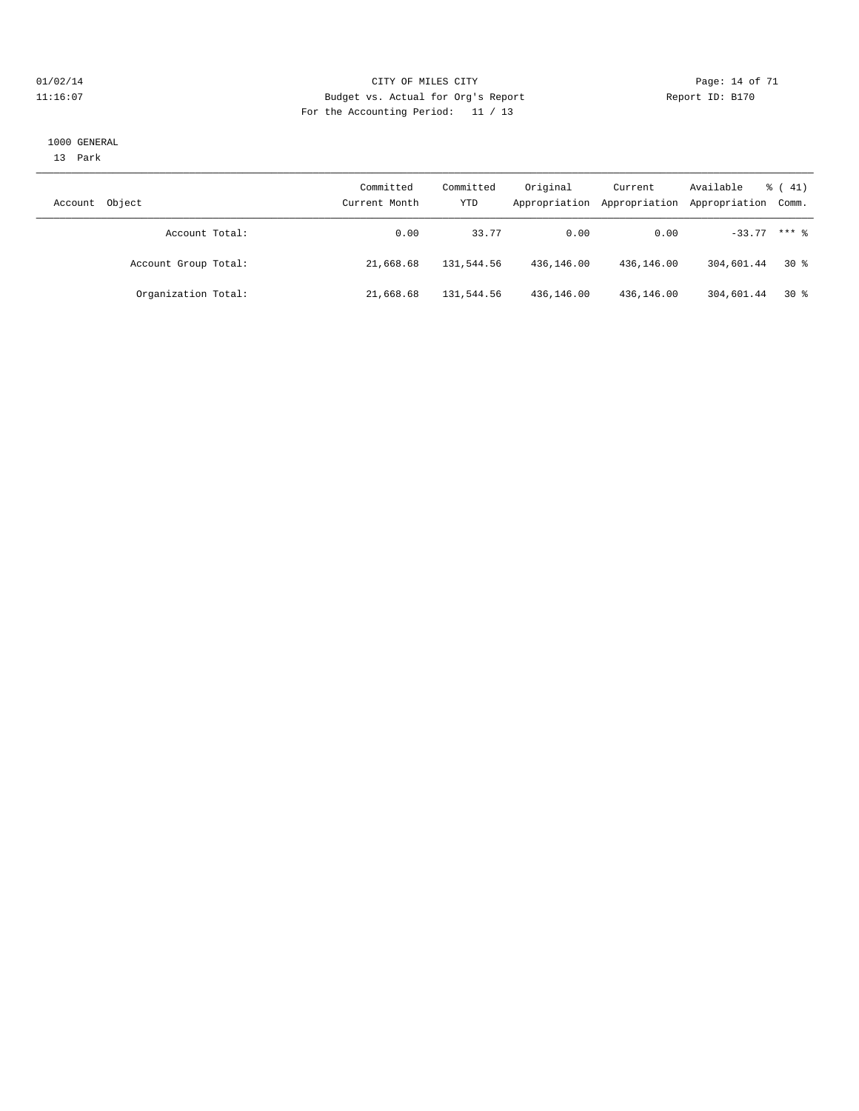#### $O1/02/14$  Page: 14 of 71 11:16:07 Budget vs. Actual for Org's Report Changer Report ID: B170 For the Accounting Period: 11 / 13

#### 1000 GENERAL

13 Park

| Object<br>Account    | Committed<br>Current Month | Committed<br>YTD | Original<br>Appropriation | Current<br>Appropriation | Available<br>Appropriation Comm. | $\frac{1}{6}$ ( 41) |
|----------------------|----------------------------|------------------|---------------------------|--------------------------|----------------------------------|---------------------|
| Account Total:       | 0.00                       | 33.77            | 0.00                      | 0.00                     | $-33.77$ *** $%$                 |                     |
| Account Group Total: | 21,668.68                  | 131,544.56       | 436,146.00                | 436,146.00               | 304,601.44                       | 30 %                |
| Organization Total:  | 21,668.68                  | 131,544.56       | 436,146.00                | 436,146.00               | 304,601.44                       | $30*$               |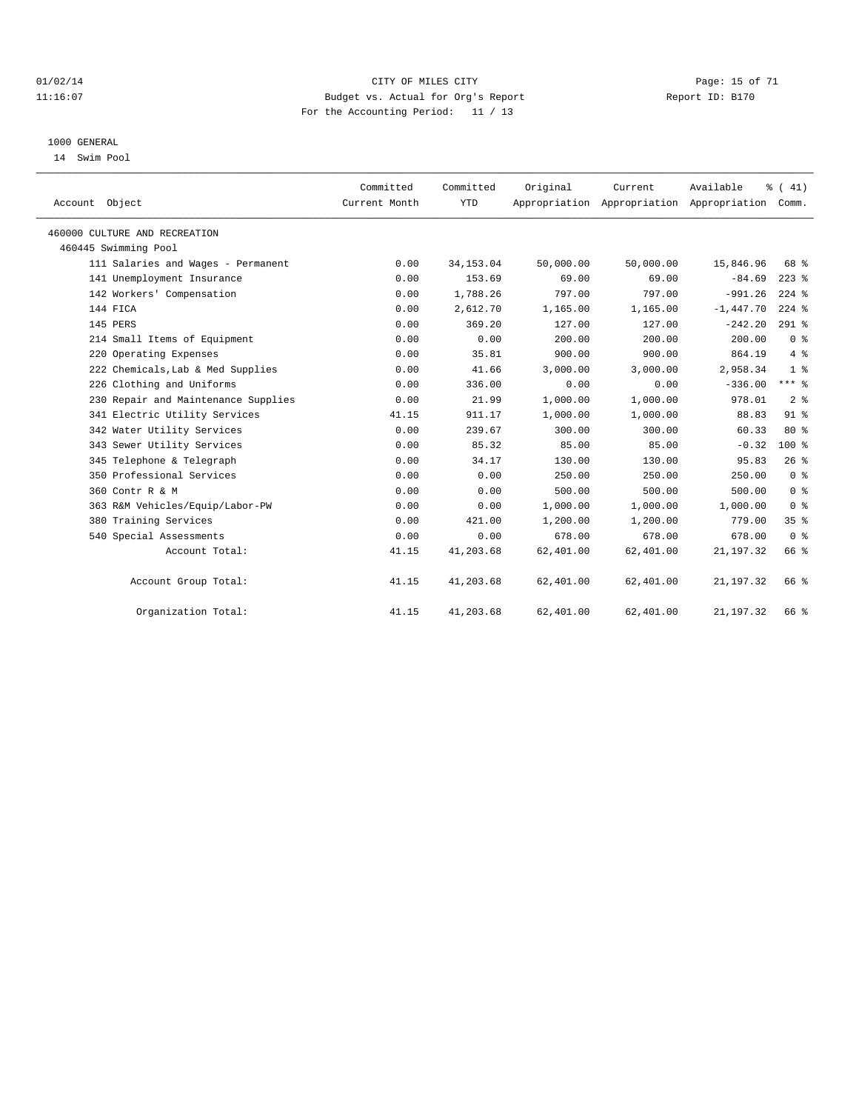#### $O1/02/14$  Page: 15 of 71 11:16:07 Budget vs. Actual for Org's Report Changer Report ID: B170 For the Accounting Period: 11 / 13

#### 1000 GENERAL

14 Swim Pool

| Account Object                      | Committed<br>Current Month | Committed<br><b>YTD</b> | Original  | Current   | Available<br>Appropriation Appropriation Appropriation Comm. | % (41)          |  |
|-------------------------------------|----------------------------|-------------------------|-----------|-----------|--------------------------------------------------------------|-----------------|--|
| 460000 CULTURE AND RECREATION       |                            |                         |           |           |                                                              |                 |  |
| 460445 Swimming Pool                |                            |                         |           |           |                                                              |                 |  |
| 111 Salaries and Wages - Permanent  | 0.00                       | 34, 153.04              | 50,000.00 | 50,000.00 | 15,846.96                                                    | 68 %            |  |
| 141 Unemployment Insurance          | 0.00                       | 153.69                  | 69.00     | 69.00     | $-84.69$                                                     | $223$ $%$       |  |
| 142 Workers' Compensation           | 0.00                       | 1,788.26                | 797.00    | 797.00    | $-991.26$                                                    | $224$ %         |  |
| 144 FICA                            | 0.00                       | 2,612.70                | 1,165.00  | 1,165.00  | $-1,447.70$                                                  | $224$ %         |  |
| 145 PERS                            | 0.00                       | 369.20                  | 127.00    | 127.00    | $-242.20$                                                    | $291$ %         |  |
| 214 Small Items of Equipment        | 0.00                       | 0.00                    | 200.00    | 200.00    | 200.00                                                       | 0 <sup>8</sup>  |  |
| 220 Operating Expenses              | 0.00                       | 35.81                   | 900.00    | 900.00    | 864.19                                                       | $4\degree$      |  |
| 222 Chemicals, Lab & Med Supplies   | 0.00                       | 41.66                   | 3,000.00  | 3,000.00  | 2,958.34                                                     | 1 <sup>8</sup>  |  |
| 226 Clothing and Uniforms           | 0.00                       | 336.00                  | 0.00      | 0.00      | $-336.00$                                                    | $***$ $_{8}$    |  |
| 230 Repair and Maintenance Supplies | 0.00                       | 21.99                   | 1,000.00  | 1,000.00  | 978.01                                                       | 2 <sup>°</sup>  |  |
| 341 Electric Utility Services       | 41.15                      | 911.17                  | 1,000.00  | 1,000.00  | 88.83                                                        | $91$ $%$        |  |
| 342 Water Utility Services          | 0.00                       | 239.67                  | 300.00    | 300.00    | 60.33                                                        | 80 %            |  |
| 343 Sewer Utility Services          | 0.00                       | 85.32                   | 85.00     | 85.00     | $-0.32$                                                      | $100*$          |  |
| 345 Telephone & Telegraph           | 0.00                       | 34.17                   | 130.00    | 130.00    | 95.83                                                        | 26%             |  |
| 350 Professional Services           | 0.00                       | 0.00                    | 250.00    | 250.00    | 250.00                                                       | 0 <sup>8</sup>  |  |
| 360 Contr R & M                     | 0.00                       | 0.00                    | 500.00    | 500.00    | 500.00                                                       | 0 <sup>8</sup>  |  |
| 363 R&M Vehicles/Equip/Labor-PW     | 0.00                       | 0.00                    | 1,000.00  | 1,000.00  | 1,000.00                                                     | 0 <sup>8</sup>  |  |
| 380 Training Services               | 0.00                       | 421.00                  | 1,200.00  | 1,200.00  | 779.00                                                       | 35 <sup>8</sup> |  |
| 540 Special Assessments             | 0.00                       | 0.00                    | 678.00    | 678.00    | 678.00                                                       | 0 <sup>8</sup>  |  |
| Account Total:                      | 41.15                      | 41,203.68               | 62,401.00 | 62,401.00 | 21, 197.32                                                   | 66 %            |  |
| Account Group Total:                | 41.15                      | 41,203.68               | 62,401.00 | 62,401.00 | 21, 197.32                                                   | 66 %            |  |
| Organization Total:                 | 41.15                      | 41,203.68               | 62,401.00 | 62,401.00 | 21, 197. 32                                                  | 66 %            |  |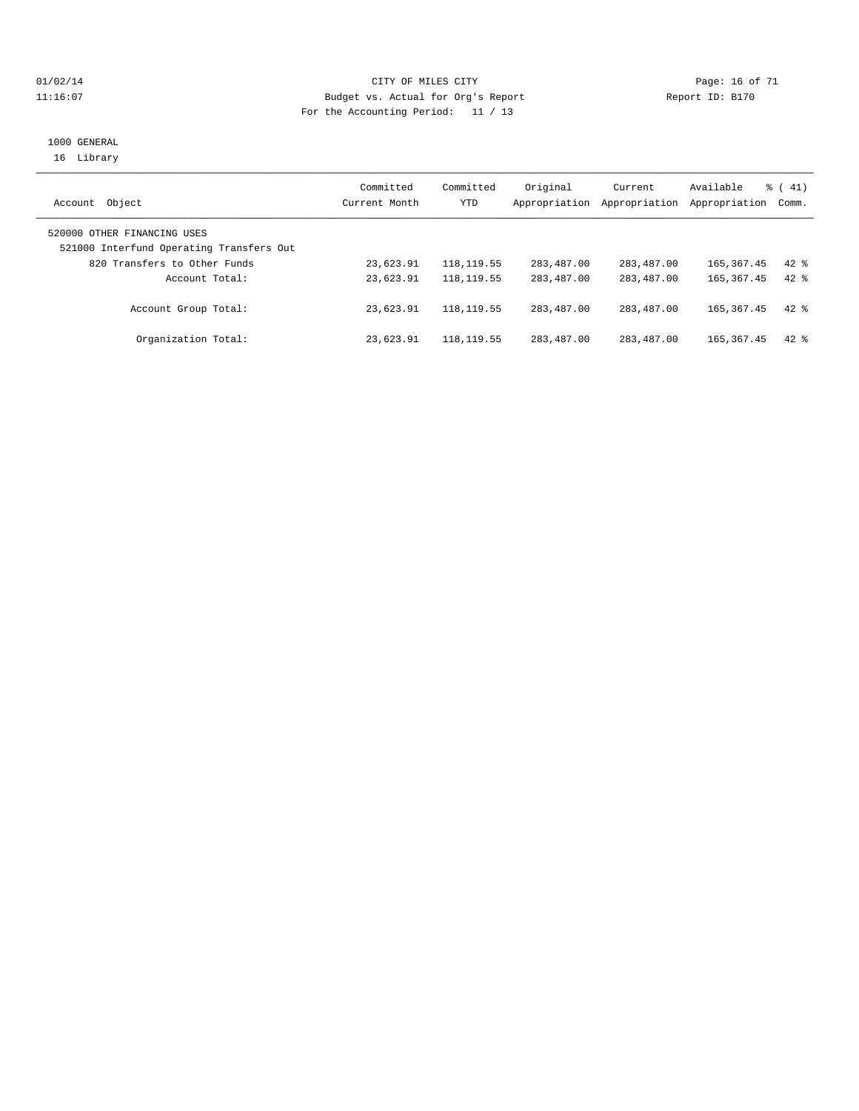#### $O1/02/14$  Page: 16 of 71 11:16:07 Budget vs. Actual for Org's Report Report ID: B170 For the Accounting Period: 11 / 13

#### 1000 GENERAL 16 Library

| Object<br>Account                        | Committed<br>Current Month | Committed<br><b>YTD</b> | Original<br>Appropriation | Current<br>Appropriation | Available<br>Appropriation | $\frac{1}{6}$ ( 41)<br>Comm. |
|------------------------------------------|----------------------------|-------------------------|---------------------------|--------------------------|----------------------------|------------------------------|
|                                          |                            |                         |                           |                          |                            |                              |
| 520000 OTHER FINANCING USES              |                            |                         |                           |                          |                            |                              |
| 521000 Interfund Operating Transfers Out |                            |                         |                           |                          |                            |                              |
| 820 Transfers to Other Funds             | 23,623.91                  | 118, 119.55             | 283,487.00                | 283,487.00               | 165, 367. 45               | $42*$                        |
| Account Total:                           | 23,623.91                  | 118, 119.55             | 283,487.00                | 283,487.00               | 165, 367, 45               | $42*$                        |
| Account Group Total:                     | 23,623.91                  | 118, 119.55             | 283,487.00                | 283,487.00               | 165, 367. 45               | $42$ %                       |
| Organization Total:                      | 23,623.91                  | 118, 119.55             | 283,487.00                | 283,487.00               | 165, 367. 45               | $42*$                        |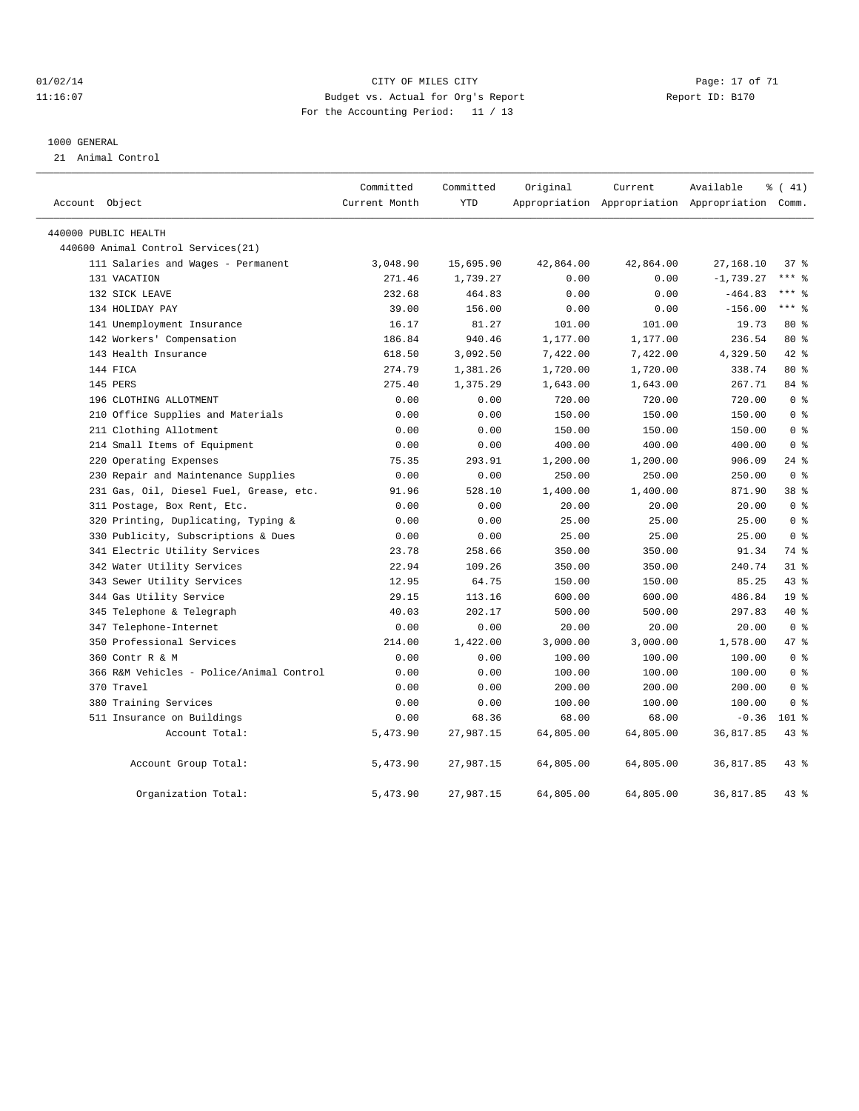#### $O1/02/14$  Page: 17 of 71 11:16:07 Budget vs. Actual for Org's Report Report ID: B170 For the Accounting Period: 11 / 13

#### 1000 GENERAL

21 Animal Control

| Account Object                           | Committed<br>Current Month | Committed<br><b>YTD</b> | Original  | Current   | Available<br>Appropriation Appropriation Appropriation Comm. | % (41)          |
|------------------------------------------|----------------------------|-------------------------|-----------|-----------|--------------------------------------------------------------|-----------------|
|                                          |                            |                         |           |           |                                                              |                 |
| 440000 PUBLIC HEALTH                     |                            |                         |           |           |                                                              |                 |
| 440600 Animal Control Services (21)      |                            |                         |           |           |                                                              |                 |
| 111 Salaries and Wages - Permanent       | 3,048.90                   | 15,695.90               | 42,864.00 | 42,864.00 | 27,168.10                                                    | 37%             |
| 131 VACATION                             | 271.46                     | 1,739.27                | 0.00      | 0.00      | $-1,739.27$                                                  | *** 응           |
| 132 SICK LEAVE                           | 232.68                     | 464.83                  | 0.00      | 0.00      | $-464.83$                                                    | $***$ $%$       |
| 134 HOLIDAY PAY                          | 39.00                      | 156.00                  | 0.00      | 0.00      | $-156.00$                                                    | $***$ $-$       |
| 141 Unemployment Insurance               | 16.17                      | 81.27                   | 101.00    | 101.00    | 19.73                                                        | 80 %            |
| 142 Workers' Compensation                | 186.84                     | 940.46                  | 1,177.00  | 1,177.00  | 236.54                                                       | $80*$           |
| 143 Health Insurance                     | 618.50                     | 3,092.50                | 7,422.00  | 7,422.00  | 4,329.50                                                     | $42*$           |
| 144 FICA                                 | 274.79                     | 1,381.26                | 1,720.00  | 1,720.00  | 338.74                                                       | $80*$           |
| 145 PERS                                 | 275.40                     | 1,375.29                | 1,643.00  | 1,643.00  | 267.71                                                       | 84 %            |
| 196 CLOTHING ALLOTMENT                   | 0.00                       | 0.00                    | 720.00    | 720.00    | 720.00                                                       | 0 <sup>8</sup>  |
| 210 Office Supplies and Materials        | 0.00                       | 0.00                    | 150.00    | 150.00    | 150.00                                                       | 0 <sup>8</sup>  |
| 211 Clothing Allotment                   | 0.00                       | 0.00                    | 150.00    | 150.00    | 150.00                                                       | 0 <sup>8</sup>  |
| 214 Small Items of Equipment             | 0.00                       | 0.00                    | 400.00    | 400.00    | 400.00                                                       | 0 <sup>8</sup>  |
| 220 Operating Expenses                   | 75.35                      | 293.91                  | 1,200.00  | 1,200.00  | 906.09                                                       | $24$ %          |
| 230 Repair and Maintenance Supplies      | 0.00                       | 0.00                    | 250.00    | 250.00    | 250.00                                                       | 0 <sup>8</sup>  |
| 231 Gas, Oil, Diesel Fuel, Grease, etc.  | 91.96                      | 528.10                  | 1,400.00  | 1,400.00  | 871.90                                                       | 38 %            |
| 311 Postage, Box Rent, Etc.              | 0.00                       | 0.00                    | 20.00     | 20.00     | 20.00                                                        | 0 <sup>8</sup>  |
| 320 Printing, Duplicating, Typing &      | 0.00                       | 0.00                    | 25.00     | 25.00     | 25.00                                                        | 0 <sup>8</sup>  |
| 330 Publicity, Subscriptions & Dues      | 0.00                       | 0.00                    | 25.00     | 25.00     | 25.00                                                        | 0 <sup>8</sup>  |
| 341 Electric Utility Services            | 23.78                      | 258.66                  | 350.00    | 350.00    | 91.34                                                        | 74 %            |
| 342 Water Utility Services               | 22.94                      | 109.26                  | 350.00    | 350.00    | 240.74                                                       | 31.8            |
| 343 Sewer Utility Services               | 12.95                      | 64.75                   | 150.00    | 150.00    | 85.25                                                        | 43.8            |
| 344 Gas Utility Service                  | 29.15                      | 113.16                  | 600.00    | 600.00    | 486.84                                                       | 19 <sup>°</sup> |
| 345 Telephone & Telegraph                | 40.03                      | 202.17                  | 500.00    | 500.00    | 297.83                                                       | $40*$           |
| 347 Telephone-Internet                   | 0.00                       | 0.00                    | 20.00     | 20.00     | 20.00                                                        | 0 <sup>8</sup>  |
| 350 Professional Services                | 214.00                     | 1,422.00                | 3,000.00  | 3,000.00  | 1,578.00                                                     | 47.8            |
| 360 Contr R & M                          | 0.00                       | 0.00                    | 100.00    | 100.00    | 100.00                                                       | 0 <sup>8</sup>  |
| 366 R&M Vehicles - Police/Animal Control | 0.00                       | 0.00                    | 100.00    | 100.00    | 100.00                                                       | 0 <sup>8</sup>  |
| 370 Travel                               | 0.00                       | 0.00                    | 200.00    | 200.00    | 200.00                                                       | 0 <sup>8</sup>  |
| 380 Training Services                    | 0.00                       | 0.00                    | 100.00    | 100.00    | 100.00                                                       | 0 <sup>8</sup>  |
| 511 Insurance on Buildings               | 0.00                       | 68.36                   | 68.00     | 68.00     | $-0.36$                                                      | $101$ %         |
| Account Total:                           | 5,473.90                   | 27,987.15               | 64,805.00 | 64,805.00 | 36,817.85                                                    | 43.8            |
| Account Group Total:                     | 5,473.90                   | 27,987.15               | 64,805.00 | 64,805.00 | 36,817.85                                                    | $43$ $%$        |
| Organization Total:                      | 5,473.90                   | 27,987.15               | 64,805.00 | 64,805.00 | 36,817.85                                                    | 43.8            |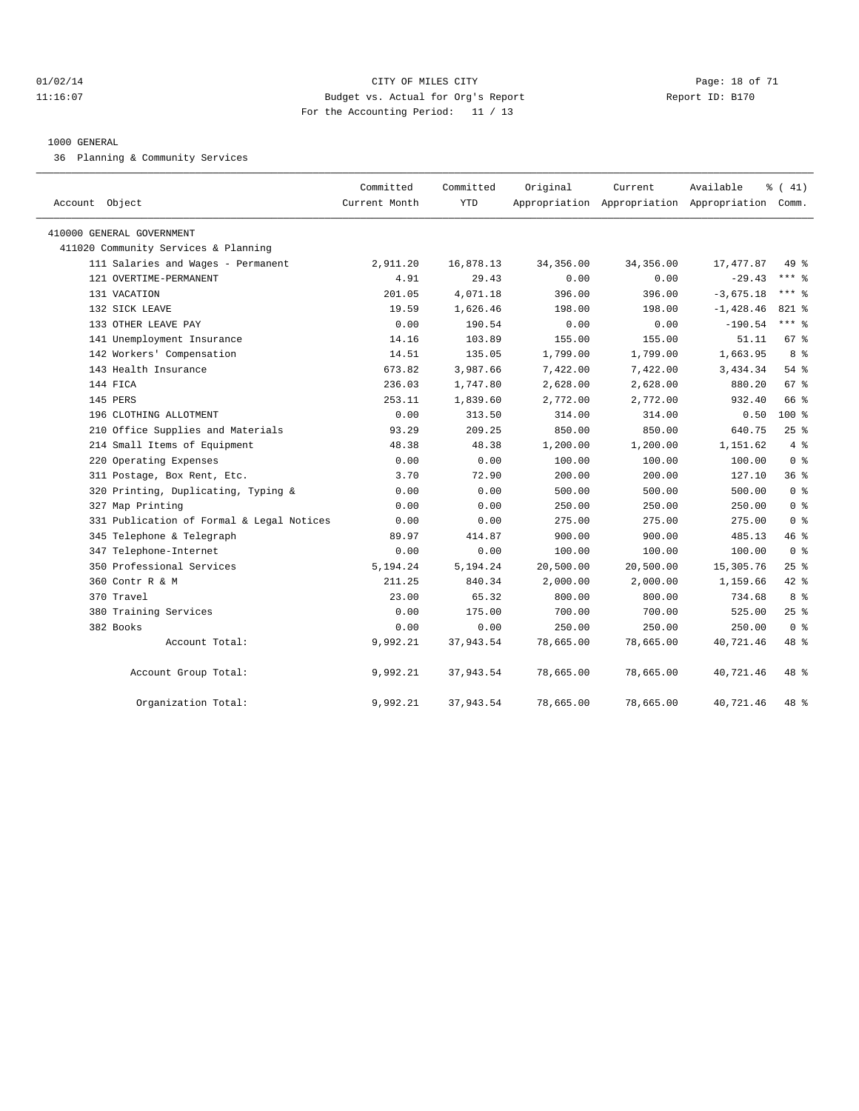#### $O1/02/14$  Page: 18 of 71 11:16:07 Budget vs. Actual for Org's Report Report ID: B170 For the Accounting Period: 11 / 13

#### 1000 GENERAL

36 Planning & Community Services

| Account Object                            | Committed<br>Current Month | Committed<br><b>YTD</b> | Original  | Current   | Available<br>Appropriation Appropriation Appropriation Comm. | % (41)         |  |
|-------------------------------------------|----------------------------|-------------------------|-----------|-----------|--------------------------------------------------------------|----------------|--|
|                                           |                            |                         |           |           |                                                              |                |  |
| 410000 GENERAL GOVERNMENT                 |                            |                         |           |           |                                                              |                |  |
| 411020 Community Services & Planning      |                            |                         |           |           |                                                              |                |  |
| 111 Salaries and Wages - Permanent        | 2,911.20                   | 16,878.13               | 34,356.00 | 34,356.00 | 17, 477.87                                                   | 49 %           |  |
| 121 OVERTIME-PERMANENT                    | 4.91                       | 29.43                   | 0.00      | 0.00      | $-29.43$                                                     | $***$ 8        |  |
| 131 VACATION                              | 201.05                     | 4,071.18                | 396.00    | 396.00    | $-3,675.18$                                                  | $***$ $%$      |  |
| 132 SICK LEAVE                            | 19.59                      | 1,626.46                | 198.00    | 198.00    | $-1,428.46$                                                  | 821 %          |  |
| 133 OTHER LEAVE PAY                       | 0.00                       | 190.54                  | 0.00      | 0.00      | $-190.54$                                                    | $***$ $_{8}$   |  |
| 141 Unemployment Insurance                | 14.16                      | 103.89                  | 155.00    | 155.00    | 51.11                                                        | 67 %           |  |
| 142 Workers' Compensation                 | 14.51                      | 135.05                  | 1,799.00  | 1,799.00  | 1,663.95                                                     | 8 %            |  |
| 143 Health Insurance                      | 673.82                     | 3,987.66                | 7,422.00  | 7,422.00  | 3,434.34                                                     | 54%            |  |
| 144 FICA                                  | 236.03                     | 1,747.80                | 2,628.00  | 2,628.00  | 880.20                                                       | 67 %           |  |
| 145 PERS                                  | 253.11                     | 1,839.60                | 2,772.00  | 2,772.00  | 932.40                                                       | 66 %           |  |
| 196 CLOTHING ALLOTMENT                    | 0.00                       | 313.50                  | 314.00    | 314.00    | 0.50                                                         | 100%           |  |
| 210 Office Supplies and Materials         | 93.29                      | 209.25                  | 850.00    | 850.00    | 640.75                                                       | 25%            |  |
| 214 Small Items of Equipment              | 48.38                      | 48.38                   | 1,200.00  | 1,200.00  | 1,151.62                                                     | 4%             |  |
| 220 Operating Expenses                    | 0.00                       | 0.00                    | 100.00    | 100.00    | 100.00                                                       | 0 <sup>8</sup> |  |
| 311 Postage, Box Rent, Etc.               | 3.70                       | 72.90                   | 200.00    | 200.00    | 127.10                                                       | 36%            |  |
| 320 Printing, Duplicating, Typing &       | 0.00                       | 0.00                    | 500.00    | 500.00    | 500.00                                                       | 0 <sup>8</sup> |  |
| 327 Map Printing                          | 0.00                       | 0.00                    | 250.00    | 250.00    | 250.00                                                       | 0 <sup>8</sup> |  |
| 331 Publication of Formal & Legal Notices | 0.00                       | 0.00                    | 275.00    | 275.00    | 275.00                                                       | 0 <sup>8</sup> |  |
| 345 Telephone & Telegraph                 | 89.97                      | 414.87                  | 900.00    | 900.00    | 485.13                                                       | 46 %           |  |
| 347 Telephone-Internet                    | 0.00                       | 0.00                    | 100.00    | 100.00    | 100.00                                                       | 0 <sup>8</sup> |  |
| 350 Professional Services                 | 5,194.24                   | 5,194.24                | 20,500.00 | 20,500.00 | 15,305.76                                                    | $25$ %         |  |
| 360 Contr R & M                           | 211.25                     | 840.34                  | 2,000.00  | 2,000.00  | 1,159.66                                                     | 42 %           |  |
| 370 Travel                                | 23.00                      | 65.32                   | 800.00    | 800.00    | 734.68                                                       | 8 %            |  |
| 380 Training Services                     | 0.00                       | 175.00                  | 700.00    | 700.00    | 525.00                                                       | 25%            |  |
| 382 Books                                 | 0.00                       | 0.00                    | 250.00    | 250.00    | 250.00                                                       | 0 <sup>8</sup> |  |
| Account Total:                            | 9,992.21                   | 37,943.54               | 78,665.00 | 78,665.00 | 40,721.46                                                    | 48 %           |  |
| Account Group Total:                      | 9,992.21                   | 37,943.54               | 78,665.00 | 78,665.00 | 40,721.46                                                    | 48 %           |  |
| Organization Total:                       | 9,992.21                   | 37,943.54               | 78,665.00 | 78,665.00 | 40,721.46                                                    | 48 %           |  |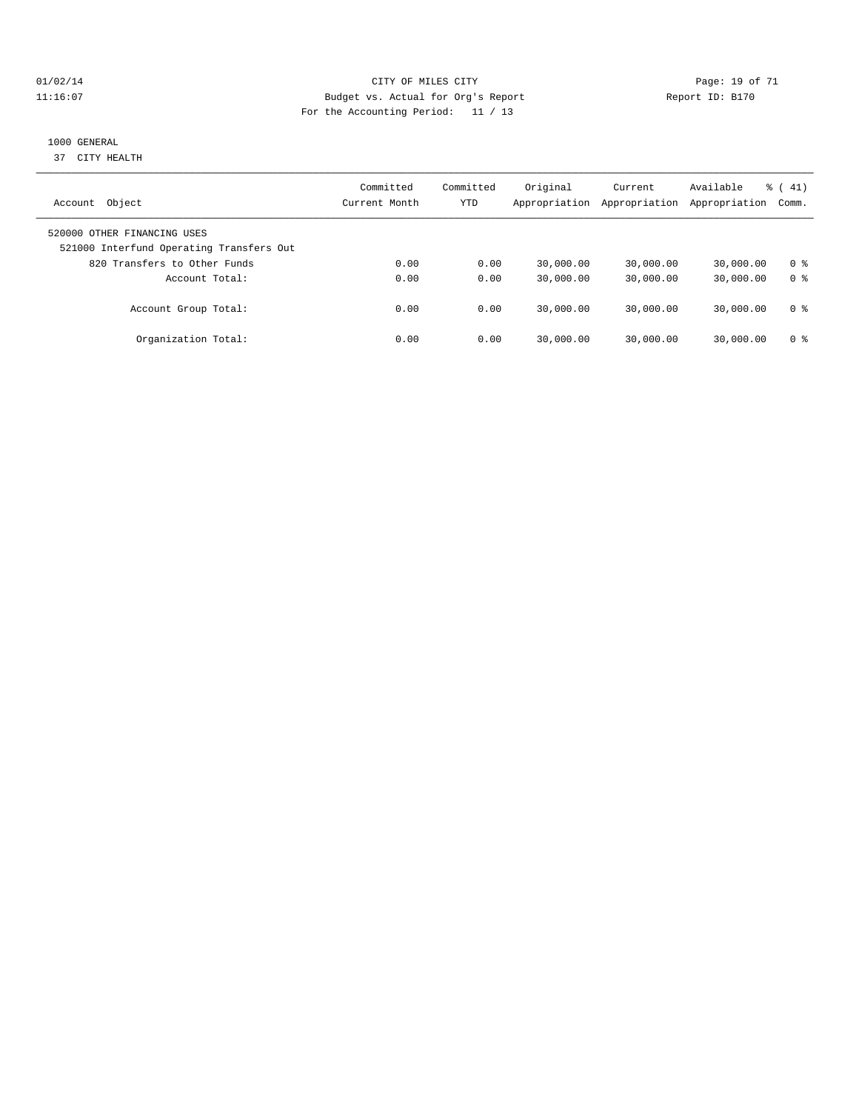#### $O1/02/14$  Page: 19 of 71 11:16:07 Budget vs. Actual for Org's Report Report ID: B170 For the Accounting Period: 11 / 13

#### 1000 GENERAL

37 CITY HEALTH

| Object<br>Account                                                       | Committed<br>Current Month | Committed<br>YTD | Original<br>Appropriation | Current<br>Appropriation | Available<br>Appropriation | $\frac{1}{6}$ (41)<br>Comm. |
|-------------------------------------------------------------------------|----------------------------|------------------|---------------------------|--------------------------|----------------------------|-----------------------------|
| 520000 OTHER FINANCING USES<br>521000 Interfund Operating Transfers Out |                            |                  |                           |                          |                            |                             |
| 820 Transfers to Other Funds                                            | 0.00                       | 0.00             | 30,000.00                 | 30,000.00                | 30,000.00                  | 0 ક                         |
| Account Total:                                                          | 0.00                       | 0.00             | 30,000.00                 | 30,000.00                | 30,000.00                  | 0 <sup>8</sup>              |
| Account Group Total:                                                    | 0.00                       | 0.00             | 30,000.00                 | 30,000.00                | 30,000.00                  | 0 ક                         |
| Organization Total:                                                     | 0.00                       | 0.00             | 30,000.00                 | 30,000.00                | 30,000.00                  | 0 ક                         |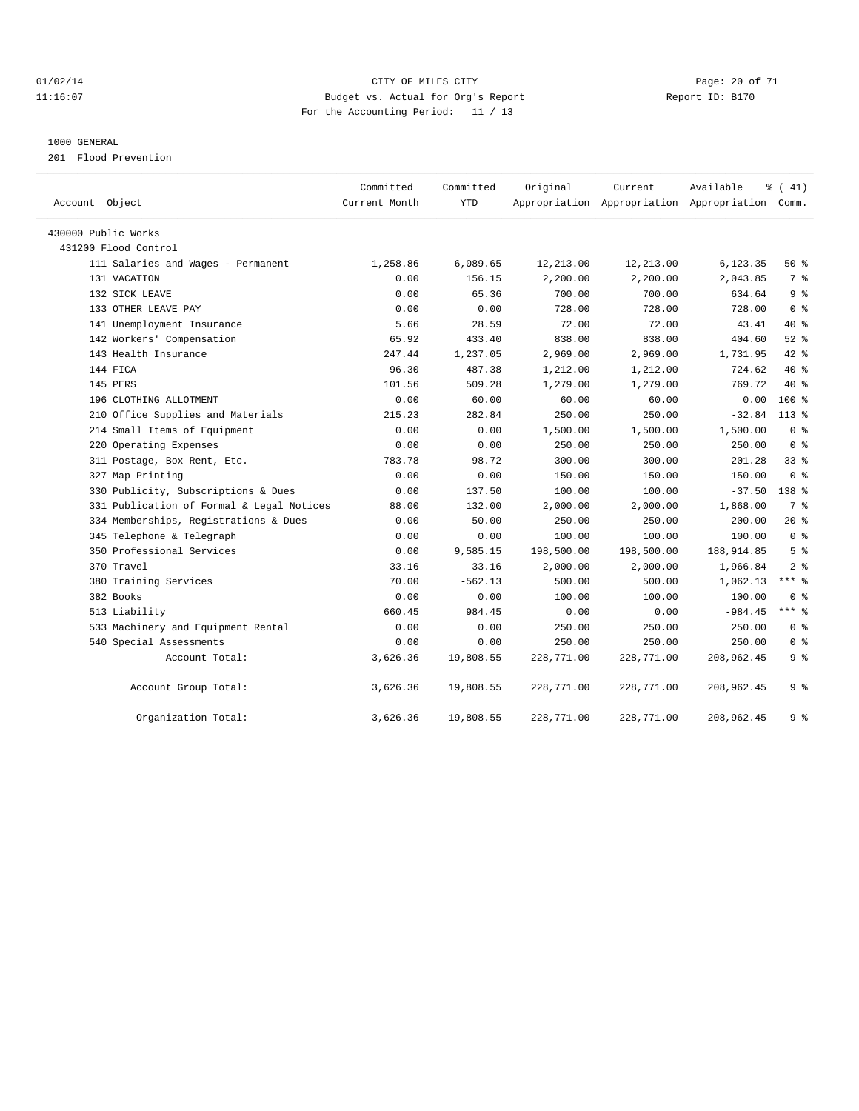#### $O1/02/14$  Page: 20 of 71 11:16:07 Budget vs. Actual for Org's Report Changer Report ID: B170 For the Accounting Period: 11 / 13

#### 1000 GENERAL

201 Flood Prevention

| Account Object                            | Committed<br>Current Month | Committed<br><b>YTD</b> | Original   | Current    | Available<br>Appropriation Appropriation Appropriation Comm. | % (41)         |
|-------------------------------------------|----------------------------|-------------------------|------------|------------|--------------------------------------------------------------|----------------|
| 430000 Public Works                       |                            |                         |            |            |                                                              |                |
| 431200 Flood Control                      |                            |                         |            |            |                                                              |                |
| 111 Salaries and Wages - Permanent        | 1,258.86                   | 6,089.65                | 12,213.00  | 12,213.00  | 6,123.35                                                     | 50%            |
| 131 VACATION                              | 0.00                       | 156.15                  | 2,200.00   | 2,200.00   | 2,043.85                                                     | 7 %            |
| 132 SICK LEAVE                            | 0.00                       | 65.36                   | 700.00     | 700.00     | 634.64                                                       | 9 <sup>8</sup> |
| 133 OTHER LEAVE PAY                       | 0.00                       | 0.00                    | 728.00     | 728.00     | 728.00                                                       | 0 <sup>8</sup> |
| 141 Unemployment Insurance                | 5.66                       | 28.59                   | 72.00      | 72.00      | 43.41                                                        | $40*$          |
| 142 Workers' Compensation                 | 65.92                      | 433.40                  | 838.00     | 838.00     | 404.60                                                       | $52$ $%$       |
| 143 Health Insurance                      | 247.44                     | 1,237.05                | 2,969.00   | 2,969.00   | 1,731.95                                                     | 42.8           |
| 144 FICA                                  | 96.30                      | 487.38                  | 1,212.00   | 1,212.00   | 724.62                                                       | $40*$          |
| 145 PERS                                  | 101.56                     | 509.28                  | 1,279.00   | 1,279.00   | 769.72                                                       | 40 %           |
| 196 CLOTHING ALLOTMENT                    | 0.00                       | 60.00                   | 60.00      | 60.00      | 0.00                                                         | $100*$         |
| 210 Office Supplies and Materials         | 215.23                     | 282.84                  | 250.00     | 250.00     | $-32.84$                                                     | $113*$         |
| 214 Small Items of Equipment              | 0.00                       | 0.00                    | 1,500.00   | 1,500.00   | 1,500.00                                                     | 0 <sup>8</sup> |
| 220 Operating Expenses                    | 0.00                       | 0.00                    | 250.00     | 250.00     | 250.00                                                       | 0 <sup>8</sup> |
| 311 Postage, Box Rent, Etc.               | 783.78                     | 98.72                   | 300.00     | 300.00     | 201.28                                                       | 33%            |
| 327 Map Printing                          | 0.00                       | 0.00                    | 150.00     | 150.00     | 150.00                                                       | 0 <sup>8</sup> |
| 330 Publicity, Subscriptions & Dues       | 0.00                       | 137.50                  | 100.00     | 100.00     | $-37.50$                                                     | 138 %          |
| 331 Publication of Formal & Legal Notices | 88.00                      | 132.00                  | 2,000.00   | 2,000.00   | 1,868.00                                                     | 7 %            |
| 334 Memberships, Registrations & Dues     | 0.00                       | 50.00                   | 250.00     | 250.00     | 200.00                                                       | $20*$          |
| 345 Telephone & Telegraph                 | 0.00                       | 0.00                    | 100.00     | 100.00     | 100.00                                                       | 0 <sup>8</sup> |
| 350 Professional Services                 | 0.00                       | 9,585.15                | 198,500.00 | 198,500.00 | 188, 914.85                                                  | 5 <sup>8</sup> |
| 370 Travel                                | 33.16                      | 33.16                   | 2,000.00   | 2,000.00   | 1,966.84                                                     | 2 <sup>8</sup> |
| 380 Training Services                     | 70.00                      | $-562.13$               | 500.00     | 500.00     | 1,062.13                                                     | $***$ $-$      |
| 382 Books                                 | 0.00                       | 0.00                    | 100.00     | 100.00     | 100.00                                                       | 0 <sup>8</sup> |
| 513 Liability                             | 660.45                     | 984.45                  | 0.00       | 0.00       | $-984.45$                                                    | $***$ $=$      |
| 533 Machinery and Equipment Rental        | 0.00                       | 0.00                    | 250.00     | 250.00     | 250.00                                                       | 0 <sup>8</sup> |
| 540 Special Assessments                   | 0.00                       | 0.00                    | 250.00     | 250.00     | 250.00                                                       | 0 <sup>8</sup> |
| Account Total:                            | 3,626.36                   | 19,808.55               | 228,771.00 | 228,771.00 | 208,962.45                                                   | 9%             |
| Account Group Total:                      | 3,626.36                   | 19,808.55               | 228,771.00 | 228,771.00 | 208,962.45                                                   | 9 <sub>8</sub> |
| Organization Total:                       | 3,626.36                   | 19,808.55               | 228,771.00 | 228,771.00 | 208,962.45                                                   | 9%             |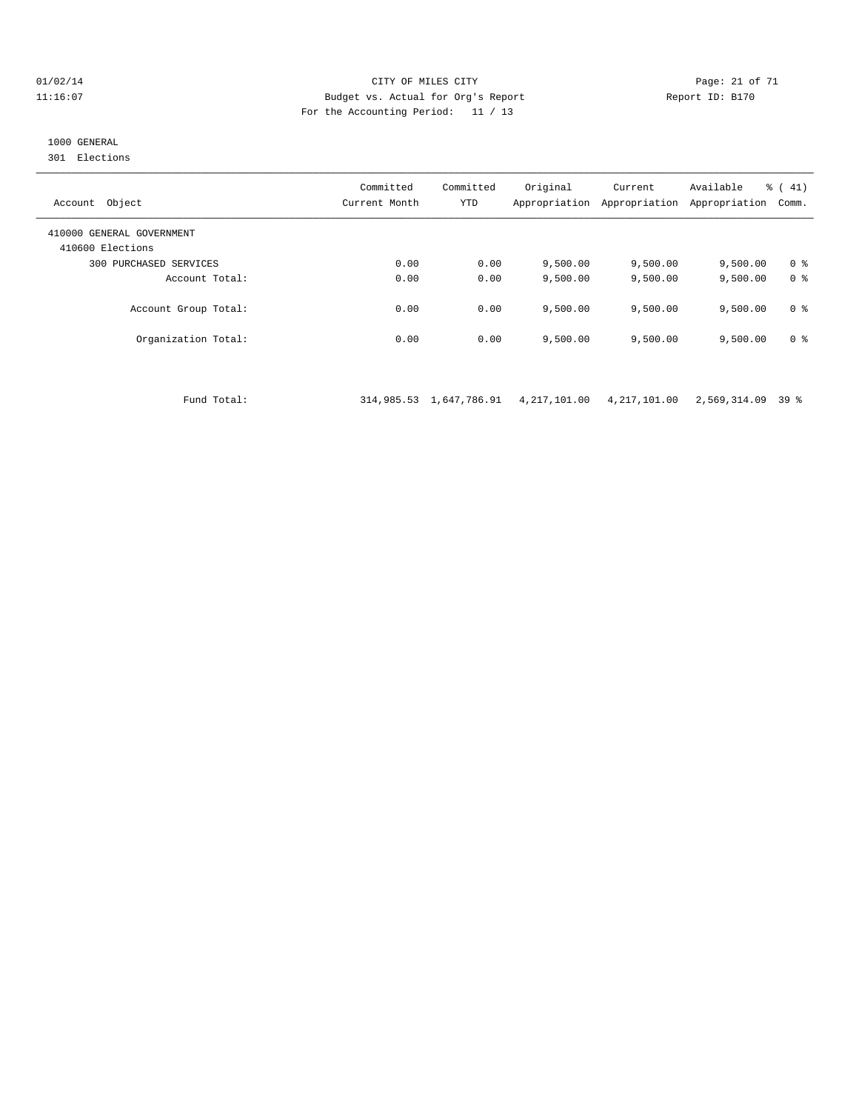#### $O1/02/14$  Page: 21 of 71 11:16:07 Budget vs. Actual for Org's Report Report ID: B170 For the Accounting Period: 11 / 13

## 1000 GENERAL

301 Elections

| Object<br>Account                             | Committed<br>Current Month | Committed<br>YTD | Original<br>Appropriation | Current<br>Appropriation | Available<br>Appropriation | $\frac{1}{6}$ ( 41)<br>Comm. |
|-----------------------------------------------|----------------------------|------------------|---------------------------|--------------------------|----------------------------|------------------------------|
| 410000 GENERAL GOVERNMENT<br>410600 Elections |                            |                  |                           |                          |                            |                              |
| 300 PURCHASED SERVICES                        | 0.00                       | 0.00             | 9.500.00                  | 9,500.00                 | 9,500.00                   | 0 <sup>8</sup>               |
| Account Total:                                | 0.00                       | 0.00             | 9.500.00                  | 9,500.00                 | 9,500.00                   | 0 <sup>8</sup>               |
| Account Group Total:                          | 0.00                       | 0.00             | 9.500.00                  | 9.500.00                 | 9,500.00                   | 0 <sup>8</sup>               |
| Organization Total:                           | 0.00                       | 0.00             | 9,500.00                  | 9,500.00                 | 9,500.00                   | 0 <sup>8</sup>               |

Fund Total: 314,985.53 1,647,786.91 4,217,101.00 4,217,101.00 2,569,314.09 39 %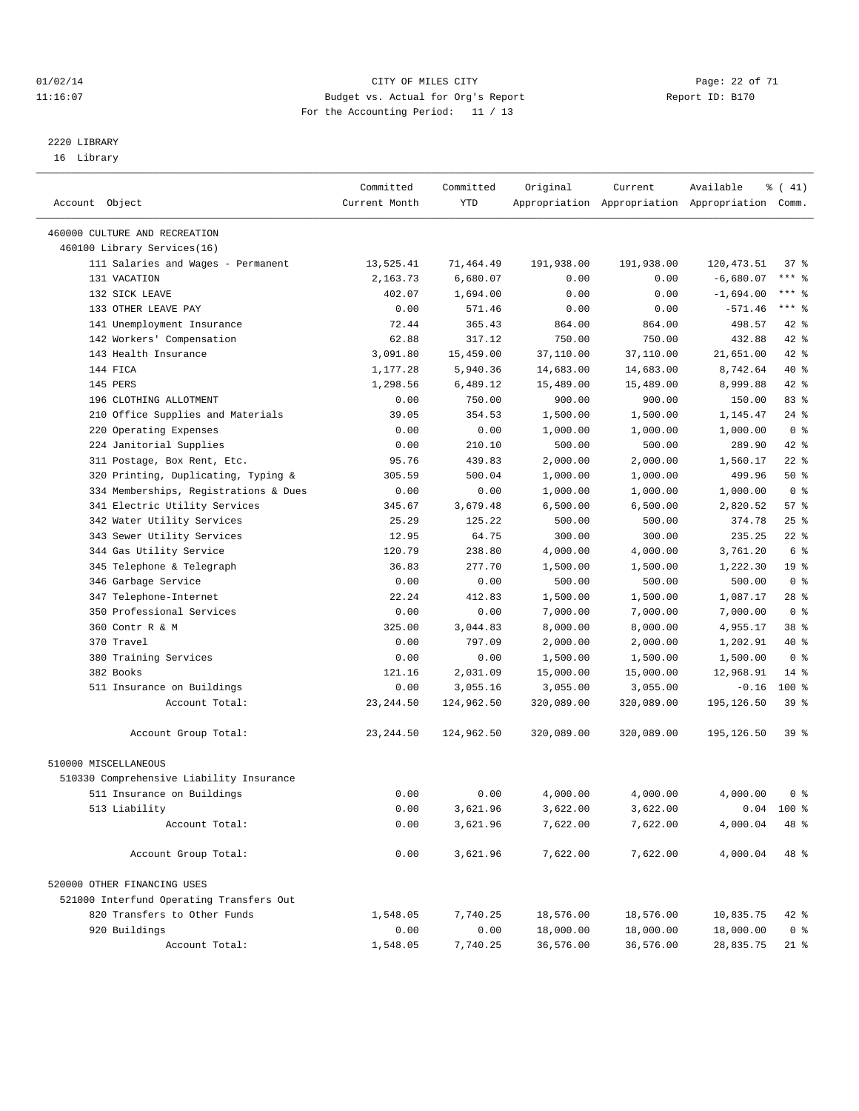#### $O1/02/14$  Page: 22 of 71 11:16:07 Budget vs. Actual for Org's Report Changer Report ID: B170 For the Accounting Period: 11 / 13

————————————————————————————————————————————————————————————————————————————————————————————————————————————————————————————————————

# 2220 LIBRARY

16 Library

|                                                      | Committed       | Committed  | Original         | Current            | Available                                       | % (41)          |
|------------------------------------------------------|-----------------|------------|------------------|--------------------|-------------------------------------------------|-----------------|
| Account Object                                       | Current Month   | YTD        |                  |                    | Appropriation Appropriation Appropriation Comm. |                 |
| 460000 CULTURE AND RECREATION                        |                 |            |                  |                    |                                                 |                 |
| 460100 Library Services(16)                          |                 |            |                  |                    |                                                 |                 |
| 111 Salaries and Wages - Permanent                   | 13,525.41       | 71,464.49  | 191,938.00       | 191,938.00         | 120, 473.51                                     | $37$ %          |
| 131 VACATION                                         | 2,163.73        | 6,680.07   | 0.00             | 0.00               | $-6,680.07$                                     | $***$ $-$       |
| 132 SICK LEAVE                                       | 402.07          | 1,694.00   | 0.00             | 0.00               | $-1,694.00$                                     | *** 응           |
| 133 OTHER LEAVE PAY                                  | 0.00            | 571.46     | 0.00             | 0.00               | $-571.46$                                       | $***$ $-$       |
| 141 Unemployment Insurance                           | 72.44           | 365.43     | 864.00           | 864.00             | 498.57                                          | $42$ %          |
| 142 Workers' Compensation                            | 62.88           | 317.12     | 750.00           | 750.00             | 432.88                                          | 42 %            |
| 143 Health Insurance                                 | 3,091.80        | 15,459.00  | 37,110.00        | 37,110.00          | 21,651.00                                       | 42 %            |
| 144 FICA                                             | 1,177.28        | 5,940.36   | 14,683.00        | 14,683.00          | 8,742.64                                        | 40 %            |
| 145 PERS                                             | 1,298.56        | 6,489.12   | 15,489.00        | 15,489.00          | 8,999.88                                        | 42 %            |
| 196 CLOTHING ALLOTMENT                               | 0.00            | 750.00     | 900.00           | 900.00             | 150.00                                          | 83%             |
| 210 Office Supplies and Materials                    | 39.05           | 354.53     | 1,500.00         | 1,500.00           | 1,145.47                                        | 24 %            |
| 220 Operating Expenses                               | 0.00            | 0.00       | 1,000.00         | 1,000.00           | 1,000.00                                        | 0 <sup>8</sup>  |
| 224 Janitorial Supplies                              | 0.00            | 210.10     | 500.00           | 500.00             | 289.90                                          | 42 %            |
| 311 Postage, Box Rent, Etc.                          | 95.76           | 439.83     | 2,000.00         | 2,000.00           | 1,560.17                                        | $22$ %          |
| 320 Printing, Duplicating, Typing &                  | 305.59          | 500.04     | 1,000.00         | 1,000.00           | 499.96                                          | 50%             |
| 334 Memberships, Registrations & Dues                | 0.00            | 0.00       | 1,000.00         | 1,000.00           | 1,000.00                                        | 0 <sup>8</sup>  |
| 341 Electric Utility Services                        | 345.67          | 3,679.48   |                  |                    | 2,820.52                                        | 57%             |
| 342 Water Utility Services                           | 25.29           | 125.22     | 6,500.00         | 6,500.00<br>500.00 | 374.78                                          | $25$ $%$        |
| 343 Sewer Utility Services                           |                 |            | 500.00<br>300.00 |                    |                                                 | $22$ %          |
|                                                      | 12.95<br>120.79 | 64.75      |                  | 300.00             | 235.25                                          | 6 %             |
| 344 Gas Utility Service<br>345 Telephone & Telegraph |                 | 238.80     | 4,000.00         | 4,000.00           | 3,761.20                                        |                 |
|                                                      | 36.83           | 277.70     | 1,500.00         | 1,500.00           | 1,222.30                                        | 19 <sup>°</sup> |
| 346 Garbage Service                                  | 0.00            | 0.00       | 500.00           | 500.00             | 500.00                                          | 0 <sup>8</sup>  |
| 347 Telephone-Internet                               | 22.24           | 412.83     | 1,500.00         | 1,500.00           | 1,087.17                                        | $28$ %          |
| 350 Professional Services                            | 0.00            | 0.00       | 7,000.00         | 7,000.00           | 7,000.00                                        | 0 <sup>8</sup>  |
| 360 Contr R & M                                      | 325.00          | 3,044.83   | 8,000.00         | 8,000.00           | 4,955.17                                        | 38 %            |
| 370 Travel                                           | 0.00            | 797.09     | 2,000.00         | 2,000.00           | 1,202.91                                        | 40 %            |
| 380 Training Services                                | 0.00            | 0.00       | 1,500.00         | 1,500.00           | 1,500.00                                        | 0 <sup>8</sup>  |
| 382 Books                                            | 121.16          | 2,031.09   | 15,000.00        | 15,000.00          | 12,968.91                                       | $14*$           |
| 511 Insurance on Buildings                           | 0.00            | 3,055.16   | 3,055.00         | 3,055.00           | $-0.16$                                         | $100$ %         |
| Account Total:                                       | 23, 244.50      | 124,962.50 | 320,089.00       | 320,089.00         | 195,126.50                                      | 39 <sup>8</sup> |
| Account Group Total:                                 | 23, 244.50      | 124,962.50 | 320,089.00       | 320,089.00         | 195,126.50                                      | 39%             |
| 510000 MISCELLANEOUS                                 |                 |            |                  |                    |                                                 |                 |
| 510330 Comprehensive Liability Insurance             |                 |            |                  |                    |                                                 |                 |
| 511 Insurance on Buildings                           | 0.00            | 0.00       | 4,000.00         | 4,000.00           | 4,000.00                                        | 0 %             |
| 513 Liability                                        | 0.00            | 3,621.96   | 3,622.00         | 3,622.00           |                                                 | $0.04$ 100 %    |
| Account Total:                                       | 0.00            | 3,621.96   | 7,622.00         | 7,622.00           | 4,000.04                                        | 48 %            |
|                                                      |                 |            |                  |                    |                                                 |                 |
| Account Group Total:                                 | 0.00            | 3,621.96   | 7,622.00         | 7,622.00           | 4,000.04                                        | 48 %            |
| 520000 OTHER FINANCING USES                          |                 |            |                  |                    |                                                 |                 |
| 521000 Interfund Operating Transfers Out             |                 |            |                  |                    |                                                 |                 |
| 820 Transfers to Other Funds                         | 1,548.05        | 7,740.25   | 18,576.00        | 18,576.00          | 10,835.75                                       | 42 %            |
| 920 Buildings                                        | 0.00            | 0.00       | 18,000.00        | 18,000.00          | 18,000.00                                       | 0 <sup>8</sup>  |
| Account Total:                                       | 1,548.05        | 7,740.25   | 36,576.00        | 36,576.00          | 28,835.75                                       | 21 %            |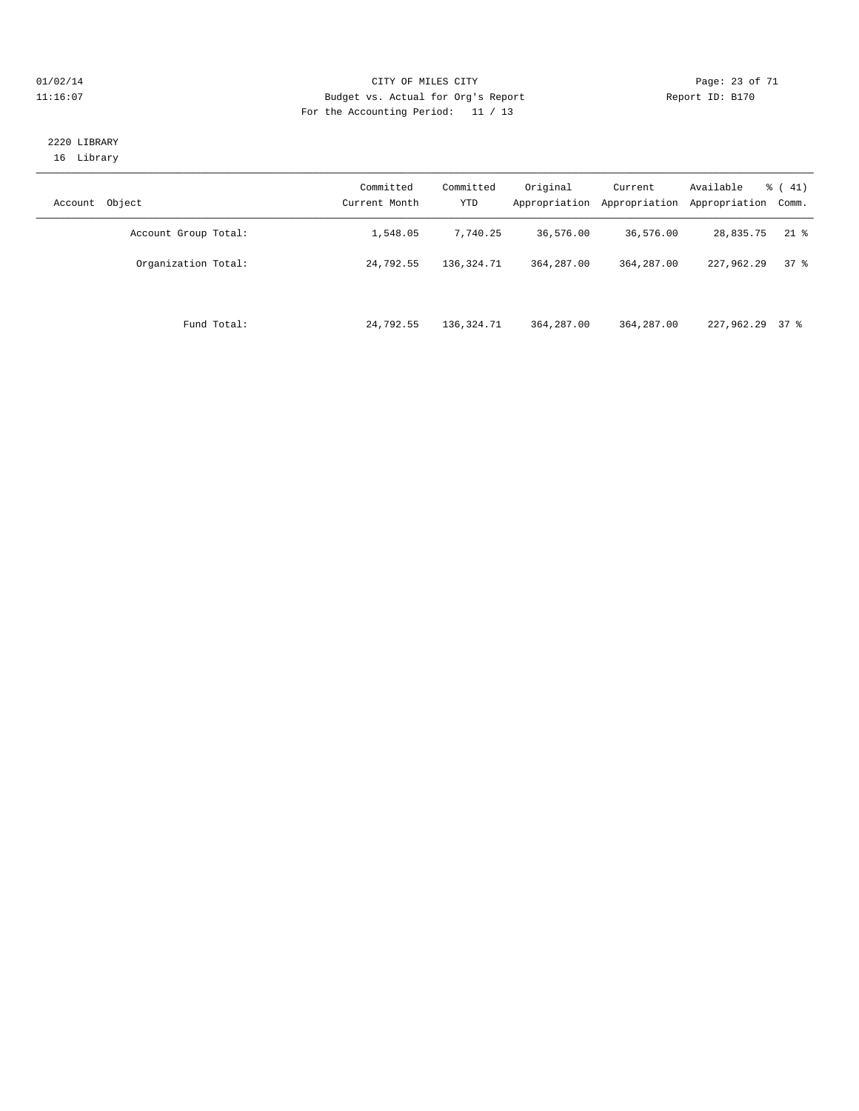#### $O1/02/14$  Page: 23 of 71 11:16:07 Budget vs. Actual for Org's Report Changer Report ID: B170 For the Accounting Period: 11 / 13

#### 2220 LIBRARY 16 Library

| Object<br>Account    | Committed<br>Current Month | Committed<br>YTD | Original<br>Appropriation | Current<br>Appropriation | Available<br>Appropriation | $\frac{1}{6}$ ( 41)<br>Comm. |
|----------------------|----------------------------|------------------|---------------------------|--------------------------|----------------------------|------------------------------|
| Account Group Total: | 1,548.05                   | 7,740.25         | 36,576.00                 | 36,576.00                | 28,835.75                  | $21$ %                       |
| Organization Total:  | 24,792.55                  | 136, 324. 71     | 364, 287, 00              | 364,287.00               | 227,962.29                 | 378                          |
| Fund Total:          | 24,792.55                  | 136, 324. 71     | 364, 287, 00              | 364,287.00               | 227,962.29 37 %            |                              |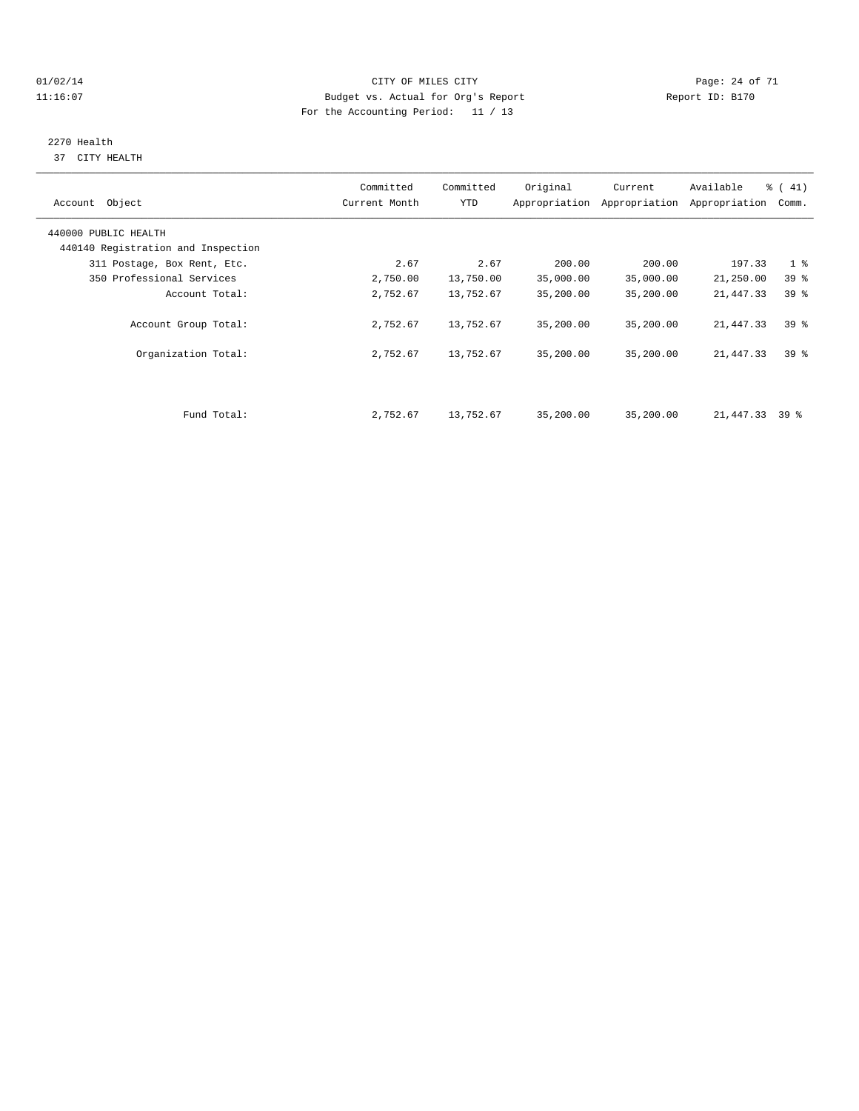#### $O1/02/14$  Page: 24 of 71 11:16:07 Budget vs. Actual for Org's Report Changer Report ID: B170 For the Accounting Period: 11 / 13

# 2270 Health

37 CITY HEALTH

| Account Object                     | Committed<br>Current Month | Committed<br>YTD | Original  | Current<br>Appropriation Appropriation | Available<br>Appropriation | % (41)<br>Comm. |
|------------------------------------|----------------------------|------------------|-----------|----------------------------------------|----------------------------|-----------------|
| 440000 PUBLIC HEALTH               |                            |                  |           |                                        |                            |                 |
| 440140 Registration and Inspection |                            |                  |           |                                        |                            |                 |
| 311 Postage, Box Rent, Etc.        | 2.67                       | 2.67             | 200.00    | 200.00                                 | 197.33                     | 1 <sup>8</sup>  |
| 350 Professional Services          | 2,750.00                   | 13,750.00        | 35,000.00 | 35,000.00                              | 21,250.00                  | 39 <sub>8</sub> |
| Account Total:                     | 2,752.67                   | 13,752.67        | 35,200.00 | 35,200.00                              | 21,447.33                  | 39 <sup>8</sup> |
| Account Group Total:               | 2,752.67                   | 13,752.67        | 35,200.00 | 35,200.00                              | 21,447.33                  | 39 <sup>8</sup> |
| Organization Total:                | 2,752.67                   | 13,752.67        | 35,200.00 | 35,200.00                              | 21,447.33                  | 39 <sup>8</sup> |
|                                    |                            |                  |           |                                        |                            |                 |
| Fund Total:                        | 2,752.67                   | 13,752.67        | 35,200.00 | 35,200.00                              | 21, 447.33 39 %            |                 |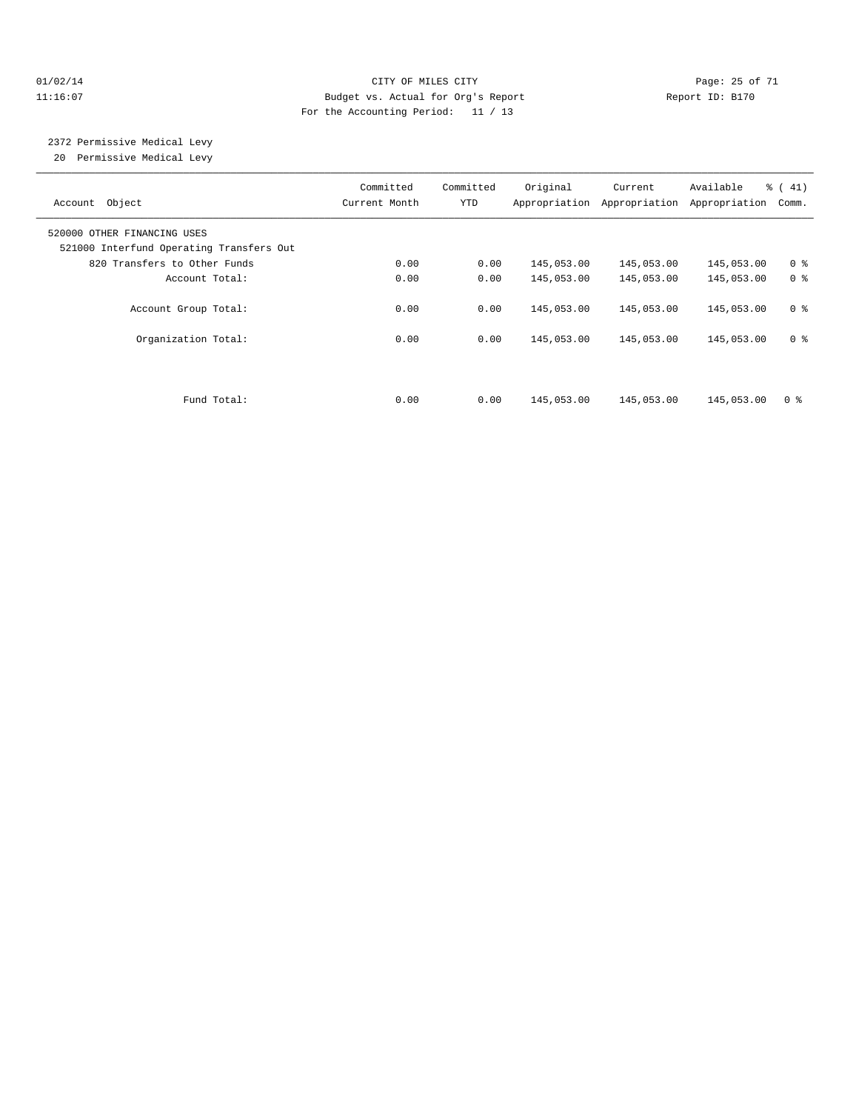#### 01/02/14 Page: 25 of 71 11:16:07 Budget vs. Actual for Org's Report Report ID: B170 For the Accounting Period: 11 / 13

 2372 Permissive Medical Levy 20 Permissive Medical Levy

———————————————————————————————————————————————————————————————————————————————————————————————————————————————————————————————————— Committed Committed Original Current Available % ( 41) Account Object Current Month YTD Appropriation Appropriation Appropriation Comm. ———————————————————————————————————————————————————————————————————————————————————————————————————————————————————————————————————— 520000 OTHER FINANCING USES 521000 Interfund Operating Transfers Out 820 Transfers to Other Funds 0.00 0.00 145,053.00 145,053.00 145,053.00 0 % Account Total: 0.00 0.00 145,053.00 145,053.00 145,053.00 0 % Account Group Total: 0.00 0.00 145,053.00 145,053.00 145,053.00 0 % Organization Total: 0.00 0.00 145,053.00 145,053.00 145,053.00 0 % Fund Total: 0.00 0.00 145,053.00 145,053.00 145,053.00 0 %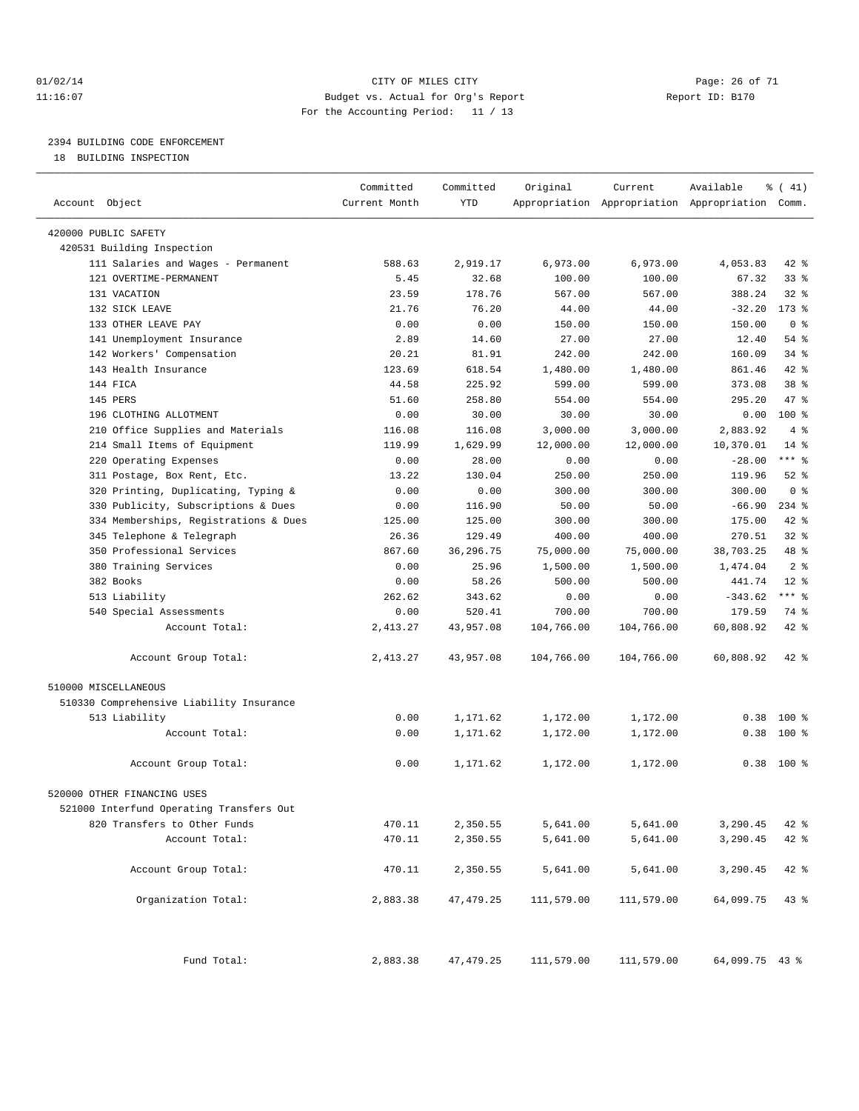#### $O1/02/14$  Page: 26 of 71 11:16:07 Budget vs. Actual for Org's Report Report ID: B170 For the Accounting Period: 11 / 13

————————————————————————————————————————————————————————————————————————————————————————————————————————————————————————————————————

# 2394 BUILDING CODE ENFORCEMENT

18 BUILDING INSPECTION

|                                          | Committed     | Committed   | Original   | Current    | Available                                       | $\frac{1}{6}$ ( 41) |
|------------------------------------------|---------------|-------------|------------|------------|-------------------------------------------------|---------------------|
| Account Object                           | Current Month | <b>YTD</b>  |            |            | Appropriation Appropriation Appropriation Comm. |                     |
| 420000 PUBLIC SAFETY                     |               |             |            |            |                                                 |                     |
| 420531 Building Inspection               |               |             |            |            |                                                 |                     |
| 111 Salaries and Wages - Permanent       | 588.63        | 2,919.17    | 6,973.00   | 6,973.00   | 4,053.83                                        | 42 %                |
| 121 OVERTIME-PERMANENT                   | 5.45          | 32.68       | 100.00     | 100.00     | 67.32                                           | $33$ $%$            |
| 131 VACATION                             | 23.59         | 178.76      | 567.00     | 567.00     | 388.24                                          | $32$ $%$            |
| 132 SICK LEAVE                           | 21.76         | 76.20       | 44.00      | 44.00      | $-32.20$                                        | $173$ $%$           |
| 133 OTHER LEAVE PAY                      | 0.00          | 0.00        | 150.00     | 150.00     | 150.00                                          | 0 <sup>8</sup>      |
| 141 Unemployment Insurance               | 2.89          | 14.60       | 27.00      | 27.00      | 12.40                                           | 54 %                |
| 142 Workers' Compensation                | 20.21         | 81.91       | 242.00     | 242.00     | 160.09                                          | 34 %                |
| 143 Health Insurance                     | 123.69        | 618.54      | 1,480.00   | 1,480.00   | 861.46                                          | 42 %                |
| 144 FICA                                 | 44.58         | 225.92      | 599.00     | 599.00     | 373.08                                          | 38 <sup>8</sup>     |
| 145 PERS                                 | 51.60         | 258.80      | 554.00     | 554.00     | 295.20                                          | 47 %                |
| 196 CLOTHING ALLOTMENT                   | 0.00          | 30.00       | 30.00      | 30.00      | 0.00                                            | 100 %               |
| 210 Office Supplies and Materials        | 116.08        | 116.08      | 3,000.00   | 3,000.00   | 2,883.92                                        | 4%                  |
| 214 Small Items of Equipment             | 119.99        | 1,629.99    | 12,000.00  | 12,000.00  | 10,370.01                                       | $14$ $\frac{6}{5}$  |
| 220 Operating Expenses                   | 0.00          | 28.00       | 0.00       | 0.00       | $-28.00$                                        | *** %               |
| 311 Postage, Box Rent, Etc.              | 13.22         | 130.04      | 250.00     | 250.00     | 119.96                                          | $52$ $%$            |
| 320 Printing, Duplicating, Typing &      | 0.00          | 0.00        | 300.00     | 300.00     | 300.00                                          | 0 <sup>8</sup>      |
| 330 Publicity, Subscriptions & Dues      | 0.00          | 116.90      | 50.00      | 50.00      | $-66.90$                                        | $234$ %             |
| 334 Memberships, Registrations & Dues    | 125.00        | 125.00      | 300.00     | 300.00     | 175.00                                          | 42 %                |
| 345 Telephone & Telegraph                | 26.36         | 129.49      | 400.00     | 400.00     | 270.51                                          | 32%                 |
| 350 Professional Services                | 867.60        | 36, 296. 75 | 75,000.00  | 75,000.00  | 38,703.25                                       | 48 %                |
| 380 Training Services                    | 0.00          | 25.96       | 1,500.00   | 1,500.00   | 1,474.04                                        | 2 <sup>8</sup>      |
| 382 Books                                | 0.00          | 58.26       | 500.00     | 500.00     | 441.74                                          | $12$ %              |
| 513 Liability                            | 262.62        | 343.62      | 0.00       | 0.00       | $-343.62$                                       | *** %               |
| 540 Special Assessments                  | 0.00          | 520.41      | 700.00     | 700.00     | 179.59                                          | 74 %                |
| Account Total:                           | 2,413.27      | 43,957.08   | 104,766.00 | 104,766.00 | 60,808.92                                       | 42 %                |
| Account Group Total:                     | 2,413.27      | 43,957.08   | 104,766.00 | 104,766.00 | 60,808.92                                       | $42$ %              |
| 510000 MISCELLANEOUS                     |               |             |            |            |                                                 |                     |
| 510330 Comprehensive Liability Insurance |               |             |            |            |                                                 |                     |
| 513 Liability                            | 0.00          | 1,171.62    | 1,172.00   | 1,172.00   | 0.38                                            | $100*$              |
| Account Total:                           | 0.00          | 1,171.62    | 1,172.00   | 1,172.00   | 0.38                                            | $100$ %             |
|                                          |               |             |            |            |                                                 |                     |
| Account Group Total:                     | 0.00          | 1,171.62    | 1,172.00   | 1,172.00   |                                                 | $0.38$ 100 %        |
| 520000 OTHER FINANCING USES              |               |             |            |            |                                                 |                     |
| 521000 Interfund Operating Transfers Out |               |             |            |            |                                                 |                     |
| 820 Transfers to Other Funds             | 470.11        | 2,350.55    | 5,641.00   | 5,641.00   | 3,290.45                                        | 42 %                |
| Account Total:                           | 470.11        | 2,350.55    | 5,641.00   | 5,641.00   | 3,290.45                                        | 42 %                |
|                                          |               |             |            |            |                                                 |                     |
| Account Group Total:                     | 470.11        | 2,350.55    | 5,641.00   | 5,641.00   | 3,290.45                                        | $42*$               |
| Organization Total:                      | 2,883.38      | 47, 479.25  | 111,579.00 | 111,579.00 | 64,099.75                                       | 43%                 |
| Fund Total:                              | 2,883.38      | 47, 479.25  | 111,579.00 | 111,579.00 | 64,099.75 43 %                                  |                     |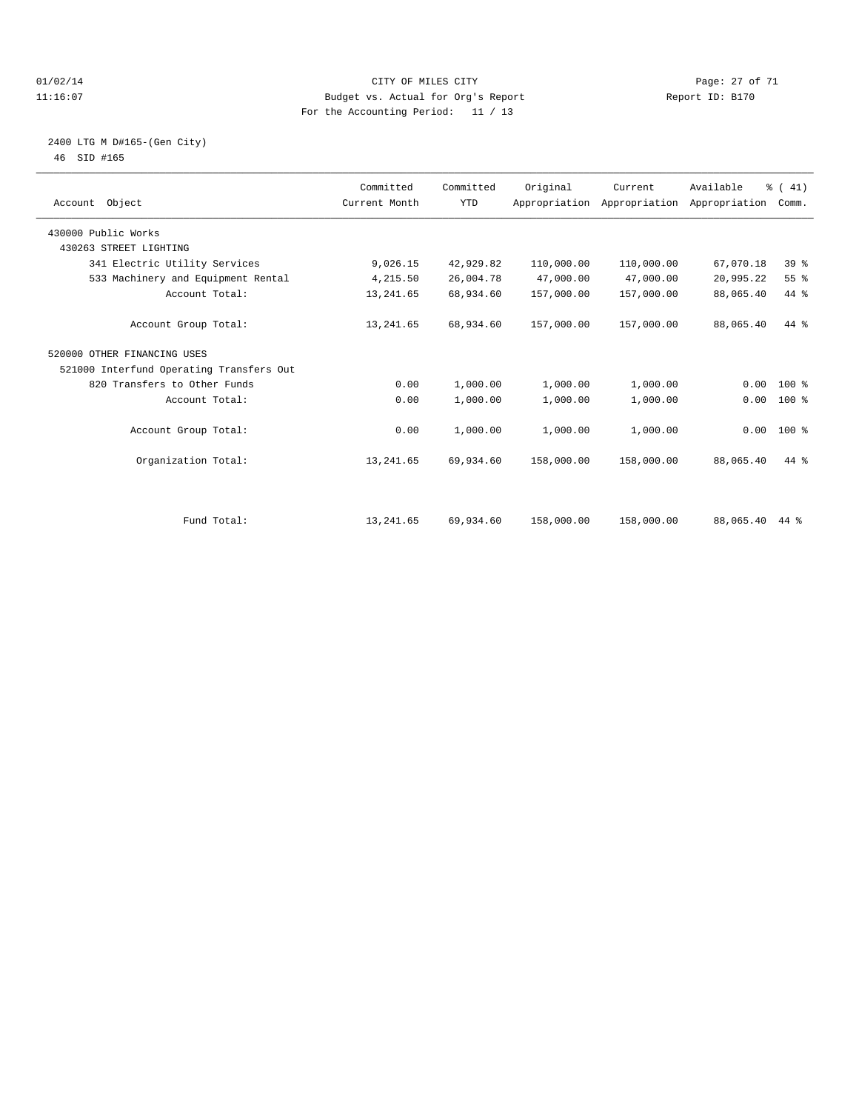#### $O1/02/14$  Page: 27 of 71 11:16:07 Budget vs. Actual for Org's Report Report ID: B170 For the Accounting Period: 11 / 13

#### 2400 LTG M D#165-(Gen City) 46 SID #165

| Account Object                           | Committed<br>Current Month | Committed<br><b>YTD</b> | Original   | Current<br>Appropriation Appropriation Appropriation | Available | % (41)<br>Comm. |  |
|------------------------------------------|----------------------------|-------------------------|------------|------------------------------------------------------|-----------|-----------------|--|
| 430000 Public Works                      |                            |                         |            |                                                      |           |                 |  |
| 430263 STREET LIGHTING                   |                            |                         |            |                                                      |           |                 |  |
| 341 Electric Utility Services            | 9,026.15                   | 42,929.82               | 110,000.00 | 110,000.00                                           | 67,070.18 | 39 <sup>8</sup> |  |
| 533 Machinery and Equipment Rental       | 4,215.50                   | 26,004.78               | 47,000.00  | 47,000.00                                            | 20,995.22 | 55 %            |  |
| Account Total:                           | 13, 241.65                 | 68,934.60               | 157,000.00 | 157,000.00                                           | 88,065.40 | 44 %            |  |
| Account Group Total:                     | 13, 241.65                 | 68,934.60               | 157,000.00 | 157,000.00                                           | 88,065.40 | $44*$           |  |
| 520000 OTHER FINANCING USES              |                            |                         |            |                                                      |           |                 |  |
| 521000 Interfund Operating Transfers Out |                            |                         |            |                                                      |           |                 |  |
| 820 Transfers to Other Funds             | 0.00                       | 1,000.00                | 1,000.00   | 1,000.00                                             | 0.00      | $100*$          |  |
| Account Total:                           | 0.00                       | 1,000.00                | 1,000.00   | 1,000.00                                             | 0.00      | $100*$          |  |
| Account Group Total:                     | 0.00                       | 1,000.00                | 1,000.00   | 1,000.00                                             |           | $0.00$ 100 %    |  |
| Organization Total:                      | 13, 241.65                 | 69,934.60               | 158,000.00 | 158,000.00                                           | 88,065.40 | $44*$           |  |
|                                          |                            |                         |            |                                                      |           |                 |  |
| Fund Total:                              | 13, 241.65                 | 69,934.60               | 158,000.00 | 158,000.00                                           | 88,065.40 | 44 %            |  |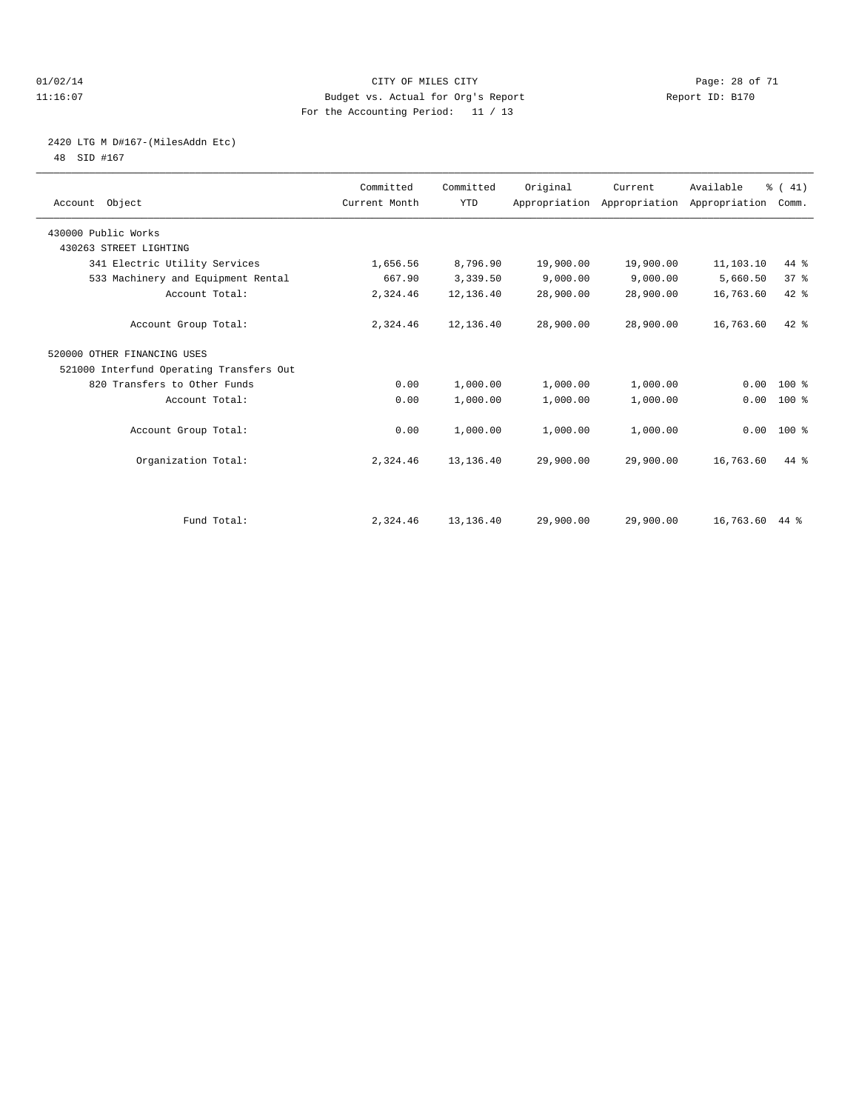#### $O1/02/14$  Page: 28 of 71 11:16:07 Budget vs. Actual for Org's Report Report ID: B170 For the Accounting Period: 11 / 13

# 2420 LTG M D#167-(MilesAddn Etc)

48 SID #167

| Account Object                           | Committed<br>Current Month | Committed<br><b>YTD</b> | Original  | Current<br>Appropriation Appropriation Appropriation | Available      | % (41)<br>Comm. |  |
|------------------------------------------|----------------------------|-------------------------|-----------|------------------------------------------------------|----------------|-----------------|--|
| 430000 Public Works                      |                            |                         |           |                                                      |                |                 |  |
| 430263 STREET LIGHTING                   |                            |                         |           |                                                      |                |                 |  |
| 341 Electric Utility Services            | 1,656.56                   | 8,796.90                | 19,900.00 | 19,900.00                                            | 11,103.10      | $44*$           |  |
| 533 Machinery and Equipment Rental       | 667.90                     | 3,339.50                | 9,000.00  | 9,000.00                                             | 5,660.50       | 37 <sup>8</sup> |  |
| Account Total:                           | 2,324.46                   | 12,136.40               | 28,900.00 | 28,900.00                                            | 16,763.60      | $42$ $%$        |  |
| Account Group Total:                     | 2,324.46                   | 12,136.40               | 28,900.00 | 28,900.00                                            | 16,763.60      | 42 %            |  |
| 520000 OTHER FINANCING USES              |                            |                         |           |                                                      |                |                 |  |
| 521000 Interfund Operating Transfers Out |                            |                         |           |                                                      |                |                 |  |
| 820 Transfers to Other Funds             | 0.00                       | 1,000.00                | 1,000.00  | 1,000.00                                             | 0.00           | $100*$          |  |
| Account Total:                           | 0.00                       | 1,000.00                | 1,000.00  | 1,000.00                                             | 0.00           | 100 %           |  |
| Account Group Total:                     | 0.00                       | 1,000.00                | 1,000.00  | 1,000.00                                             |                | $0.00$ 100 %    |  |
| Organization Total:                      | 2,324.46                   | 13, 136.40              | 29,900.00 | 29,900.00                                            | 16,763.60      | $44*$           |  |
|                                          |                            |                         |           |                                                      |                |                 |  |
| Fund Total:                              | 2,324.46                   | 13, 136.40              | 29,900.00 | 29,900.00                                            | 16,763.60 44 % |                 |  |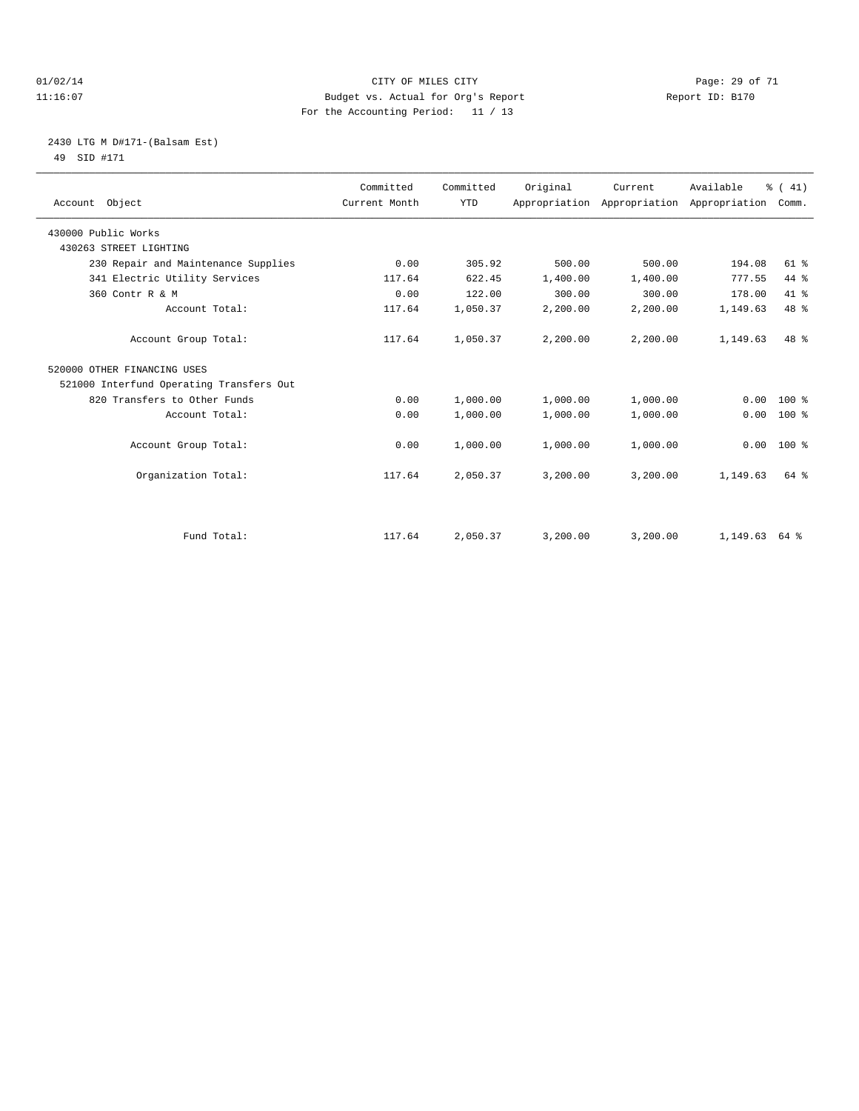#### $O1/02/14$  Page: 29 of 71 11:16:07 Budget vs. Actual for Org's Report Report ID: B170 For the Accounting Period: 11 / 13

### 2430 LTG M D#171-(Balsam Est) 49 SID #171

| Account Object                           | Committed<br>Current Month | Committed<br><b>YTD</b> | Original | Current  | Available<br>Appropriation Appropriation Appropriation | % (41)<br>Comm. |  |
|------------------------------------------|----------------------------|-------------------------|----------|----------|--------------------------------------------------------|-----------------|--|
| 430000 Public Works                      |                            |                         |          |          |                                                        |                 |  |
| 430263 STREET LIGHTING                   |                            |                         |          |          |                                                        |                 |  |
| 230 Repair and Maintenance Supplies      | 0.00                       | 305.92                  | 500.00   | 500.00   | 194.08                                                 | $61$ %          |  |
| 341 Electric Utility Services            | 117.64                     | 622.45                  | 1,400.00 | 1,400.00 | 777.55                                                 | 44 %            |  |
| 360 Contr R & M                          | 0.00                       | 122.00                  | 300.00   | 300.00   | 178.00                                                 | 41.8            |  |
| Account Total:                           | 117.64                     | 1,050.37                | 2,200.00 | 2,200.00 | 1,149.63                                               | 48 %            |  |
| Account Group Total:                     | 117.64                     | 1,050.37                | 2,200.00 | 2,200.00 | 1,149.63                                               | 48 %            |  |
| 520000 OTHER FINANCING USES              |                            |                         |          |          |                                                        |                 |  |
| 521000 Interfund Operating Transfers Out |                            |                         |          |          |                                                        |                 |  |
| 820 Transfers to Other Funds             | 0.00                       | 1,000.00                | 1,000.00 | 1,000.00 | 0.00                                                   | $100*$          |  |
| Account Total:                           | 0.00                       | 1,000.00                | 1,000.00 | 1,000.00 | 0.00                                                   | $100*$          |  |
| Account Group Total:                     | 0.00                       | 1,000.00                | 1,000.00 | 1,000.00 | 0.00                                                   | $100*$          |  |
| Organization Total:                      | 117.64                     | 2,050.37                | 3,200.00 | 3,200.00 | 1,149.63                                               | 64 %            |  |
| Fund Total:                              | 117.64                     | 2,050.37                | 3,200.00 | 3,200.00 | 1,149.63                                               | 64 %            |  |
|                                          |                            |                         |          |          |                                                        |                 |  |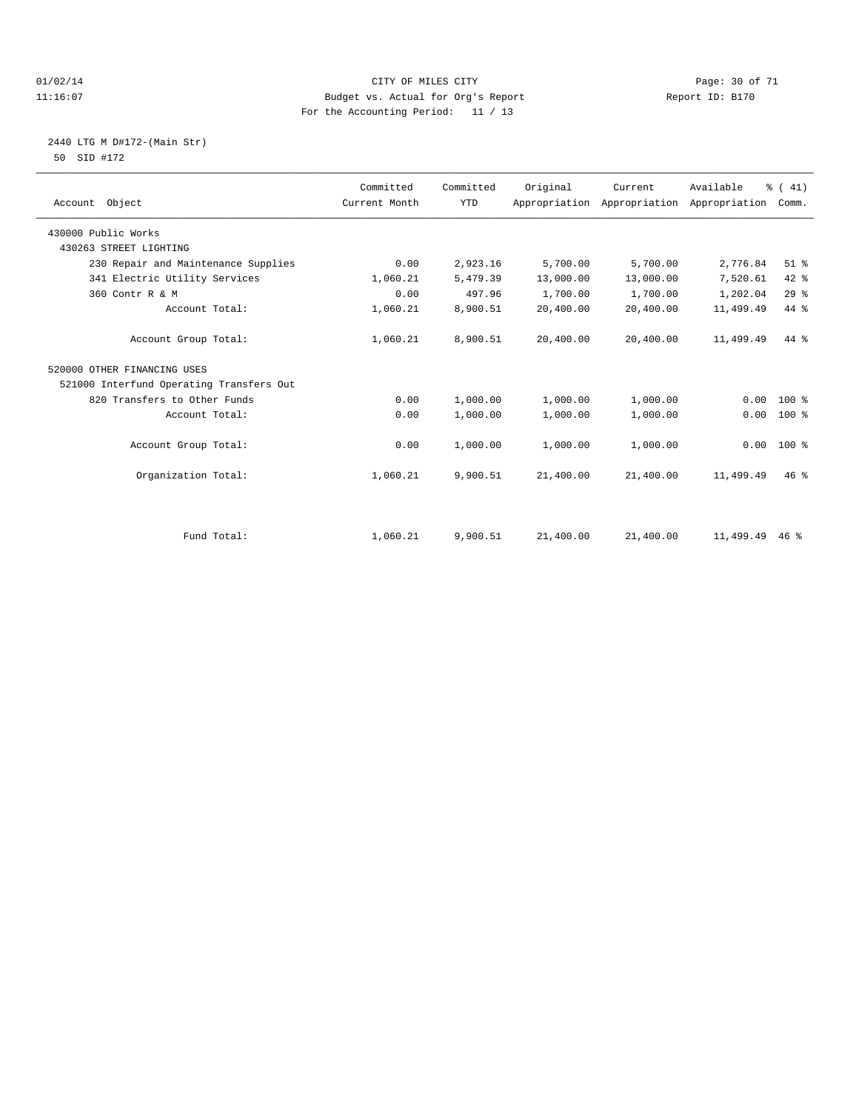#### $O1/02/14$  Page: 30 of 71 11:16:07 Budget vs. Actual for Org's Report Report ID: B170 For the Accounting Period: 11 / 13

### 2440 LTG M D#172-(Main Str) 50 SID #172

| Account Object                           | Committed<br>Current Month | Committed<br><b>YTD</b> | Original  | Current<br>Appropriation Appropriation | Available<br>Appropriation | % (41)<br>Comm. |
|------------------------------------------|----------------------------|-------------------------|-----------|----------------------------------------|----------------------------|-----------------|
| 430000 Public Works                      |                            |                         |           |                                        |                            |                 |
| 430263 STREET LIGHTING                   |                            |                         |           |                                        |                            |                 |
| 230 Repair and Maintenance Supplies      | 0.00                       | 2,923.16                | 5,700.00  | 5,700.00                               | 2,776.84                   | $51$ %          |
| 341 Electric Utility Services            | 1,060.21                   | 5,479.39                | 13,000.00 | 13,000.00                              | 7,520.61                   | 42 %            |
| 360 Contr R & M                          | 0.00                       | 497.96                  | 1,700.00  | 1,700.00                               | 1,202.04                   | 29%             |
| Account Total:                           | 1,060.21                   | 8,900.51                | 20,400.00 | 20,400.00                              | 11,499.49                  | 44 %            |
| Account Group Total:                     | 1,060.21                   | 8,900.51                | 20,400.00 | 20,400.00                              | 11,499.49                  | 44 %            |
| 520000 OTHER FINANCING USES              |                            |                         |           |                                        |                            |                 |
| 521000 Interfund Operating Transfers Out |                            |                         |           |                                        |                            |                 |
| 820 Transfers to Other Funds             | 0.00                       | 1,000.00                | 1,000.00  | 1,000.00                               | 0.00                       | $100*$          |
| Account Total:                           | 0.00                       | 1,000.00                | 1,000.00  | 1,000.00                               | 0.00                       | $100*$          |
| Account Group Total:                     | 0.00                       | 1,000.00                | 1,000.00  | 1,000.00                               | 0.00                       | $100*$          |
| Organization Total:                      | 1,060.21                   | 9,900.51                | 21,400.00 | 21,400.00                              | 11,499.49                  | 46.8            |
|                                          |                            |                         |           |                                        |                            |                 |
| Fund Total:                              | 1,060.21                   | 9,900.51                | 21,400.00 | 21,400.00                              | 11,499.49                  | $46*$           |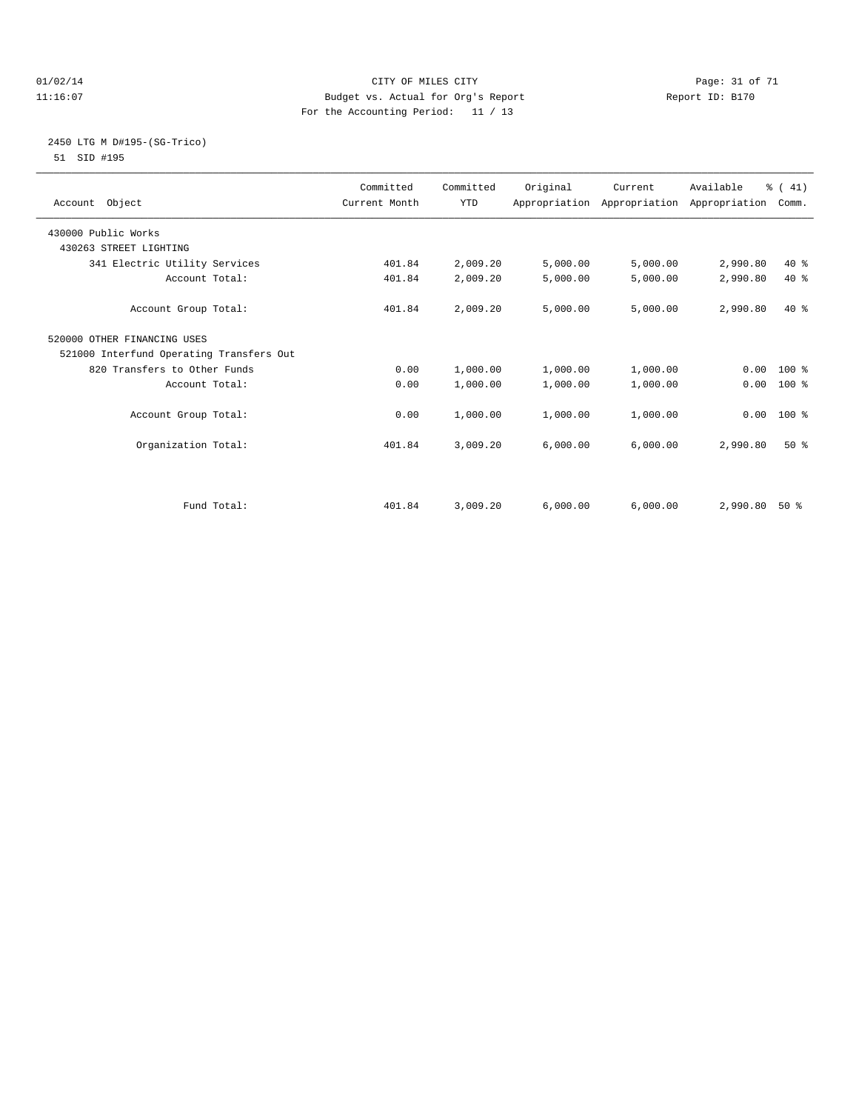#### $O1/02/14$  Page: 31 of 71 11:16:07 Budget vs. Actual for Org's Report Report ID: B170 For the Accounting Period: 11 / 13

#### 2450 LTG M D#195-(SG-Trico) 51 SID #195

|                                          | Committed     | Committed  | Original | Current  | Available                                 | % (41)       |  |
|------------------------------------------|---------------|------------|----------|----------|-------------------------------------------|--------------|--|
| Account Object                           | Current Month | <b>YTD</b> |          |          | Appropriation Appropriation Appropriation | Comm.        |  |
| 430000 Public Works                      |               |            |          |          |                                           |              |  |
| 430263 STREET LIGHTING                   |               |            |          |          |                                           |              |  |
| 341 Electric Utility Services            | 401.84        | 2,009.20   | 5,000.00 | 5,000.00 | 2,990.80                                  | 40 %         |  |
| Account Total:                           | 401.84        | 2,009.20   | 5,000.00 | 5,000.00 | 2,990.80                                  | $40*$        |  |
| Account Group Total:                     | 401.84        | 2,009.20   | 5,000.00 | 5,000.00 | 2,990.80                                  | $40*$        |  |
| 520000 OTHER FINANCING USES              |               |            |          |          |                                           |              |  |
| 521000 Interfund Operating Transfers Out |               |            |          |          |                                           |              |  |
| 820 Transfers to Other Funds             | 0.00          | 1,000.00   | 1,000.00 | 1,000.00 |                                           | $0.00 100$ % |  |
| Account Total:                           | 0.00          | 1,000.00   | 1,000.00 | 1,000.00 | 0.00                                      | 100 %        |  |
| Account Group Total:                     | 0.00          | 1,000.00   | 1,000.00 | 1,000.00 | 0.00                                      | $100*$       |  |
| Organization Total:                      | 401.84        | 3,009.20   | 6,000.00 | 6,000.00 | 2,990.80                                  | $50*$        |  |
|                                          |               |            |          |          |                                           |              |  |
| Fund Total:                              | 401.84        | 3,009.20   | 6,000.00 | 6,000.00 | 2,990.80                                  | $50*$        |  |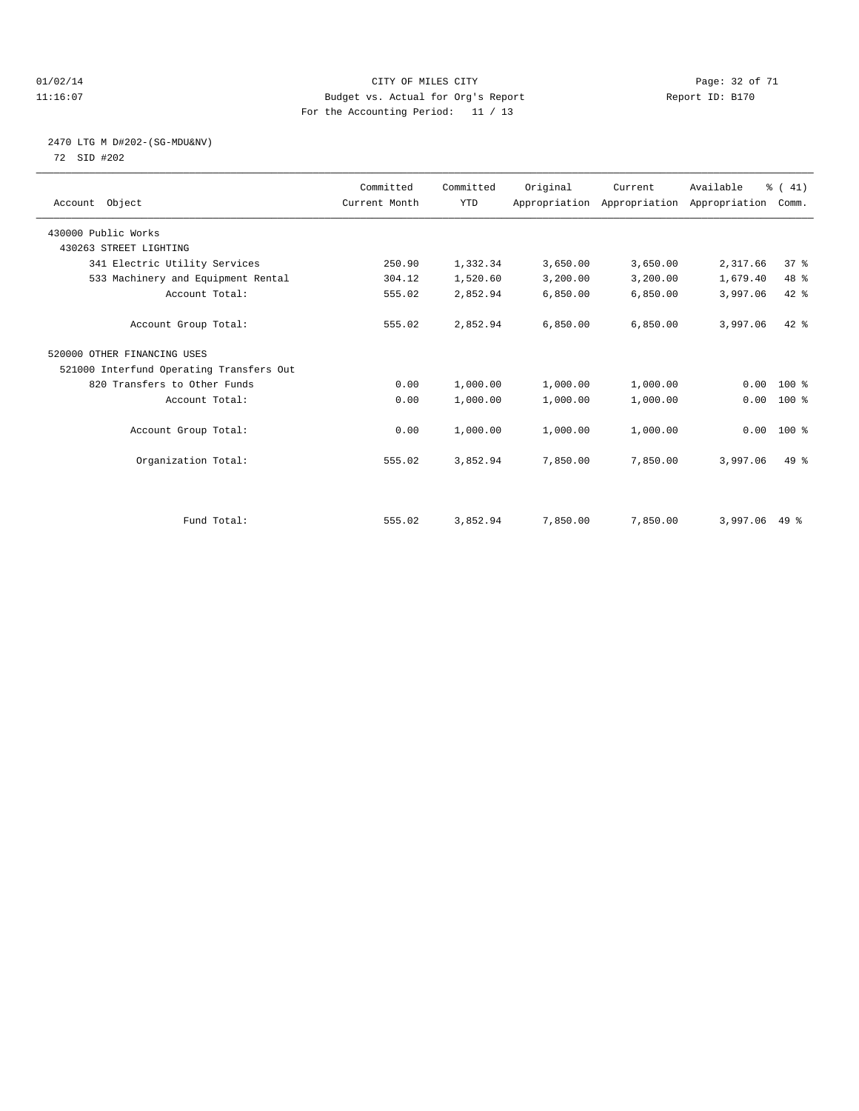#### $O1/02/14$  Page: 32 of 71 11:16:07 Budget vs. Actual for Org's Report Changer Report ID: B170 For the Accounting Period: 11 / 13

### 2470 LTG M D#202-(SG-MDU&NV) 72 SID #202

| Account Object                           | Committed<br>Current Month | Committed<br><b>YTD</b> | Original | Current<br>Appropriation Appropriation Appropriation | Available | % (41)<br>Comm. |  |
|------------------------------------------|----------------------------|-------------------------|----------|------------------------------------------------------|-----------|-----------------|--|
| 430000 Public Works                      |                            |                         |          |                                                      |           |                 |  |
| 430263 STREET LIGHTING                   |                            |                         |          |                                                      |           |                 |  |
| 341 Electric Utility Services            | 250.90                     | 1,332.34                | 3,650.00 | 3,650.00                                             | 2,317.66  | 37 <sup>8</sup> |  |
| 533 Machinery and Equipment Rental       | 304.12                     | 1,520.60                | 3,200.00 | 3,200.00                                             | 1,679.40  | 48 %            |  |
| Account Total:                           | 555.02                     | 2,852.94                | 6,850.00 | 6,850.00                                             | 3,997.06  | 42 %            |  |
| Account Group Total:                     | 555.02                     | 2,852.94                | 6,850.00 | 6,850.00                                             | 3,997.06  | $42*$           |  |
| 520000 OTHER FINANCING USES              |                            |                         |          |                                                      |           |                 |  |
| 521000 Interfund Operating Transfers Out |                            |                         |          |                                                      |           |                 |  |
| 820 Transfers to Other Funds             | 0.00                       | 1,000.00                | 1,000.00 | 1,000.00                                             | 0.00      | $100*$          |  |
| Account Total:                           | 0.00                       | 1,000.00                | 1,000.00 | 1,000.00                                             | 0.00      | $100*$          |  |
| Account Group Total:                     | 0.00                       | 1,000.00                | 1,000.00 | 1,000.00                                             |           | $0.00$ 100 %    |  |
| Organization Total:                      | 555.02                     | 3,852.94                | 7,850.00 | 7,850.00                                             | 3,997.06  | $49*$           |  |
|                                          |                            |                         |          |                                                      |           |                 |  |
| Fund Total:                              | 555.02                     | 3,852.94                | 7,850.00 | 7,850.00                                             | 3,997.06  | 49 %            |  |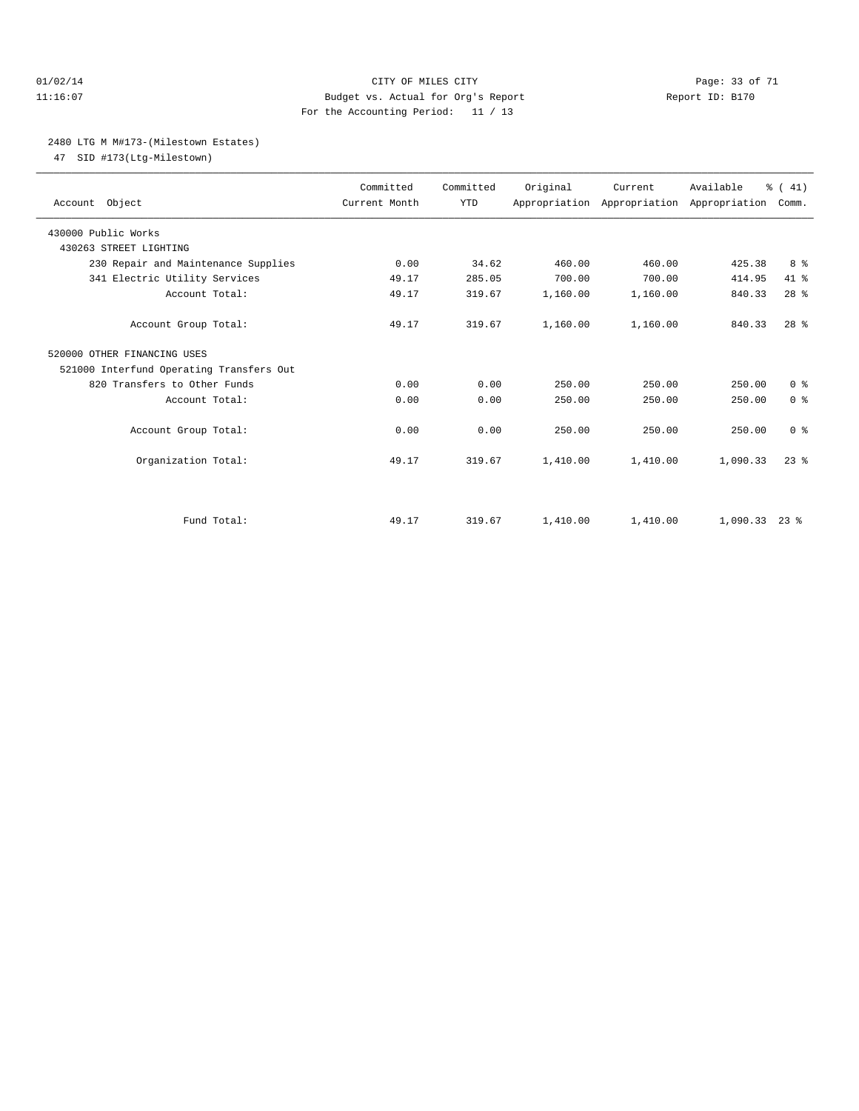#### 01/02/14 Page: 33 of 71 11:16:07 Budget vs. Actual for Org's Report Report ID: B170 For the Accounting Period: 11 / 13

#### 2480 LTG M M#173-(Milestown Estates)

47 SID #173(Ltg-Milestown)

| Account Object                                | Committed<br>Current Month | Committed<br><b>YTD</b> | Original | Current<br>Appropriation Appropriation Appropriation | Available     | % (41)<br>Comm. |  |
|-----------------------------------------------|----------------------------|-------------------------|----------|------------------------------------------------------|---------------|-----------------|--|
| 430000 Public Works<br>430263 STREET LIGHTING |                            |                         |          |                                                      |               |                 |  |
| 230 Repair and Maintenance Supplies           | 0.00                       | 34.62                   | 460.00   | 460.00                                               | 425.38        | 8 %             |  |
| 341 Electric Utility Services                 | 49.17                      | 285.05                  | 700.00   | 700.00                                               | 414.95        | 41 %            |  |
|                                               |                            |                         |          |                                                      |               |                 |  |
| Account Total:                                | 49.17                      | 319.67                  | 1,160.00 | 1,160.00                                             | 840.33        | 28 <sup>8</sup> |  |
| Account Group Total:                          | 49.17                      | 319.67                  | 1,160.00 | 1,160.00                                             | 840.33        | 28 <sup>8</sup> |  |
| 520000 OTHER FINANCING USES                   |                            |                         |          |                                                      |               |                 |  |
| 521000 Interfund Operating Transfers Out      |                            |                         |          |                                                      |               |                 |  |
| 820 Transfers to Other Funds                  | 0.00                       | 0.00                    | 250.00   | 250.00                                               | 250.00        | 0 <sup>8</sup>  |  |
| Account Total:                                | 0.00                       | 0.00                    | 250.00   | 250.00                                               | 250.00        | 0 <sup>8</sup>  |  |
| Account Group Total:                          | 0.00                       | 0.00                    | 250.00   | 250.00                                               | 250.00        | 0 <sup>8</sup>  |  |
| Organization Total:                           | 49.17                      | 319.67                  | 1,410.00 | 1,410.00                                             | 1,090.33      | $23$ $%$        |  |
|                                               |                            |                         |          |                                                      |               |                 |  |
| Fund Total:                                   | 49.17                      | 319.67                  | 1,410.00 | 1,410.00                                             | 1,090.33 23 % |                 |  |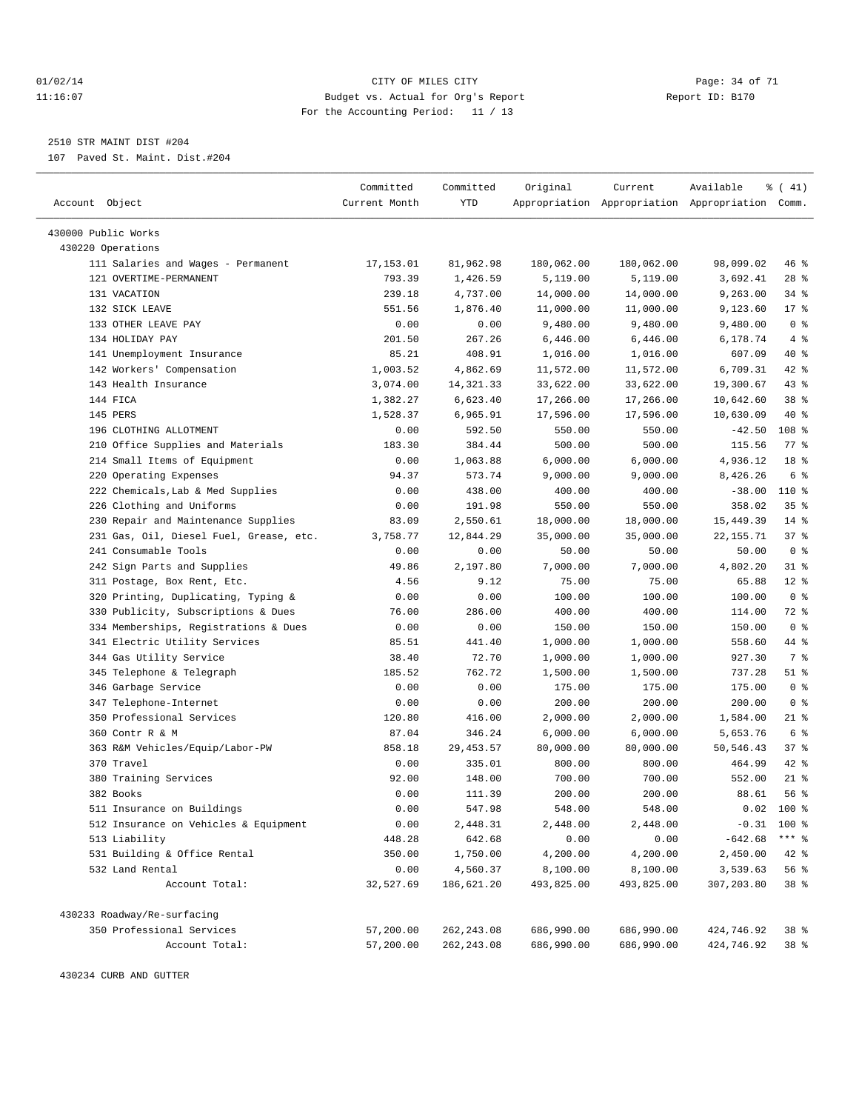#### $O1/02/14$  Page: 34 of 71 11:16:07 Budget vs. Actual for Org's Report Report ID: B170 For the Accounting Period: 11 / 13

————————————————————————————————————————————————————————————————————————————————————————————————————————————————————————————————————

2510 STR MAINT DIST #204

107 Paved St. Maint. Dist.#204

|                                                              | Committed     | Committed   | Original   | Current    | Available                                       | % (41)                  |
|--------------------------------------------------------------|---------------|-------------|------------|------------|-------------------------------------------------|-------------------------|
| Account Object                                               | Current Month | YTD         |            |            | Appropriation Appropriation Appropriation Comm. |                         |
|                                                              |               |             |            |            |                                                 |                         |
| 430000 Public Works                                          |               |             |            |            |                                                 |                         |
| 430220 Operations                                            |               |             |            |            |                                                 |                         |
| 111 Salaries and Wages - Permanent<br>121 OVERTIME-PERMANENT | 17,153.01     | 81,962.98   | 180,062.00 | 180,062.00 | 98,099.02                                       | 46 %                    |
|                                                              | 793.39        | 1,426.59    | 5,119.00   | 5,119.00   | 3,692.41                                        | $28$ %                  |
| 131 VACATION                                                 | 239.18        | 4,737.00    | 14,000.00  | 14,000.00  | 9,263.00                                        | 34 %                    |
| 132 SICK LEAVE<br>133 OTHER LEAVE PAY                        | 551.56        | 1,876.40    | 11,000.00  | 11,000.00  | 9,123.60                                        | $17*$<br>0 <sup>8</sup> |
|                                                              | 0.00          | 0.00        | 9,480.00   | 9,480.00   | 9,480.00                                        |                         |
| 134 HOLIDAY PAY<br>141 Unemployment Insurance                | 201.50        | 267.26      | 6,446.00   | 6,446.00   | 6,178.74                                        | 4%<br>40 %              |
|                                                              | 85.21         | 408.91      | 1,016.00   | 1,016.00   | 607.09                                          |                         |
| 142 Workers' Compensation                                    | 1,003.52      | 4,862.69    | 11,572.00  | 11,572.00  | 6,709.31                                        | 42 %<br>43 %            |
| 143 Health Insurance                                         | 3,074.00      | 14, 321.33  | 33,622.00  | 33,622.00  | 19,300.67                                       |                         |
| 144 FICA                                                     | 1,382.27      | 6,623.40    | 17,266.00  | 17,266.00  | 10,642.60                                       | 38 <sup>8</sup>         |
| 145 PERS                                                     | 1,528.37      | 6,965.91    | 17,596.00  | 17,596.00  | 10,630.09                                       | 40 %                    |
| 196 CLOTHING ALLOTMENT                                       | 0.00          | 592.50      | 550.00     | 550.00     | $-42.50$                                        | 108 %                   |
| 210 Office Supplies and Materials                            | 183.30        | 384.44      | 500.00     | 500.00     | 115.56                                          | $77$ $\frac{6}{9}$      |
| 214 Small Items of Equipment                                 | 0.00          | 1,063.88    | 6,000.00   | 6,000.00   | 4,936.12                                        | 18 %                    |
| 220 Operating Expenses                                       | 94.37         | 573.74      | 9,000.00   | 9,000.00   | 8,426.26                                        | 6 %                     |
| 222 Chemicals, Lab & Med Supplies                            | 0.00          | 438.00      | 400.00     | 400.00     | $-38.00$                                        | 110 %                   |
| 226 Clothing and Uniforms                                    | 0.00          | 191.98      | 550.00     | 550.00     | 358.02                                          | 35%                     |
| 230 Repair and Maintenance Supplies                          | 83.09         | 2,550.61    | 18,000.00  | 18,000.00  | 15,449.39                                       | $14*$                   |
| 231 Gas, Oil, Diesel Fuel, Grease, etc.                      | 3,758.77      | 12,844.29   | 35,000.00  | 35,000.00  | 22, 155.71                                      | 37%                     |
| 241 Consumable Tools                                         | 0.00          | 0.00        | 50.00      | 50.00      | 50.00                                           | 0 <sup>8</sup>          |
| 242 Sign Parts and Supplies                                  | 49.86         | 2,197.80    | 7,000.00   | 7,000.00   | 4,802.20                                        | $31$ %                  |
| 311 Postage, Box Rent, Etc.                                  | 4.56          | 9.12        | 75.00      | 75.00      | 65.88                                           | $12$ %                  |
| 320 Printing, Duplicating, Typing &                          | 0.00          | 0.00        | 100.00     | 100.00     | 100.00                                          | 0 <sup>8</sup>          |
| 330 Publicity, Subscriptions & Dues                          | 76.00         | 286.00      | 400.00     | 400.00     | 114.00                                          | 72 %                    |
| 334 Memberships, Registrations & Dues                        | 0.00          | 0.00        | 150.00     | 150.00     | 150.00                                          | 0 <sup>8</sup>          |
| 341 Electric Utility Services                                | 85.51         | 441.40      | 1,000.00   | 1,000.00   | 558.60                                          | 44 %                    |
| 344 Gas Utility Service                                      | 38.40         | 72.70       | 1,000.00   | 1,000.00   | 927.30                                          | 7 %                     |
| 345 Telephone & Telegraph                                    | 185.52        | 762.72      | 1,500.00   | 1,500.00   | 737.28                                          | $51$ %                  |
| 346 Garbage Service                                          | 0.00          | 0.00        | 175.00     | 175.00     | 175.00                                          | 0 <sup>8</sup>          |
| 347 Telephone-Internet                                       | 0.00          | 0.00        | 200.00     | 200.00     | 200.00                                          | 0 <sup>8</sup>          |
| 350 Professional Services                                    | 120.80        | 416.00      | 2,000.00   | 2,000.00   | 1,584.00                                        | $21$ %                  |
| 360 Contr R & M                                              | 87.04         | 346.24      | 6,000.00   | 6,000.00   | 5,653.76                                        | 6 %                     |
| 363 R&M Vehicles/Equip/Labor-PW                              | 858.18        | 29, 453.57  | 80,000.00  | 80,000.00  | 50,546.43                                       | 37%                     |
| 370 Travel                                                   | 0.00          | 335.01      | 800.00     | 800.00     | 464.99                                          | $42$ %                  |
| 380 Training Services                                        | 92.00         | 148.00      | 700.00     | 700.00     | 552.00                                          | $21$ %                  |
| 382 Books                                                    | 0.00          | 111.39      | 200.00     | 200.00     | 88.61                                           | 56%                     |
| 511 Insurance on Buildings                                   | 0.00          | 547.98      | 548.00     | 548.00     | 0.02                                            | 100 %                   |
| 512 Insurance on Vehicles & Equipment                        | 0.00          | 2,448.31    | 2,448.00   | 2,448.00   |                                                 | $-0.31$ 100 %           |
| 513 Liability                                                | 448.28        | 642.68      | 0.00       | 0.00       | $-642.68$                                       | $***$ $_{8}$            |
| 531 Building & Office Rental                                 | 350.00        | 1,750.00    | 4,200.00   | 4,200.00   | 2,450.00                                        | $42$ %                  |
| 532 Land Rental                                              | 0.00          | 4,560.37    | 8,100.00   | 8,100.00   | 3,539.63                                        | 56 %                    |
| Account Total:                                               | 32,527.69     | 186,621.20  | 493,825.00 | 493,825.00 | 307,203.80                                      | 38 %                    |
| 430233 Roadway/Re-surfacing                                  |               |             |            |            |                                                 |                         |
| 350 Professional Services                                    | 57,200.00     | 262, 243.08 | 686,990.00 | 686,990.00 | 424,746.92                                      | 38 %                    |
| Account Total:                                               | 57,200.00     | 262, 243.08 | 686,990.00 | 686,990.00 | 424,746.92                                      | 38 %                    |
|                                                              |               |             |            |            |                                                 |                         |

430234 CURB AND GUTTER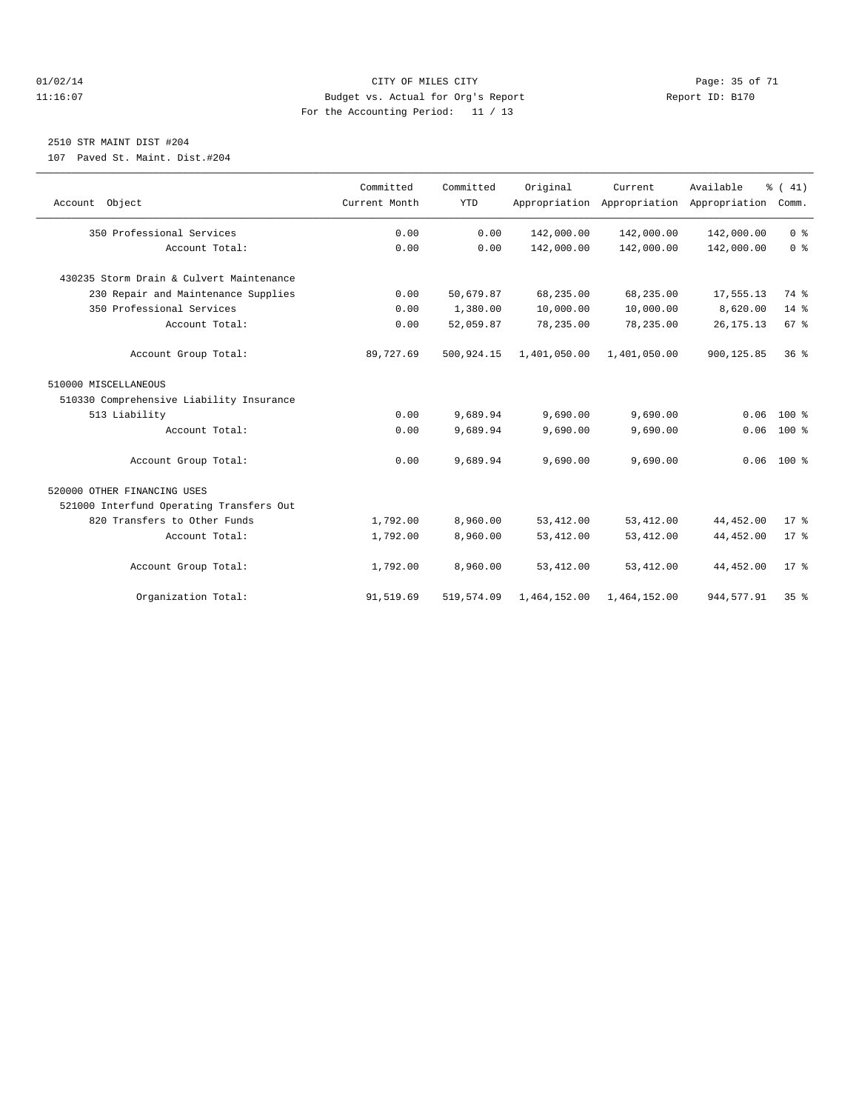#### $O1/02/14$  Page: 35 of 71 11:16:07 Budget vs. Actual for Org's Report Report ID: B170 For the Accounting Period: 11 / 13

## 2510 STR MAINT DIST #204

107 Paved St. Maint. Dist.#204

| Account Object                           | Committed<br>Current Month | Committed<br><b>YTD</b> | Original     | Current.<br>Appropriation Appropriation Appropriation | Available   | % (41)<br>Comm. |
|------------------------------------------|----------------------------|-------------------------|--------------|-------------------------------------------------------|-------------|-----------------|
| 350 Professional Services                | 0.00                       | 0.00                    | 142,000.00   | 142,000.00                                            | 142,000.00  | 0 <sup>8</sup>  |
| Account Total:                           | 0.00                       | 0.00                    | 142,000.00   | 142,000.00                                            | 142,000.00  | 0 <sup>8</sup>  |
| 430235 Storm Drain & Culvert Maintenance |                            |                         |              |                                                       |             |                 |
| 230 Repair and Maintenance Supplies      | 0.00                       | 50,679.87               | 68,235.00    | 68,235.00                                             | 17,555.13   | 74 %            |
| 350 Professional Services                | 0.00                       | 1,380.00                | 10,000.00    | 10,000.00                                             | 8,620.00    | $14*$           |
| Account Total:                           | 0.00                       | 52,059.87               | 78,235.00    | 78,235.00                                             | 26, 175. 13 | 67 <sup>8</sup> |
| Account Group Total:                     | 89,727.69                  | 500,924.15              | 1,401,050.00 | 1,401,050.00                                          | 900,125.85  | 36 <sup>8</sup> |
| 510000 MISCELLANEOUS                     |                            |                         |              |                                                       |             |                 |
| 510330 Comprehensive Liability Insurance |                            |                         |              |                                                       |             |                 |
| 513 Liability                            | 0.00                       | 9,689.94                | 9,690.00     | 9,690.00                                              | 0.06        | $100*$          |
| Account Total:                           | 0.00                       | 9,689.94                | 9,690.00     | 9,690.00                                              | 0.06        | $100*$          |
| Account Group Total:                     | 0.00                       | 9,689.94                | 9,690.00     | 9,690.00                                              |             | $0.06$ 100 %    |
| 520000 OTHER FINANCING USES              |                            |                         |              |                                                       |             |                 |
| 521000 Interfund Operating Transfers Out |                            |                         |              |                                                       |             |                 |
| 820 Transfers to Other Funds             | 1,792.00                   | 8,960.00                | 53, 412.00   | 53, 412.00                                            | 44, 452.00  | $17*$           |
| Account Total:                           | 1,792.00                   | 8,960.00                | 53, 412.00   | 53, 412.00                                            | 44, 452.00  | $17$ %          |
| Account Group Total:                     | 1,792.00                   | 8,960.00                | 53, 412.00   | 53, 412.00                                            | 44, 452.00  | $17*$           |
| Organization Total:                      | 91,519.69                  | 519,574.09              | 1,464,152.00 | 1,464,152.00                                          | 944, 577.91 | 35 <sup>8</sup> |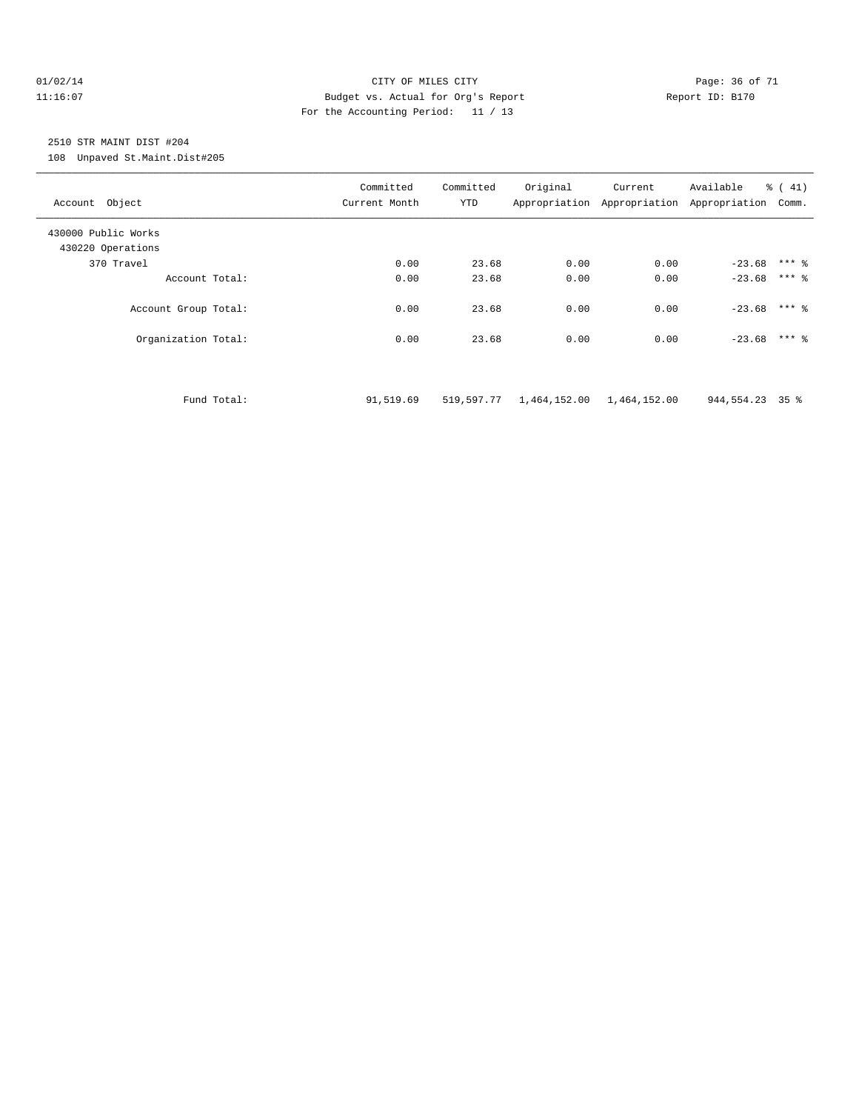#### $O1/02/14$  Page: 36 of 71 11:16:07 Budget vs. Actual for Org's Report Report ID: B170 For the Accounting Period: 11 / 13

# 2510 STR MAINT DIST #204

108 Unpaved St.Maint.Dist#205

| Account Object                           |             | Committed<br>Current Month | Committed<br><b>YTD</b> | Original                  | Current<br>Appropriation Appropriation Appropriation | Available       | % (41)<br>Comm. |
|------------------------------------------|-------------|----------------------------|-------------------------|---------------------------|------------------------------------------------------|-----------------|-----------------|
| 430000 Public Works<br>430220 Operations |             |                            |                         |                           |                                                      |                 |                 |
| 370 Travel                               |             | 0.00                       | 23.68                   | 0.00                      | 0.00                                                 | $-23.68$ *** &  |                 |
| Account Total:                           |             | 0.00                       | 23.68                   | 0.00                      | 0.00                                                 | $-23.68$        | $***$ 2         |
| Account Group Total:                     |             | 0.00                       | 23.68                   | 0.00                      | 0.00                                                 | $-23.68$ *** &  |                 |
| Organization Total:                      |             | 0.00                       | 23.68                   | 0.00                      | 0.00                                                 | $-23.68$ *** &  |                 |
|                                          |             |                            |                         |                           |                                                      |                 |                 |
|                                          | Fund Total: | 91,519.69                  | 519,597.77              | 1,464,152.00 1,464,152.00 |                                                      | 944,554.23 35 % |                 |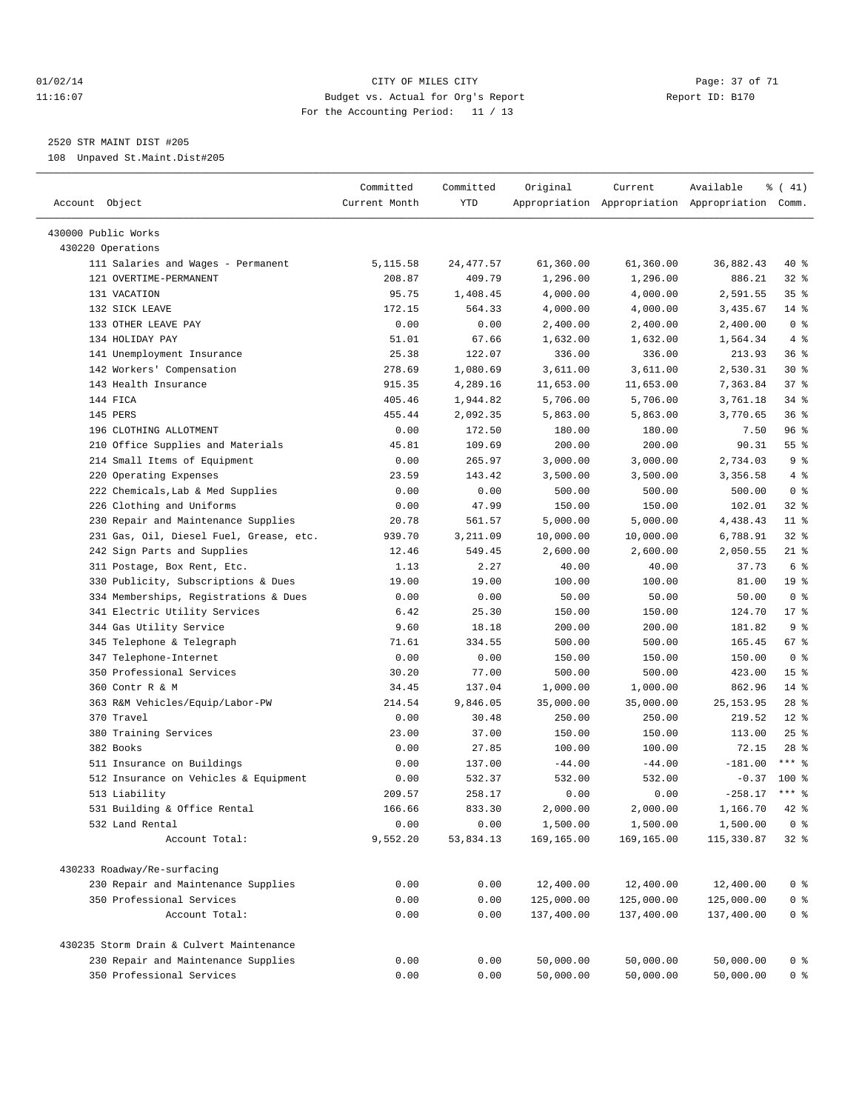#### 01/02/14 Page: 37 of 71 11:16:07 Budget vs. Actual for Org's Report Report ID: B170 For the Accounting Period: 11 / 13

————————————————————————————————————————————————————————————————————————————————————————————————————————————————————————————————————

2520 STR MAINT DIST #205

108 Unpaved St.Maint.Dist#205

| Account Object                           | Committed<br>Current Month | Committed<br>YTD | Original   | Current    | Available<br>Appropriation Appropriation Appropriation Comm. | $\frac{2}{6}$ ( 41) |  |
|------------------------------------------|----------------------------|------------------|------------|------------|--------------------------------------------------------------|---------------------|--|
|                                          |                            |                  |            |            |                                                              |                     |  |
| 430000 Public Works<br>430220 Operations |                            |                  |            |            |                                                              |                     |  |
| 111 Salaries and Wages - Permanent       | 5,115.58                   | 24, 477.57       | 61,360.00  | 61,360.00  | 36,882.43                                                    | 40 %                |  |
| 121 OVERTIME-PERMANENT                   | 208.87                     | 409.79           | 1,296.00   | 1,296.00   | 886.21                                                       | $32$ $%$            |  |
| 131 VACATION                             | 95.75                      | 1,408.45         | 4,000.00   | 4,000.00   | 2,591.55                                                     | 35%                 |  |
| 132 SICK LEAVE                           | 172.15                     | 564.33           | 4,000.00   | 4,000.00   | 3,435.67                                                     | $14*$               |  |
| 133 OTHER LEAVE PAY                      | 0.00                       | 0.00             | 2,400.00   | 2,400.00   | 2,400.00                                                     | 0 <sup>8</sup>      |  |
| 134 HOLIDAY PAY                          | 51.01                      | 67.66            | 1,632.00   | 1,632.00   | 1,564.34                                                     | 4%                  |  |
| 141 Unemployment Insurance               | 25.38                      | 122.07           | 336.00     | 336.00     | 213.93                                                       | 36 %                |  |
| 142 Workers' Compensation                | 278.69                     | 1,080.69         | 3,611.00   | 3,611.00   | 2,530.31                                                     | $30*$               |  |
| 143 Health Insurance                     | 915.35                     | 4,289.16         | 11,653.00  | 11,653.00  | 7,363.84                                                     | 37%                 |  |
| 144 FICA                                 | 405.46                     | 1,944.82         | 5,706.00   | 5,706.00   | 3,761.18                                                     | $34$ $%$            |  |
| 145 PERS                                 | 455.44                     | 2,092.35         | 5,863.00   | 5,863.00   | 3,770.65                                                     | 36 <sup>8</sup>     |  |
| 196 CLOTHING ALLOTMENT                   | 0.00                       | 172.50           | 180.00     | 180.00     | 7.50                                                         | 96 %                |  |
| 210 Office Supplies and Materials        | 45.81                      | 109.69           | 200.00     | 200.00     | 90.31                                                        | 55%                 |  |
| 214 Small Items of Equipment             | 0.00                       | 265.97           | 3,000.00   | 3,000.00   | 2,734.03                                                     | 9%                  |  |
| 220 Operating Expenses                   | 23.59                      | 143.42           | 3,500.00   | 3,500.00   | 3,356.58                                                     | 4%                  |  |
| 222 Chemicals, Lab & Med Supplies        | 0.00                       | 0.00             | 500.00     | 500.00     | 500.00                                                       | 0 <sup>8</sup>      |  |
| 226 Clothing and Uniforms                | 0.00                       | 47.99            | 150.00     | 150.00     | 102.01                                                       | 32 %                |  |
| 230 Repair and Maintenance Supplies      | 20.78                      | 561.57           | 5,000.00   | 5,000.00   | 4,438.43                                                     | $11$ %              |  |
| 231 Gas, Oil, Diesel Fuel, Grease, etc.  | 939.70                     | 3,211.09         | 10,000.00  | 10,000.00  | 6,788.91                                                     | $32$ $%$            |  |
| 242 Sign Parts and Supplies              | 12.46                      | 549.45           | 2,600.00   | 2,600.00   | 2,050.55                                                     | $21$ %              |  |
| 311 Postage, Box Rent, Etc.              | 1.13                       | 2.27             | 40.00      | 40.00      | 37.73                                                        | 6 %                 |  |
| 330 Publicity, Subscriptions & Dues      | 19.00                      | 19.00            | 100.00     | 100.00     | 81.00                                                        | 19 <sup>°</sup>     |  |
| 334 Memberships, Registrations & Dues    | 0.00                       | 0.00             | 50.00      | 50.00      | 50.00                                                        | 0 <sup>8</sup>      |  |
| 341 Electric Utility Services            | 6.42                       | 25.30            | 150.00     | 150.00     | 124.70                                                       | 17.8                |  |
| 344 Gas Utility Service                  | 9.60                       | 18.18            | 200.00     | 200.00     | 181.82                                                       | 9 <sup>°</sup>      |  |
| 345 Telephone & Telegraph                | 71.61                      | 334.55           | 500.00     | 500.00     | 165.45                                                       | 67 %                |  |
| 347 Telephone-Internet                   | 0.00                       | 0.00             | 150.00     | 150.00     | 150.00                                                       | 0 <sup>8</sup>      |  |
| 350 Professional Services                | 30.20                      | 77.00            | 500.00     | 500.00     | 423.00                                                       | 15 <sup>8</sup>     |  |
| 360 Contr R & M                          | 34.45                      | 137.04           | 1,000.00   | 1,000.00   | 862.96                                                       | $14*$               |  |
| 363 R&M Vehicles/Equip/Labor-PW          | 214.54                     | 9,846.05         | 35,000.00  | 35,000.00  | 25, 153.95                                                   | $28$ %              |  |
| 370 Travel                               | 0.00                       | 30.48            | 250.00     | 250.00     | 219.52                                                       | $12*$               |  |
| 380 Training Services                    | 23.00                      | 37.00            | 150.00     | 150.00     | 113.00                                                       | $25$ %              |  |
| 382 Books                                | 0.00                       | 27.85            | 100.00     | 100.00     | 72.15                                                        | $28$ %              |  |
| 511 Insurance on Buildings               | 0.00                       | 137.00           | $-44.00$   | $-44.00$   | $-181.00$                                                    | $***$ $-$           |  |
| 512 Insurance on Vehicles & Equipment    | 0.00                       | 532.37           | 532.00     | 532.00     | $-0.37$                                                      | 100 %               |  |
| 513 Liability                            | 209.57                     | 258.17           | 0.00       | 0.00       | $-258.17$                                                    | $***$ $-$           |  |
| 531 Building & Office Rental             | 166.66                     | 833.30           | 2,000.00   | 2,000.00   | 1,166.70                                                     | 42 %                |  |
| 532 Land Rental                          | 0.00                       | 0.00             | 1,500.00   | 1,500.00   | 1,500.00                                                     | 0 <sup>8</sup>      |  |
| Account Total:                           | 9,552.20                   | 53,834.13        | 169,165.00 | 169,165.00 | 115,330.87                                                   | $32$ $%$            |  |
| 430233 Roadway/Re-surfacing              |                            |                  |            |            |                                                              |                     |  |
| 230 Repair and Maintenance Supplies      | 0.00                       | 0.00             | 12,400.00  | 12,400.00  | 12,400.00                                                    | 0 <sup>8</sup>      |  |
| 350 Professional Services                | 0.00                       | 0.00             | 125,000.00 | 125,000.00 | 125,000.00                                                   | $0$ %               |  |
| Account Total:                           | 0.00                       | 0.00             | 137,400.00 | 137,400.00 | 137,400.00                                                   | $0$ %               |  |
| 430235 Storm Drain & Culvert Maintenance |                            |                  |            |            |                                                              |                     |  |
| 230 Repair and Maintenance Supplies      | 0.00                       | 0.00             | 50,000.00  | 50,000.00  | 50,000.00                                                    | $0$ %               |  |
| 350 Professional Services                | 0.00                       | 0.00             | 50,000.00  | 50,000.00  | 50,000.00                                                    | $0$ %               |  |
|                                          |                            |                  |            |            |                                                              |                     |  |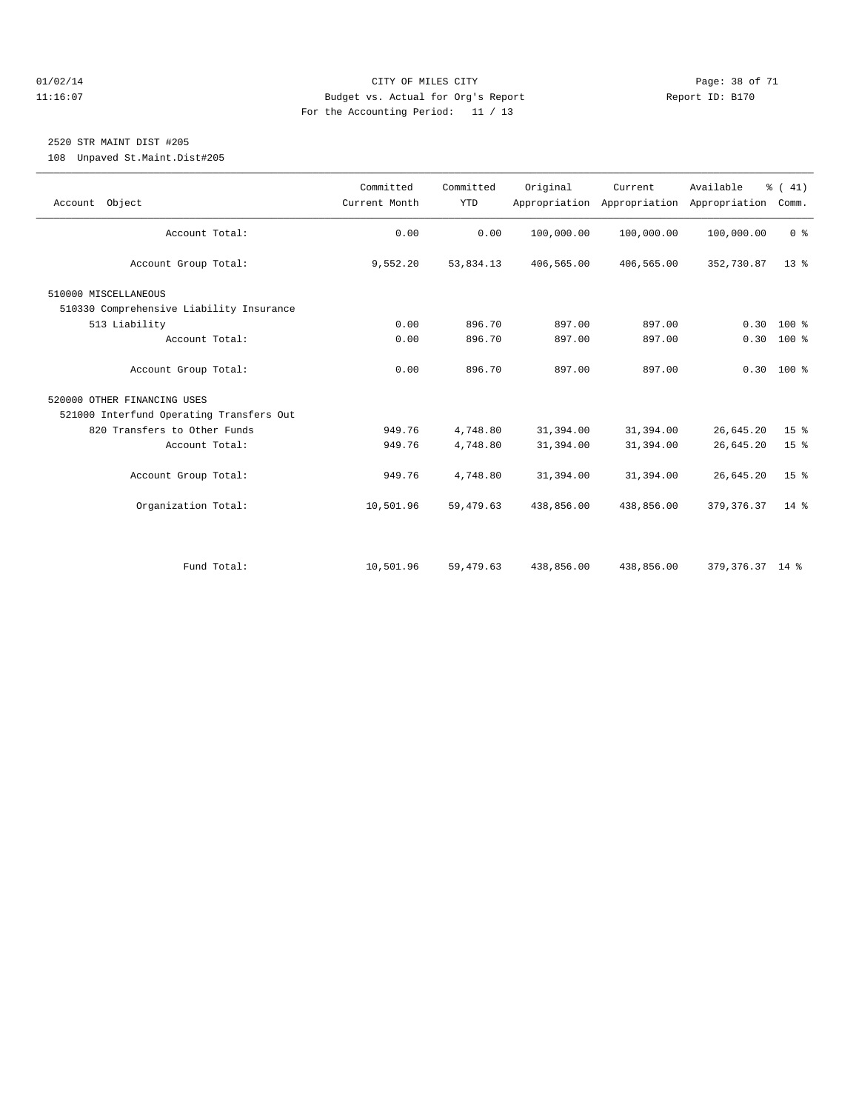#### $O1/02/14$  Page: 38 of 71 11:16:07 Budget vs. Actual for Org's Report Report ID: B170 For the Accounting Period: 11 / 13

# 2520 STR MAINT DIST #205

108 Unpaved St.Maint.Dist#205

| Account Object                           | Committed<br>Current Month | Committed<br><b>YTD</b> | Original   | Current<br>Appropriation Appropriation | Available<br>Appropriation | $\frac{1}{6}$ ( 41)<br>Comm. |
|------------------------------------------|----------------------------|-------------------------|------------|----------------------------------------|----------------------------|------------------------------|
| Account Total:                           | 0.00                       | 0.00                    | 100,000.00 | 100,000.00                             | 100,000.00                 | 0 <sup>8</sup>               |
|                                          |                            |                         |            |                                        |                            |                              |
| Account Group Total:                     | 9,552.20                   | 53,834.13               | 406,565.00 | 406,565.00                             | 352,730.87                 | 13 <sup>8</sup>              |
| 510000 MISCELLANEOUS                     |                            |                         |            |                                        |                            |                              |
| 510330 Comprehensive Liability Insurance |                            |                         |            |                                        |                            |                              |
| 513 Liability                            | 0.00                       | 896.70                  | 897.00     | 897.00                                 | 0.30                       | $100*$                       |
| Account Total:                           | 0.00                       | 896.70                  | 897.00     | 897.00                                 |                            | $0.30 100$ %                 |
|                                          |                            |                         |            |                                        |                            |                              |
| Account Group Total:                     | 0.00                       | 896.70                  | 897.00     | 897.00                                 |                            | $0.30$ 100 %                 |
| 520000 OTHER FINANCING USES              |                            |                         |            |                                        |                            |                              |
| 521000 Interfund Operating Transfers Out |                            |                         |            |                                        |                            |                              |
| 820 Transfers to Other Funds             | 949.76                     | 4,748.80                | 31,394.00  | 31,394.00                              | 26,645.20                  | 15 <sup>°</sup>              |
| Account Total:                           | 949.76                     | 4,748.80                | 31,394.00  | 31,394.00                              | 26,645.20                  | 15 <sup>°</sup>              |
|                                          |                            |                         |            |                                        |                            |                              |
| Account Group Total:                     | 949.76                     | 4,748.80                | 31,394.00  | 31,394.00                              | 26,645.20                  | 15 <sup>8</sup>              |
|                                          |                            |                         |            |                                        |                            |                              |
| Organization Total:                      | 10,501.96                  | 59,479.63               | 438,856.00 | 438,856.00                             | 379, 376.37                | 14 %                         |
|                                          |                            |                         |            |                                        |                            |                              |
|                                          |                            |                         |            |                                        |                            |                              |
| Fund Total:                              | 10,501.96                  | 59,479.63               | 438,856.00 | 438,856.00                             | 379, 376. 37 14 %          |                              |
|                                          |                            |                         |            |                                        |                            |                              |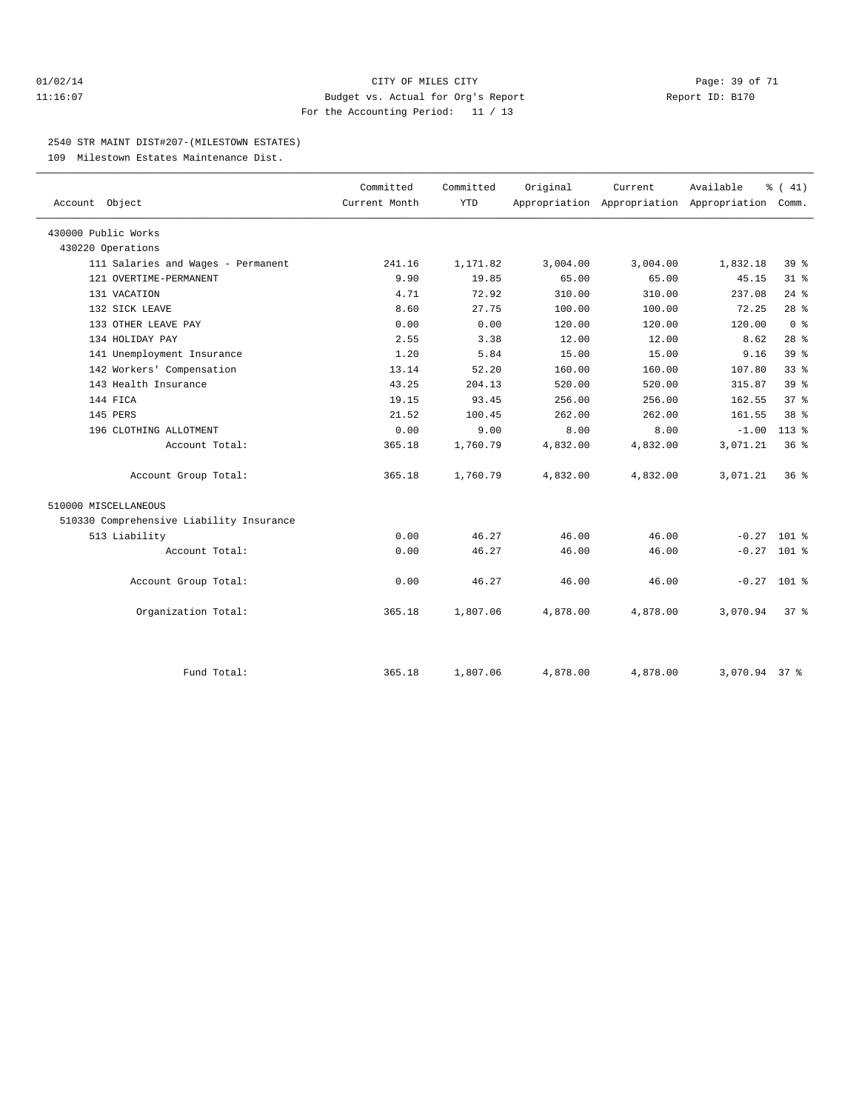#### $O1/02/14$  Page: 39 of 71 11:16:07 Budget vs. Actual for Org's Report Report ID: B170 For the Accounting Period: 11 / 13

#### 2540 STR MAINT DIST#207-(MILESTOWN ESTATES)

109 Milestown Estates Maintenance Dist.

| Account Object                           | Committed<br>Current Month | Committed<br><b>YTD</b> | Original | Current  | Available<br>Appropriation Appropriation Appropriation | $\frac{1}{6}$ ( 41)<br>Comm. |  |
|------------------------------------------|----------------------------|-------------------------|----------|----------|--------------------------------------------------------|------------------------------|--|
|                                          |                            |                         |          |          |                                                        |                              |  |
| 430000 Public Works                      |                            |                         |          |          |                                                        |                              |  |
| 430220 Operations                        |                            |                         |          |          |                                                        |                              |  |
| 111 Salaries and Wages - Permanent       | 241.16                     | 1,171.82                | 3,004.00 | 3,004.00 | 1,832.18                                               | 39 <sup>8</sup>              |  |
| 121 OVERTIME-PERMANENT                   | 9.90                       | 19.85                   | 65.00    | 65.00    | 45.15                                                  | 31.8                         |  |
| 131 VACATION                             | 4.71                       | 72.92                   | 310.00   | 310.00   | 237.08                                                 | $24$ %                       |  |
| 132 SICK LEAVE                           | 8.60                       | 27.75                   | 100.00   | 100.00   | 72.25                                                  | 28 <sup>8</sup>              |  |
| 133 OTHER LEAVE PAY                      | 0.00                       | 0.00                    | 120.00   | 120.00   | 120.00                                                 | 0 <sup>8</sup>               |  |
| 134 HOLIDAY PAY                          | 2.55                       | 3.38                    | 12.00    | 12.00    | 8.62                                                   | 28 <sup>8</sup>              |  |
| 141 Unemployment Insurance               | 1.20                       | 5.84                    | 15.00    | 15.00    | 9.16                                                   | 39 <sup>8</sup>              |  |
| 142 Workers' Compensation                | 13.14                      | 52.20                   | 160.00   | 160.00   | 107.80                                                 | 33%                          |  |
| 143 Health Insurance                     | 43.25                      | 204.13                  | 520.00   | 520.00   | 315.87                                                 | 39 <sup>8</sup>              |  |
| 144 FICA                                 | 19.15                      | 93.45                   | 256.00   | 256.00   | 162.55                                                 | $37*$                        |  |
| 145 PERS                                 | 21.52                      | 100.45                  | 262.00   | 262.00   | 161.55                                                 | 38 <sup>8</sup>              |  |
| 196 CLOTHING ALLOTMENT                   | 0.00                       | 9.00                    | 8.00     | 8.00     | $-1.00$                                                | $113*$                       |  |
| Account Total:                           | 365.18                     | 1,760.79                | 4,832.00 | 4,832.00 | 3,071.21                                               | $36*$                        |  |
| Account Group Total:                     | 365.18                     | 1,760.79                | 4,832.00 | 4,832.00 | 3,071.21                                               | $36*$                        |  |
| 510000 MISCELLANEOUS                     |                            |                         |          |          |                                                        |                              |  |
| 510330 Comprehensive Liability Insurance |                            |                         |          |          |                                                        |                              |  |
| 513 Liability                            | 0.00                       | 46.27                   | 46.00    | 46.00    |                                                        | $-0.27$ 101 %                |  |
| Account Total:                           | 0.00                       | 46.27                   | 46.00    | 46.00    |                                                        | $-0.27$ 101 %                |  |
| Account Group Total:                     | 0.00                       | 46.27                   | 46.00    | 46.00    |                                                        | $-0.27$ 101 %                |  |
| Organization Total:                      | 365.18                     | 1,807.06                | 4,878.00 | 4,878.00 | 3,070.94                                               | $37*$                        |  |
|                                          |                            |                         |          |          |                                                        |                              |  |
| Fund Total:                              | 365.18                     | 1,807.06                | 4,878.00 | 4,878.00 | 3,070.94 37 %                                          |                              |  |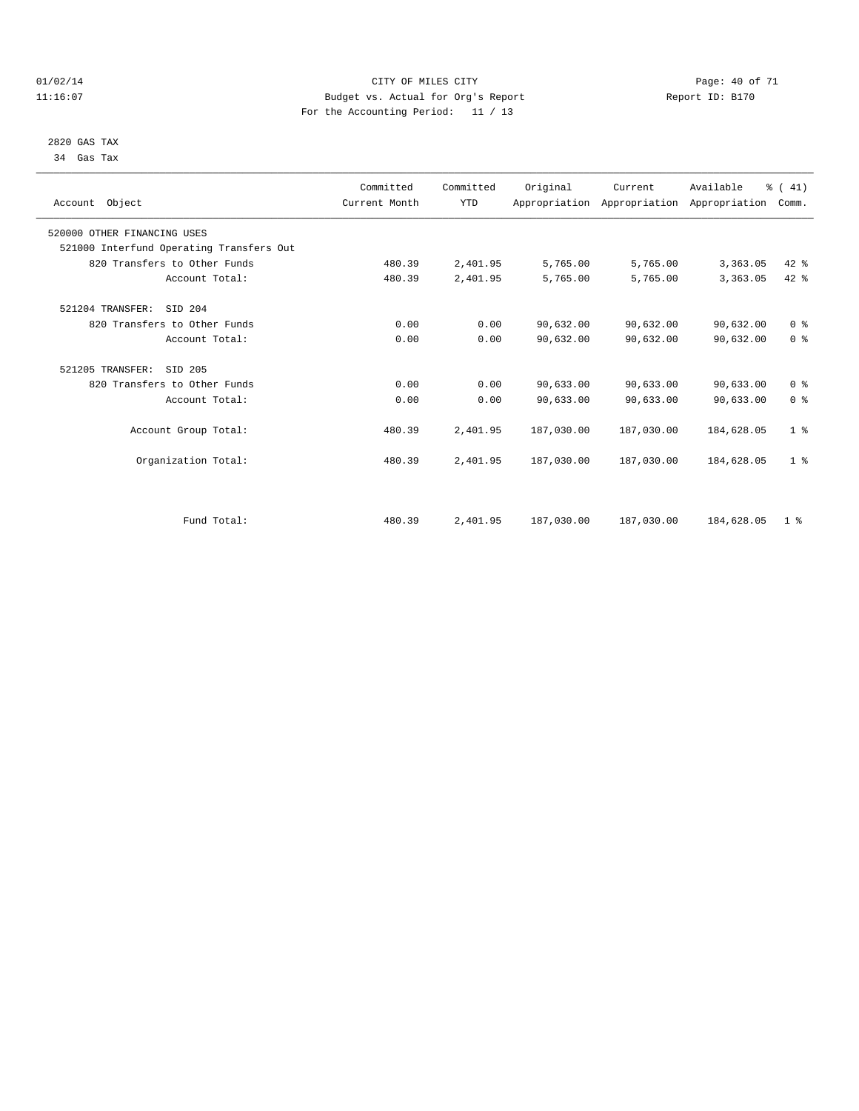#### $O1/02/14$  Page: 40 of 71 11:16:07 Budget vs. Actual for Org's Report Changer Report ID: B170 For the Accounting Period: 11 / 13

#### 2820 GAS TAX 34 Gas Tax

| Account Object                           | Committed<br>Current Month | Committed<br><b>YTD</b> | Original   | Current<br>Appropriation Appropriation Appropriation | Available  | % (41)<br>Comm. |  |
|------------------------------------------|----------------------------|-------------------------|------------|------------------------------------------------------|------------|-----------------|--|
| 520000 OTHER FINANCING USES              |                            |                         |            |                                                      |            |                 |  |
| 521000 Interfund Operating Transfers Out |                            |                         |            |                                                      |            |                 |  |
| 820 Transfers to Other Funds             | 480.39                     | 2,401.95                | 5,765.00   | 5,765.00                                             | 3,363.05   | 42 %            |  |
| Account Total:                           | 480.39                     | 2,401.95                | 5,765.00   | 5,765.00                                             | 3,363.05   | 42 %            |  |
| 521204 TRANSFER:<br>SID 204              |                            |                         |            |                                                      |            |                 |  |
| 820 Transfers to Other Funds             | 0.00                       | 0.00                    | 90,632.00  | 90,632.00                                            | 90,632.00  | 0 <sup>8</sup>  |  |
| Account Total:                           | 0.00                       | 0.00                    | 90,632.00  | 90,632.00                                            | 90,632.00  | 0 <sup>8</sup>  |  |
| 521205 TRANSFER:<br>SID 205              |                            |                         |            |                                                      |            |                 |  |
| 820 Transfers to Other Funds             | 0.00                       | 0.00                    | 90,633.00  | 90,633.00                                            | 90,633.00  | 0 <sup>8</sup>  |  |
| Account Total:                           | 0.00                       | 0.00                    | 90,633.00  | 90,633.00                                            | 90,633.00  | 0 <sup>8</sup>  |  |
| Account Group Total:                     | 480.39                     | 2,401.95                | 187,030.00 | 187,030.00                                           | 184,628.05 | 1 <sup>8</sup>  |  |
| Organization Total:                      | 480.39                     | 2,401.95                | 187,030.00 | 187,030.00                                           | 184,628.05 | 1 <sup>8</sup>  |  |
|                                          |                            |                         |            |                                                      |            |                 |  |
| Fund Total:                              | 480.39                     | 2,401.95                | 187,030.00 | 187,030.00                                           | 184,628.05 | 1 <sup>8</sup>  |  |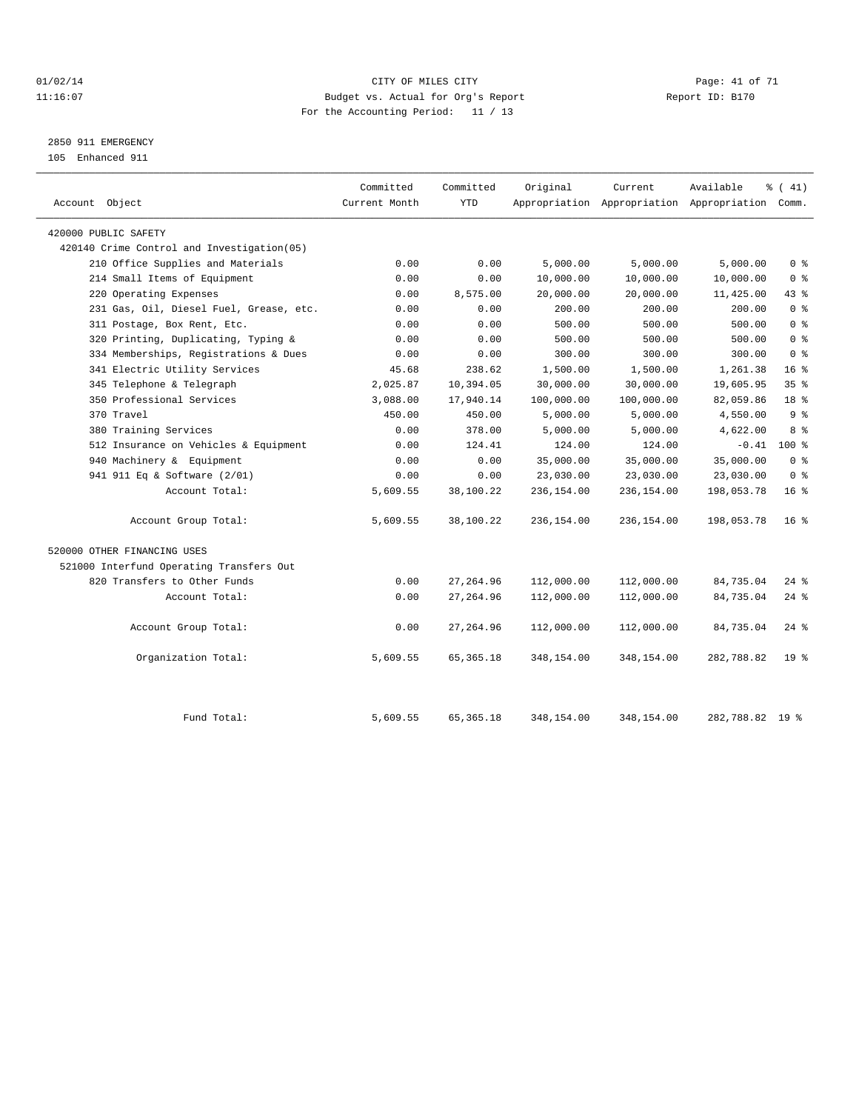#### $O1/02/14$  Page: 41 of 71 11:16:07 Budget vs. Actual for Org's Report Changer Report ID: B170 For the Accounting Period: 11 / 13

# 2850 911 EMERGENCY

105 Enhanced 911

| Account Object                             | Committed<br>Current Month | Committed<br><b>YTD</b> | Original   | Current    | Available<br>Appropriation Appropriation Appropriation Comm. | % (41)             |
|--------------------------------------------|----------------------------|-------------------------|------------|------------|--------------------------------------------------------------|--------------------|
| 420000 PUBLIC SAFETY                       |                            |                         |            |            |                                                              |                    |
| 420140 Crime Control and Investigation(05) |                            |                         |            |            |                                                              |                    |
| 210 Office Supplies and Materials          | 0.00                       | 0.00                    | 5,000.00   | 5,000.00   | 5,000.00                                                     | 0 <sup>8</sup>     |
| 214 Small Items of Equipment               | 0.00                       | 0.00                    | 10,000.00  | 10,000.00  | 10,000.00                                                    | 0 <sup>8</sup>     |
| 220 Operating Expenses                     | 0.00                       | 8,575.00                | 20,000.00  | 20,000.00  | 11,425.00                                                    | 43.8               |
| 231 Gas, Oil, Diesel Fuel, Grease, etc.    | 0.00                       | 0.00                    | 200.00     | 200.00     | 200.00                                                       | 0 <sup>8</sup>     |
| 311 Postage, Box Rent, Etc.                | 0.00                       | 0.00                    | 500.00     | 500.00     | 500.00                                                       | 0 <sup>8</sup>     |
| 320 Printing, Duplicating, Typing &        | 0.00                       | 0.00                    | 500.00     | 500.00     | 500.00                                                       | 0 <sup>8</sup>     |
| 334 Memberships, Registrations & Dues      | 0.00                       | 0.00                    | 300.00     | 300.00     | 300.00                                                       | 0 <sup>8</sup>     |
| 341 Electric Utility Services              | 45.68                      | 238.62                  | 1,500.00   | 1,500.00   | 1,261.38                                                     | 16 <sup>8</sup>    |
| 345 Telephone & Telegraph                  | 2,025.87                   | 10,394.05               | 30,000.00  | 30,000.00  | 19,605.95                                                    | 35%                |
| 350 Professional Services                  | 3,088.00                   | 17,940.14               | 100,000.00 | 100,000.00 | 82,059.86                                                    | 18 <sup>°</sup>    |
| 370 Travel                                 | 450.00                     | 450.00                  | 5,000.00   | 5,000.00   | 4,550.00                                                     | 9 <sup>8</sup>     |
| 380 Training Services                      | 0.00                       | 378.00                  | 5,000.00   | 5,000.00   | 4,622.00                                                     | 8 %                |
| 512 Insurance on Vehicles & Equipment      | 0.00                       | 124.41                  | 124.00     | 124.00     | $-0.41$                                                      | 100 %              |
| 940 Machinery & Equipment                  | 0.00                       | 0.00                    | 35,000.00  | 35,000.00  | 35,000.00                                                    | 0 <sup>8</sup>     |
| 941 911 Eq & Software (2/01)               | 0.00                       | 0.00                    | 23,030.00  | 23,030.00  | 23,030.00                                                    | 0 <sup>8</sup>     |
| Account Total:                             | 5,609.55                   | 38,100.22               | 236,154.00 | 236,154.00 | 198,053.78                                                   | 16 <sup>8</sup>    |
| Account Group Total:                       | 5,609.55                   | 38,100.22               | 236,154.00 | 236,154.00 | 198,053.78                                                   | 16 <sup>8</sup>    |
| 520000 OTHER FINANCING USES                |                            |                         |            |            |                                                              |                    |
| 521000 Interfund Operating Transfers Out   |                            |                         |            |            |                                                              |                    |
| 820 Transfers to Other Funds               | 0.00                       | 27, 264.96              | 112,000.00 | 112,000.00 | 84,735.04                                                    | $24$ %             |
| Account Total:                             | 0.00                       | 27, 264.96              | 112,000.00 | 112,000.00 | 84,735.04                                                    | $24$ %             |
| Account Group Total:                       | 0.00                       | 27, 264.96              | 112,000.00 | 112,000.00 | 84,735.04                                                    | $24$ $\frac{6}{5}$ |
| Organization Total:                        | 5,609.55                   | 65, 365. 18             | 348,154.00 | 348,154.00 | 282,788.82                                                   | 19 <sup>°</sup>    |
| Fund Total:                                | 5,609.55                   | 65, 365. 18             | 348,154.00 | 348,154.00 | 282,788.82 19 %                                              |                    |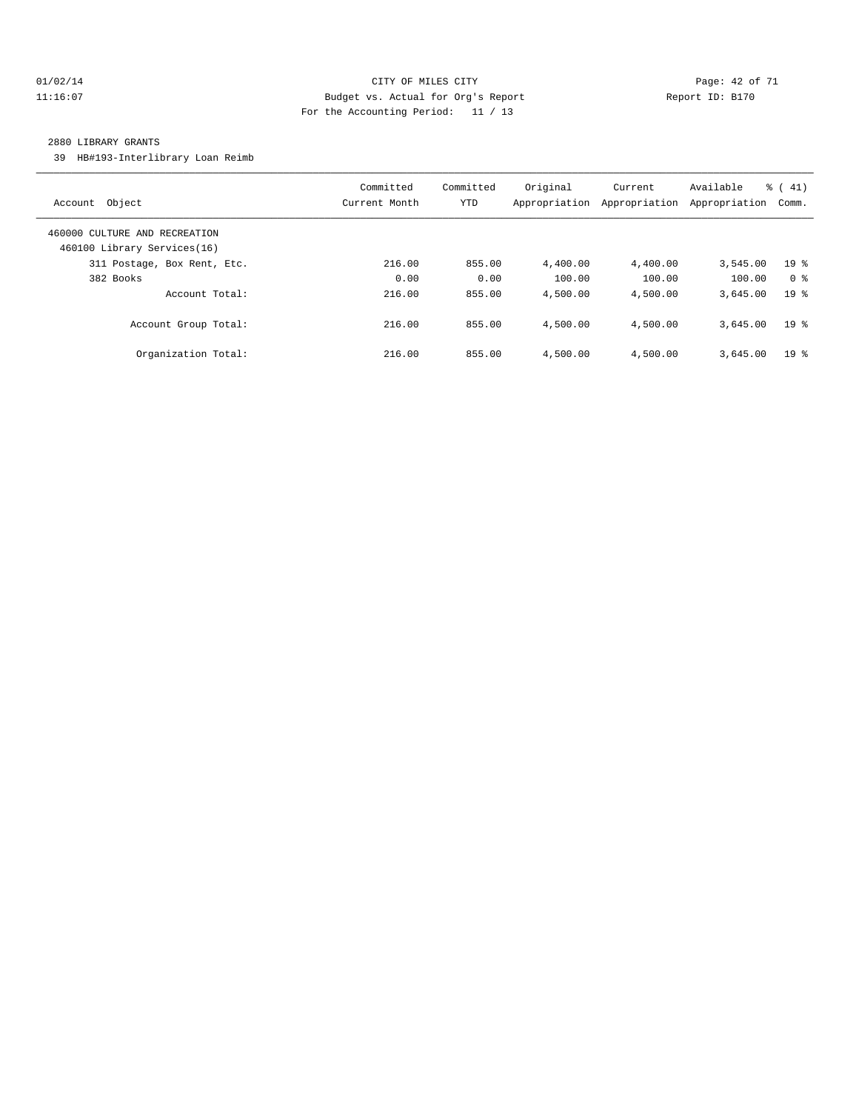#### $O1/02/14$  Page: 42 of 71 11:16:07 Budget vs. Actual for Org's Report Changer Report ID: B170 For the Accounting Period: 11 / 13

#### 2880 LIBRARY GRANTS

39 HB#193-Interlibrary Loan Reimb

| Object<br>Account                                            | Committed<br>Current Month | Committed<br><b>YTD</b> | Original<br>Appropriation | Current<br>Appropriation | Available<br>Appropriation | $\frac{1}{6}$ ( 41)<br>Comm. |
|--------------------------------------------------------------|----------------------------|-------------------------|---------------------------|--------------------------|----------------------------|------------------------------|
| 460000 CULTURE AND RECREATION<br>460100 Library Services(16) |                            |                         |                           |                          |                            |                              |
| 311 Postage, Box Rent, Etc.                                  | 216.00                     | 855.00                  | 4,400.00                  | 4,400.00                 | 3,545.00                   | 19 <sup>°</sup>              |
| 382 Books                                                    | 0.00                       | 0.00                    | 100.00                    | 100.00                   | 100.00                     | 0 <sup>8</sup>               |
| Account Total:                                               | 216.00                     | 855.00                  | 4,500.00                  | 4,500.00                 | 3,645.00                   | 19 <sup>8</sup>              |
| Account Group Total:                                         | 216.00                     | 855.00                  | 4,500.00                  | 4,500.00                 | 3,645.00                   | 19 <sup>8</sup>              |
| Organization Total:                                          | 216.00                     | 855.00                  | 4,500.00                  | 4,500.00                 | 3,645.00                   | 19 <sup>8</sup>              |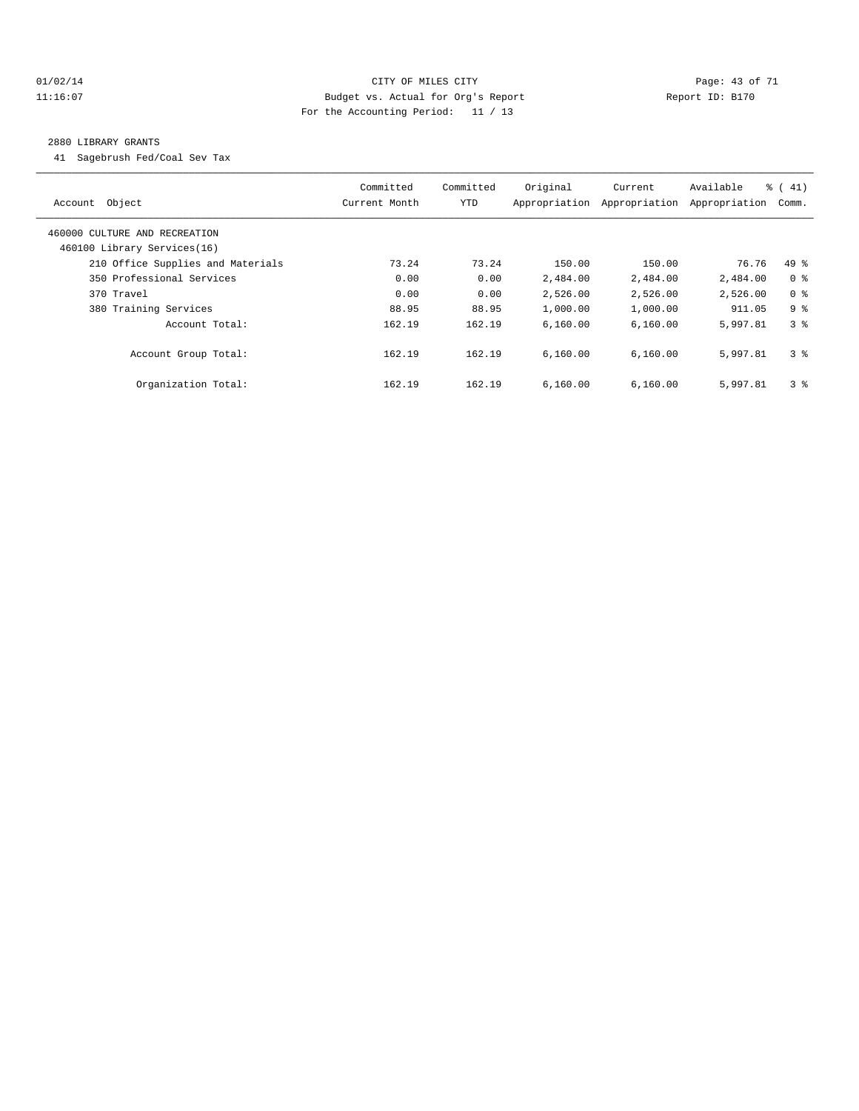#### 01/02/14 Page: 43 of 71 11:16:07 Budget vs. Actual for Org's Report Changer Report ID: B170 For the Accounting Period: 11 / 13

#### 2880 LIBRARY GRANTS

41 Sagebrush Fed/Coal Sev Tax

| Account Object                                               | Committed<br>Current Month | Committed<br>YTD | Original<br>Appropriation | Current<br>Appropriation | Available<br>Appropriation | $\frac{1}{6}$ ( 41)<br>Comm. |
|--------------------------------------------------------------|----------------------------|------------------|---------------------------|--------------------------|----------------------------|------------------------------|
| 460000 CULTURE AND RECREATION<br>460100 Library Services(16) |                            |                  |                           |                          |                            |                              |
| 210 Office Supplies and Materials                            | 73.24                      | 73.24            | 150.00                    | 150.00                   | 76.76                      | $49*$                        |
| 350 Professional Services                                    | 0.00                       | 0.00             | 2,484.00                  | 2,484.00                 | 2,484.00                   | 0 <sup>8</sup>               |
| 370 Travel                                                   | 0.00                       | 0.00             | 2,526.00                  | 2,526.00                 | 2,526.00                   | 0 <sup>8</sup>               |
| 380 Training Services                                        | 88.95                      | 88.95            | 1,000.00                  | 1,000.00                 | 911.05                     | 9 <sup>8</sup>               |
| Account Total:                                               | 162.19                     | 162.19           | 6,160.00                  | 6,160.00                 | 5,997.81                   | 3 <sup>8</sup>               |
| Account Group Total:                                         | 162.19                     | 162.19           | 6,160.00                  | 6,160.00                 | 5,997.81                   | 3 <sup>8</sup>               |
| Organization Total:                                          | 162.19                     | 162.19           | 6,160.00                  | 6,160.00                 | 5,997.81                   | 3 <sup>8</sup>               |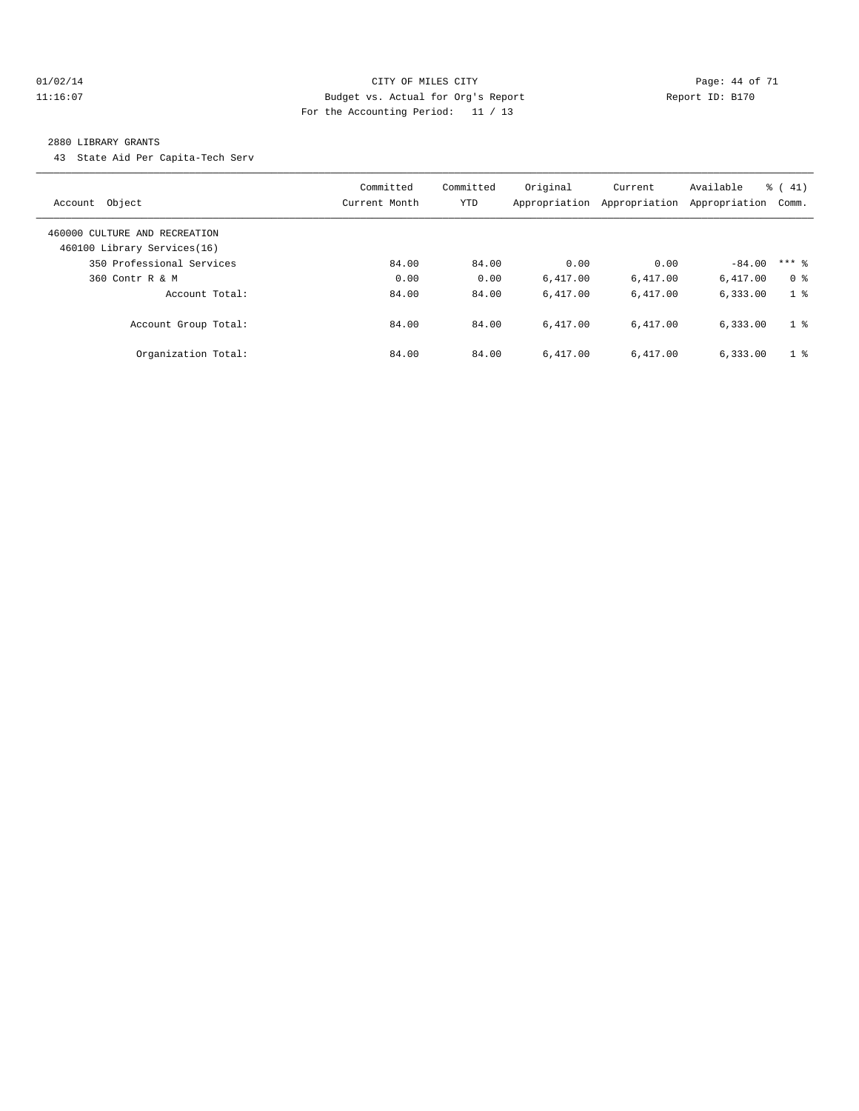#### 01/02/14 Page: 44 of 71 11:16:07 Budget vs. Actual for Org's Report Changer Report ID: B170 For the Accounting Period: 11 / 13

#### 2880 LIBRARY GRANTS

43 State Aid Per Capita-Tech Serv

| Account Object                                               | Committed<br>Current Month | Committed<br><b>YTD</b> | Original<br>Appropriation | Current<br>Appropriation | Available<br>Appropriation | $\frac{1}{6}$ ( 41)<br>Comm. |
|--------------------------------------------------------------|----------------------------|-------------------------|---------------------------|--------------------------|----------------------------|------------------------------|
| 460000 CULTURE AND RECREATION<br>460100 Library Services(16) |                            |                         |                           |                          |                            |                              |
| 350 Professional Services                                    | 84.00                      | 84.00                   | 0.00                      | 0.00                     | $-84.00$                   | $***$ 2                      |
| 360 Contr R & M                                              | 0.00                       | 0.00                    | 6.417.00                  | 6,417.00                 | 6.417.00                   | 0 <sup>8</sup>               |
| Account Total:                                               | 84.00                      | 84.00                   | 6.417.00                  | 6.417.00                 | 6,333.00                   | 1 <sup>8</sup>               |
| Account Group Total:                                         | 84.00                      | 84.00                   | 6.417.00                  | 6.417.00                 | 6,333.00                   | 1 <sup>8</sup>               |
| Organization Total:                                          | 84.00                      | 84.00                   | 6.417.00                  | 6.417.00                 | 6,333.00                   | 1 <sup>8</sup>               |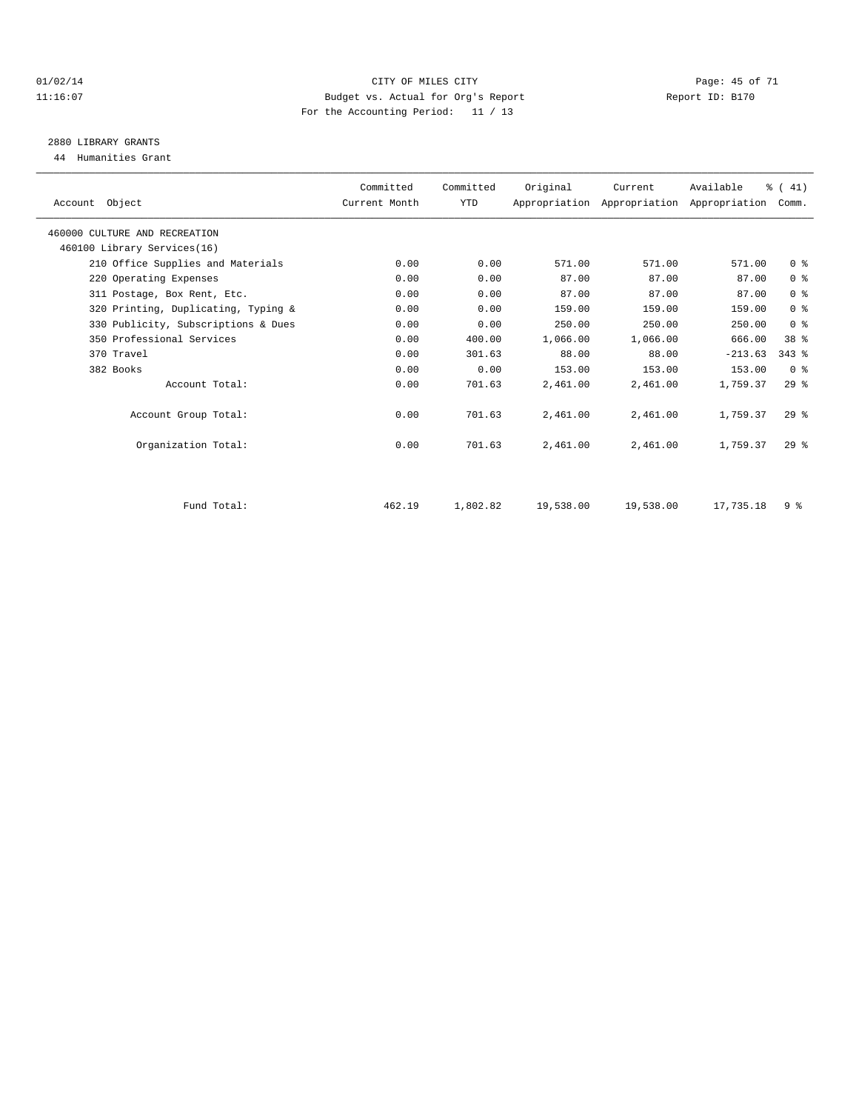#### $O1/02/14$  Page: 45 of 71 11:16:07 Budget vs. Actual for Org's Report Report ID: B170 For the Accounting Period: 11 / 13

# 2880 LIBRARY GRANTS

44 Humanities Grant

| Account Object                      | Committed<br>Current Month | Committed<br><b>YTD</b> | Original  | Current   | Available<br>Appropriation Appropriation Appropriation | % (41)<br>Comm. |  |
|-------------------------------------|----------------------------|-------------------------|-----------|-----------|--------------------------------------------------------|-----------------|--|
| 460000 CULTURE AND RECREATION       |                            |                         |           |           |                                                        |                 |  |
| 460100 Library Services(16)         |                            |                         |           |           |                                                        |                 |  |
| 210 Office Supplies and Materials   | 0.00                       | 0.00                    | 571.00    | 571.00    | 571.00                                                 | 0 <sup>8</sup>  |  |
| 220 Operating Expenses              | 0.00                       | 0.00                    | 87.00     | 87.00     | 87.00                                                  | 0 <sup>8</sup>  |  |
| 311 Postage, Box Rent, Etc.         | 0.00                       | 0.00                    | 87.00     | 87.00     | 87.00                                                  | 0 <sup>8</sup>  |  |
| 320 Printing, Duplicating, Typing & | 0.00                       | 0.00                    | 159.00    | 159.00    | 159.00                                                 | 0 <sup>8</sup>  |  |
| 330 Publicity, Subscriptions & Dues | 0.00                       | 0.00                    | 250.00    | 250.00    | 250.00                                                 | 0 <sup>8</sup>  |  |
| 350 Professional Services           | 0.00                       | 400.00                  | 1,066.00  | 1,066.00  | 666.00                                                 | 38 %            |  |
| 370 Travel                          | 0.00                       | 301.63                  | 88.00     | 88.00     | $-213.63$                                              | $343$ $%$       |  |
| 382 Books                           | 0.00                       | 0.00                    | 153.00    | 153.00    | 153.00                                                 | 0 <sup>8</sup>  |  |
| Account Total:                      | 0.00                       | 701.63                  | 2,461.00  | 2,461.00  | 1,759.37                                               | 29%             |  |
| Account Group Total:                | 0.00                       | 701.63                  | 2,461.00  | 2,461.00  | 1,759.37                                               | $29$ %          |  |
| Organization Total:                 | 0.00                       | 701.63                  | 2,461.00  | 2,461.00  | 1,759.37                                               | $29*$           |  |
|                                     |                            |                         |           |           |                                                        |                 |  |
| Fund Total:                         | 462.19                     | 1,802.82                | 19,538.00 | 19,538.00 | 17,735.18                                              | 9 <sup>8</sup>  |  |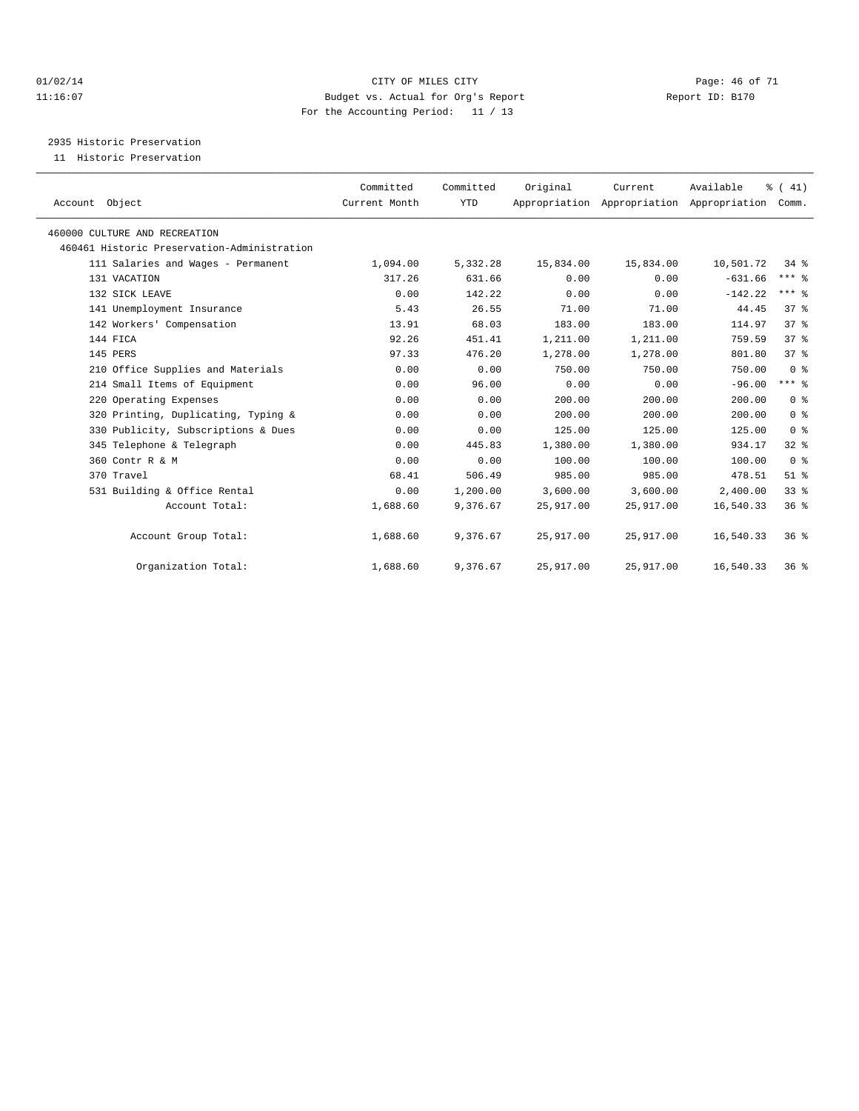#### $O1/02/14$  Page: 46 of 71 11:16:07 Budget vs. Actual for Org's Report Changer Report ID: B170 For the Accounting Period: 11 / 13

2935 Historic Preservation

11 Historic Preservation

| Account Object                              | Committed<br>Current Month | Committed<br><b>YTD</b> | Original  | Current<br>Appropriation Appropriation Appropriation | Available | $\frac{1}{6}$ ( 41)<br>Comm. |  |
|---------------------------------------------|----------------------------|-------------------------|-----------|------------------------------------------------------|-----------|------------------------------|--|
| 460000 CULTURE AND RECREATION               |                            |                         |           |                                                      |           |                              |  |
| 460461 Historic Preservation-Administration |                            |                         |           |                                                      |           |                              |  |
| 111 Salaries and Wages - Permanent          | 1,094.00                   | 5,332.28                | 15,834.00 | 15,834.00                                            | 10,501.72 | $34*$                        |  |
| 131 VACATION                                | 317.26                     | 631.66                  | 0.00      | 0.00                                                 | $-631.66$ | $***$ $%$                    |  |
| 132 SICK LEAVE                              | 0.00                       | 142.22                  | 0.00      | 0.00                                                 | $-142.22$ | $***$ $%$                    |  |
| 141 Unemployment Insurance                  | 5.43                       | 26.55                   | 71.00     | 71.00                                                | 44.45     | 37 <sup>8</sup>              |  |
| 142 Workers' Compensation                   | 13.91                      | 68.03                   | 183.00    | 183.00                                               | 114.97    | 37 <sup>8</sup>              |  |
| 144 FICA                                    | 92.26                      | 451.41                  | 1,211.00  | 1,211.00                                             | 759.59    | $37*$                        |  |
| 145 PERS                                    | 97.33                      | 476.20                  | 1,278.00  | 1,278.00                                             | 801.80    | 37%                          |  |
| 210 Office Supplies and Materials           | 0.00                       | 0.00                    | 750.00    | 750.00                                               | 750.00    | 0 <sup>8</sup>               |  |
| 214 Small Items of Equipment                | 0.00                       | 96.00                   | 0.00      | 0.00                                                 | $-96.00$  | $***$ $-$                    |  |
| 220 Operating Expenses                      | 0.00                       | 0.00                    | 200.00    | 200.00                                               | 200.00    | 0 <sup>8</sup>               |  |
| 320 Printing, Duplicating, Typing &         | 0.00                       | 0.00                    | 200.00    | 200.00                                               | 200.00    | 0 <sup>8</sup>               |  |
| 330 Publicity, Subscriptions & Dues         | 0.00                       | 0.00                    | 125.00    | 125.00                                               | 125.00    | 0 <sup>8</sup>               |  |
| 345 Telephone & Telegraph                   | 0.00                       | 445.83                  | 1,380.00  | 1,380.00                                             | 934.17    | 328                          |  |
| 360 Contr R & M                             | 0.00                       | 0.00                    | 100.00    | 100.00                                               | 100.00    | 0 <sup>8</sup>               |  |
| 370 Travel                                  | 68.41                      | 506.49                  | 985.00    | 985.00                                               | 478.51    | $51$ %                       |  |
| 531 Building & Office Rental                | 0.00                       | 1,200.00                | 3,600.00  | 3,600.00                                             | 2,400.00  | 33%                          |  |
| Account Total:                              | 1,688.60                   | 9,376.67                | 25,917.00 | 25,917.00                                            | 16,540.33 | 36 <sup>8</sup>              |  |
| Account Group Total:                        | 1,688.60                   | 9,376.67                | 25,917.00 | 25,917.00                                            | 16,540.33 | $36*$                        |  |
| Organization Total:                         | 1,688.60                   | 9,376.67                | 25,917.00 | 25,917.00                                            | 16,540.33 | $36*$                        |  |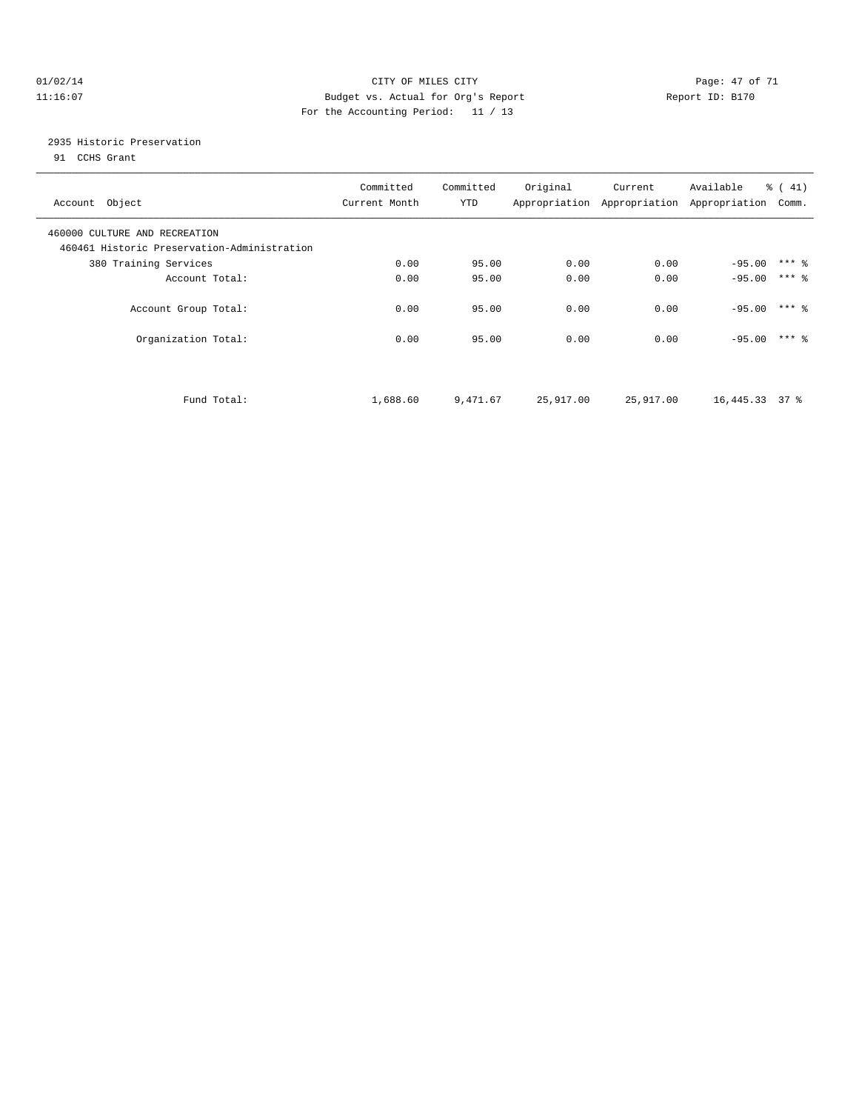#### $O1/02/14$  Page: 47 of 71 11:16:07 Budget vs. Actual for Org's Report Changer Report ID: B170 For the Accounting Period: 11 / 13

## 2935 Historic Preservation

91 CCHS Grant

| Committed<br>Current Month | Committed<br>YTD | Original  | Current   | Available       | % (41)<br>Comm.                           |
|----------------------------|------------------|-----------|-----------|-----------------|-------------------------------------------|
|                            |                  |           |           |                 |                                           |
| 0.00                       | 95.00            | 0.00      | 0.00      | $-95.00$        | $***$ 2                                   |
| 0.00                       | 95.00            | 0.00      | 0.00      | $-95.00$        | $***$ 2                                   |
| 0.00                       | 95.00            | 0.00      | 0.00      | $-95.00$        | $***$ 2                                   |
| 0.00                       | 95.00            | 0.00      | 0.00      | $-95.00$        | $***$ 2                                   |
| 1,688.60                   | 9,471.67         | 25,917.00 | 25,917.00 | 16, 445.33 37 % |                                           |
|                            |                  |           |           |                 | Appropriation Appropriation Appropriation |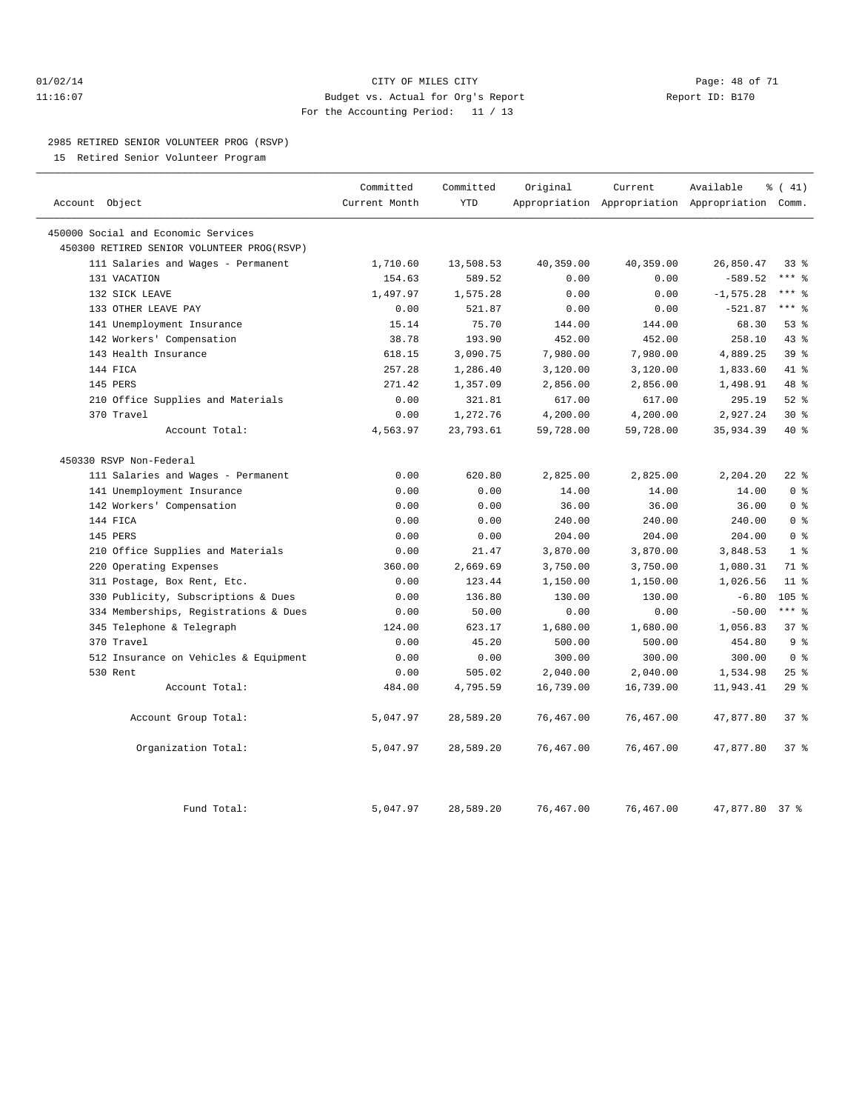#### $O1/02/14$  Page: 48 of 71 11:16:07 Budget vs. Actual for Org's Report Report ID: B170 For the Accounting Period: 11 / 13

#### 2985 RETIRED SENIOR VOLUNTEER PROG (RSVP)

15 Retired Senior Volunteer Program

|                                            | Committed     | Committed  | Original  | Current   | Available                                       | % (41)           |
|--------------------------------------------|---------------|------------|-----------|-----------|-------------------------------------------------|------------------|
| Account Object                             | Current Month | <b>YTD</b> |           |           | Appropriation Appropriation Appropriation Comm. |                  |
| 450000 Social and Economic Services        |               |            |           |           |                                                 |                  |
| 450300 RETIRED SENIOR VOLUNTEER PROG(RSVP) |               |            |           |           |                                                 |                  |
| 111 Salaries and Wages - Permanent         | 1,710.60      | 13,508.53  | 40,359.00 | 40,359.00 | 26,850.47                                       | 33 <sup>8</sup>  |
| 131 VACATION                               | 154.63        | 589.52     | 0.00      | 0.00      | $-589.52$                                       | $***$ 8          |
| 132 SICK LEAVE                             | 1,497.97      | 1,575.28   | 0.00      | 0.00      | $-1, 575.28$                                    | $***$ 8          |
| 133 OTHER LEAVE PAY                        | 0.00          | 521.87     | 0.00      | 0.00      | $-521.87$                                       | $***$ 8          |
| 141 Unemployment Insurance                 | 15.14         | 75.70      | 144.00    | 144.00    | 68.30                                           | 53%              |
| 142 Workers' Compensation                  | 38.78         | 193.90     | 452.00    | 452.00    | 258.10                                          | 43%              |
| 143 Health Insurance                       | 618.15        | 3,090.75   | 7,980.00  | 7,980.00  | 4,889.25                                        | 39 %             |
| 144 FICA                                   | 257.28        | 1,286.40   | 3,120.00  | 3,120.00  | 1,833.60                                        | 41 %             |
| 145 PERS                                   | 271.42        | 1,357.09   | 2,856.00  | 2,856.00  | 1,498.91                                        | 48 %             |
| 210 Office Supplies and Materials          | 0.00          | 321.81     | 617.00    | 617.00    | 295.19                                          | $52$ $%$         |
| 370 Travel                                 | 0.00          | 1,272.76   | 4,200.00  | 4,200.00  | 2,927.24                                        | $30*$            |
| Account Total:                             | 4,563.97      | 23,793.61  | 59,728.00 | 59,728.00 | 35,934.39                                       | $40*$            |
| 450330 RSVP Non-Federal                    |               |            |           |           |                                                 |                  |
| 111 Salaries and Wages - Permanent         | 0.00          | 620.80     | 2,825.00  | 2,825.00  | 2,204.20                                        | $22$ %           |
| 141 Unemployment Insurance                 | 0.00          | 0.00       | 14.00     | 14.00     | 14.00                                           | 0 <sup>8</sup>   |
| 142 Workers' Compensation                  | 0.00          | 0.00       | 36.00     | 36.00     | 36.00                                           | 0 <sup>8</sup>   |
| 144 FICA                                   | 0.00          | 0.00       | 240.00    | 240.00    | 240.00                                          | 0 <sup>°</sup>   |
| 145 PERS                                   | 0.00          | 0.00       | 204.00    | 204.00    | 204.00                                          | 0 <sup>8</sup>   |
| 210 Office Supplies and Materials          | 0.00          | 21.47      | 3,870.00  | 3,870.00  | 3,848.53                                        | 1 <sup>8</sup>   |
| Operating Expenses<br>220                  | 360.00        | 2,669.69   | 3,750.00  | 3,750.00  | 1,080.31                                        | 71 %             |
| 311 Postage, Box Rent, Etc.                | 0.00          | 123.44     | 1,150.00  | 1,150.00  | 1,026.56                                        | 11 <sup>8</sup>  |
| 330 Publicity, Subscriptions & Dues        | 0.00          | 136.80     | 130.00    | 130.00    | $-6.80$                                         | 105 <sub>8</sub> |
| 334 Memberships, Registrations & Dues      | 0.00          | 50.00      | 0.00      | 0.00      | $-50.00$                                        | $***$ 8          |
| 345 Telephone & Telegraph                  | 124.00        | 623.17     | 1,680.00  | 1,680.00  | 1,056.83                                        | 37%              |
| 370 Travel                                 | 0.00          | 45.20      | 500.00    | 500.00    | 454.80                                          | 9 <sup>°</sup>   |
| 512 Insurance on Vehicles & Equipment      | 0.00          | 0.00       | 300.00    | 300.00    | 300.00                                          | 0 <sup>8</sup>   |
| 530 Rent                                   | 0.00          | 505.02     | 2,040.00  | 2,040.00  | 1,534.98                                        | 25%              |
| Account Total:                             | 484.00        | 4,795.59   | 16,739.00 | 16,739.00 | 11,943.41                                       | 29%              |
| Account Group Total:                       | 5,047.97      | 28,589.20  | 76,467.00 | 76,467.00 | 47,877.80                                       | 37%              |
| Organization Total:                        | 5,047.97      | 28,589.20  | 76,467.00 | 76,467.00 | 47,877.80                                       | $37*$            |
| Fund Total:                                | 5,047.97      | 28,589.20  | 76,467.00 | 76,467.00 | 47,877.80                                       | 37 <sup>8</sup>  |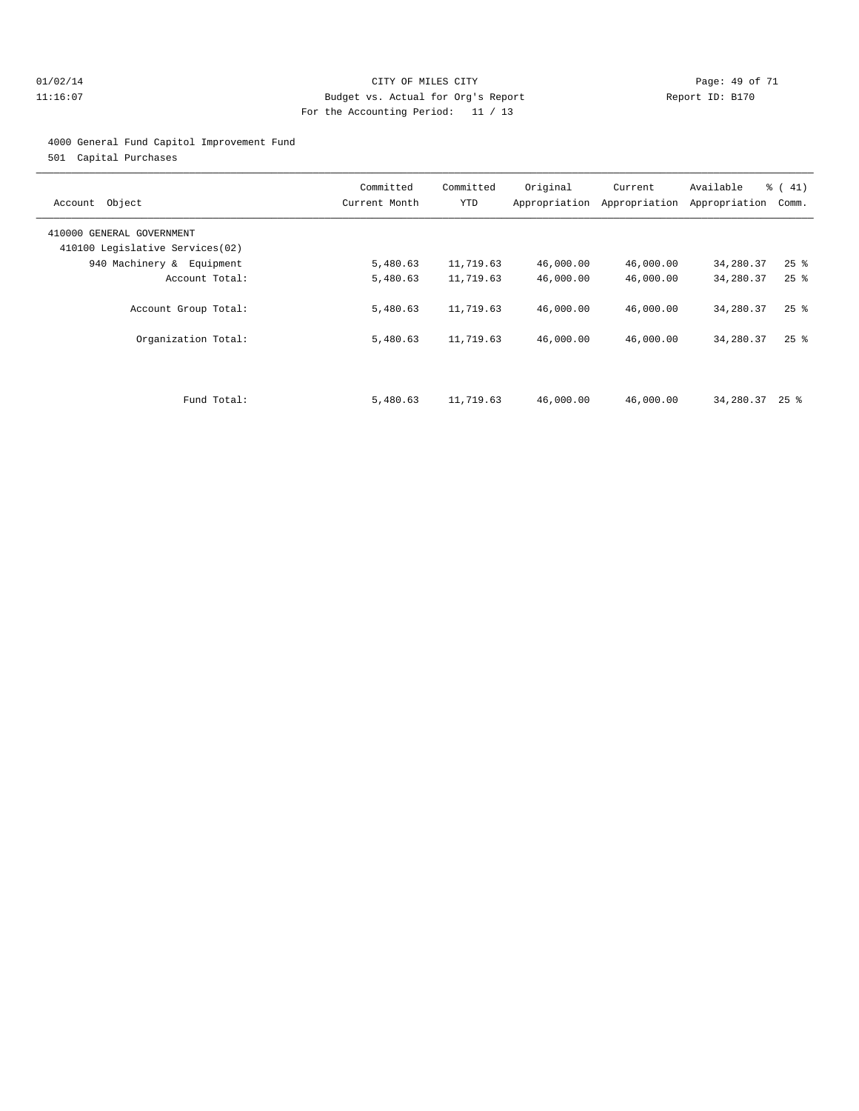#### 01/02/14 Page: 49 of 71 11:16:07 Budget vs. Actual for Org's Report Report ID: B170 For the Accounting Period: 11 / 13

#### 4000 General Fund Capitol Improvement Fund

501 Capital Purchases

| Object<br>Account                                            | Committed<br>Current Month | Committed<br>YTD | Original  | Current<br>Appropriation Appropriation | Available<br>Appropriation | % (41)<br>Comm.    |
|--------------------------------------------------------------|----------------------------|------------------|-----------|----------------------------------------|----------------------------|--------------------|
| 410000 GENERAL GOVERNMENT<br>410100 Legislative Services(02) |                            |                  |           |                                        |                            |                    |
| 940 Machinery & Equipment                                    | 5,480.63                   | 11,719.63        | 46,000.00 | 46,000.00                              | 34,280.37                  | $25$ $\frac{6}{5}$ |
| Account Total:                                               | 5,480.63                   | 11,719.63        | 46,000.00 | 46,000.00                              | 34,280.37                  | $25$ $\frac{6}{5}$ |
| Account Group Total:                                         | 5,480.63                   | 11,719.63        | 46,000.00 | 46,000.00                              | 34,280.37                  | $25$ $\frac{6}{5}$ |
| Organization Total:                                          | 5,480.63                   | 11,719.63        | 46,000.00 | 46,000.00                              | 34,280.37                  | $25$ $\frac{6}{5}$ |
|                                                              |                            |                  |           |                                        |                            |                    |
| Fund Total:                                                  | 5,480.63                   | 11,719.63        | 46,000.00 | 46,000.00                              | 34,280.37                  | $25$ %             |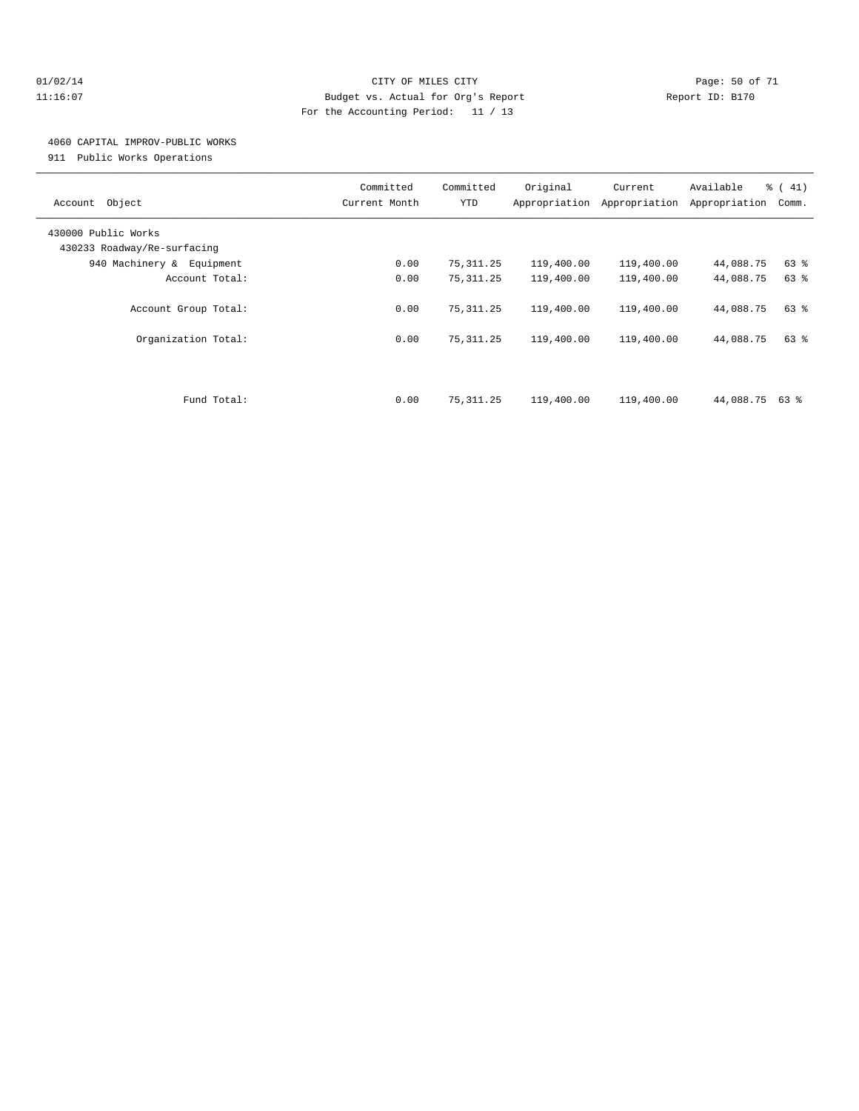#### $O1/02/14$  Page: 50 of 71 11:16:07 Budget vs. Actual for Org's Report Report ID: B170 For the Accounting Period: 11 / 13

## 4060 CAPITAL IMPROV-PUBLIC WORKS

911 Public Works Operations

| Object<br>Account                                  | Committed<br>Current Month | Committed<br><b>YTD</b> | Original<br>Appropriation | Current<br>Appropriation | Available<br>Appropriation | % (41)<br>Comm. |
|----------------------------------------------------|----------------------------|-------------------------|---------------------------|--------------------------|----------------------------|-----------------|
| 430000 Public Works<br>430233 Roadway/Re-surfacing |                            |                         |                           |                          |                            |                 |
| 940 Machinery & Equipment                          | 0.00                       | 75,311.25               | 119,400.00                | 119,400.00               | 44,088.75                  | 63 %            |
| Account Total:                                     | 0.00                       | 75, 311.25              | 119,400.00                | 119,400.00               | 44,088.75                  | 63%             |
| Account Group Total:                               | 0.00                       | 75, 311.25              | 119,400.00                | 119,400.00               | 44,088.75                  | 63 %            |
| Organization Total:                                | 0.00                       | 75, 311.25              | 119,400.00                | 119,400.00               | 44,088.75                  | 63 %            |
| Fund Total:                                        | 0.00                       | 75, 311.25              | 119,400.00                | 119,400.00               | 44,088.75 63 %             |                 |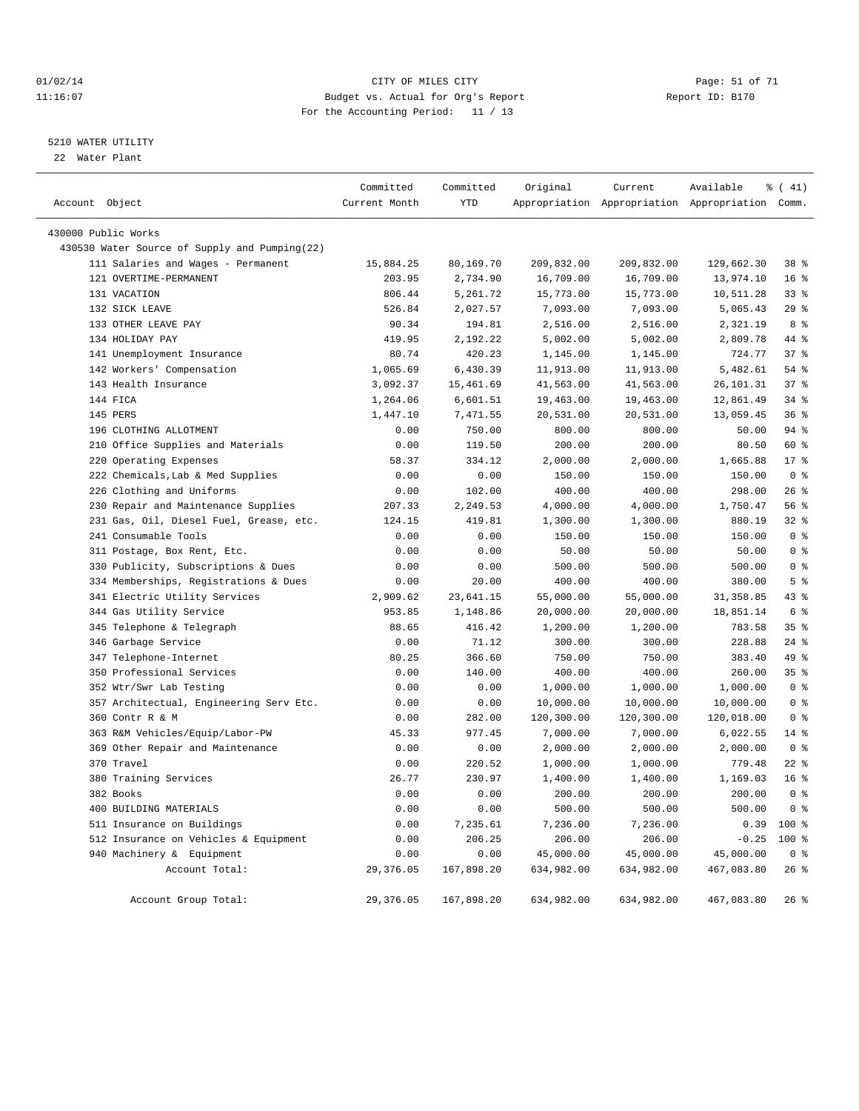#### $O1/02/14$  Page: 51 of 71 11:16:07 Budget vs. Actual for Org's Report Changer Report ID: B170 For the Accounting Period: 11 / 13

————————————————————————————————————————————————————————————————————————————————————————————————————————————————————————————————————

#### 5210 WATER UTILITY

22 Water Plant

|                                               | Committed     | Committed  | Original   | Current    | Available                                       | $\frac{1}{6}$ ( 41) |
|-----------------------------------------------|---------------|------------|------------|------------|-------------------------------------------------|---------------------|
| Account Object                                | Current Month | <b>YTD</b> |            |            | Appropriation Appropriation Appropriation Comm. |                     |
| 430000 Public Works                           |               |            |            |            |                                                 |                     |
| 430530 Water Source of Supply and Pumping(22) |               |            |            |            |                                                 |                     |
| 111 Salaries and Wages - Permanent            | 15,884.25     | 80,169.70  | 209,832.00 | 209,832.00 | 129,662.30                                      | 38 %                |
| 121 OVERTIME-PERMANENT                        | 203.95        | 2,734.90   | 16,709.00  | 16,709.00  | 13,974.10                                       | 16 <sup>°</sup>     |
| 131 VACATION                                  | 806.44        | 5,261.72   | 15,773.00  | 15,773.00  | 10,511.28                                       | $33$ $%$            |
| 132 SICK LEAVE                                | 526.84        | 2,027.57   | 7,093.00   | 7,093.00   | 5,065.43                                        | 29%                 |
| 133 OTHER LEAVE PAY                           | 90.34         | 194.81     | 2,516.00   | 2,516.00   | 2,321.19                                        | 8 %                 |
| 134 HOLIDAY PAY                               | 419.95        | 2,192.22   | 5,002.00   | 5,002.00   | 2,809.78                                        | 44 %                |
| 141 Unemployment Insurance                    | 80.74         | 420.23     | 1,145.00   | 1,145.00   | 724.77                                          | 37%                 |
| 142 Workers' Compensation                     | 1,065.69      | 6,430.39   | 11,913.00  | 11,913.00  | 5,482.61                                        | 54 %                |
| 143 Health Insurance                          | 3,092.37      | 15, 461.69 | 41,563.00  | 41,563.00  | 26, 101.31                                      | 37%                 |
| 144 FICA                                      | 1,264.06      | 6,601.51   | 19,463.00  | 19,463.00  | 12,861.49                                       | 34%                 |
| 145 PERS                                      | 1,447.10      | 7,471.55   | 20,531.00  | 20,531.00  | 13,059.45                                       | 36%                 |
| 196 CLOTHING ALLOTMENT                        | 0.00          | 750.00     | 800.00     | 800.00     | 50.00                                           | 94 %                |
| 210 Office Supplies and Materials             | 0.00          | 119.50     | 200.00     | 200.00     | 80.50                                           | 60 %                |
| 220 Operating Expenses                        | 58.37         | 334.12     | 2,000.00   | 2,000.00   | 1,665.88                                        | $17*$               |
| 222 Chemicals, Lab & Med Supplies             | 0.00          | 0.00       | 150.00     | 150.00     | 150.00                                          | 0 <sup>8</sup>      |
| 226 Clothing and Uniforms                     | 0.00          | 102.00     | 400.00     | 400.00     | 298.00                                          | 26%                 |
| 230 Repair and Maintenance Supplies           | 207.33        | 2,249.53   | 4,000.00   | 4,000.00   | 1,750.47                                        | 56%                 |
| 231 Gas, Oil, Diesel Fuel, Grease, etc.       | 124.15        | 419.81     | 1,300.00   | 1,300.00   | 880.19                                          | 32%                 |
| 241 Consumable Tools                          | 0.00          | 0.00       | 150.00     | 150.00     | 150.00                                          | 0 <sup>8</sup>      |
| 311 Postage, Box Rent, Etc.                   | 0.00          | 0.00       | 50.00      | 50.00      | 50.00                                           | 0 <sup>8</sup>      |
| 330 Publicity, Subscriptions & Dues           | 0.00          | 0.00       | 500.00     | 500.00     | 500.00                                          | 0 <sup>8</sup>      |
| 334 Memberships, Registrations & Dues         | 0.00          | 20.00      | 400.00     | 400.00     | 380.00                                          | 5 <sup>8</sup>      |
| 341 Electric Utility Services                 | 2,909.62      | 23,641.15  | 55,000.00  | 55,000.00  | 31, 358.85                                      | 43 %                |
| 344 Gas Utility Service                       | 953.85        | 1,148.86   | 20,000.00  | 20,000.00  | 18,851.14                                       | 6 %                 |
| 345 Telephone & Telegraph                     | 88.65         | 416.42     | 1,200.00   | 1,200.00   | 783.58                                          | 35%                 |
| 346 Garbage Service                           | 0.00          | 71.12      | 300.00     | 300.00     | 228.88                                          | $24$ %              |
| 347 Telephone-Internet                        | 80.25         | 366.60     | 750.00     | 750.00     | 383.40                                          | 49 %                |
| 350 Professional Services                     | 0.00          | 140.00     | 400.00     | 400.00     | 260.00                                          | 35%                 |
| 352 Wtr/Swr Lab Testing                       | 0.00          | 0.00       | 1,000.00   | 1,000.00   | 1,000.00                                        | 0 <sup>8</sup>      |
| 357 Architectual, Engineering Serv Etc.       | 0.00          | 0.00       | 10,000.00  | 10,000.00  | 10,000.00                                       | 0 <sup>8</sup>      |
| 360 Contr R & M                               | 0.00          | 282.00     | 120,300.00 | 120,300.00 | 120,018.00                                      | 0 <sup>8</sup>      |
| 363 R&M Vehicles/Equip/Labor-PW               | 45.33         | 977.45     | 7,000.00   | 7,000.00   | 6,022.55                                        | $14*$               |
| 369 Other Repair and Maintenance              | 0.00          | 0.00       | 2,000.00   | 2,000.00   | 2,000.00                                        | 0 <sup>8</sup>      |
| 370 Travel                                    | 0.00          | 220.52     | 1,000.00   | 1,000.00   | 779.48                                          | $22$ $%$            |
| 380 Training Services                         | 26.77         | 230.97     | 1,400.00   | 1,400.00   | 1,169.03                                        | 16 <sup>°</sup>     |
| 382 Books                                     | 0.00          | 0.00       | 200.00     | 200.00     | 200.00                                          | 0 <sup>8</sup>      |
| 400 BUILDING MATERIALS                        | 0.00          | 0.00       | 500.00     | 500.00     | 500.00                                          | 0 <sup>8</sup>      |
| 511 Insurance on Buildings                    | 0.00          | 7,235.61   | 7,236.00   | 7,236.00   | 0.39                                            | $100*$              |
| 512 Insurance on Vehicles & Equipment         | 0.00          | 206.25     | 206.00     | 206.00     | $-0.25$                                         | $100*$              |
| 940 Machinery & Equipment                     | 0.00          | 0.00       | 45,000.00  | 45,000.00  | 45,000.00                                       | 0 <sup>8</sup>      |
| Account Total:                                | 29,376.05     | 167,898.20 | 634,982.00 | 634,982.00 | 467,083.80                                      | 26%                 |
| Account Group Total:                          | 29, 376.05    | 167,898.20 | 634,982.00 | 634,982.00 | 467,083.80                                      | 26%                 |
|                                               |               |            |            |            |                                                 |                     |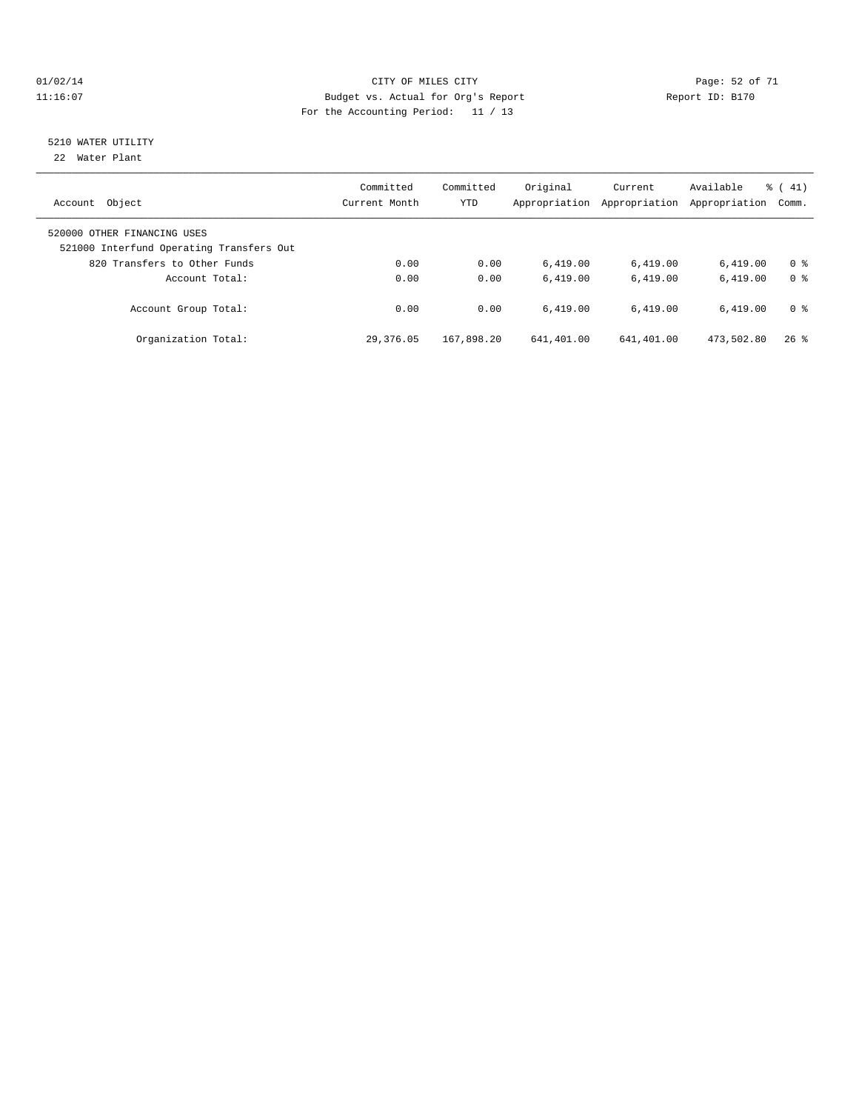#### $O1/02/14$  Page: 52 of 71 11:16:07 Budget vs. Actual for Org's Report Report ID: B170 For the Accounting Period: 11 / 13

# 5210 WATER UTILITY

22 Water Plant

| Object<br>Account                                                       | Committed<br>Current Month | Committed<br><b>YTD</b> | Original<br>Appropriation | Current<br>Appropriation | Available<br>Appropriation | $\frac{1}{6}$ ( 41)<br>Comm. |
|-------------------------------------------------------------------------|----------------------------|-------------------------|---------------------------|--------------------------|----------------------------|------------------------------|
| 520000 OTHER FINANCING USES<br>521000 Interfund Operating Transfers Out |                            |                         |                           |                          |                            |                              |
| 820 Transfers to Other Funds                                            | 0.00                       | 0.00                    | 6.419.00                  | 6,419.00                 | 6.419.00                   | 0 %                          |
| Account Total:                                                          | 0.00                       | 0.00                    | 6.419.00                  | 6.419.00                 | 6.419.00                   | 0 <sup>8</sup>               |
| Account Group Total:                                                    | 0.00                       | 0.00                    | 6.419.00                  | 6.419.00                 | 6.419.00                   | 0 %                          |
| Organization Total:                                                     | 29,376.05                  | 167,898.20              | 641,401.00                | 641,401.00               | 473,502.80                 | $26$ %                       |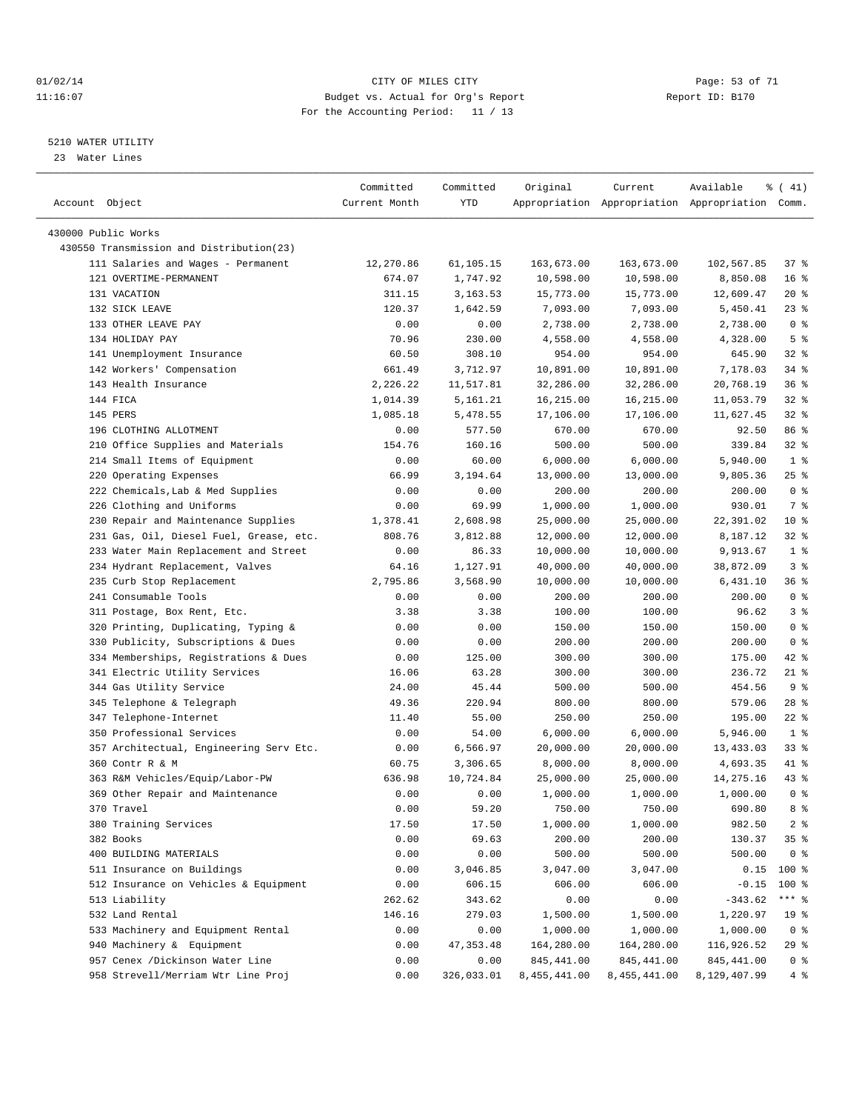#### $O1/02/14$  Page: 53 of 71 11:16:07 Budget vs. Actual for Org's Report Changer Report ID: B170 For the Accounting Period: 11 / 13

————————————————————————————————————————————————————————————————————————————————————————————————————————————————————————————————————

#### 5210 WATER UTILITY

23 Water Lines

|                                          | Committed     | Committed  | Original     | Current            | Available                                       | $\frac{1}{6}$ ( 41) |
|------------------------------------------|---------------|------------|--------------|--------------------|-------------------------------------------------|---------------------|
| Account Object                           | Current Month | YTD        |              |                    | Appropriation Appropriation Appropriation Comm. |                     |
| 430000 Public Works                      |               |            |              |                    |                                                 |                     |
| 430550 Transmission and Distribution(23) |               |            |              |                    |                                                 |                     |
| 111 Salaries and Wages - Permanent       | 12,270.86     | 61,105.15  | 163,673.00   | 163,673.00         | 102,567.85                                      | 37 %                |
| 121 OVERTIME-PERMANENT                   | 674.07        | 1,747.92   | 10,598.00    | 10,598.00          | 8,850.08                                        | 16 <sup>8</sup>     |
| 131 VACATION                             | 311.15        | 3, 163.53  | 15,773.00    | 15,773.00          | 12,609.47                                       | $20*$               |
| 132 SICK LEAVE                           | 120.37        | 1,642.59   | 7,093.00     | 7,093.00           | 5,450.41                                        | $23$ $%$            |
| 133 OTHER LEAVE PAY                      | 0.00          | 0.00       | 2,738.00     | 2,738.00           | 2,738.00                                        | 0 <sup>8</sup>      |
| 134 HOLIDAY PAY                          | 70.96         | 230.00     |              |                    |                                                 | 5 <sup>8</sup>      |
|                                          | 60.50         | 308.10     | 4,558.00     | 4,558.00<br>954.00 | 4,328.00<br>645.90                              | $32*$               |
| 141 Unemployment Insurance               | 661.49        |            | 954.00       |                    |                                                 |                     |
| 142 Workers' Compensation                |               | 3,712.97   | 10,891.00    | 10,891.00          | 7,178.03                                        | 34 %                |
| 143 Health Insurance                     | 2,226.22      | 11,517.81  | 32,286.00    | 32,286.00          | 20,768.19                                       | 36%                 |
| 144 FICA                                 | 1,014.39      | 5,161.21   | 16,215.00    | 16,215.00          | 11,053.79                                       | $32$ $%$            |
| 145 PERS                                 | 1,085.18      | 5,478.55   | 17,106.00    | 17,106.00          | 11,627.45                                       | $32$ $%$            |
| 196 CLOTHING ALLOTMENT                   | 0.00          | 577.50     | 670.00       | 670.00             | 92.50                                           | 86 %                |
| 210 Office Supplies and Materials        | 154.76        | 160.16     | 500.00       | 500.00             | 339.84                                          | $32$ $%$            |
| 214 Small Items of Equipment             | 0.00          | 60.00      | 6,000.00     | 6,000.00           | 5,940.00                                        | 1 <sup>8</sup>      |
| 220 Operating Expenses                   | 66.99         | 3,194.64   | 13,000.00    | 13,000.00          | 9,805.36                                        | $25$ %              |
| 222 Chemicals, Lab & Med Supplies        | 0.00          | 0.00       | 200.00       | 200.00             | 200.00                                          | 0 <sup>8</sup>      |
| 226 Clothing and Uniforms                | 0.00          | 69.99      | 1,000.00     | 1,000.00           | 930.01                                          | 7 %                 |
| 230 Repair and Maintenance Supplies      | 1,378.41      | 2,608.98   | 25,000.00    | 25,000.00          | 22,391.02                                       | 10 <sup>8</sup>     |
| 231 Gas, Oil, Diesel Fuel, Grease, etc.  | 808.76        | 3,812.88   | 12,000.00    | 12,000.00          | 8,187.12                                        | $32$ $%$            |
| 233 Water Main Replacement and Street    | 0.00          | 86.33      | 10,000.00    | 10,000.00          | 9,913.67                                        | 1 <sup>°</sup>      |
| 234 Hydrant Replacement, Valves          | 64.16         | 1,127.91   | 40,000.00    | 40,000.00          | 38,872.09                                       | 3%                  |
| 235 Curb Stop Replacement                | 2,795.86      | 3,568.90   | 10,000.00    | 10,000.00          | 6,431.10                                        | 36%                 |
| 241 Consumable Tools                     | 0.00          | 0.00       | 200.00       | 200.00             | 200.00                                          | 0 <sup>8</sup>      |
| 311 Postage, Box Rent, Etc.              | 3.38          | 3.38       | 100.00       | 100.00             | 96.62                                           | 3%                  |
| 320 Printing, Duplicating, Typing &      | 0.00          | 0.00       | 150.00       | 150.00             | 150.00                                          | 0 <sup>8</sup>      |
| 330 Publicity, Subscriptions & Dues      | 0.00          | 0.00       | 200.00       | 200.00             | 200.00                                          | 0 <sup>8</sup>      |
| 334 Memberships, Registrations & Dues    | 0.00          | 125.00     | 300.00       | 300.00             | 175.00                                          | $42$ %              |
| 341 Electric Utility Services            | 16.06         | 63.28      | 300.00       | 300.00             | 236.72                                          | 21 %                |
| 344 Gas Utility Service                  | 24.00         | 45.44      | 500.00       | 500.00             | 454.56                                          | 9%                  |
| 345 Telephone & Telegraph                | 49.36         | 220.94     | 800.00       | 800.00             | 579.06                                          | $28$ %              |
| 347 Telephone-Internet                   | 11.40         | 55.00      | 250.00       | 250.00             | 195.00                                          | $22$ %              |
| 350 Professional Services                | 0.00          | 54.00      | 6,000.00     | 6,000.00           | 5,946.00                                        | 1 <sup>8</sup>      |
| 357 Architectual, Engineering Serv Etc.  | 0.00          | 6,566.97   | 20,000.00    | 20,000.00          | 13,433.03                                       | 338                 |
| 360 Contr R & M                          | 60.75         | 3,306.65   | 8,000.00     | 8,000.00           | 4,693.35                                        | 41 %                |
| 363 R&M Vehicles/Equip/Labor-PW          | 636.98        | 10,724.84  | 25,000.00    | 25,000.00          | 14,275.16                                       | 43 %                |
| 369 Other Repair and Maintenance         | 0.00          | 0.00       | 1,000.00     | 1,000.00           | 1,000.00                                        | 0 <sup>8</sup>      |
| 370 Travel                               | 0.00          | 59.20      | 750.00       | 750.00             | 690.80                                          | 8 %                 |
| 380 Training Services                    | 17.50         | 17.50      | 1,000.00     | 1,000.00           | 982.50                                          | $2$ $\frac{6}{9}$   |
| 382 Books                                | 0.00          | 69.63      | 200.00       | 200.00             | 130.37                                          | 35%                 |
| 400 BUILDING MATERIALS                   | 0.00          | 0.00       | 500.00       | 500.00             | 500.00                                          | 0 <sup>8</sup>      |
| 511 Insurance on Buildings               | 0.00          | 3,046.85   | 3,047.00     | 3,047.00           | 0.15                                            | $100$ %             |
| 512 Insurance on Vehicles & Equipment    | 0.00          | 606.15     | 606.00       | 606.00             | $-0.15$                                         | 100 %               |
| 513 Liability                            | 262.62        | 343.62     | 0.00         | 0.00               | $-343.62$                                       | *** 응               |
| 532 Land Rental                          | 146.16        | 279.03     | 1,500.00     | 1,500.00           | 1,220.97                                        | 19 <sup>°</sup>     |
| 533 Machinery and Equipment Rental       | 0.00          | 0.00       | 1,000.00     | 1,000.00           | 1,000.00                                        | 0 <sup>8</sup>      |
| 940 Machinery & Equipment                | 0.00          | 47, 353.48 | 164,280.00   | 164,280.00         | 116,926.52                                      | 29 %                |
| 957 Cenex /Dickinson Water Line          | 0.00          | 0.00       | 845, 441.00  | 845, 441.00        | 845, 441.00                                     | 0 <sup>8</sup>      |
| 958 Strevell/Merriam Wtr Line Proj       | 0.00          | 326,033.01 | 8,455,441.00 | 8,455,441.00       | 8,129,407.99                                    | 4%                  |
|                                          |               |            |              |                    |                                                 |                     |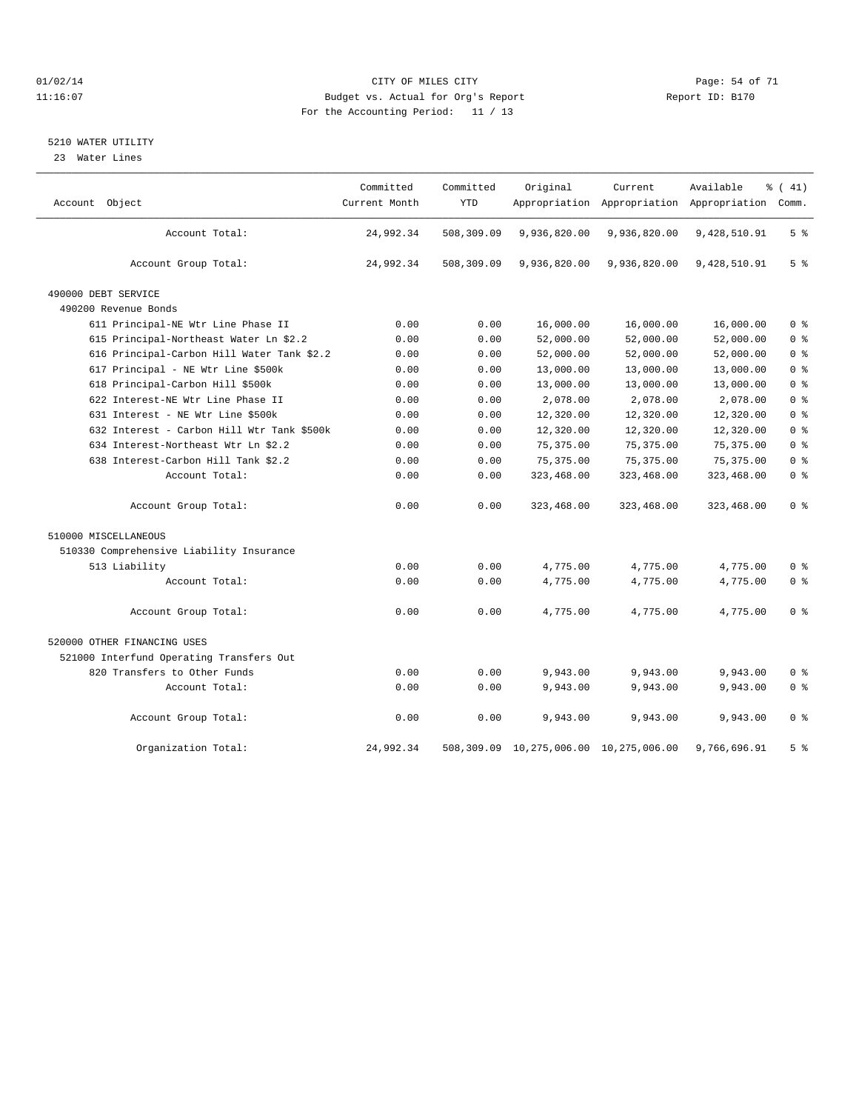#### $O1/02/14$  Page: 54 of 71 11:16:07 Budget vs. Actual for Org's Report Changer Report ID: B170 For the Accounting Period: 11 / 13

#### 5210 WATER UTILITY

23 Water Lines

| Account Object                             | Committed<br>Current Month | Committed<br><b>YTD</b> | Original                               | Current      | Available<br>Appropriation Appropriation Appropriation Comm. | % (41)         |
|--------------------------------------------|----------------------------|-------------------------|----------------------------------------|--------------|--------------------------------------------------------------|----------------|
| Account Total:                             | 24,992.34                  | 508,309.09              | 9,936,820.00                           | 9,936,820.00 | 9,428,510.91                                                 | 5 <sup>°</sup> |
| Account Group Total:                       | 24,992.34                  | 508,309.09              | 9,936,820.00                           | 9,936,820.00 | 9,428,510.91                                                 | 5 <sup>8</sup> |
| 490000 DEBT SERVICE                        |                            |                         |                                        |              |                                                              |                |
| 490200 Revenue Bonds                       |                            |                         |                                        |              |                                                              |                |
| 611 Principal-NE Wtr Line Phase II         | 0.00                       | 0.00                    | 16,000.00                              | 16,000.00    | 16,000.00                                                    | 0 <sup>8</sup> |
| 615 Principal-Northeast Water Ln \$2.2     | 0.00                       | 0.00                    | 52,000.00                              | 52,000.00    | 52,000.00                                                    | 0 <sup>8</sup> |
| 616 Principal-Carbon Hill Water Tank \$2.2 | 0.00                       | 0.00                    | 52,000.00                              | 52,000.00    | 52,000.00                                                    | 0 <sup>8</sup> |
| 617 Principal - NE Wtr Line \$500k         | 0.00                       | 0.00                    | 13,000.00                              | 13,000.00    | 13,000.00                                                    | 0 <sup>8</sup> |
| 618 Principal-Carbon Hill \$500k           | 0.00                       | 0.00                    | 13,000.00                              | 13,000.00    | 13,000.00                                                    | 0 <sup>8</sup> |
| 622 Interest-NE Wtr Line Phase II          | 0.00                       | 0.00                    | 2,078.00                               | 2,078.00     | 2,078.00                                                     | 0 <sup>8</sup> |
| 631 Interest - NE Wtr Line \$500k          | 0.00                       | 0.00                    | 12,320.00                              | 12,320.00    | 12,320.00                                                    | 0 <sup>8</sup> |
| 632 Interest - Carbon Hill Wtr Tank \$500k | 0.00                       | 0.00                    | 12,320.00                              | 12,320.00    | 12,320.00                                                    | 0 <sup>8</sup> |
| 634 Interest-Northeast Wtr Ln \$2.2        | 0.00                       | 0.00                    | 75, 375.00                             | 75, 375.00   | 75, 375.00                                                   | 0 <sup>8</sup> |
| 638 Interest-Carbon Hill Tank \$2.2        | 0.00                       | 0.00                    | 75, 375.00                             | 75, 375.00   | 75, 375.00                                                   | 0 <sup>8</sup> |
| Account Total:                             | 0.00                       | 0.00                    | 323,468.00                             | 323,468.00   | 323,468.00                                                   | 0 <sup>8</sup> |
| Account Group Total:                       | 0.00                       | 0.00                    | 323,468.00                             | 323,468.00   | 323,468.00                                                   | 0 <sup>8</sup> |
| 510000 MISCELLANEOUS                       |                            |                         |                                        |              |                                                              |                |
| 510330 Comprehensive Liability Insurance   |                            |                         |                                        |              |                                                              |                |
| 513 Liability                              | 0.00                       | 0.00                    | 4,775.00                               | 4,775.00     | 4,775.00                                                     | 0 <sup>8</sup> |
| Account Total:                             | 0.00                       | 0.00                    | 4,775.00                               | 4,775.00     | 4,775.00                                                     | 0 <sup>8</sup> |
| Account Group Total:                       | 0.00                       | 0.00                    | 4,775.00                               | 4,775.00     | 4.775.00                                                     | 0 <sup>8</sup> |
| 520000 OTHER FINANCING USES                |                            |                         |                                        |              |                                                              |                |
| 521000 Interfund Operating Transfers Out   |                            |                         |                                        |              |                                                              |                |
| 820 Transfers to Other Funds               | 0.00                       | 0.00                    | 9,943.00                               | 9,943.00     | 9,943.00                                                     | 0 <sup>8</sup> |
| Account Total:                             | 0.00                       | 0.00                    | 9,943.00                               | 9,943.00     | 9,943.00                                                     | 0 <sup>8</sup> |
| Account Group Total:                       | 0.00                       | 0.00                    | 9,943.00                               | 9,943.00     | 9,943.00                                                     | 0 <sup>8</sup> |
| Organization Total:                        | 24,992.34                  |                         | 508,309.09 10,275,006.00 10,275,006.00 |              | 9,766,696.91                                                 | 5 <sup>8</sup> |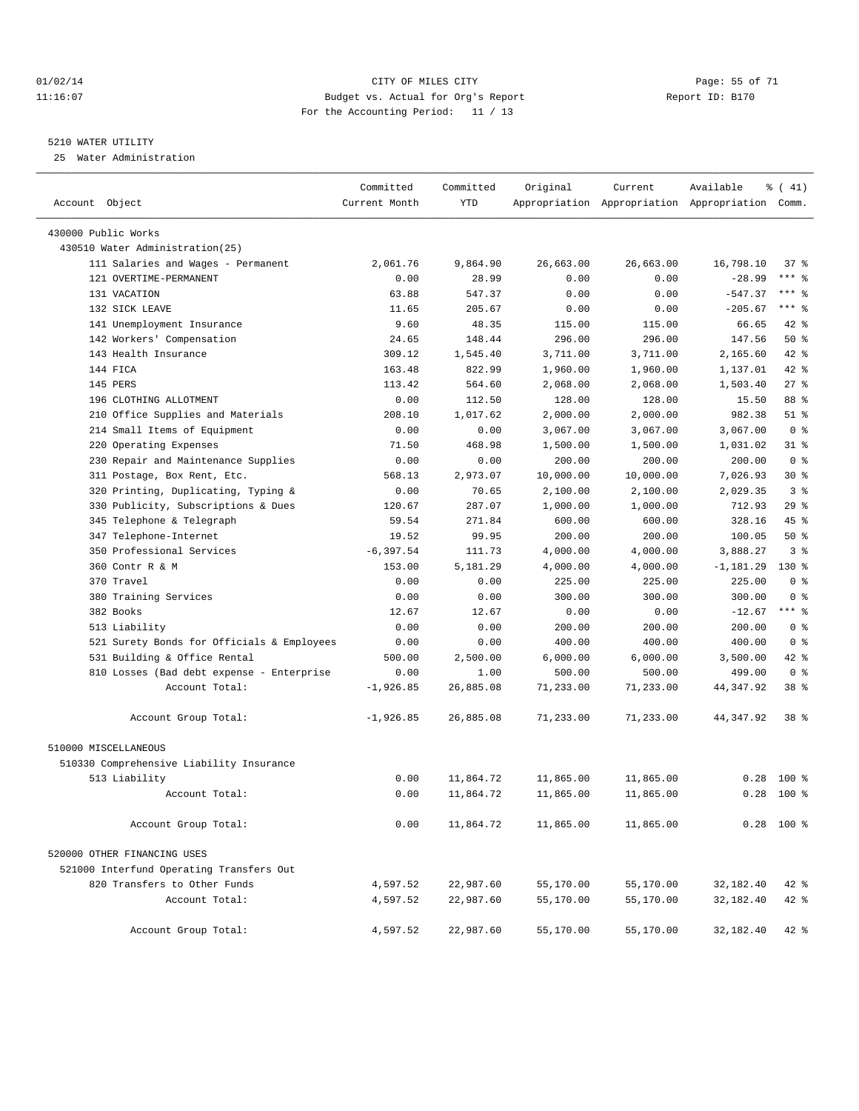#### $O1/02/14$  Page: 55 of 71 11:16:07 Budget vs. Actual for Org's Report Report ID: B170 For the Accounting Period: 11 / 13

#### 5210 WATER UTILITY

25 Water Administration

| Account Object                                      | Committed<br>Current Month | Committed<br><b>YTD</b> | Original  | Current              | Available<br>Appropriation Appropriation Appropriation Comm. | % (41)                     |
|-----------------------------------------------------|----------------------------|-------------------------|-----------|----------------------|--------------------------------------------------------------|----------------------------|
| 430000 Public Works                                 |                            |                         |           |                      |                                                              |                            |
| 430510 Water Administration (25)                    |                            |                         |           |                      |                                                              |                            |
| 111 Salaries and Wages - Permanent                  | 2,061.76                   | 9,864.90                | 26,663.00 | 26,663.00            | 16,798.10                                                    | 37%                        |
| 121 OVERTIME-PERMANENT                              | 0.00                       | 28.99                   | 0.00      | 0.00                 | $-28.99$                                                     | $***$ $=$                  |
| 131 VACATION                                        | 63.88                      | 547.37                  | 0.00      | 0.00                 | $-547.37$                                                    | $***$ $-$                  |
| 132 SICK LEAVE                                      | 11.65                      | 205.67                  | 0.00      | 0.00                 | $-205.67$                                                    | $***$ $-$                  |
| 141 Unemployment Insurance                          | 9.60                       | 48.35                   | 115.00    | 115.00               | 66.65                                                        | $42$ %                     |
| 142 Workers' Compensation                           | 24.65                      | 148.44                  | 296.00    | 296.00               | 147.56                                                       | 50%                        |
| 143 Health Insurance                                | 309.12                     | 1,545.40                | 3,711.00  | 3,711.00             | 2,165.60                                                     | 42 %                       |
| 144 FICA                                            | 163.48                     | 822.99                  | 1,960.00  | 1,960.00             | 1,137.01                                                     | 42 %                       |
| 145 PERS                                            | 113.42                     | 564.60                  | 2,068.00  | 2,068.00             | 1,503.40                                                     | $27$ %                     |
| 196 CLOTHING ALLOTMENT                              | 0.00                       | 112.50                  | 128.00    | 128.00               | 15.50                                                        | 88 %                       |
|                                                     | 208.10                     | 1,017.62                |           | 2,000.00             | 982.38                                                       | $51$ %                     |
| 210 Office Supplies and Materials                   |                            |                         | 2,000.00  |                      |                                                              | 0 <sup>8</sup>             |
| 214 Small Items of Equipment<br>Operating Expenses  | 0.00                       | 0.00                    | 3,067.00  | 3,067.00             | 3,067.00                                                     |                            |
| 220                                                 | 71.50                      | 468.98                  | 1,500.00  | 1,500.00             | 1,031.02                                                     | $31$ $%$<br>0 <sup>8</sup> |
| 230 Repair and Maintenance Supplies                 | 0.00<br>568.13             | 0.00                    | 200.00    | 200.00               | 200.00                                                       | $30*$                      |
| 311 Postage, Box Rent, Etc.                         |                            | 2,973.07                | 10,000.00 | 10,000.00            | 7,026.93                                                     |                            |
| 320 Printing, Duplicating, Typing &                 | 0.00                       | 70.65                   | 2,100.00  | 2,100.00<br>1,000.00 | 2,029.35                                                     | 3 <sup>8</sup>             |
| 330 Publicity, Subscriptions & Dues                 | 120.67                     | 287.07                  | 1,000.00  |                      | 712.93                                                       | 29%                        |
| Telephone & Telegraph<br>345                        | 59.54                      | 271.84                  | 600.00    | 600.00               | 328.16                                                       | 45 %                       |
| 347 Telephone-Internet<br>350 Professional Services | 19.52                      | 99.95                   | 200.00    | 200.00               | 100.05                                                       | $50*$<br>3 <sup>8</sup>    |
|                                                     | $-6, 397.54$               | 111.73                  | 4,000.00  | 4,000.00             | 3,888.27                                                     |                            |
| 360 Contr R & M                                     | 153.00                     | 5,181.29                | 4,000.00  | 4,000.00             | $-1,181.29$                                                  | $130*$                     |
| 370 Travel                                          | 0.00                       | 0.00                    | 225.00    | 225.00               | 225.00                                                       | 0 <sup>8</sup>             |
| 380 Training Services                               | 0.00                       | 0.00                    | 300.00    | 300.00               | 300.00                                                       | 0 <sup>8</sup>             |
| 382 Books                                           | 12.67                      | 12.67                   | 0.00      | 0.00                 | $-12.67$                                                     | $***$ $-$                  |
| 513 Liability                                       | 0.00                       | 0.00                    | 200.00    | 200.00               | 200.00                                                       | 0 <sup>8</sup>             |
| 521 Surety Bonds for Officials & Employees          | 0.00                       | 0.00                    | 400.00    | 400.00               | 400.00                                                       | 0 <sup>8</sup>             |
| 531 Building & Office Rental                        | 500.00                     | 2,500.00                | 6,000.00  | 6,000.00             | 3,500.00                                                     | 42 %                       |
| 810 Losses (Bad debt expense - Enterprise           | 0.00                       | 1.00                    | 500.00    | 500.00               | 499.00                                                       | 0 <sup>8</sup>             |
| Account Total:                                      | $-1,926.85$                | 26,885.08               | 71,233.00 | 71,233.00            | 44,347.92                                                    | $38*$                      |
| Account Group Total:                                | $-1,926.85$                | 26,885.08               | 71,233.00 | 71,233.00            | 44, 347.92                                                   | 38 %                       |
| 510000 MISCELLANEOUS                                |                            |                         |           |                      |                                                              |                            |
| 510330 Comprehensive Liability Insurance            |                            |                         |           |                      |                                                              |                            |
| 513 Liability                                       | 0.00                       | 11,864.72               | 11,865.00 | 11,865.00            | 0.28                                                         | $100*$                     |
| Account Total:                                      | 0.00                       | 11,864.72               | 11,865.00 | 11,865.00            | 0.28                                                         | $100*$                     |
| Account Group Total:                                | 0.00                       | 11,864.72               | 11,865.00 | 11,865.00            |                                                              | $0.28$ 100 %               |
| 520000 OTHER FINANCING USES                         |                            |                         |           |                      |                                                              |                            |
| 521000 Interfund Operating Transfers Out            |                            |                         |           |                      |                                                              |                            |
| 820 Transfers to Other Funds                        | 4,597.52                   | 22,987.60               | 55,170.00 | 55,170.00            | 32,182.40                                                    | 42 %                       |
| Account Total:                                      | 4,597.52                   | 22,987.60               | 55,170.00 | 55,170.00            | 32,182.40                                                    | 42 %                       |
| Account Group Total:                                | 4,597.52                   | 22,987.60               | 55,170.00 | 55,170.00            | 32,182.40                                                    | 42 %                       |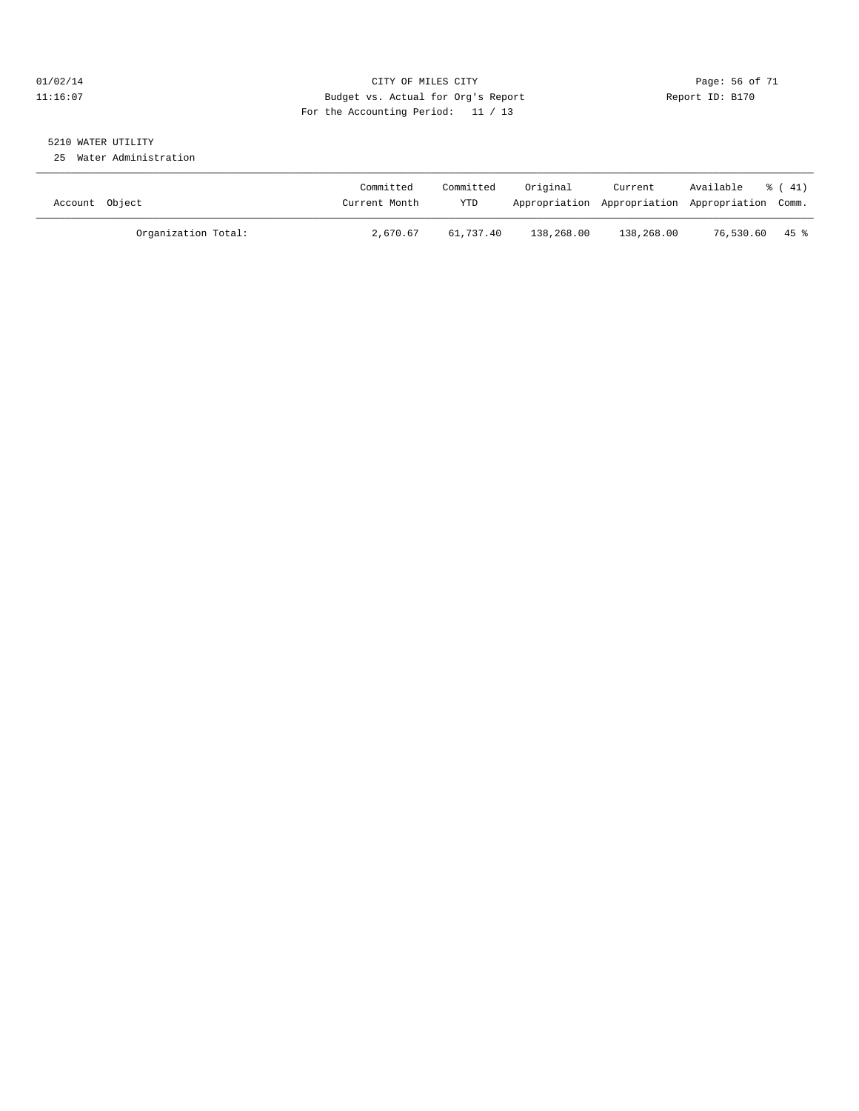#### $O1/02/14$  Page: 56 of 71 11:16:07 Budget vs. Actual for Org's Report Changer Report ID: B170 For the Accounting Period: 11 / 13

# 5210 WATER UTILITY

25 Water Administration

| Account Object      | Committed<br>Current Month | Committed<br>YTD | Original   | Current<br>Appropriation Appropriation Appropriation Comm. | Available      | 8 (41) |
|---------------------|----------------------------|------------------|------------|------------------------------------------------------------|----------------|--------|
| Organization Total: | 2,670.67                   | 61,737.40        | 138,268.00 | 138,268.00                                                 | 76,530.60 45 % |        |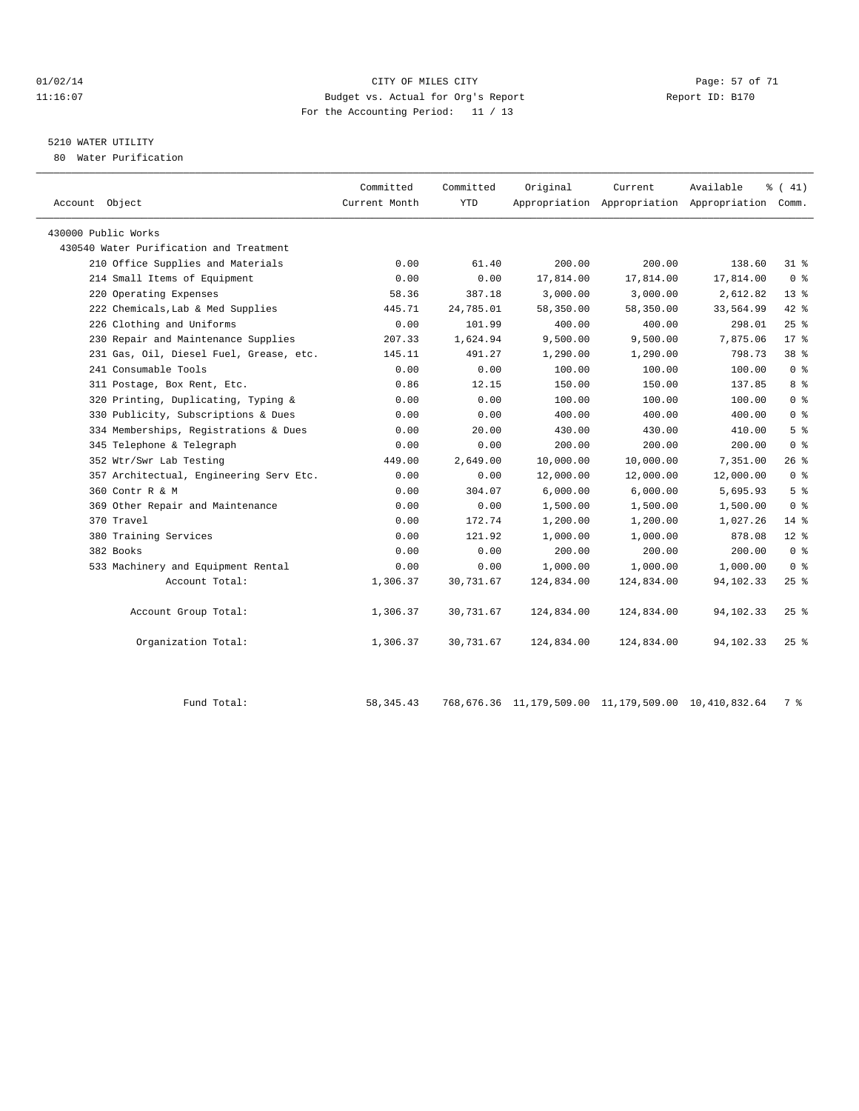#### $O1/02/14$  Page: 57 of 71 11:16:07 Budget vs. Actual for Org's Report Report ID: B170 For the Accounting Period: 11 / 13

# 5210 WATER UTILITY

80 Water Purification

| Account Object                          | Committed<br>Current Month | Committed<br><b>YTD</b> | Original   | Current.   | Available<br>Appropriation Appropriation Appropriation Comm. | $\frac{1}{6}$ ( 41) |
|-----------------------------------------|----------------------------|-------------------------|------------|------------|--------------------------------------------------------------|---------------------|
| 430000 Public Works                     |                            |                         |            |            |                                                              |                     |
| 430540 Water Purification and Treatment |                            |                         |            |            |                                                              |                     |
| 210 Office Supplies and Materials       | 0.00                       | 61.40                   | 200.00     | 200.00     | 138.60                                                       | $31*$               |
| 214 Small Items of Equipment            | 0.00                       | 0.00                    | 17,814.00  | 17,814.00  | 17,814.00                                                    | 0 <sup>8</sup>      |
| 220 Operating Expenses                  | 58.36                      | 387.18                  | 3,000.00   | 3,000.00   | 2,612.82                                                     | $13*$               |
| 222 Chemicals, Lab & Med Supplies       | 445.71                     | 24,785.01               | 58,350.00  | 58,350.00  | 33,564.99                                                    | 42 %                |
| 226 Clothing and Uniforms               | 0.00                       | 101.99                  | 400.00     | 400.00     | 298.01                                                       | $25$ $\frac{6}{5}$  |
| 230 Repair and Maintenance Supplies     | 207.33                     | 1,624.94                | 9,500.00   | 9,500.00   | 7,875.06                                                     | $17$ %              |
| 231 Gas, Oil, Diesel Fuel, Grease, etc. | 145.11                     | 491.27                  | 1,290.00   | 1,290.00   | 798.73                                                       | $38*$               |
| 241 Consumable Tools                    | 0.00                       | 0.00                    | 100.00     | 100.00     | 100.00                                                       | 0 <sup>8</sup>      |
| 311 Postage, Box Rent, Etc.             | 0.86                       | 12.15                   | 150.00     | 150.00     | 137.85                                                       | 8 <sup>8</sup>      |
| 320 Printing, Duplicating, Typing &     | 0.00                       | 0.00                    | 100.00     | 100.00     | 100.00                                                       | 0 <sup>8</sup>      |
| 330 Publicity, Subscriptions & Dues     | 0.00                       | 0.00                    | 400.00     | 400.00     | 400.00                                                       | 0 <sup>8</sup>      |
| 334 Memberships, Registrations & Dues   | 0.00                       | 20.00                   | 430.00     | 430.00     | 410.00                                                       | 5 <sup>°</sup>      |
| 345 Telephone & Telegraph               | 0.00                       | 0.00                    | 200.00     | 200.00     | 200.00                                                       | 0 <sup>8</sup>      |
| 352 Wtr/Swr Lab Testing                 | 449.00                     | 2,649.00                | 10,000.00  | 10,000.00  | 7.351.00                                                     | $26$ %              |
| 357 Architectual, Engineering Serv Etc. | 0.00                       | 0.00                    | 12,000.00  | 12,000.00  | 12,000.00                                                    | 0 <sup>8</sup>      |
| 360 Contr R & M                         | 0.00                       | 304.07                  | 6,000.00   | 6,000.00   | 5,695.93                                                     | 5 <sup>8</sup>      |
| 369 Other Repair and Maintenance        | 0.00                       | 0.00                    | 1,500.00   | 1,500.00   | 1,500.00                                                     | 0 <sup>8</sup>      |
| 370 Travel                              | 0.00                       | 172.74                  | 1,200.00   | 1,200.00   | 1,027.26                                                     | $14$ %              |
| 380 Training Services                   | 0.00                       | 121.92                  | 1,000.00   | 1,000.00   | 878.08                                                       | $12*$               |
| 382 Books                               | 0.00                       | 0.00                    | 200.00     | 200.00     | 200.00                                                       | 0 <sup>8</sup>      |
| 533 Machinery and Equipment Rental      | 0.00                       | 0.00                    | 1,000.00   | 1,000.00   | 1,000.00                                                     | 0 <sup>8</sup>      |
| Account Total:                          | 1,306.37                   | 30,731.67               | 124,834.00 | 124,834.00 | 94, 102. 33                                                  | $25$ $\frac{6}{5}$  |
| Account Group Total:                    | 1,306.37                   | 30,731.67               | 124,834.00 | 124,834.00 | 94,102.33                                                    | $25$ $\frac{6}{5}$  |
| Organization Total:                     | 1,306.37                   | 30,731.67               | 124,834.00 | 124,834.00 | 94,102.33                                                    | $25$ $\frac{6}{5}$  |

Fund Total: 58,345.43 768,676.36 11,179,509.00 11,179,509.00 10,410,832.64 7 %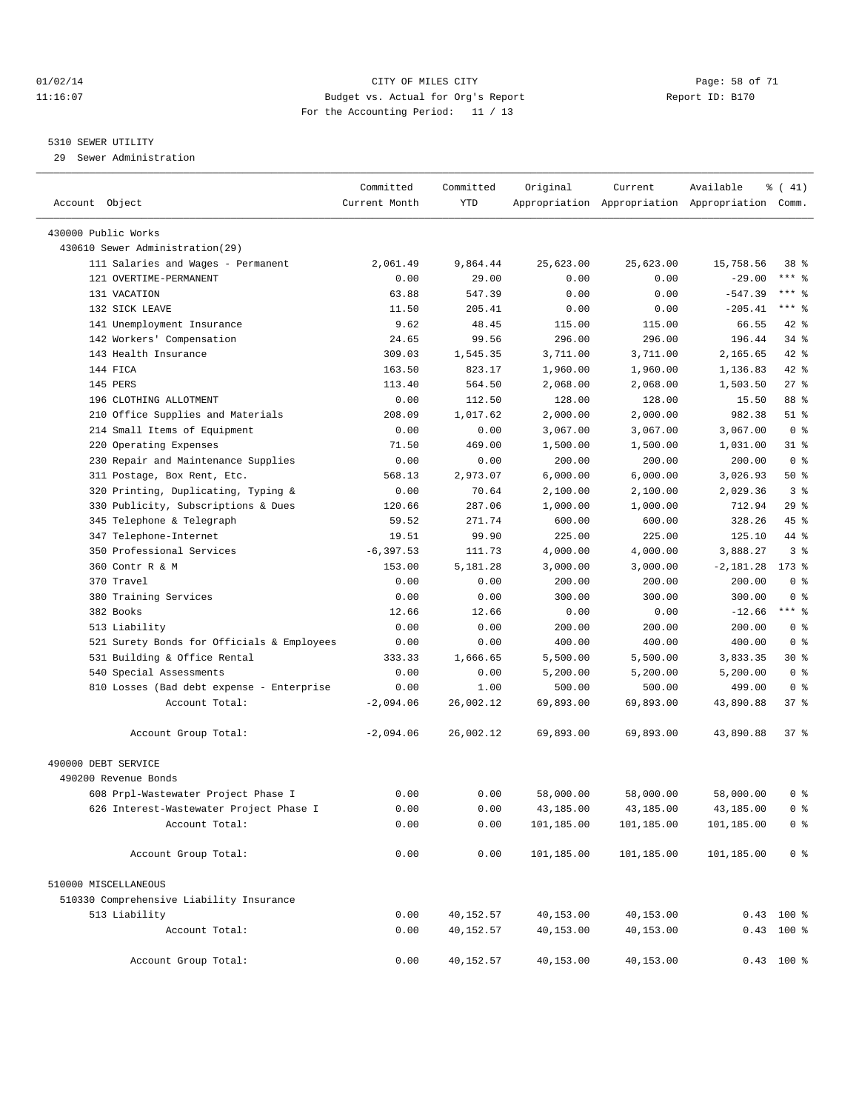#### $O1/02/14$  Page: 58 of 71 11:16:07 Budget vs. Actual for Org's Report Changer Report ID: B170 For the Accounting Period: 11 / 13

————————————————————————————————————————————————————————————————————————————————————————————————————————————————————————————————————

#### 5310 SEWER UTILITY

29 Sewer Administration

|                                                             | Committed           | Committed         | Original            | Current             | Available                                       | $\frac{1}{6}$ ( 41) |
|-------------------------------------------------------------|---------------------|-------------------|---------------------|---------------------|-------------------------------------------------|---------------------|
| Account Object                                              | Current Month       | YTD               |                     |                     | Appropriation Appropriation Appropriation Comm. |                     |
| 430000 Public Works                                         |                     |                   |                     |                     |                                                 |                     |
| 430610 Sewer Administration(29)                             |                     |                   |                     |                     |                                                 |                     |
| 111 Salaries and Wages - Permanent                          | 2,061.49            | 9,864.44          | 25,623.00           | 25,623.00           | 15,758.56                                       | 38 %                |
| 121 OVERTIME-PERMANENT                                      | 0.00                | 29.00             | 0.00                | 0.00                | $-29.00$                                        | $***$ $-$           |
| 131 VACATION                                                | 63.88               | 547.39            | 0.00                | 0.00                | $-547.39$                                       | *** 응               |
| 132 SICK LEAVE                                              | 11.50               | 205.41            | 0.00                | 0.00                | $-205.41$                                       | $***$ $-$           |
| 141 Unemployment Insurance                                  | 9.62                | 48.45             | 115.00              | 115.00              | 66.55                                           | 42 %                |
| 142 Workers' Compensation                                   | 24.65               | 99.56             | 296.00              | 296.00              | 196.44                                          | $34$ $%$            |
| 143 Health Insurance                                        | 309.03              | 1,545.35          | 3,711.00            | 3,711.00            | 2,165.65                                        | 42 %                |
| 144 FICA                                                    | 163.50              | 823.17            | 1,960.00            | 1,960.00            | 1,136.83                                        | 42 %                |
| 145 PERS                                                    | 113.40              | 564.50            | 2,068.00            | 2,068.00            | 1,503.50                                        | $27$ %              |
| 196 CLOTHING ALLOTMENT                                      | 0.00                | 112.50            | 128.00              | 128.00              | 15.50                                           | 88 %                |
| 210 Office Supplies and Materials                           | 208.09              | 1,017.62          | 2,000.00            | 2,000.00            | 982.38                                          | $51$ %              |
| 214 Small Items of Equipment                                | 0.00                | 0.00              | 3,067.00            | 3,067.00            | 3,067.00                                        | 0 <sup>8</sup>      |
| 220 Operating Expenses                                      | 71.50               | 469.00            | 1,500.00            | 1,500.00            | 1,031.00                                        | 31 %                |
| 230 Repair and Maintenance Supplies                         | 0.00                | 0.00              | 200.00              | 200.00              | 200.00                                          | 0 <sup>8</sup>      |
| 311 Postage, Box Rent, Etc.                                 | 568.13              | 2,973.07          | 6,000.00            | 6,000.00            | 3,026.93                                        | 50%                 |
| 320 Printing, Duplicating, Typing &                         | 0.00                | 70.64             | 2,100.00            | 2,100.00            | 2,029.36                                        | 3 <sup>8</sup>      |
| 330 Publicity, Subscriptions & Dues                         | 120.66              | 287.06            | 1,000.00            | 1,000.00            | 712.94                                          | 29%                 |
| 345 Telephone & Telegraph                                   | 59.52               | 271.74            | 600.00              | 600.00              | 328.26                                          | 45 %                |
| 347 Telephone-Internet                                      | 19.51               | 99.90             | 225.00              | 225.00              | 125.10                                          | 44 %                |
| 350 Professional Services                                   | $-6, 397.53$        | 111.73            | 4,000.00            | 4,000.00            | 3,888.27                                        | 3 <sup>8</sup>      |
| 360 Contr R & M                                             | 153.00              | 5,181.28          | 3,000.00            | 3,000.00            | $-2,181.28$                                     | $173$ %             |
| 370 Travel                                                  | 0.00                | 0.00              | 200.00              | 200.00              | 200.00                                          | 0 <sup>8</sup>      |
| 380 Training Services                                       | 0.00                | 0.00              | 300.00              | 300.00              | 300.00                                          | 0 <sup>8</sup>      |
| 382 Books                                                   |                     |                   |                     |                     |                                                 | $***$ $-$           |
| 513 Liability                                               | 12.66<br>0.00       | 12.66<br>0.00     | 0.00<br>200.00      | 0.00<br>200.00      | $-12.66$<br>200.00                              | 0 <sup>8</sup>      |
| 521 Surety Bonds for Officials & Employees                  | 0.00                | 0.00              | 400.00              | 400.00              | 400.00                                          | 0 <sup>8</sup>      |
| 531 Building & Office Rental                                | 333.33              | 1,666.65          | 5,500.00            | 5,500.00            | 3,833.35                                        | 30 %                |
|                                                             | 0.00                | 0.00              |                     |                     |                                                 | 0 <sup>8</sup>      |
| 540 Special Assessments                                     |                     |                   | 5,200.00            | 5,200.00            | 5,200.00<br>499.00                              | 0 <sup>8</sup>      |
| 810 Losses (Bad debt expense - Enterprise<br>Account Total: | 0.00<br>$-2,094.06$ | 1.00<br>26,002.12 | 500.00<br>69,893.00 | 500.00<br>69,893.00 | 43,890.88                                       | 37%                 |
|                                                             |                     |                   |                     |                     |                                                 |                     |
| Account Group Total:                                        | $-2,094.06$         | 26,002.12         | 69,893.00           | 69,893.00           | 43,890.88                                       | 37 <sub>8</sub>     |
| 490000 DEBT SERVICE                                         |                     |                   |                     |                     |                                                 |                     |
| 490200 Revenue Bonds                                        |                     |                   |                     |                     |                                                 |                     |
| 608 Prpl-Wastewater Project Phase I                         | 0.00                | 0.00              | 58,000.00           | 58,000.00           | 58,000.00                                       | 0 %                 |
| 626 Interest-Wastewater Project Phase I                     | 0.00                | 0.00              | 43,185.00           | 43,185.00           | 43,185.00                                       | 0 <sup>8</sup>      |
| Account Total:                                              | 0.00                | 0.00              | 101,185.00          | 101,185.00          | 101,185.00                                      | 0 <sup>8</sup>      |
| Account Group Total:                                        | 0.00                | 0.00              | 101,185.00          | 101,185.00          | 101,185.00                                      | 0 <sup>8</sup>      |
| 510000 MISCELLANEOUS                                        |                     |                   |                     |                     |                                                 |                     |
| 510330 Comprehensive Liability Insurance                    |                     |                   |                     |                     |                                                 |                     |
| 513 Liability                                               | 0.00                | 40,152.57         | 40,153.00           | 40,153.00           |                                                 | $0.43$ 100 %        |
| Account Total:                                              | 0.00                | 40,152.57         | 40,153.00           | 40,153.00           |                                                 | $0.43$ 100 %        |
| Account Group Total:                                        | 0.00                | 40,152.57         | 40,153.00           | 40,153.00           |                                                 | $0.43$ 100 %        |
|                                                             |                     |                   |                     |                     |                                                 |                     |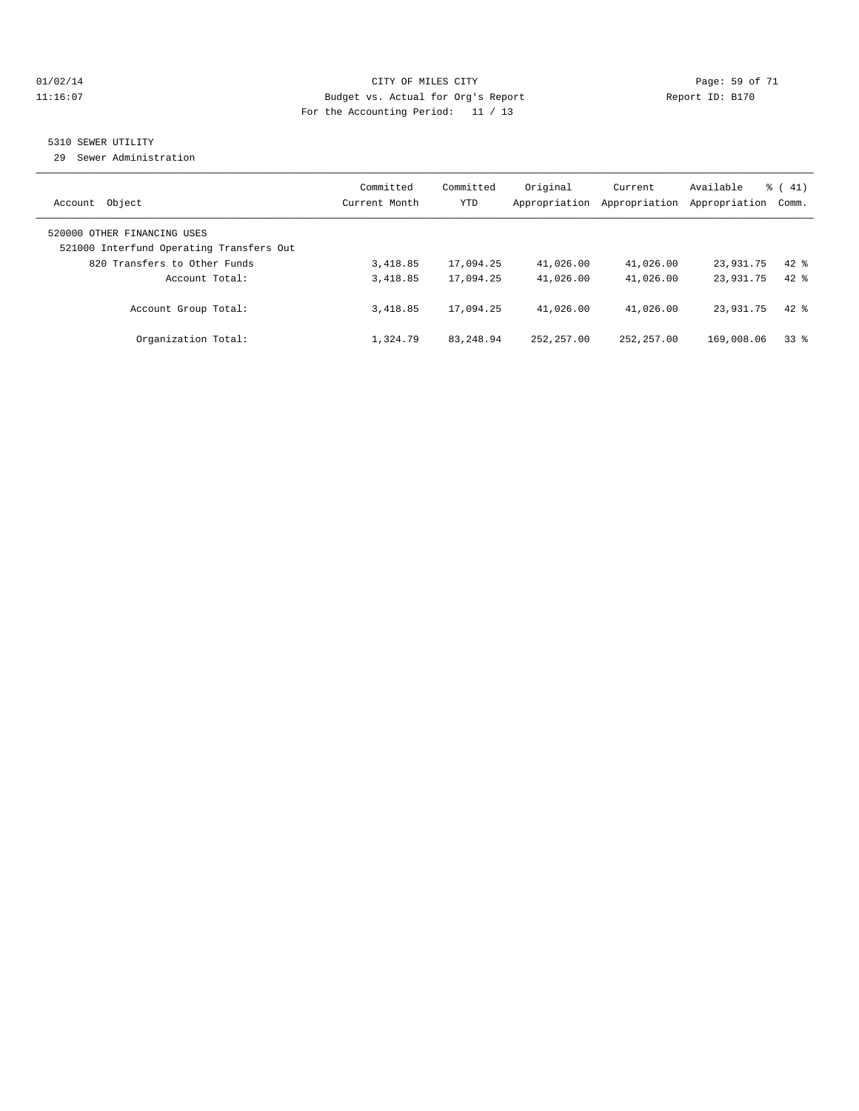#### $O1/02/14$  Page: 59 of 71 11:16:07 Budget vs. Actual for Org's Report Changer Report ID: B170 For the Accounting Period: 11 / 13

# 5310 SEWER UTILITY

29 Sewer Administration

| Object<br>Account                                                                                       | Committed<br>Current Month | Committed<br><b>YTD</b> | Original<br>Appropriation | Current<br>Appropriation | Available<br>Appropriation | $\frac{1}{6}$ ( 41)<br>Comm. |
|---------------------------------------------------------------------------------------------------------|----------------------------|-------------------------|---------------------------|--------------------------|----------------------------|------------------------------|
| 520000 OTHER FINANCING USES<br>521000 Interfund Operating Transfers Out<br>820 Transfers to Other Funds | 3,418.85                   | 17,094.25               | 41,026.00                 | 41,026.00                | 23,931.75                  | $42$ $%$                     |
| Account Total:                                                                                          | 3,418.85                   | 17,094.25               | 41,026.00                 | 41,026.00                | 23,931.75                  | $42*$                        |
| Account Group Total:                                                                                    | 3,418.85                   | 17,094.25               | 41,026.00                 | 41,026.00                | 23,931.75                  | $42*$                        |
| Organization Total:                                                                                     | 1,324.79                   | 83, 248, 94             | 252, 257, 00              | 252, 257, 00             | 169,008.06                 | 338                          |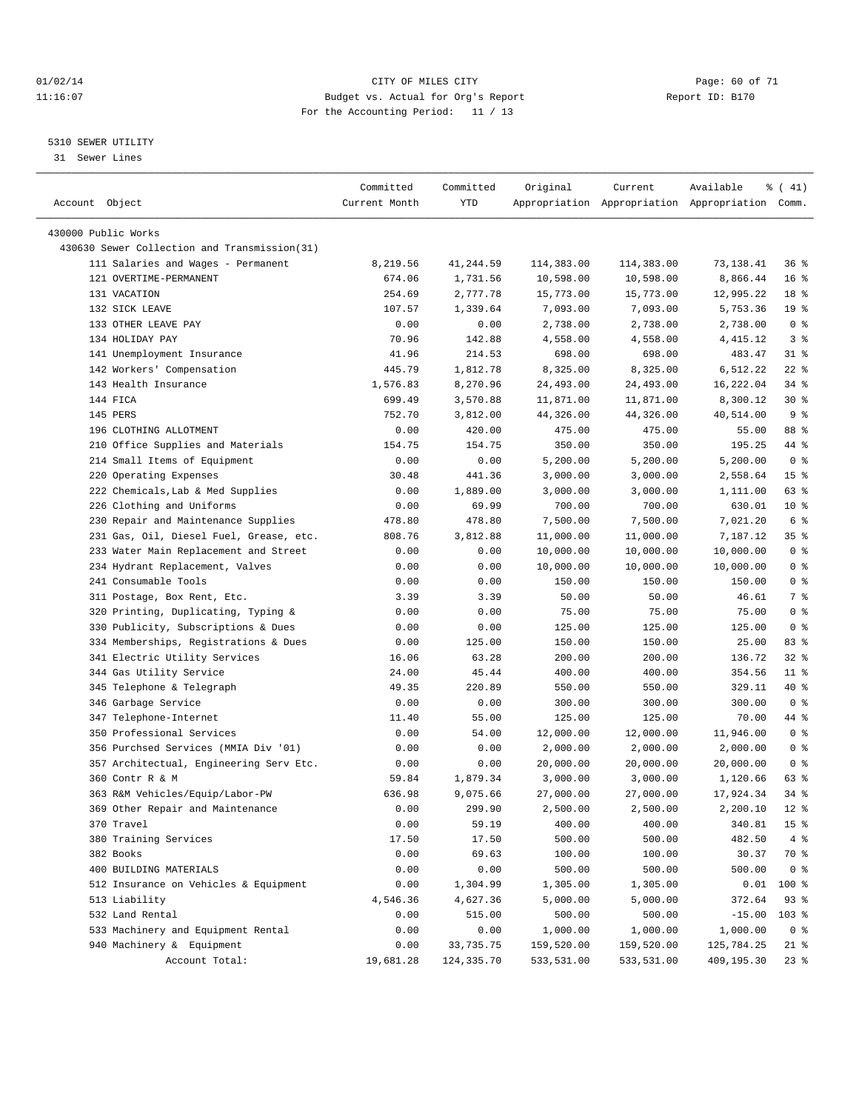#### $O1/02/14$  Page: 60 of 71 11:16:07 Budget vs. Actual for Org's Report Changer Report ID: B170 For the Accounting Period: 11 / 13

————————————————————————————————————————————————————————————————————————————————————————————————————————————————————————————————————

#### 5310 SEWER UTILITY

31 Sewer Lines

|                                              | Committed     | Committed   | Original   | Current                                         | Available  | % (41)          |
|----------------------------------------------|---------------|-------------|------------|-------------------------------------------------|------------|-----------------|
| Account Object                               | Current Month | YTD         |            | Appropriation Appropriation Appropriation Comm. |            |                 |
|                                              |               |             |            |                                                 |            |                 |
| 430000 Public Works                          |               |             |            |                                                 |            |                 |
| 430630 Sewer Collection and Transmission(31) |               |             |            |                                                 |            |                 |
| 111 Salaries and Wages - Permanent           | 8,219.56      | 41,244.59   | 114,383.00 | 114,383.00                                      | 73,138.41  | 36%             |
| 121 OVERTIME-PERMANENT                       | 674.06        | 1,731.56    | 10,598.00  | 10,598.00                                       | 8,866.44   | 16 <sup>8</sup> |
| 131 VACATION                                 | 254.69        | 2,777.78    | 15,773.00  | 15,773.00                                       | 12,995.22  | 18 %            |
| 132 SICK LEAVE                               | 107.57        | 1,339.64    | 7,093.00   | 7,093.00                                        | 5,753.36   | 19 <sup>°</sup> |
| 133 OTHER LEAVE PAY                          | 0.00          | 0.00        | 2,738.00   | 2,738.00                                        | 2,738.00   | 0 <sup>8</sup>  |
| 134 HOLIDAY PAY                              | 70.96         | 142.88      | 4,558.00   | 4,558.00                                        | 4,415.12   | 3 <sup>8</sup>  |
| 141 Unemployment Insurance                   | 41.96         | 214.53      | 698.00     | 698.00                                          | 483.47     | $31$ $%$        |
| 142 Workers' Compensation                    | 445.79        | 1,812.78    | 8,325.00   | 8,325.00                                        | 6,512.22   | $22$ %          |
| 143 Health Insurance                         | 1,576.83      | 8,270.96    | 24,493.00  | 24,493.00                                       | 16,222.04  | 34 %            |
| 144 FICA                                     | 699.49        | 3,570.88    | 11,871.00  | 11,871.00                                       | 8,300.12   | $30*$           |
| 145 PERS                                     | 752.70        | 3,812.00    | 44,326.00  | 44,326.00                                       | 40,514.00  | 9 <sub>8</sub>  |
| 196 CLOTHING ALLOTMENT                       | 0.00          | 420.00      | 475.00     | 475.00                                          | 55.00      | 88 %            |
| 210 Office Supplies and Materials            | 154.75        | 154.75      | 350.00     | 350.00                                          | 195.25     | 44 %            |
| 214 Small Items of Equipment                 | 0.00          | 0.00        | 5,200.00   | 5,200.00                                        | 5,200.00   | 0 <sup>8</sup>  |
| 220 Operating Expenses                       | 30.48         | 441.36      | 3,000.00   | 3,000.00                                        | 2,558.64   | 15 <sup>°</sup> |
| 222 Chemicals, Lab & Med Supplies            | 0.00          | 1,889.00    | 3,000.00   | 3,000.00                                        | 1,111.00   | 63 %            |
| 226 Clothing and Uniforms                    | 0.00          | 69.99       | 700.00     | 700.00                                          | 630.01     | $10*$           |
| 230 Repair and Maintenance Supplies          | 478.80        | 478.80      | 7,500.00   | 7,500.00                                        | 7,021.20   | 6 <sup>°</sup>  |
| 231 Gas, Oil, Diesel Fuel, Grease, etc.      | 808.76        | 3,812.88    | 11,000.00  | 11,000.00                                       | 7,187.12   | 35 %            |
| 233 Water Main Replacement and Street        | 0.00          | 0.00        | 10,000.00  | 10,000.00                                       | 10,000.00  | 0 <sup>8</sup>  |
| 234 Hydrant Replacement, Valves              | 0.00          | 0.00        | 10,000.00  | 10,000.00                                       | 10,000.00  | 0 <sup>8</sup>  |
| 241 Consumable Tools                         | 0.00          | 0.00        | 150.00     | 150.00                                          | 150.00     | 0 <sup>8</sup>  |
| 311 Postage, Box Rent, Etc.                  | 3.39          | 3.39        | 50.00      | 50.00                                           | 46.61      | 7 %             |
| 320 Printing, Duplicating, Typing &          | 0.00          | 0.00        | 75.00      | 75.00                                           | 75.00      | 0 <sup>8</sup>  |
| 330 Publicity, Subscriptions & Dues          | 0.00          | 0.00        | 125.00     | 125.00                                          | 125.00     | 0 <sup>8</sup>  |
| 334 Memberships, Registrations & Dues        | 0.00          | 125.00      | 150.00     | 150.00                                          | 25.00      | 83 %            |
| 341 Electric Utility Services                | 16.06         | 63.28       | 200.00     | 200.00                                          | 136.72     | $32$ $%$        |
| 344 Gas Utility Service                      | 24.00         | 45.44       | 400.00     | 400.00                                          | 354.56     | $11$ %          |
| 345 Telephone & Telegraph                    | 49.35         | 220.89      | 550.00     | 550.00                                          | 329.11     | 40 %            |
| 346 Garbage Service                          | 0.00          | 0.00        | 300.00     | 300.00                                          | 300.00     | 0 <sup>8</sup>  |
| 347 Telephone-Internet                       | 11.40         | 55.00       | 125.00     | 125.00                                          | 70.00      | 44 %            |
| 350 Professional Services                    | 0.00          | 54.00       | 12,000.00  | 12,000.00                                       | 11,946.00  | 0 <sup>8</sup>  |
| 356 Purchsed Services (MMIA Div '01)         | 0.00          | 0.00        | 2,000.00   | 2,000.00                                        | 2,000.00   | 0 <sup>8</sup>  |
| 357 Architectual, Engineering Serv Etc.      | 0.00          | 0.00        | 20,000.00  | 20,000.00                                       | 20,000.00  | 0 <sup>8</sup>  |
| 360 Contr R & M                              | 59.84         | 1,879.34    | 3,000.00   | 3,000.00                                        | 1,120.66   | 63 %            |
| 363 R&M Vehicles/Equip/Labor-PW              | 636.98        | 9,075.66    | 27,000.00  | 27,000.00                                       | 17,924.34  | 34 %            |
| 369 Other Repair and Maintenance             | 0.00          | 299.90      | 2,500.00   | 2,500.00                                        | 2,200.10   | $12*$           |
| 370 Travel                                   | 0.00          | 59.19       | 400.00     | 400.00                                          | 340.81     | 15 <sup>°</sup> |
| 380 Training Services                        | 17.50         | 17.50       | 500.00     | 500.00                                          | 482.50     | 4%              |
| 382 Books                                    | 0.00          | 69.63       | 100.00     | 100.00                                          | 30.37      | 70 %            |
| 400 BUILDING MATERIALS                       | 0.00          | 0.00        | 500.00     | 500.00                                          | 500.00     | 0 <sup>8</sup>  |
| 512 Insurance on Vehicles & Equipment        | 0.00          | 1,304.99    | 1,305.00   | 1,305.00                                        | 0.01       | $100*$          |
| 513 Liability                                | 4,546.36      | 4,627.36    | 5,000.00   | 5,000.00                                        | 372.64     | 93%             |
| 532 Land Rental                              | 0.00          | 515.00      | 500.00     | 500.00                                          | $-15.00$   | $103$ %         |
| 533 Machinery and Equipment Rental           | 0.00          | 0.00        | 1,000.00   | 1,000.00                                        | 1,000.00   | 0 <sup>8</sup>  |
| 940 Machinery & Equipment                    | 0.00          | 33,735.75   | 159,520.00 | 159,520.00                                      | 125,784.25 | 21 %            |
| Account Total:                               | 19,681.28     | 124, 335.70 | 533,531.00 | 533,531.00                                      | 409,195.30 | $23$ $%$        |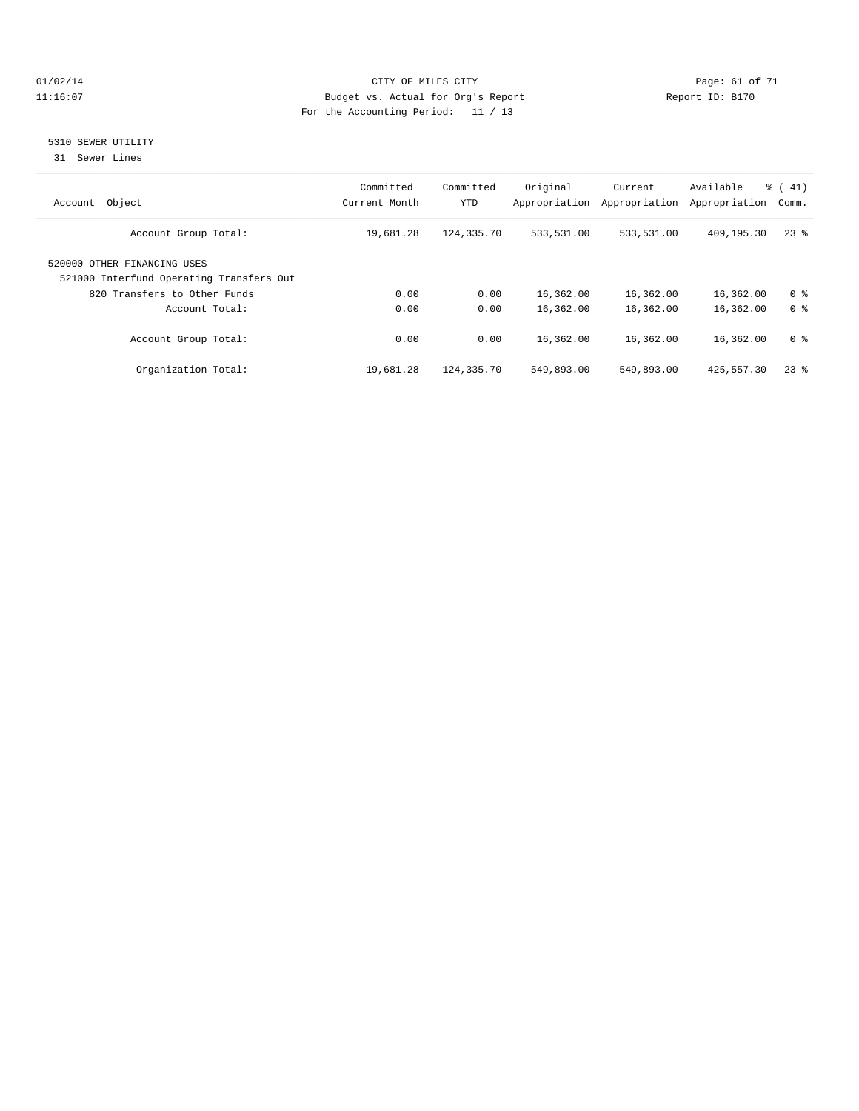#### $O1/02/14$  Page: 61 of 71 11:16:07 Budget vs. Actual for Org's Report Changer Report ID: B170 For the Accounting Period: 11 / 13

### 5310 SEWER UTILITY

31 Sewer Lines

| Object<br>Account                                                       | Committed<br>Current Month | Committed<br><b>YTD</b> | Original<br>Appropriation | Current<br>Appropriation | Available<br>Appropriation | $\frac{1}{6}$ ( 41)<br>Comm. |
|-------------------------------------------------------------------------|----------------------------|-------------------------|---------------------------|--------------------------|----------------------------|------------------------------|
| Account Group Total:                                                    | 19,681.28                  | 124,335.70              | 533,531.00                | 533,531.00               | 409,195.30                 | $23$ $%$                     |
| 520000 OTHER FINANCING USES<br>521000 Interfund Operating Transfers Out |                            |                         |                           |                          |                            |                              |
| 820 Transfers to Other Funds                                            | 0.00                       | 0.00                    | 16,362.00                 | 16,362.00                | 16,362.00                  | 0 <sup>8</sup>               |
| Account Total:                                                          | 0.00                       | 0.00                    | 16,362.00                 | 16,362.00                | 16,362.00                  | 0 <sup>8</sup>               |
| Account Group Total:                                                    | 0.00                       | 0.00                    | 16,362.00                 | 16,362.00                | 16,362.00                  | 0 <sup>8</sup>               |
| Organization Total:                                                     | 19,681.28                  | 124,335.70              | 549,893.00                | 549,893.00               | 425,557.30                 | $23$ $%$                     |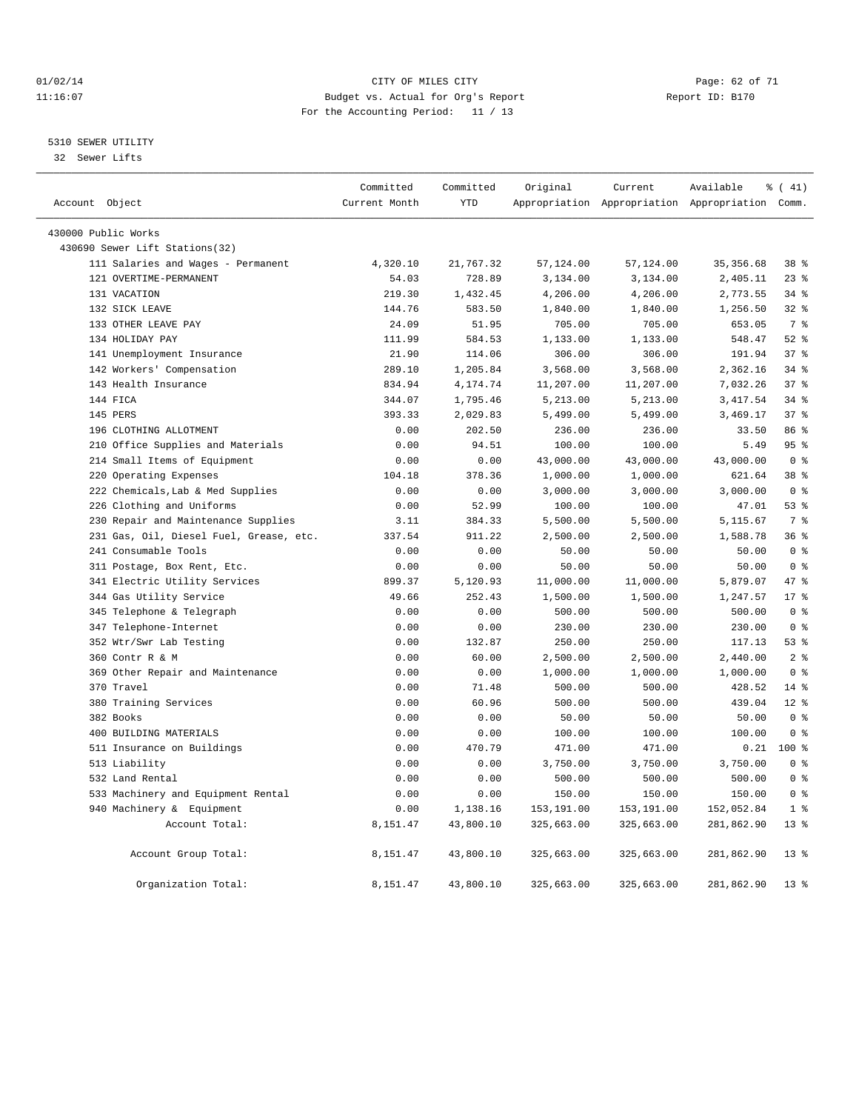#### $O1/02/14$  Page: 62 of 71 11:16:07 Budget vs. Actual for Org's Report Changer Report ID: B170 For the Accounting Period: 11 / 13

#### 5310 SEWER UTILITY

32 Sewer Lifts

|                                         | Committed     | Committed  | Original   | Current    | Available                                       | $\frac{1}{6}$ ( 41) |  |
|-----------------------------------------|---------------|------------|------------|------------|-------------------------------------------------|---------------------|--|
| Account Object                          | Current Month | <b>YTD</b> |            |            | Appropriation Appropriation Appropriation Comm. |                     |  |
| 430000 Public Works                     |               |            |            |            |                                                 |                     |  |
| 430690 Sewer Lift Stations(32)          |               |            |            |            |                                                 |                     |  |
| 111 Salaries and Wages - Permanent      | 4,320.10      | 21,767.32  | 57,124.00  | 57,124.00  | 35, 356.68                                      | 38 %                |  |
| 121 OVERTIME-PERMANENT                  | 54.03         | 728.89     | 3,134.00   | 3,134.00   | 2,405.11                                        | 23%                 |  |
| 131 VACATION                            | 219.30        | 1,432.45   | 4,206.00   | 4,206.00   | 2,773.55                                        | 34.8                |  |
| 132 SICK LEAVE                          | 144.76        | 583.50     | 1,840.00   | 1,840.00   | 1,256.50                                        | 32%                 |  |
| 133 OTHER LEAVE PAY                     | 24.09         | 51.95      | 705.00     | 705.00     | 653.05                                          | 7 %                 |  |
| 134 HOLIDAY PAY                         | 111.99        | 584.53     | 1,133.00   | 1,133.00   | 548.47                                          | $52$ $%$            |  |
| 141 Unemployment Insurance              | 21.90         | 114.06     | 306.00     | 306.00     | 191.94                                          | 37 <sup>8</sup>     |  |
| 142 Workers' Compensation               | 289.10        | 1,205.84   | 3,568.00   | 3,568.00   | 2,362.16                                        | 34%                 |  |
| 143 Health Insurance                    | 834.94        | 4,174.74   | 11,207.00  | 11,207.00  | 7,032.26                                        | 37 <sup>8</sup>     |  |
| 144 FICA                                | 344.07        | 1,795.46   | 5,213.00   | 5,213.00   | 3, 417.54                                       | $34$ $%$            |  |
| 145 PERS                                | 393.33        | 2,029.83   | 5,499.00   | 5,499.00   | 3,469.17                                        | 37 <sup>8</sup>     |  |
| 196 CLOTHING ALLOTMENT                  | 0.00          | 202.50     | 236.00     | 236.00     | 33.50                                           | 86 %                |  |
| 210 Office Supplies and Materials       | 0.00          | 94.51      | 100.00     | 100.00     | 5.49                                            | 95 <sup>8</sup>     |  |
| 214 Small Items of Equipment            | 0.00          | 0.00       | 43,000.00  | 43,000.00  | 43,000.00                                       | 0 <sup>8</sup>      |  |
| 220 Operating Expenses                  | 104.18        | 378.36     | 1,000.00   | 1,000.00   | 621.64                                          | 38 %                |  |
| 222 Chemicals, Lab & Med Supplies       | 0.00          | 0.00       | 3,000.00   | 3,000.00   | 3,000.00                                        | 0 <sup>8</sup>      |  |
| 226 Clothing and Uniforms               | 0.00          | 52.99      | 100.00     | 100.00     | 47.01                                           | 53%                 |  |
| 230 Repair and Maintenance Supplies     | 3.11          | 384.33     | 5,500.00   | 5,500.00   | 5,115.67                                        | 7 <sup>°</sup>      |  |
| 231 Gas, Oil, Diesel Fuel, Grease, etc. | 337.54        | 911.22     | 2,500.00   | 2,500.00   | 1,588.78                                        | 36 <sup>8</sup>     |  |
| 241 Consumable Tools                    | 0.00          | 0.00       | 50.00      | 50.00      | 50.00                                           | 0 <sup>8</sup>      |  |
| 311 Postage, Box Rent, Etc.             | 0.00          | 0.00       | 50.00      | 50.00      | 50.00                                           | 0 <sup>8</sup>      |  |
| 341 Electric Utility Services           | 899.37        | 5,120.93   | 11,000.00  | 11,000.00  | 5,879.07                                        | 47.8                |  |
| 344 Gas Utility Service                 | 49.66         | 252.43     | 1,500.00   | 1,500.00   | 1,247.57                                        | $17*$               |  |
| 345 Telephone & Telegraph               | 0.00          | 0.00       | 500.00     | 500.00     | 500.00                                          | 0 <sup>8</sup>      |  |
| 347 Telephone-Internet                  | 0.00          | 0.00       | 230.00     | 230.00     | 230.00                                          | 0 <sup>8</sup>      |  |
| 352 Wtr/Swr Lab Testing                 | 0.00          | 132.87     | 250.00     | 250.00     | 117.13                                          | 53%                 |  |
| 360 Contr R & M                         | 0.00          | 60.00      | 2,500.00   | 2,500.00   | 2,440.00                                        | 2 <sub>8</sub>      |  |
| 369 Other Repair and Maintenance        | 0.00          | 0.00       | 1,000.00   | 1,000.00   | 1,000.00                                        | 0 <sup>8</sup>      |  |
| 370 Travel                              | 0.00          | 71.48      | 500.00     | 500.00     | 428.52                                          | 14 %                |  |
| 380 Training Services                   | 0.00          | 60.96      | 500.00     | 500.00     | 439.04                                          | $12*$               |  |
| 382 Books                               | 0.00          | 0.00       | 50.00      | 50.00      | 50.00                                           | 0 <sup>8</sup>      |  |
| 400 BUILDING MATERIALS                  | 0.00          | 0.00       | 100.00     | 100.00     | 100.00                                          | 0 <sup>8</sup>      |  |
| 511 Insurance on Buildings              | 0.00          | 470.79     | 471.00     | 471.00     | 0.21                                            | 100 %               |  |
| 513 Liability                           | 0.00          | 0.00       | 3,750.00   | 3,750.00   | 3,750.00                                        | 0 <sup>8</sup>      |  |
| 532 Land Rental                         | 0.00          | 0.00       | 500.00     | 500.00     | 500.00                                          | 0 <sup>8</sup>      |  |
| 533 Machinery and Equipment Rental      | 0.00          | 0.00       | 150.00     | 150.00     | 150.00                                          | 0 <sup>8</sup>      |  |
| 940 Machinery & Equipment               | 0.00          | 1,138.16   | 153,191.00 | 153,191.00 | 152,052.84                                      | 1 <sup>8</sup>      |  |
| Account Total:                          | 8,151.47      | 43,800.10  | 325,663.00 | 325,663.00 | 281,862.90                                      | 13 <sup>8</sup>     |  |
| Account Group Total:                    | 8,151.47      | 43,800.10  | 325,663.00 | 325,663.00 | 281,862.90                                      | 13 <sup>°</sup>     |  |
| Organization Total:                     | 8,151.47      | 43,800.10  | 325,663.00 | 325,663.00 | 281,862.90                                      | $13*$               |  |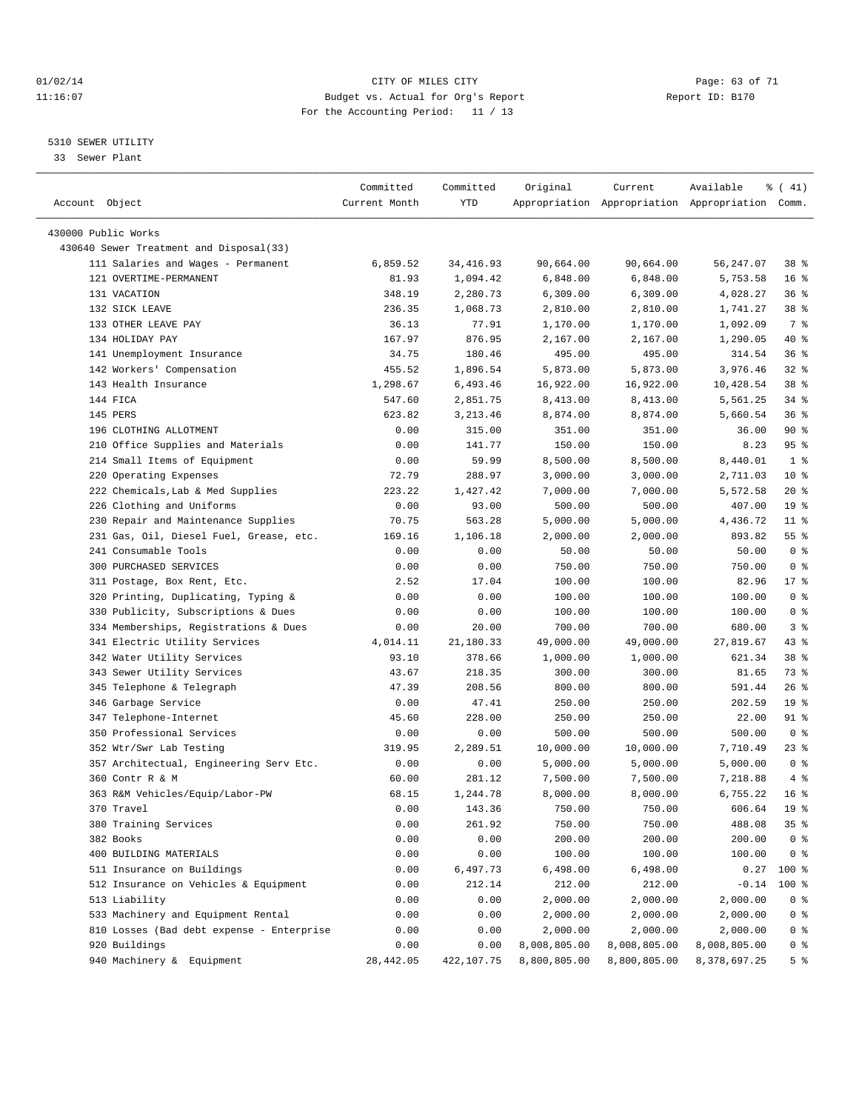#### $O1/02/14$  Page: 63 of 71 11:16:07 Budget vs. Actual for Org's Report Changer Report ID: B170 For the Accounting Period: 11 / 13

————————————————————————————————————————————————————————————————————————————————————————————————————————————————————————————————————

#### 5310 SEWER UTILITY

33 Sewer Plant

|                                                                               | Committed     | Committed  | Original     | Current      | Available                                       | ៖ ( 41)         |
|-------------------------------------------------------------------------------|---------------|------------|--------------|--------------|-------------------------------------------------|-----------------|
| Account Object                                                                | Current Month | YTD        |              |              | Appropriation Appropriation Appropriation Comm. |                 |
|                                                                               |               |            |              |              |                                                 |                 |
| 430000 Public Works                                                           |               |            |              |              |                                                 |                 |
| 430640 Sewer Treatment and Disposal(33)<br>111 Salaries and Wages - Permanent |               |            |              | 90,664.00    |                                                 |                 |
|                                                                               | 6,859.52      | 34,416.93  | 90,664.00    |              | 56,247.07                                       | 38 <sup>8</sup> |
| 121 OVERTIME-PERMANENT                                                        | 81.93         | 1,094.42   | 6,848.00     | 6,848.00     | 5,753.58                                        | 16 <sup>8</sup> |
| 131 VACATION                                                                  | 348.19        | 2,280.73   | 6,309.00     | 6,309.00     | 4,028.27                                        | 36%             |
| 132 SICK LEAVE                                                                | 236.35        | 1,068.73   | 2,810.00     | 2,810.00     | 1,741.27                                        | 38 %            |
| 133 OTHER LEAVE PAY                                                           | 36.13         | 77.91      | 1,170.00     | 1,170.00     | 1,092.09                                        | 7 %             |
| 134 HOLIDAY PAY                                                               | 167.97        | 876.95     | 2,167.00     | 2,167.00     | 1,290.05                                        | 40 %            |
| 141 Unemployment Insurance                                                    | 34.75         | 180.46     | 495.00       | 495.00       | 314.54                                          | 36%             |
| 142 Workers' Compensation                                                     | 455.52        | 1,896.54   | 5,873.00     | 5,873.00     | 3,976.46                                        | $32$ $%$        |
| 143 Health Insurance                                                          | 1,298.67      | 6,493.46   | 16,922.00    | 16,922.00    | 10,428.54                                       | 38 %            |
| 144 FICA                                                                      | 547.60        | 2,851.75   | 8,413.00     | 8,413.00     | 5,561.25                                        | $34$ $%$        |
| 145 PERS                                                                      | 623.82        | 3,213.46   | 8,874.00     | 8,874.00     | 5,660.54                                        | 36%             |
| 196 CLOTHING ALLOTMENT                                                        | 0.00          | 315.00     | 351.00       | 351.00       | 36.00                                           | 90%             |
| 210 Office Supplies and Materials                                             | 0.00          | 141.77     | 150.00       | 150.00       | 8.23                                            | 95%             |
| 214 Small Items of Equipment                                                  | 0.00          | 59.99      | 8,500.00     | 8,500.00     | 8,440.01                                        | 1 <sup>8</sup>  |
| 220 Operating Expenses                                                        | 72.79         | 288.97     | 3,000.00     | 3,000.00     | 2,711.03                                        | $10*$           |
| 222 Chemicals, Lab & Med Supplies                                             | 223.22        | 1,427.42   | 7,000.00     | 7,000.00     | 5,572.58                                        | $20*$           |
| 226 Clothing and Uniforms                                                     | 0.00          | 93.00      | 500.00       | 500.00       | 407.00                                          | 19 <sup>°</sup> |
| 230 Repair and Maintenance Supplies                                           | 70.75         | 563.28     | 5,000.00     | 5,000.00     | 4,436.72                                        | $11$ %          |
| 231 Gas, Oil, Diesel Fuel, Grease, etc.                                       | 169.16        | 1,106.18   | 2,000.00     | 2,000.00     | 893.82                                          | 55 <sup>8</sup> |
| 241 Consumable Tools                                                          | 0.00          | 0.00       | 50.00        | 50.00        | 50.00                                           | 0 <sup>8</sup>  |
| 300 PURCHASED SERVICES                                                        | 0.00          | 0.00       | 750.00       | 750.00       | 750.00                                          | 0 <sup>8</sup>  |
| 311 Postage, Box Rent, Etc.                                                   | 2.52          | 17.04      | 100.00       | 100.00       | 82.96                                           | 17.8            |
| 320 Printing, Duplicating, Typing &                                           | 0.00          | 0.00       | 100.00       | 100.00       | 100.00                                          | 0 <sup>8</sup>  |
| 330 Publicity, Subscriptions & Dues                                           | 0.00          | 0.00       | 100.00       | 100.00       | 100.00                                          | 0 <sup>8</sup>  |
| 334 Memberships, Registrations & Dues                                         | 0.00          | 20.00      | 700.00       | 700.00       | 680.00                                          | 3 <sup>8</sup>  |
| 341 Electric Utility Services                                                 | 4,014.11      | 21,180.33  | 49,000.00    | 49,000.00    | 27,819.67                                       | $43$ %          |
| 342 Water Utility Services                                                    | 93.10         | 378.66     | 1,000.00     | 1,000.00     | 621.34                                          | 38 %            |
| 343 Sewer Utility Services                                                    | 43.67         | 218.35     | 300.00       | 300.00       | 81.65                                           | 73 %            |
| 345 Telephone & Telegraph                                                     | 47.39         | 208.56     | 800.00       | 800.00       | 591.44                                          | $26$ %          |
| 346 Garbage Service                                                           | 0.00          | 47.41      | 250.00       | 250.00       | 202.59                                          | 19 <sup>°</sup> |
| 347 Telephone-Internet                                                        | 45.60         | 228.00     | 250.00       | 250.00       | 22.00                                           | 91 %            |
| 350 Professional Services                                                     | 0.00          | 0.00       | 500.00       | 500.00       | 500.00                                          | 0 <sup>8</sup>  |
| 352 Wtr/Swr Lab Testing                                                       | 319.95        | 2,289.51   | 10,000.00    | 10,000.00    | 7,710.49                                        | 23 %            |
| 357 Architectual, Engineering Serv Etc.                                       | 0.00          | 0.00       | 5,000.00     | 5,000.00     | 5,000.00                                        | 0 <sup>8</sup>  |
| 360 Contr R & M                                                               | 60.00         | 281.12     | 7,500.00     | 7,500.00     | 7,218.88                                        | 4%              |
| 363 R&M Vehicles/Equip/Labor-PW                                               | 68.15         | 1,244.78   | 8,000.00     | 8,000.00     | 6,755.22                                        | 16 <sup>8</sup> |
| 370 Travel                                                                    | 0.00          | 143.36     | 750.00       | 750.00       | 606.64                                          | 19 <sup>°</sup> |
| 380 Training Services                                                         | 0.00          | 261.92     | 750.00       | 750.00       | 488.08                                          | 35%             |
| 382 Books                                                                     | 0.00          | 0.00       | 200.00       | 200.00       | 200.00                                          | 0 <sup>8</sup>  |
| 400 BUILDING MATERIALS                                                        | 0.00          | 0.00       | 100.00       | 100.00       | 100.00                                          | 0 <sup>8</sup>  |
| 511 Insurance on Buildings                                                    | 0.00          | 6,497.73   | 6,498.00     | 6,498.00     | 0.27                                            | 100 %           |
| 512 Insurance on Vehicles & Equipment                                         | 0.00          | 212.14     | 212.00       | 212.00       | $-0.14$                                         | 100 %           |
| 513 Liability                                                                 | 0.00          | 0.00       | 2,000.00     | 2,000.00     | 2,000.00                                        | 0 <sup>8</sup>  |
| 533 Machinery and Equipment Rental                                            | 0.00          | 0.00       | 2,000.00     | 2,000.00     | 2,000.00                                        | 0 <sup>8</sup>  |
| 810 Losses (Bad debt expense - Enterprise                                     | 0.00          | 0.00       | 2,000.00     | 2,000.00     | 2,000.00                                        | 0 <sup>8</sup>  |
| 920 Buildings                                                                 | 0.00          | 0.00       | 8,008,805.00 | 8,008,805.00 | 8,008,805.00                                    | 0 <sup>8</sup>  |
| 940 Machinery & Equipment                                                     | 28, 442.05    | 422,107.75 | 8,800,805.00 | 8,800,805.00 | 8,378,697.25                                    | 5 %             |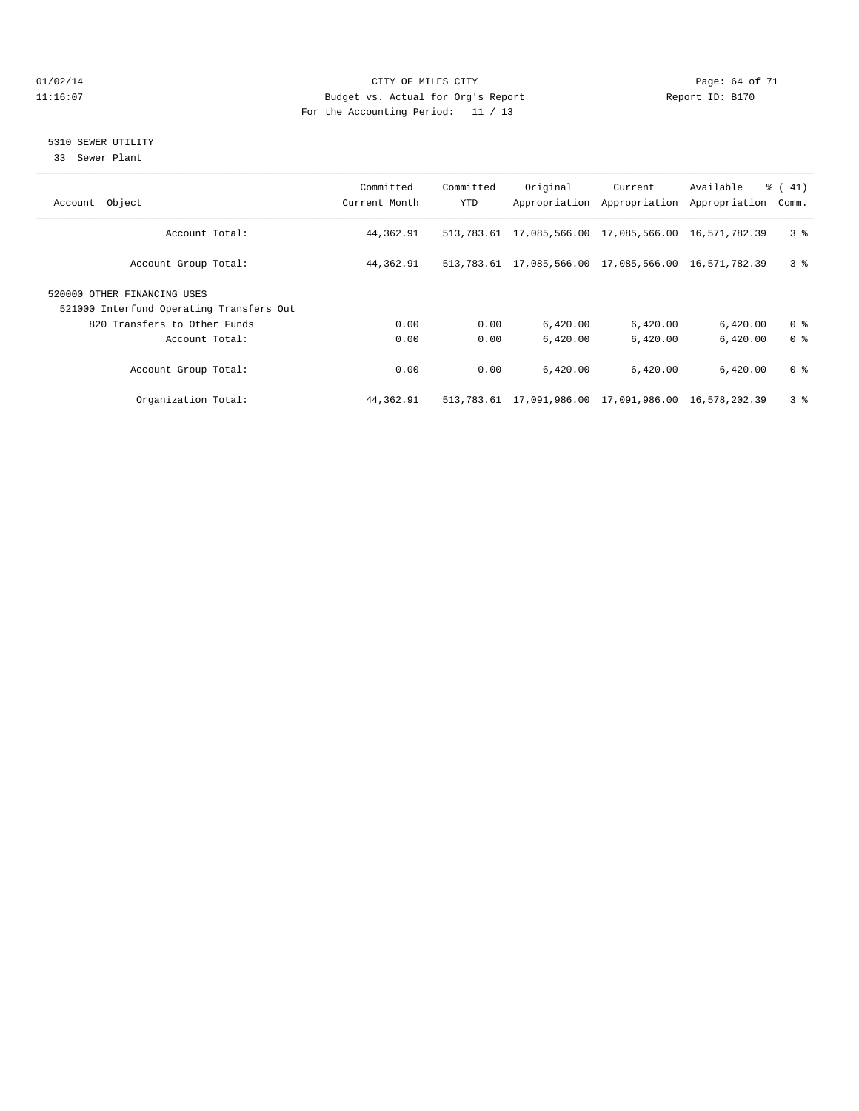#### $O1/02/14$  Page: 64 of 71 11:16:07 Budget vs. Actual for Org's Report Changer Report ID: B170 For the Accounting Period: 11 / 13

#### 5310 SEWER UTILITY

33 Sewer Plant

| Account Object                           | Committed<br>Current Month | Committed<br>YTD | Original                                                    | Current<br>Appropriation Appropriation | Available<br>Appropriation | $\frac{1}{6}$ ( 41)<br>Comm. |
|------------------------------------------|----------------------------|------------------|-------------------------------------------------------------|----------------------------------------|----------------------------|------------------------------|
|                                          |                            |                  |                                                             |                                        |                            |                              |
| Account Total:                           | 44,362.91                  |                  | 513, 783.61 17, 085, 566.00 17, 085, 566.00 16, 571, 782.39 |                                        |                            | 3 <sup>8</sup>               |
| Account Group Total:                     | 44,362.91                  |                  | 513, 783.61 17, 085, 566.00 17, 085, 566.00 16, 571, 782.39 |                                        |                            | 3 <sup>8</sup>               |
| 520000 OTHER FINANCING USES              |                            |                  |                                                             |                                        |                            |                              |
| 521000 Interfund Operating Transfers Out |                            |                  |                                                             |                                        |                            |                              |
| 820 Transfers to Other Funds             | 0.00                       | 0.00             | 6,420.00                                                    | 6,420.00                               | 6,420.00                   | 0 <sup>8</sup>               |
| Account Total:                           | 0.00                       | 0.00             | 6,420.00                                                    | 6,420.00                               | 6,420.00                   | 0 <sup>8</sup>               |
| Account Group Total:                     | 0.00                       | 0.00             | 6.420.00                                                    | 6.420.00                               | 6,420.00                   | 0 <sup>8</sup>               |
| Organization Total:                      | 44,362.91                  |                  | 513,783.61 17,091,986.00 17,091,986.00 16,578,202.39        |                                        |                            | 3 <sup>8</sup>               |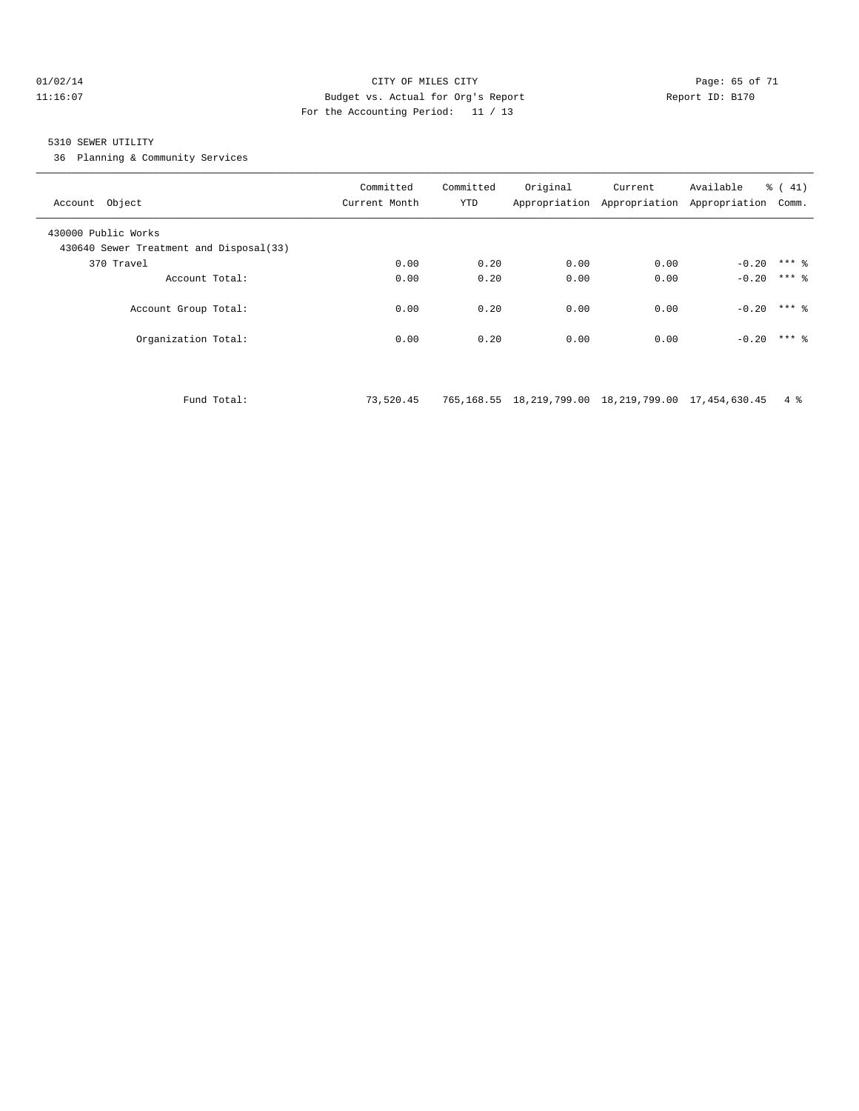#### 01/02/14 Page: 65 of 71 11:16:07 Budget vs. Actual for Org's Report Report ID: B170 For the Accounting Period: 11 / 13

#### 5310 SEWER UTILITY

36 Planning & Community Services

| Account Object                                                 | Committed<br>Current Month | Committed<br>YTD | Original | Current<br>Appropriation Appropriation Appropriation Comm. | Available | $\frac{1}{6}$ ( 41) |
|----------------------------------------------------------------|----------------------------|------------------|----------|------------------------------------------------------------|-----------|---------------------|
| 430000 Public Works<br>430640 Sewer Treatment and Disposal(33) |                            |                  |          |                                                            |           |                     |
| 370 Travel                                                     | 0.00                       | 0.20             | 0.00     | 0.00                                                       | $-0.20$   | $***$ 2             |
| Account Total:                                                 | 0.00                       | 0.20             | 0.00     | 0.00                                                       | $-0.20$   | $***$ 2             |
| Account Group Total:                                           | 0.00                       | 0.20             | 0.00     | 0.00                                                       | $-0.20$   | $***$ 2             |
| Organization Total:                                            | 0.00                       | 0.20             | 0.00     | 0.00                                                       | $-0.20$   | $***$ 2             |
|                                                                |                            |                  |          |                                                            |           |                     |

Fund Total: 73,520.45 765,168.55 18,219,799.00 18,219,799.00 17,454,630.45 4 %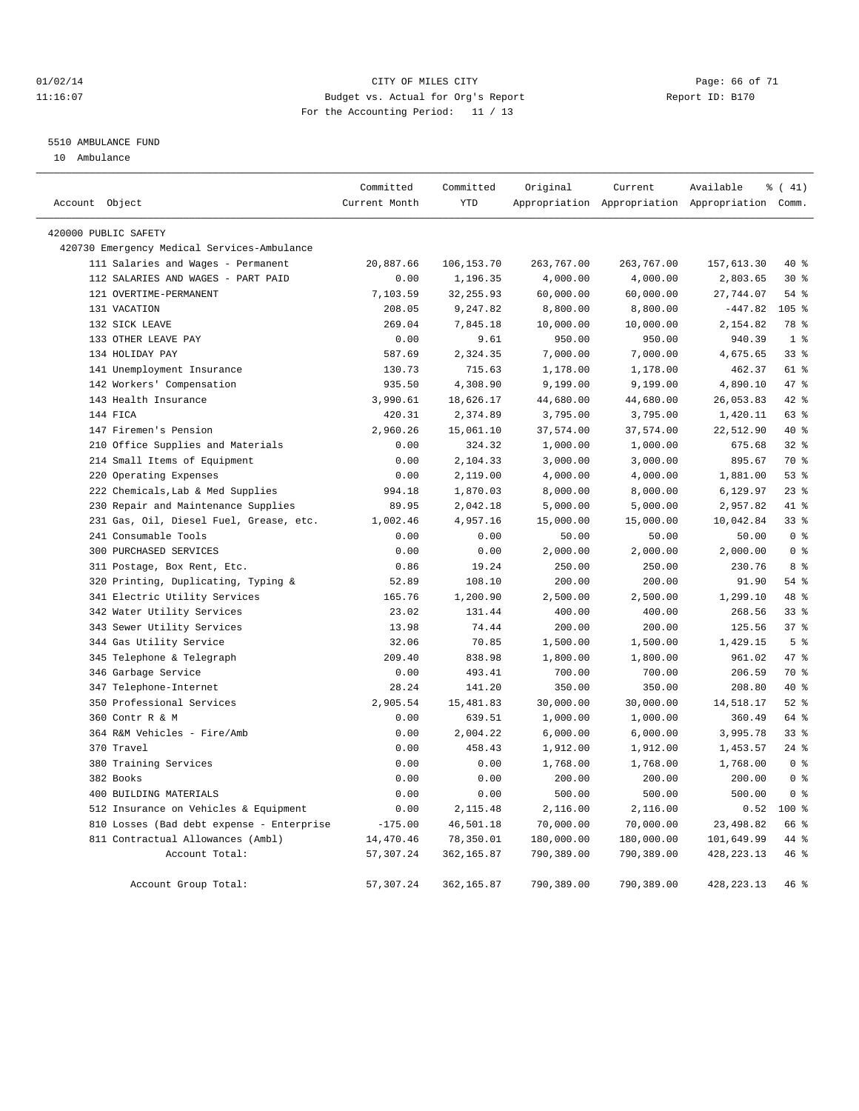#### $O1/02/14$  Page: 66 of 71 11:16:07 Budget vs. Actual for Org's Report Changer Report ID: B170 For the Accounting Period: 11 / 13

#### 5510 AMBULANCE FUND

10 Ambulance

|                                             | Committed     | Committed    | Original   | Current    | Available                                       | % (41)          |
|---------------------------------------------|---------------|--------------|------------|------------|-------------------------------------------------|-----------------|
| Account Object                              | Current Month | <b>YTD</b>   |            |            | Appropriation Appropriation Appropriation Comm. |                 |
| 420000 PUBLIC SAFETY                        |               |              |            |            |                                                 |                 |
| 420730 Emergency Medical Services-Ambulance |               |              |            |            |                                                 |                 |
| 111 Salaries and Wages - Permanent          | 20,887.66     | 106, 153. 70 | 263,767.00 | 263,767.00 | 157,613.30                                      | 40 %            |
| 112 SALARIES AND WAGES - PART PAID          | 0.00          | 1,196.35     | 4,000.00   | 4,000.00   | 2,803.65                                        | $30*$           |
| 121 OVERTIME-PERMANENT                      | 7,103.59      | 32, 255.93   | 60,000.00  | 60,000.00  | 27,744.07                                       | 54%             |
| 131 VACATION                                | 208.05        | 9,247.82     | 8,800.00   | 8,800.00   | $-447.82$                                       | 105%            |
| 132 SICK LEAVE                              | 269.04        | 7,845.18     | 10,000.00  | 10,000.00  | 2,154.82                                        | 78 %            |
| 133 OTHER LEAVE PAY                         | 0.00          | 9.61         | 950.00     | 950.00     | 940.39                                          | 1 <sup>°</sup>  |
| 134 HOLIDAY PAY                             | 587.69        | 2,324.35     | 7,000.00   | 7,000.00   | 4,675.65                                        | 33 <sup>8</sup> |
| 141 Unemployment Insurance                  | 130.73        | 715.63       | 1,178.00   | 1,178.00   | 462.37                                          | 61 %            |
| 142 Workers' Compensation                   | 935.50        | 4,308.90     | 9,199.00   | 9,199.00   | 4,890.10                                        | 47.8            |
| 143 Health Insurance                        | 3,990.61      | 18,626.17    | 44,680.00  | 44,680.00  | 26,053.83                                       | $42$ $%$        |
| 144 FICA                                    | 420.31        | 2,374.89     | 3,795.00   | 3,795.00   | 1,420.11                                        | $63$ $%$        |
| 147 Firemen's Pension                       | 2,960.26      | 15,061.10    | 37,574.00  | 37,574.00  | 22,512.90                                       | $40*$           |
| 210 Office Supplies and Materials           | 0.00          | 324.32       | 1,000.00   | 1,000.00   | 675.68                                          | $32$ %          |
| 214 Small Items of Equipment                | 0.00          | 2,104.33     | 3,000.00   | 3,000.00   | 895.67                                          | 70 %            |
| 220 Operating Expenses                      | 0.00          | 2,119.00     | 4,000.00   | 4,000.00   | 1,881.00                                        | 53%             |
| 222 Chemicals, Lab & Med Supplies           | 994.18        | 1,870.03     | 8,000.00   | 8,000.00   | 6,129.97                                        | $23$ %          |
| 230 Repair and Maintenance Supplies         | 89.95         | 2,042.18     | 5,000.00   | 5,000.00   | 2,957.82                                        | 41 %            |
| 231 Gas, Oil, Diesel Fuel, Grease, etc.     | 1,002.46      | 4,957.16     | 15,000.00  | 15,000.00  | 10,042.84                                       | 33 <sup>8</sup> |
| 241 Consumable Tools                        | 0.00          | 0.00         | 50.00      | 50.00      | 50.00                                           | 0 <sup>8</sup>  |
| 300 PURCHASED SERVICES                      | 0.00          | 0.00         | 2,000.00   | 2,000.00   | 2,000.00                                        | 0 <sup>8</sup>  |
| 311 Postage, Box Rent, Etc.                 | 0.86          | 19.24        | 250.00     | 250.00     | 230.76                                          | 8%              |
| 320 Printing, Duplicating, Typing &         | 52.89         | 108.10       | 200.00     | 200.00     | 91.90                                           | 54%             |
| 341 Electric Utility Services               | 165.76        | 1,200.90     | 2,500.00   | 2,500.00   | 1,299.10                                        | 48 %            |
| 342 Water Utility Services                  | 23.02         | 131.44       | 400.00     | 400.00     | 268.56                                          | $33$ %          |
| 343 Sewer Utility Services                  | 13.98         | 74.44        | 200.00     | 200.00     | 125.56                                          | 37 <sup>8</sup> |
| 344 Gas Utility Service                     | 32.06         | 70.85        | 1,500.00   | 1,500.00   | 1,429.15                                        | 5 <sup>8</sup>  |
| 345 Telephone & Telegraph                   | 209.40        | 838.98       | 1,800.00   | 1,800.00   | 961.02                                          | 47 %            |
| 346 Garbage Service                         | 0.00          | 493.41       | 700.00     | 700.00     | 206.59                                          | 70 %            |
| 347 Telephone-Internet                      | 28.24         | 141.20       | 350.00     | 350.00     | 208.80                                          | $40*$           |
| 350 Professional Services                   | 2,905.54      | 15,481.83    | 30,000.00  | 30,000.00  | 14,518.17                                       | $52$ $%$        |
| 360 Contr R & M                             | 0.00          | 639.51       | 1,000.00   | 1,000.00   | 360.49                                          | 64 %            |
| 364 R&M Vehicles - Fire/Amb                 | 0.00          | 2,004.22     | 6,000.00   | 6,000.00   | 3,995.78                                        | 33%             |
| 370 Travel                                  | 0.00          | 458.43       | 1,912.00   | 1,912.00   | 1,453.57                                        | $24$ %          |
| 380 Training Services                       | 0.00          | 0.00         | 1,768.00   | 1,768.00   | 1,768.00                                        | 0 <sup>8</sup>  |
| 382 Books                                   | 0.00          | 0.00         | 200.00     | 200.00     | 200.00                                          | 0 <sup>8</sup>  |
| 400 BUILDING MATERIALS                      | 0.00          | 0.00         | 500.00     | 500.00     | 500.00                                          | 0 <sup>8</sup>  |
| 512 Insurance on Vehicles & Equipment       | 0.00          | 2,115.48     | 2,116.00   | 2,116.00   | 0.52                                            | $100*$          |
| 810 Losses (Bad debt expense - Enterprise   | $-175.00$     | 46,501.18    | 70,000.00  | 70,000.00  | 23, 498.82                                      | 66 %            |
| 811 Contractual Allowances (Ambl)           | 14,470.46     | 78,350.01    | 180,000.00 | 180,000.00 | 101,649.99                                      | 44 %            |
| Account Total:                              | 57,307.24     | 362,165.87   | 790,389.00 | 790,389.00 | 428, 223. 13                                    | 46 %            |
| Account Group Total:                        | 57, 307.24    | 362,165.87   | 790,389.00 | 790,389.00 | 428, 223. 13                                    | 46 %            |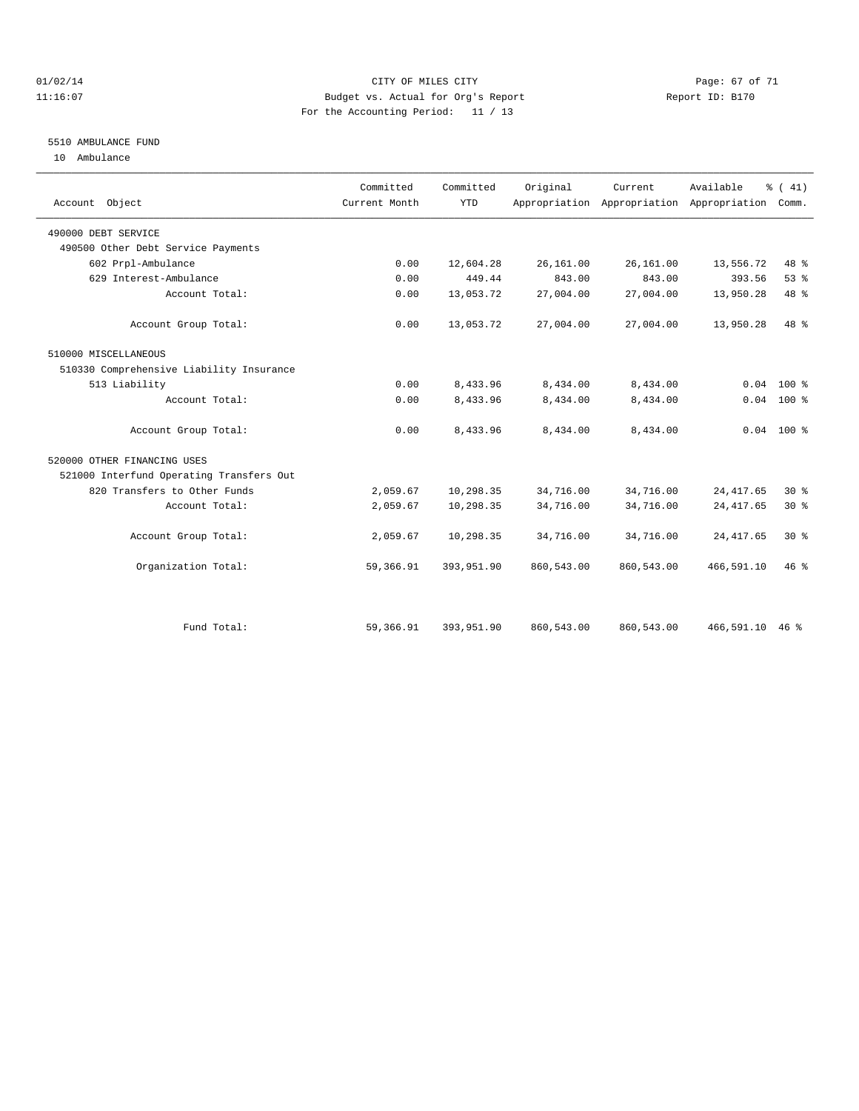#### $O1/02/14$  Page: 67 of 71 11:16:07 Budget vs. Actual for Org's Report Changer Report ID: B170 For the Accounting Period: 11 / 13

#### 5510 AMBULANCE FUND

10 Ambulance

| Account Object                           | Committed<br>Current Month | Committed<br><b>YTD</b> | Original   | Current    | Available<br>Appropriation Appropriation Appropriation | $\frac{1}{6}$ ( 41)<br>Comm. |
|------------------------------------------|----------------------------|-------------------------|------------|------------|--------------------------------------------------------|------------------------------|
| 490000 DEBT SERVICE                      |                            |                         |            |            |                                                        |                              |
| 490500 Other Debt Service Payments       |                            |                         |            |            |                                                        |                              |
| 602 Prpl-Ambulance                       | 0.00                       | 12,604.28               | 26,161.00  | 26,161.00  | 13,556.72                                              | 48 %                         |
| 629 Interest-Ambulance                   | 0.00                       | 449.44                  | 843.00     | 843.00     | 393.56                                                 | 53%                          |
| Account Total:                           | 0.00                       | 13,053.72               | 27,004.00  | 27,004.00  | 13,950.28                                              | 48 %                         |
| Account Group Total:                     | 0.00                       | 13,053.72               | 27,004.00  | 27,004.00  | 13,950.28                                              | 48 %                         |
| 510000 MISCELLANEOUS                     |                            |                         |            |            |                                                        |                              |
| 510330 Comprehensive Liability Insurance |                            |                         |            |            |                                                        |                              |
| 513 Liability                            | 0.00                       | 8,433.96                | 8,434.00   | 8,434.00   | 0.04                                                   | $100*$                       |
| Account Total:                           | 0.00                       | 8,433.96                | 8,434.00   | 8,434.00   |                                                        | $0.04$ 100 %                 |
| Account Group Total:                     | 0.00                       | 8,433.96                | 8,434.00   | 8,434.00   |                                                        | $0.04$ 100 %                 |
| 520000 OTHER FINANCING USES              |                            |                         |            |            |                                                        |                              |
| 521000 Interfund Operating Transfers Out |                            |                         |            |            |                                                        |                              |
| 820 Transfers to Other Funds             | 2,059.67                   | 10,298.35               | 34,716.00  | 34,716.00  | 24, 417.65                                             | $30*$                        |
| Account Total:                           | 2,059.67                   | 10,298.35               | 34,716.00  | 34,716.00  | 24, 417.65                                             | $30*$                        |
| Account Group Total:                     | 2,059.67                   | 10,298.35               | 34,716.00  | 34,716.00  | 24, 417.65                                             | $30*$                        |
| Organization Total:                      | 59,366.91                  | 393,951.90              | 860,543.00 | 860,543.00 | 466,591.10                                             | 46%                          |
|                                          |                            |                         |            |            |                                                        |                              |
| Fund Total:                              | 59,366.91                  | 393,951.90              | 860,543.00 | 860,543.00 | 466,591.10                                             | 46%                          |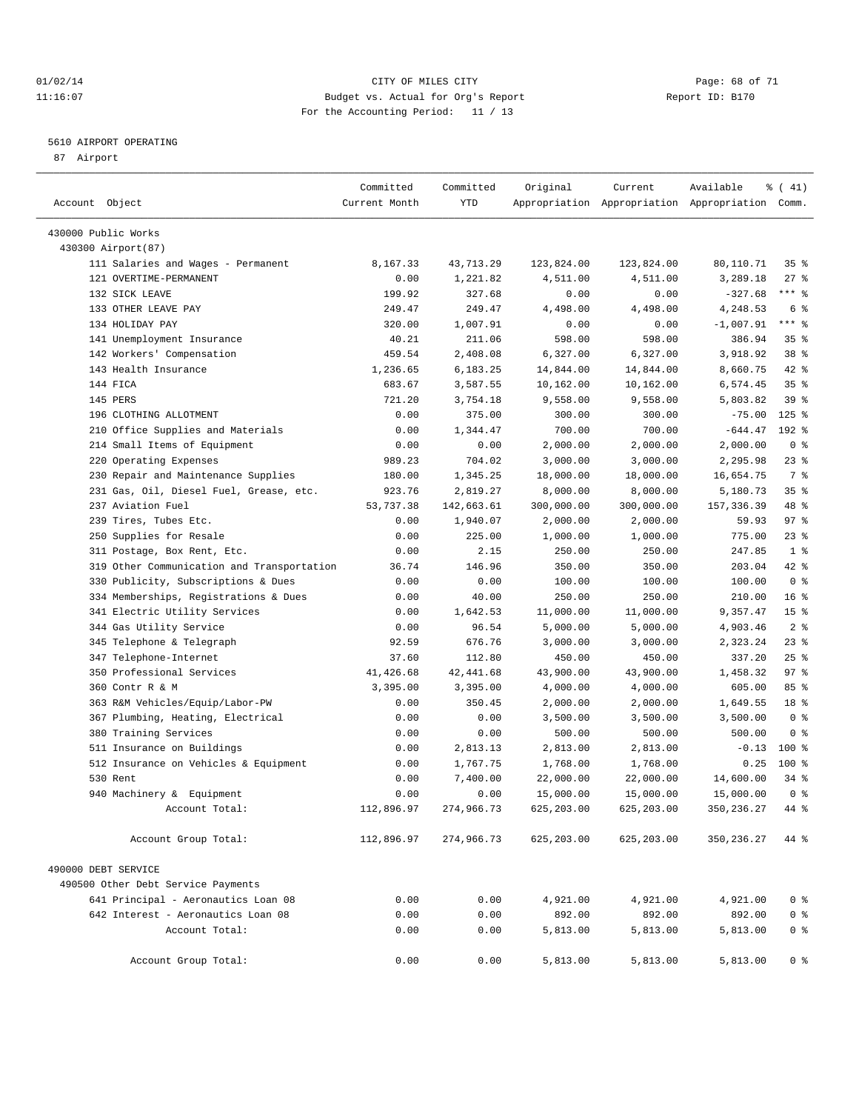#### $O1/02/14$  Page: 68 of 71 11:16:07 Budget vs. Actual for Org's Report Changer Report ID: B170 For the Accounting Period: 11 / 13

————————————————————————————————————————————————————————————————————————————————————————————————————————————————————————————————————

#### 5610 AIRPORT OPERATING

87 Airport

| Account Object                             | Committed<br>Current Month | Committed<br>YTD | Original   | Current    | Available<br>Appropriation Appropriation Appropriation Comm. | ៖ ( 41)         |  |
|--------------------------------------------|----------------------------|------------------|------------|------------|--------------------------------------------------------------|-----------------|--|
|                                            |                            |                  |            |            |                                                              |                 |  |
| 430000 Public Works                        |                            |                  |            |            |                                                              |                 |  |
| 430300 Airport (87)                        |                            |                  |            |            |                                                              |                 |  |
| 111 Salaries and Wages - Permanent         | 8,167.33                   | 43,713.29        | 123,824.00 | 123,824.00 | 80,110.71                                                    | 35 <sup>8</sup> |  |
| 121 OVERTIME-PERMANENT                     | 0.00                       | 1,221.82         | 4,511.00   | 4,511.00   | 3,289.18                                                     | $27$ %          |  |
| 132 SICK LEAVE                             | 199.92                     | 327.68           | 0.00       | 0.00       | $-327.68$                                                    | $***$ $-$       |  |
| 133 OTHER LEAVE PAY                        | 249.47                     | 249.47           | 4,498.00   | 4,498.00   | 4,248.53                                                     | 6 <sup>°</sup>  |  |
| 134 HOLIDAY PAY                            | 320.00                     | 1,007.91         | 0.00       | 0.00       | $-1,007.91$                                                  | $***$ $-$       |  |
| 141 Unemployment Insurance                 | 40.21                      | 211.06           | 598.00     | 598.00     | 386.94                                                       | 35%             |  |
| 142 Workers' Compensation                  | 459.54                     | 2,408.08         | 6,327.00   | 6,327.00   | 3,918.92                                                     | 38 %            |  |
| 143 Health Insurance                       | 1,236.65                   | 6,183.25         | 14,844.00  | 14,844.00  | 8,660.75                                                     | 42 %            |  |
| 144 FICA                                   | 683.67                     | 3,587.55         | 10,162.00  | 10,162.00  | 6,574.45                                                     | 35 <sup>8</sup> |  |
| 145 PERS                                   | 721.20                     | 3,754.18         | 9,558.00   | 9,558.00   | 5,803.82                                                     | 39%             |  |
| 196 CLOTHING ALLOTMENT                     | 0.00                       | 375.00           | 300.00     | 300.00     | $-75.00$                                                     | $125$ %         |  |
| 210 Office Supplies and Materials          | 0.00                       | 1,344.47         | 700.00     | 700.00     | $-644.47$                                                    | 192 %           |  |
| 214 Small Items of Equipment               | 0.00                       | 0.00             | 2,000.00   | 2,000.00   | 2,000.00                                                     | 0 <sup>8</sup>  |  |
| 220 Operating Expenses                     | 989.23                     | 704.02           | 3,000.00   | 3,000.00   | 2,295.98                                                     | $23$ $%$        |  |
| 230 Repair and Maintenance Supplies        | 180.00                     | 1,345.25         | 18,000.00  | 18,000.00  | 16,654.75                                                    | 7 %             |  |
| 231 Gas, Oil, Diesel Fuel, Grease, etc.    | 923.76                     | 2,819.27         | 8,000.00   | 8,000.00   | 5,180.73                                                     | 35%             |  |
| 237 Aviation Fuel                          | 53,737.38                  | 142,663.61       | 300,000.00 | 300,000.00 | 157, 336.39                                                  | 48 %            |  |
| 239 Tires, Tubes Etc.                      | 0.00                       | 1,940.07         | 2,000.00   | 2,000.00   | 59.93                                                        | 97%             |  |
| 250 Supplies for Resale                    | 0.00                       | 225.00           | 1,000.00   | 1,000.00   | 775.00                                                       | $23$ $%$        |  |
| 311 Postage, Box Rent, Etc.                | 0.00                       | 2.15             | 250.00     | 250.00     | 247.85                                                       | 1 <sup>8</sup>  |  |
| 319 Other Communication and Transportation | 36.74                      | 146.96           | 350.00     | 350.00     | 203.04                                                       | 42 %            |  |
| 330 Publicity, Subscriptions & Dues        | 0.00                       | 0.00             | 100.00     | 100.00     | 100.00                                                       | 0 <sup>8</sup>  |  |
| 334 Memberships, Registrations & Dues      | 0.00                       | 40.00            | 250.00     | 250.00     | 210.00                                                       | 16 <sup>°</sup> |  |
| 341 Electric Utility Services              | 0.00                       | 1,642.53         | 11,000.00  | 11,000.00  | 9,357.47                                                     | 15 <sup>8</sup> |  |
| 344 Gas Utility Service                    | 0.00                       | 96.54            | 5,000.00   | 5,000.00   | 4,903.46                                                     | 2 <sup>8</sup>  |  |
| 345 Telephone & Telegraph                  | 92.59                      | 676.76           | 3,000.00   | 3,000.00   | 2,323.24                                                     | $23$ $%$        |  |
| 347 Telephone-Internet                     | 37.60                      | 112.80           | 450.00     | 450.00     | 337.20                                                       | $25$ $%$        |  |
| 350 Professional Services                  | 41,426.68                  | 42,441.68        | 43,900.00  | 43,900.00  | 1,458.32                                                     | 97%             |  |
| 360 Contr R & M                            | 3,395.00                   | 3,395.00         | 4,000.00   | 4,000.00   | 605.00                                                       | 85%             |  |
| 363 R&M Vehicles/Equip/Labor-PW            | 0.00                       | 350.45           | 2,000.00   | 2,000.00   | 1,649.55                                                     | 18 %            |  |
| 367 Plumbing, Heating, Electrical          | 0.00                       | 0.00             | 3,500.00   | 3,500.00   | 3,500.00                                                     | 0 <sup>8</sup>  |  |
| 380 Training Services                      | 0.00                       | 0.00             | 500.00     | 500.00     | 500.00                                                       | 0 <sup>8</sup>  |  |
| 511 Insurance on Buildings                 | 0.00                       | 2,813.13         | 2,813.00   | 2,813.00   | $-0.13$                                                      | $100*$          |  |
| 512 Insurance on Vehicles & Equipment      | 0.00                       | 1,767.75         | 1,768.00   | 1,768.00   | 0.25                                                         | 100 %           |  |
| 530 Rent                                   | 0.00                       | 7,400.00         | 22,000.00  | 22,000.00  | 14,600.00                                                    | 34 %            |  |
| 940 Machinery & Equipment                  | 0.00                       | 0.00             | 15,000.00  | 15,000.00  | 15,000.00                                                    | 0 <sup>8</sup>  |  |
| Account Total:                             | 112,896.97                 | 274,966.73       | 625,203.00 | 625,203.00 | 350, 236.27                                                  | 44 %            |  |
| Account Group Total:                       | 112,896.97                 | 274,966.73       | 625,203.00 | 625,203.00 | 350,236.27                                                   | 44 %            |  |
|                                            |                            |                  |            |            |                                                              |                 |  |
| 490000 DEBT SERVICE                        |                            |                  |            |            |                                                              |                 |  |
| 490500 Other Debt Service Payments         |                            |                  |            |            |                                                              |                 |  |
| 641 Principal - Aeronautics Loan 08        | 0.00                       | 0.00             | 4,921.00   | 4,921.00   | 4,921.00                                                     | 0 <sup>8</sup>  |  |
| 642 Interest - Aeronautics Loan 08         | 0.00                       | 0.00             | 892.00     | 892.00     | 892.00                                                       | 0 <sup>8</sup>  |  |
| Account Total:                             | 0.00                       | 0.00             | 5,813.00   | 5,813.00   | 5,813.00                                                     | 0 <sup>8</sup>  |  |
| Account Group Total:                       | 0.00                       | 0.00             | 5,813.00   | 5,813.00   | 5,813.00                                                     | $0$ %           |  |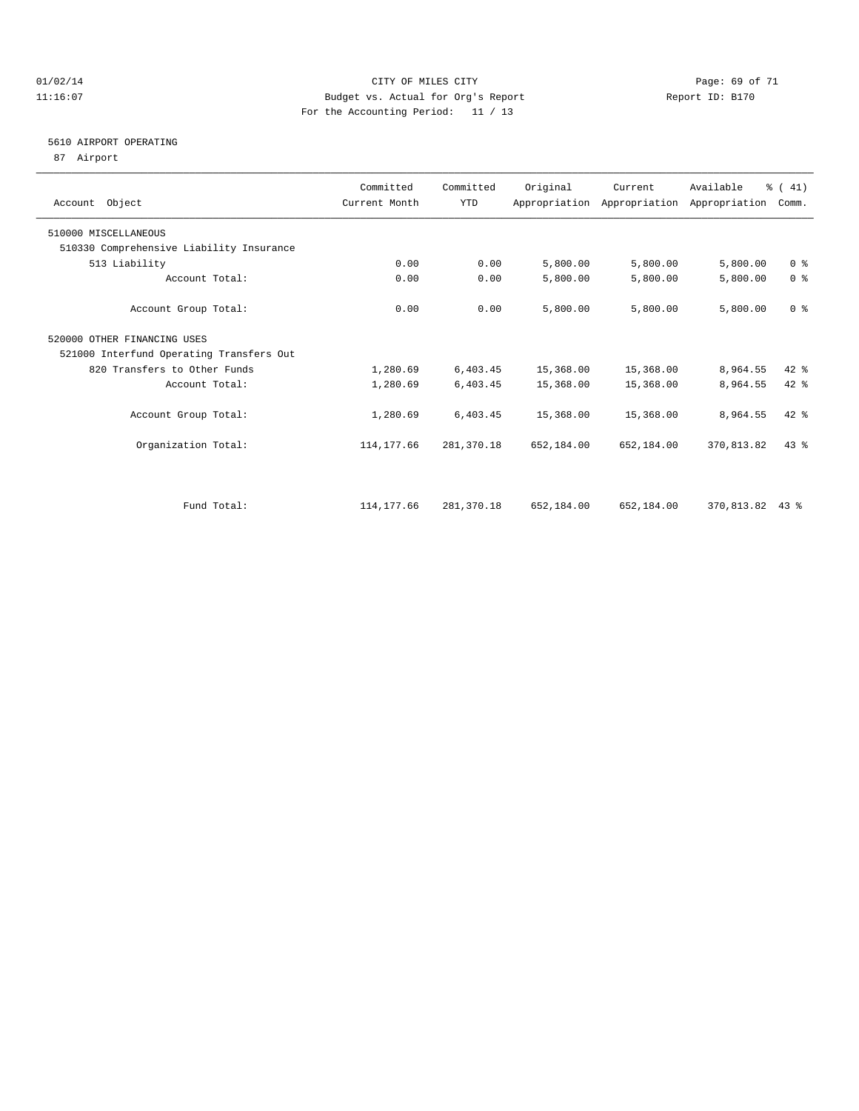#### $O1/02/14$  Page: 69 of 71 11:16:07 Budget vs. Actual for Org's Report Changer Report ID: B170 For the Accounting Period: 11 / 13

### 5610 AIRPORT OPERATING

87 Airport

| Account Object                           | Committed<br>Current Month | Committed<br><b>YTD</b> | Original   | Current    | Available<br>Appropriation Appropriation Appropriation | % (41)<br>Comm. |  |
|------------------------------------------|----------------------------|-------------------------|------------|------------|--------------------------------------------------------|-----------------|--|
| 510000 MISCELLANEOUS                     |                            |                         |            |            |                                                        |                 |  |
| 510330 Comprehensive Liability Insurance |                            |                         |            |            |                                                        |                 |  |
| 513 Liability                            | 0.00                       | 0.00                    | 5,800.00   | 5,800.00   | 5,800.00                                               | 0 <sup>8</sup>  |  |
| Account Total:                           | 0.00                       | 0.00                    | 5,800.00   | 5,800.00   | 5,800.00                                               | 0 <sup>8</sup>  |  |
| Account Group Total:                     | 0.00                       | 0.00                    | 5,800.00   | 5,800.00   | 5,800.00                                               | 0 <sup>8</sup>  |  |
| 520000 OTHER FINANCING USES              |                            |                         |            |            |                                                        |                 |  |
| 521000 Interfund Operating Transfers Out |                            |                         |            |            |                                                        |                 |  |
| 820 Transfers to Other Funds             | 1,280.69                   | 6,403.45                | 15,368.00  | 15,368.00  | 8,964.55                                               | $42*$           |  |
| Account Total:                           | 1,280.69                   | 6,403.45                | 15,368.00  | 15,368.00  | 8,964.55                                               | 42 %            |  |
| Account Group Total:                     | 1,280.69                   | 6,403.45                | 15,368.00  | 15,368.00  | 8,964.55                                               | 42 %            |  |
| Organization Total:                      | 114, 177.66                | 281,370.18              | 652,184.00 | 652,184.00 | 370,813.82                                             | 43.8            |  |
|                                          |                            |                         |            |            |                                                        |                 |  |
| Fund Total:                              | 114, 177.66                | 281,370.18              | 652,184.00 | 652,184.00 | 370,813.82 43 %                                        |                 |  |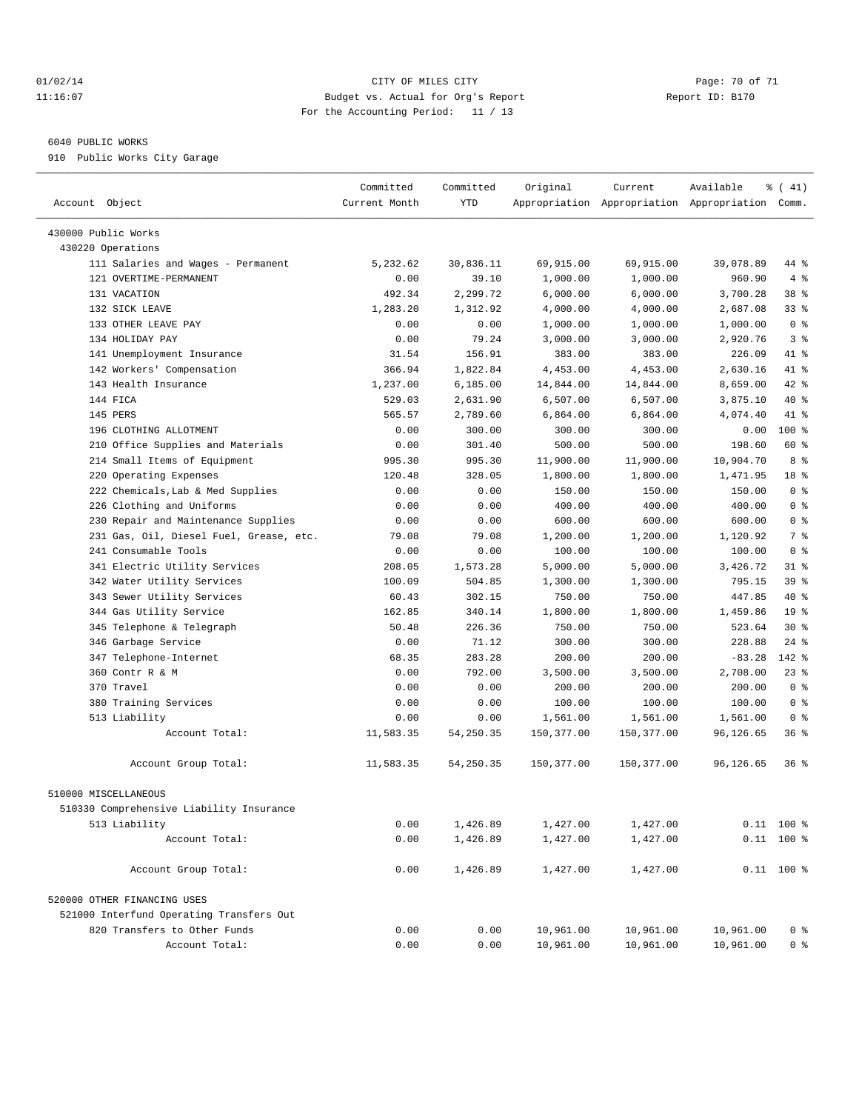#### $O1/02/14$  Page: 70 of 71 11:16:07 Budget vs. Actual for Org's Report Changer Report ID: B170 For the Accounting Period: 11 / 13

————————————————————————————————————————————————————————————————————————————————————————————————————————————————————————————————————

#### 6040 PUBLIC WORKS

910 Public Works City Garage

|                                          | Committed     | Committed  | Original   | Current    | Available                                       | % (41)          |  |
|------------------------------------------|---------------|------------|------------|------------|-------------------------------------------------|-----------------|--|
| Account Object                           | Current Month | <b>YTD</b> |            |            | Appropriation Appropriation Appropriation Comm. |                 |  |
|                                          |               |            |            |            |                                                 |                 |  |
| 430000 Public Works                      |               |            |            |            |                                                 |                 |  |
| 430220 Operations                        |               |            |            |            |                                                 |                 |  |
| 111 Salaries and Wages - Permanent       | 5,232.62      | 30,836.11  | 69,915.00  | 69,915.00  | 39,078.89                                       | 44 %            |  |
| 121 OVERTIME-PERMANENT                   | 0.00          | 39.10      | 1,000.00   | 1,000.00   | 960.90                                          | 4%              |  |
| 131 VACATION                             | 492.34        | 2,299.72   | 6,000.00   | 6,000.00   | 3,700.28                                        | 38 %            |  |
| 132 SICK LEAVE                           | 1,283.20      | 1,312.92   | 4,000.00   | 4,000.00   | 2,687.08                                        | 33%             |  |
| 133 OTHER LEAVE PAY                      | 0.00          | 0.00       | 1,000.00   | 1,000.00   | 1,000.00                                        | 0 <sup>8</sup>  |  |
| 134 HOLIDAY PAY                          | 0.00          | 79.24      | 3,000.00   | 3,000.00   | 2,920.76                                        | 3%              |  |
| 141 Unemployment Insurance               | 31.54         | 156.91     | 383.00     | 383.00     | 226.09                                          | 41 %            |  |
| 142 Workers' Compensation                | 366.94        | 1,822.84   | 4,453.00   | 4,453.00   | 2,630.16                                        | 41 %            |  |
| 143 Health Insurance                     | 1,237.00      | 6, 185.00  | 14,844.00  | 14,844.00  | 8,659.00                                        | 42 %            |  |
| 144 FICA                                 | 529.03        | 2,631.90   | 6,507.00   | 6,507.00   | 3,875.10                                        | 40 %            |  |
| 145 PERS                                 | 565.57        | 2,789.60   | 6,864.00   | 6,864.00   | 4,074.40                                        | 41 %            |  |
| 196 CLOTHING ALLOTMENT                   | 0.00          | 300.00     | 300.00     | 300.00     | 0.00                                            | 100 %           |  |
| 210 Office Supplies and Materials        | 0.00          | 301.40     | 500.00     | 500.00     | 198.60                                          | 60 %            |  |
| 214 Small Items of Equipment             | 995.30        | 995.30     | 11,900.00  | 11,900.00  | 10,904.70                                       | 8 %             |  |
| 220 Operating Expenses                   | 120.48        | 328.05     | 1,800.00   | 1,800.00   | 1,471.95                                        | 18 %            |  |
| 222 Chemicals, Lab & Med Supplies        | 0.00          | 0.00       | 150.00     | 150.00     | 150.00                                          | 0 <sup>8</sup>  |  |
| 226 Clothing and Uniforms                | 0.00          | 0.00       | 400.00     | 400.00     | 400.00                                          | 0 <sup>8</sup>  |  |
| 230 Repair and Maintenance Supplies      | 0.00          | 0.00       | 600.00     | 600.00     | 600.00                                          | 0 <sup>8</sup>  |  |
| 231 Gas, Oil, Diesel Fuel, Grease, etc.  | 79.08         | 79.08      | 1,200.00   | 1,200.00   | 1,120.92                                        | 7 %             |  |
| 241 Consumable Tools                     | 0.00          | 0.00       | 100.00     | 100.00     | 100.00                                          | 0 <sup>8</sup>  |  |
| 341 Electric Utility Services            | 208.05        | 1,573.28   | 5,000.00   | 5,000.00   | 3,426.72                                        | 31 %            |  |
| 342 Water Utility Services               | 100.09        | 504.85     | 1,300.00   | 1,300.00   | 795.15                                          | 39 %            |  |
| 343 Sewer Utility Services               | 60.43         | 302.15     | 750.00     | 750.00     | 447.85                                          | 40 %            |  |
| 344 Gas Utility Service                  | 162.85        | 340.14     | 1,800.00   | 1,800.00   | 1,459.86                                        | 19 <sup>°</sup> |  |
| 345 Telephone & Telegraph                | 50.48         | 226.36     | 750.00     | 750.00     | 523.64                                          | $30*$           |  |
| 346 Garbage Service                      | 0.00          | 71.12      | 300.00     | 300.00     | 228.88                                          | $24$ %          |  |
| 347 Telephone-Internet                   | 68.35         | 283.28     | 200.00     | 200.00     | $-83.28$                                        | 142 %           |  |
| 360 Contr R & M                          | 0.00          | 792.00     | 3,500.00   | 3,500.00   | 2,708.00                                        | 23%             |  |
| 370 Travel                               | 0.00          | 0.00       | 200.00     | 200.00     | 200.00                                          | 0 <sup>8</sup>  |  |
| 380 Training Services                    | 0.00          | 0.00       | 100.00     | 100.00     | 100.00                                          | 0 <sup>8</sup>  |  |
| 513 Liability                            | 0.00          | 0.00       | 1,561.00   | 1,561.00   | 1,561.00                                        | 0 <sup>8</sup>  |  |
| Account Total:                           | 11,583.35     | 54, 250.35 | 150,377.00 | 150,377.00 | 96,126.65                                       | 36%             |  |
| Account Group Total:                     | 11,583.35     | 54,250.35  | 150,377.00 | 150,377.00 | 96,126.65                                       | $36*$           |  |
| 510000 MISCELLANEOUS                     |               |            |            |            |                                                 |                 |  |
| 510330 Comprehensive Liability Insurance |               |            |            |            |                                                 |                 |  |
| 513 Liability                            | 0.00          | 1,426.89   | 1,427.00   | 1,427.00   |                                                 | $0.11$ 100 %    |  |
| Account Total:                           | 0.00          | 1,426.89   | 1,427.00   | 1,427.00   |                                                 | $0.11$ 100 %    |  |
|                                          |               |            |            |            |                                                 |                 |  |
| Account Group Total:                     | 0.00          | 1,426.89   | 1,427.00   | 1,427.00   |                                                 | $0.11$ 100 %    |  |
| 520000 OTHER FINANCING USES              |               |            |            |            |                                                 |                 |  |
| 521000 Interfund Operating Transfers Out |               |            |            |            |                                                 |                 |  |
| 820 Transfers to Other Funds             | 0.00          | 0.00       | 10,961.00  | 10,961.00  | 10,961.00                                       | 0 <sup>8</sup>  |  |
| Account Total:                           | 0.00          | 0.00       | 10,961.00  | 10,961.00  | 10,961.00                                       | 0 <sup>8</sup>  |  |